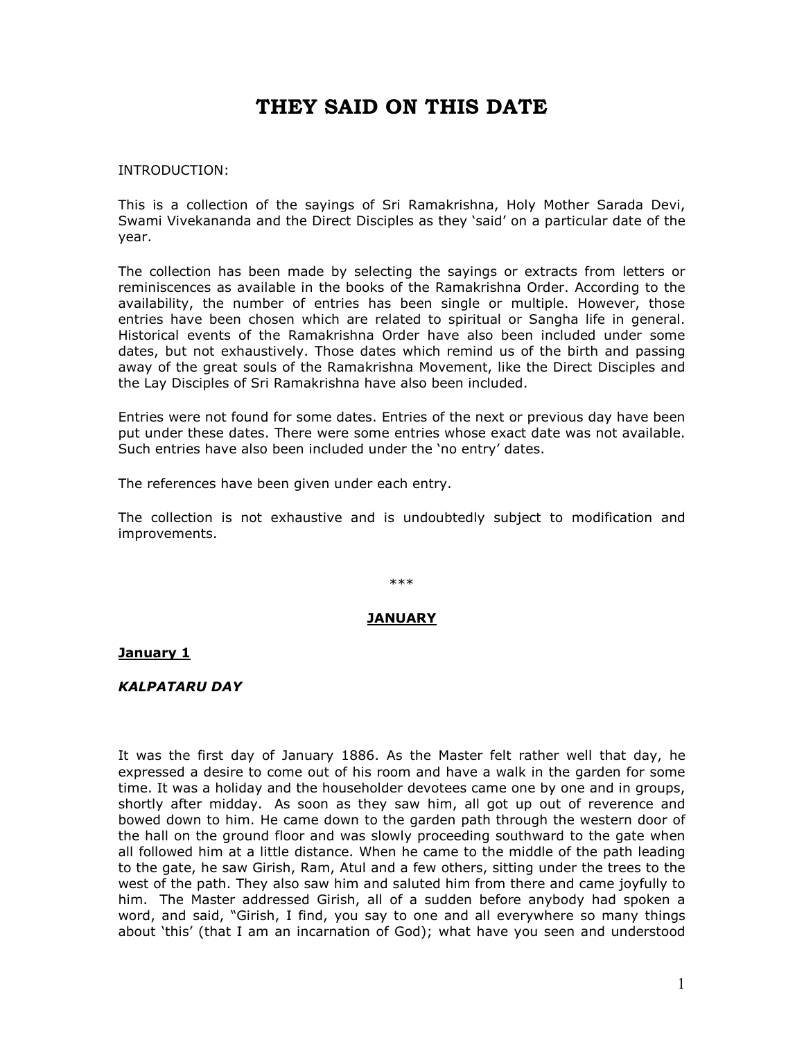# THEY SAID ON THIS DATE

#### INTRODUCTION:

This is a collection of the sayings of Sri Ramakrishna, Holy Mother Sarada Devi, Swami Vivekananda and the Direct Disciples as they 'said' on a particular date of the year.

The collection has been made by selecting the sayings or extracts from letters or reminiscences as available in the books of the Ramakrishna Order. According to the availability, the number of entries has been single or multiple. However, those entries have been chosen which are related to spiritual or Sangha life in general. Historical events of the Ramakrishna Order have also been included under some dates, but not exhaustively. Those dates which remind us of the birth and passing away of the great souls of the Ramakrishna Movement, like the Direct Disciples and the Lay Disciples of Sri Ramakrishna have also been included.

Entries were not found for some dates. Entries of the next or previous day have been put under these dates. There were some entries whose exact date was not available. Such entries have also been included under the 'no entry' dates.

The references have been given under each entry.

The collection is not exhaustive and is undoubtedly subject to modification and improvements.

\*\*\*

#### JANUARY

#### **January 1**

#### KALPATARU DAY

It was the first day of January 1886. As the Master felt rather well that day, he expressed a desire to come out of his room and have a walk in the garden for some time. It was a holiday and the householder devotees came one by one and in groups, shortly after midday. As soon as they saw him, all got up out of reverence and bowed down to him. He came down to the garden path through the western door of the hall on the ground floor and was slowly proceeding southward to the gate when all followed him at a little distance. When he came to the middle of the path leading to the gate, he saw Girish, Ram, Atul and a few others, sitting under the trees to the west of the path. They also saw him and saluted him from there and came joyfully to him. The Master addressed Girish, all of a sudden before anybody had spoken a word, and said, "Girish, I find, you say to one and all everywhere so many things about 'this' (that I am an incarnation of God); what have you seen and understood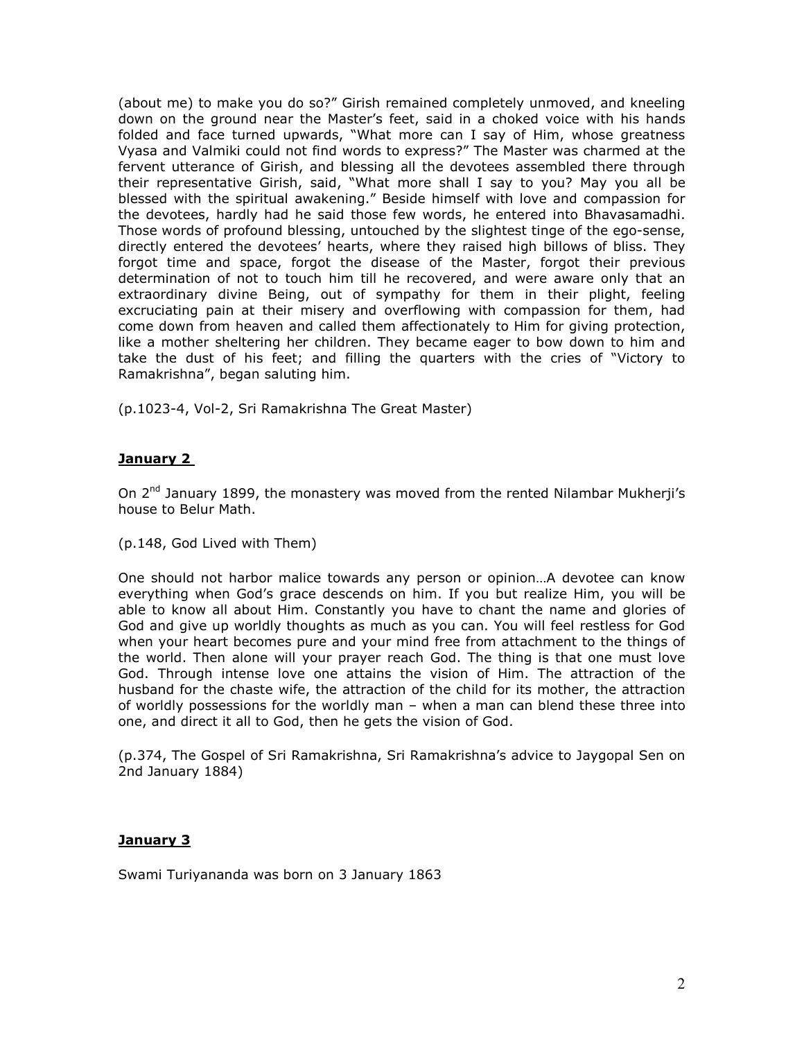(about me) to make you do so?" Girish remained completely unmoved, and kneeling down on the ground near the Master's feet, said in a choked voice with his hands folded and face turned upwards, "What more can I say of Him, whose greatness Vyasa and Valmiki could not find words to express?" The Master was charmed at the fervent utterance of Girish, and blessing all the devotees assembled there through their representative Girish, said, "What more shall I say to you? May you all be blessed with the spiritual awakening." Beside himself with love and compassion for the devotees, hardly had he said those few words, he entered into Bhavasamadhi. Those words of profound blessing, untouched by the slightest tinge of the ego-sense, directly entered the devotees' hearts, where they raised high billows of bliss. They forgot time and space, forgot the disease of the Master, forgot their previous determination of not to touch him till he recovered, and were aware only that an extraordinary divine Being, out of sympathy for them in their plight, feeling excruciating pain at their misery and overflowing with compassion for them, had come down from heaven and called them affectionately to Him for giving protection, like a mother sheltering her children. They became eager to bow down to him and take the dust of his feet; and filling the quarters with the cries of "Victory to Ramakrishna", began saluting him.

(p.1023-4, Vol-2, Sri Ramakrishna The Great Master)

# **January 2**

On  $2^{nd}$  January 1899, the monastery was moved from the rented Nilambar Mukherji's house to Belur Math.

(p.148, God Lived with Them)

One should not harbor malice towards any person or opinion…A devotee can know everything when God's grace descends on him. If you but realize Him, you will be able to know all about Him. Constantly you have to chant the name and glories of God and give up worldly thoughts as much as you can. You will feel restless for God when your heart becomes pure and your mind free from attachment to the things of the world. Then alone will your prayer reach God. The thing is that one must love God. Through intense love one attains the vision of Him. The attraction of the husband for the chaste wife, the attraction of the child for its mother, the attraction of worldly possessions for the worldly man – when a man can blend these three into one, and direct it all to God, then he gets the vision of God.

(p.374, The Gospel of Sri Ramakrishna, Sri Ramakrishna's advice to Jaygopal Sen on 2nd January 1884)

#### January 3

Swami Turiyananda was born on 3 January 1863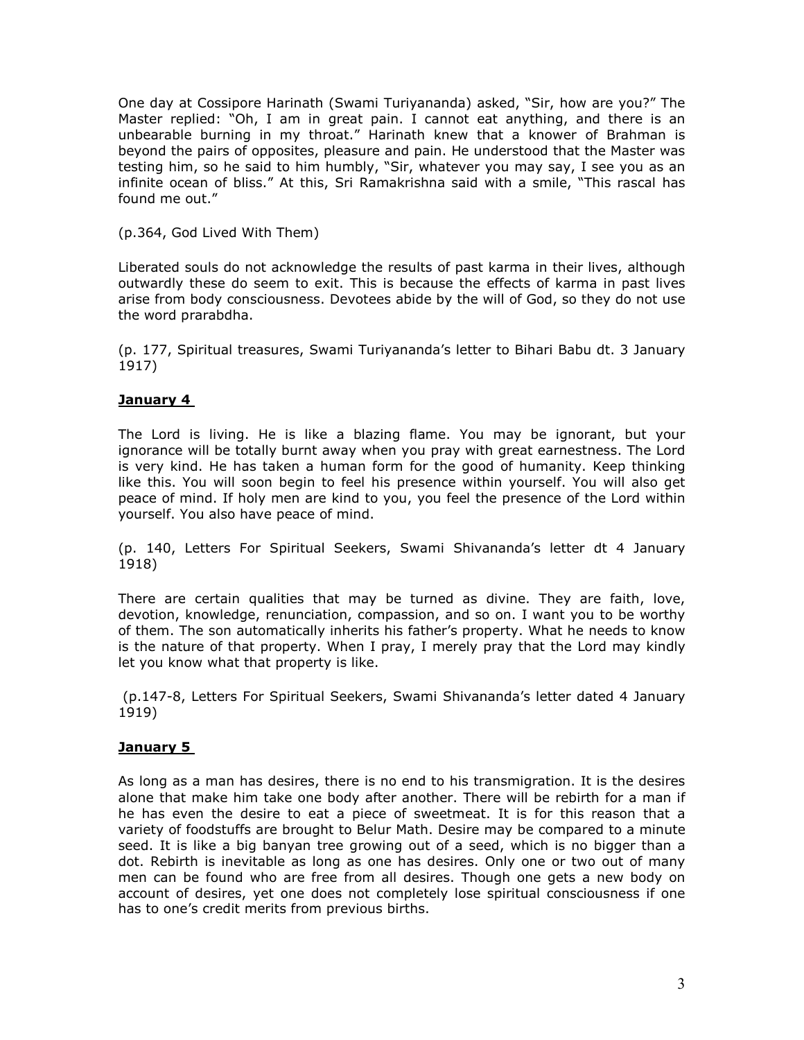One day at Cossipore Harinath (Swami Turiyananda) asked, "Sir, how are you?" The Master replied: "Oh, I am in great pain. I cannot eat anything, and there is an unbearable burning in my throat." Harinath knew that a knower of Brahman is beyond the pairs of opposites, pleasure and pain. He understood that the Master was testing him, so he said to him humbly, "Sir, whatever you may say, I see you as an infinite ocean of bliss." At this, Sri Ramakrishna said with a smile, "This rascal has found me out."

(p.364, God Lived With Them)

Liberated souls do not acknowledge the results of past karma in their lives, although outwardly these do seem to exit. This is because the effects of karma in past lives arise from body consciousness. Devotees abide by the will of God, so they do not use the word prarabdha.

(p. 177, Spiritual treasures, Swami Turiyananda's letter to Bihari Babu dt. 3 January 1917)

# January 4

The Lord is living. He is like a blazing flame. You may be ignorant, but your ignorance will be totally burnt away when you pray with great earnestness. The Lord is very kind. He has taken a human form for the good of humanity. Keep thinking like this. You will soon begin to feel his presence within yourself. You will also get peace of mind. If holy men are kind to you, you feel the presence of the Lord within yourself. You also have peace of mind.

(p. 140, Letters For Spiritual Seekers, Swami Shivananda's letter dt 4 January 1918)

There are certain qualities that may be turned as divine. They are faith, love, devotion, knowledge, renunciation, compassion, and so on. I want you to be worthy of them. The son automatically inherits his father's property. What he needs to know is the nature of that property. When I pray, I merely pray that the Lord may kindly let you know what that property is like.

 (p.147-8, Letters For Spiritual Seekers, Swami Shivananda's letter dated 4 January 1919)

### January 5

As long as a man has desires, there is no end to his transmigration. It is the desires alone that make him take one body after another. There will be rebirth for a man if he has even the desire to eat a piece of sweetmeat. It is for this reason that a variety of foodstuffs are brought to Belur Math. Desire may be compared to a minute seed. It is like a big banyan tree growing out of a seed, which is no bigger than a dot. Rebirth is inevitable as long as one has desires. Only one or two out of many men can be found who are free from all desires. Though one gets a new body on account of desires, yet one does not completely lose spiritual consciousness if one has to one's credit merits from previous births.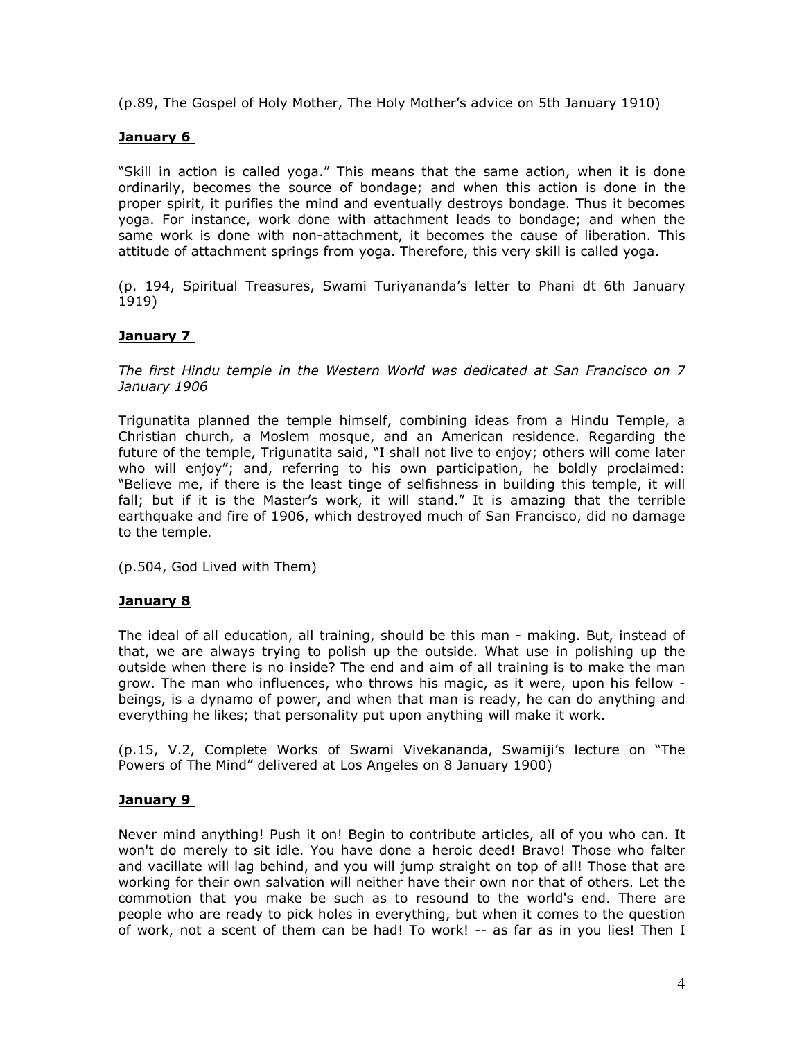(p.89, The Gospel of Holy Mother, The Holy Mother's advice on 5th January 1910)

### January 6

"Skill in action is called yoga." This means that the same action, when it is done ordinarily, becomes the source of bondage; and when this action is done in the proper spirit, it purifies the mind and eventually destroys bondage. Thus it becomes yoga. For instance, work done with attachment leads to bondage; and when the same work is done with non-attachment, it becomes the cause of liberation. This attitude of attachment springs from yoga. Therefore, this very skill is called yoga.

(p. 194, Spiritual Treasures, Swami Turiyananda's letter to Phani dt 6th January 1919)

# January 7

The first Hindu temple in the Western World was dedicated at San Francisco on 7 January 1906

Trigunatita planned the temple himself, combining ideas from a Hindu Temple, a Christian church, a Moslem mosque, and an American residence. Regarding the future of the temple, Trigunatita said, "I shall not live to enjoy; others will come later who will enjoy"; and, referring to his own participation, he boldly proclaimed: "Believe me, if there is the least tinge of selfishness in building this temple, it will fall; but if it is the Master's work, it will stand." It is amazing that the terrible earthquake and fire of 1906, which destroyed much of San Francisco, did no damage to the temple.

(p.504, God Lived with Them)

#### January 8

The ideal of all education, all training, should be this man - making. But, instead of that, we are always trying to polish up the outside. What use in polishing up the outside when there is no inside? The end and aim of all training is to make the man grow. The man who influences, who throws his magic, as it were, upon his fellow beings, is a dynamo of power, and when that man is ready, he can do anything and everything he likes; that personality put upon anything will make it work.

(p.15, V.2, Complete Works of Swami Vivekananda, Swamiji's lecture on "The Powers of The Mind" delivered at Los Angeles on 8 January 1900)

#### January 9

Never mind anything! Push it on! Begin to contribute articles, all of you who can. It won't do merely to sit idle. You have done a heroic deed! Bravo! Those who falter and vacillate will lag behind, and you will jump straight on top of all! Those that are working for their own salvation will neither have their own nor that of others. Let the commotion that you make be such as to resound to the world's end. There are people who are ready to pick holes in everything, but when it comes to the question of work, not a scent of them can be had! To work! -- as far as in you lies! Then I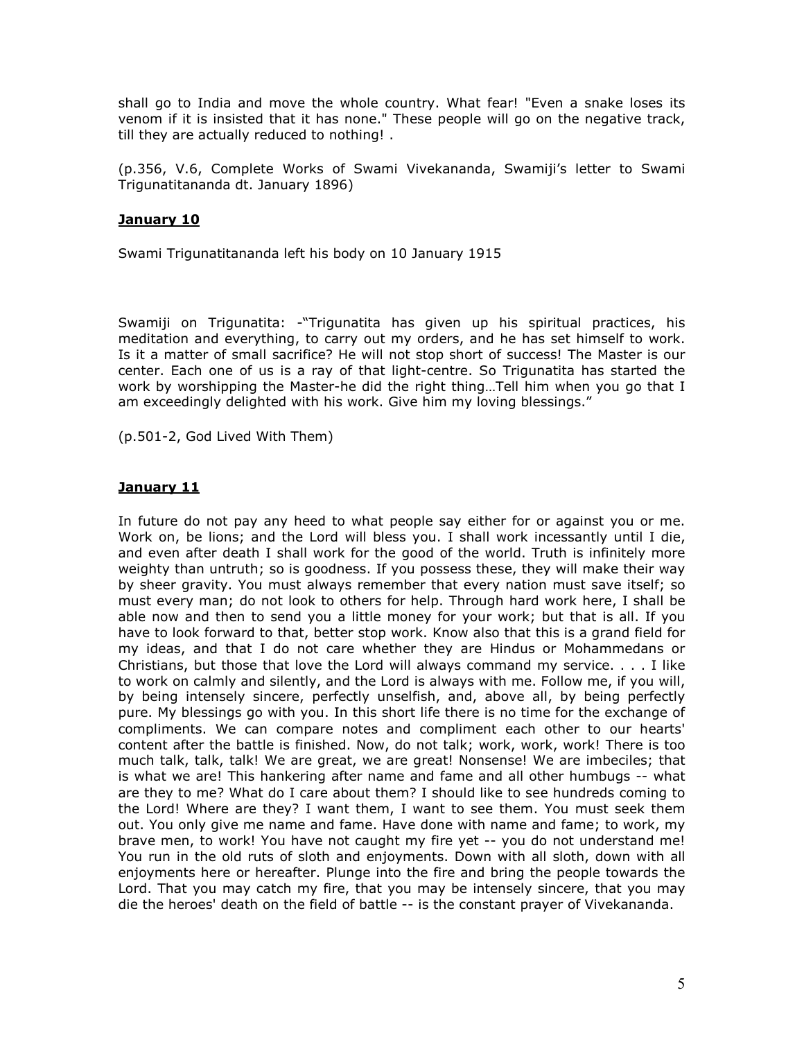shall go to India and move the whole country. What fear! "Even a snake loses its venom if it is insisted that it has none." These people will go on the negative track, till they are actually reduced to nothing! .

(p.356, V.6, Complete Works of Swami Vivekananda, Swamiji's letter to Swami Trigunatitananda dt. January 1896)

### January 10

Swami Trigunatitananda left his body on 10 January 1915

Swamiji on Trigunatita: -"Trigunatita has given up his spiritual practices, his meditation and everything, to carry out my orders, and he has set himself to work. Is it a matter of small sacrifice? He will not stop short of success! The Master is our center. Each one of us is a ray of that light-centre. So Trigunatita has started the work by worshipping the Master-he did the right thing…Tell him when you go that I am exceedingly delighted with his work. Give him my loving blessings."

(p.501-2, God Lived With Them)

### January 11

In future do not pay any heed to what people say either for or against you or me. Work on, be lions; and the Lord will bless you. I shall work incessantly until I die, and even after death I shall work for the good of the world. Truth is infinitely more weighty than untruth; so is goodness. If you possess these, they will make their way by sheer gravity. You must always remember that every nation must save itself; so must every man; do not look to others for help. Through hard work here, I shall be able now and then to send you a little money for your work; but that is all. If you have to look forward to that, better stop work. Know also that this is a grand field for my ideas, and that I do not care whether they are Hindus or Mohammedans or Christians, but those that love the Lord will always command my service. . . . I like to work on calmly and silently, and the Lord is always with me. Follow me, if you will, by being intensely sincere, perfectly unselfish, and, above all, by being perfectly pure. My blessings go with you. In this short life there is no time for the exchange of compliments. We can compare notes and compliment each other to our hearts' content after the battle is finished. Now, do not talk; work, work, work! There is too much talk, talk, talk! We are great, we are great! Nonsense! We are imbeciles; that is what we are! This hankering after name and fame and all other humbugs -- what are they to me? What do I care about them? I should like to see hundreds coming to the Lord! Where are they? I want them, I want to see them. You must seek them out. You only give me name and fame. Have done with name and fame; to work, my brave men, to work! You have not caught my fire yet -- you do not understand me! You run in the old ruts of sloth and enjoyments. Down with all sloth, down with all enjoyments here or hereafter. Plunge into the fire and bring the people towards the Lord. That you may catch my fire, that you may be intensely sincere, that you may die the heroes' death on the field of battle -- is the constant prayer of Vivekananda.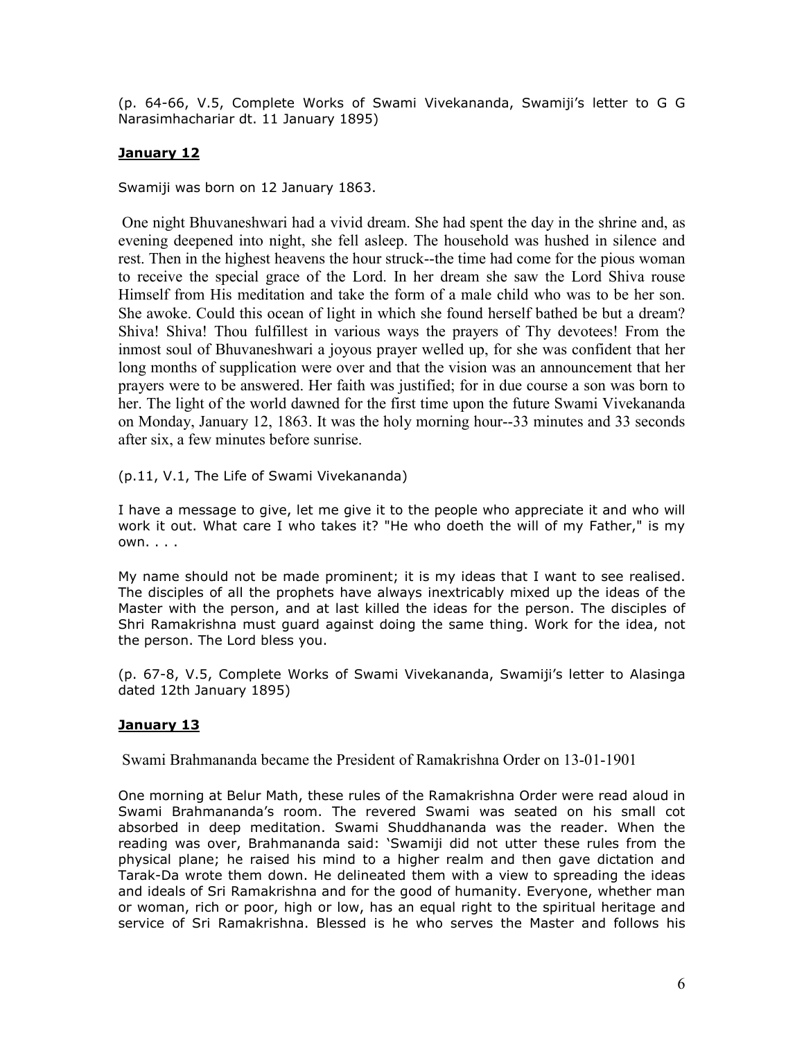(p. 64-66, V.5, Complete Works of Swami Vivekananda, Swamiji's letter to G G Narasimhachariar dt. 11 January 1895)

# January 12

Swamiji was born on 12 January 1863.

 One night Bhuvaneshwari had a vivid dream. She had spent the day in the shrine and, as evening deepened into night, she fell asleep. The household was hushed in silence and rest. Then in the highest heavens the hour struck--the time had come for the pious woman to receive the special grace of the Lord. In her dream she saw the Lord Shiva rouse Himself from His meditation and take the form of a male child who was to be her son. She awoke. Could this ocean of light in which she found herself bathed be but a dream? Shiva! Shiva! Thou fulfillest in various ways the prayers of Thy devotees! From the inmost soul of Bhuvaneshwari a joyous prayer welled up, for she was confident that her long months of supplication were over and that the vision was an announcement that her prayers were to be answered. Her faith was justified; for in due course a son was born to her. The light of the world dawned for the first time upon the future Swami Vivekananda on Monday, January 12, 1863. It was the holy morning hour--33 minutes and 33 seconds after six, a few minutes before sunrise.

(p.11, V.1, The Life of Swami Vivekananda)

I have a message to give, let me give it to the people who appreciate it and who will work it out. What care I who takes it? "He who doeth the will of my Father," is my own. . . .

My name should not be made prominent; it is my ideas that I want to see realised. The disciples of all the prophets have always inextricably mixed up the ideas of the Master with the person, and at last killed the ideas for the person. The disciples of Shri Ramakrishna must guard against doing the same thing. Work for the idea, not the person. The Lord bless you.

(p. 67-8, V.5, Complete Works of Swami Vivekananda, Swamiji's letter to Alasinga dated 12th January 1895)

### **January 13**

Swami Brahmananda became the President of Ramakrishna Order on 13-01-1901

One morning at Belur Math, these rules of the Ramakrishna Order were read aloud in Swami Brahmananda's room. The revered Swami was seated on his small cot absorbed in deep meditation. Swami Shuddhananda was the reader. When the reading was over, Brahmananda said: 'Swamiji did not utter these rules from the physical plane; he raised his mind to a higher realm and then gave dictation and Tarak-Da wrote them down. He delineated them with a view to spreading the ideas and ideals of Sri Ramakrishna and for the good of humanity. Everyone, whether man or woman, rich or poor, high or low, has an equal right to the spiritual heritage and service of Sri Ramakrishna. Blessed is he who serves the Master and follows his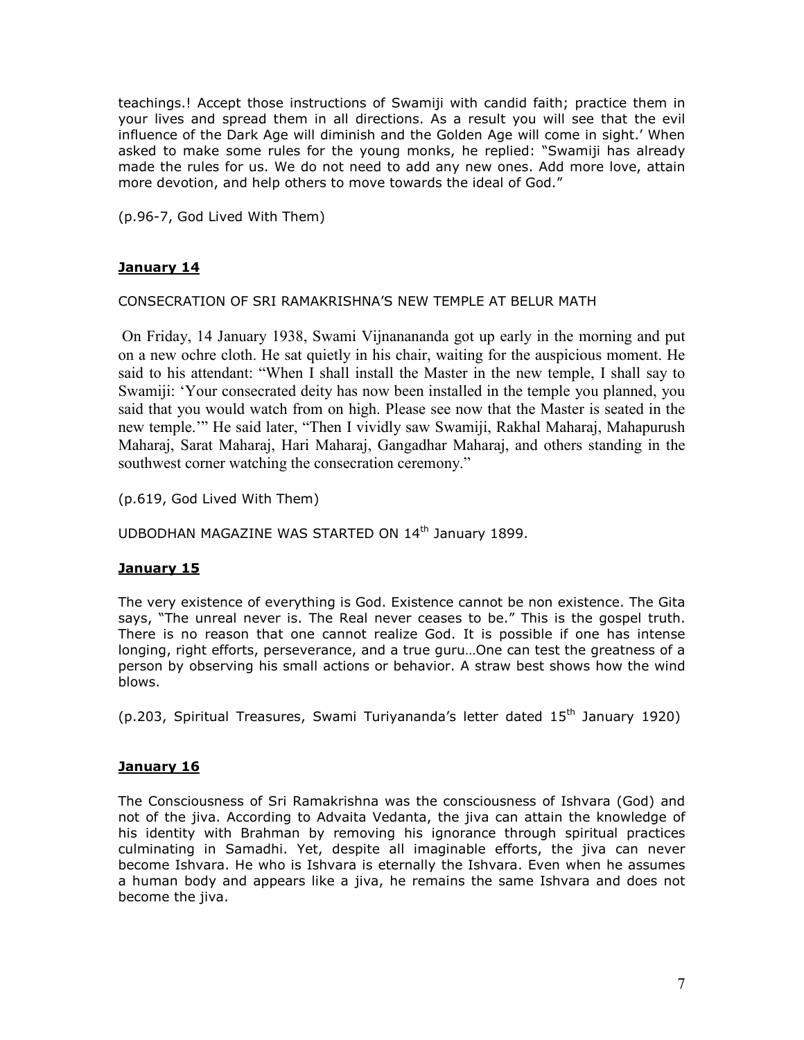teachings.! Accept those instructions of Swamiji with candid faith; practice them in your lives and spread them in all directions. As a result you will see that the evil influence of the Dark Age will diminish and the Golden Age will come in sight.' When asked to make some rules for the young monks, he replied: "Swamiji has already made the rules for us. We do not need to add any new ones. Add more love, attain more devotion, and help others to move towards the ideal of God."

(p.96-7, God Lived With Them)

# January 14

CONSECRATION OF SRI RAMAKRISHNA'S NEW TEMPLE AT BELUR MATH

 On Friday, 14 January 1938, Swami Vijnanananda got up early in the morning and put on a new ochre cloth. He sat quietly in his chair, waiting for the auspicious moment. He said to his attendant: "When I shall install the Master in the new temple, I shall say to Swamiji: 'Your consecrated deity has now been installed in the temple you planned, you said that you would watch from on high. Please see now that the Master is seated in the new temple.'" He said later, "Then I vividly saw Swamiji, Rakhal Maharaj, Mahapurush Maharaj, Sarat Maharaj, Hari Maharaj, Gangadhar Maharaj, and others standing in the southwest corner watching the consecration ceremony."

(p.619, God Lived With Them)

UDBODHAN MAGAZINE WAS STARTED ON 14<sup>th</sup> January 1899.

### January 15

The very existence of everything is God. Existence cannot be non existence. The Gita says, "The unreal never is. The Real never ceases to be." This is the gospel truth. There is no reason that one cannot realize God. It is possible if one has intense longing, right efforts, perseverance, and a true guru…One can test the greatness of a person by observing his small actions or behavior. A straw best shows how the wind blows.

(p.203, Spiritual Treasures, Swami Turiyananda's letter dated  $15<sup>th</sup>$  January 1920)

### January 16

The Consciousness of Sri Ramakrishna was the consciousness of Ishvara (God) and not of the jiva. According to Advaita Vedanta, the jiva can attain the knowledge of his identity with Brahman by removing his ignorance through spiritual practices culminating in Samadhi. Yet, despite all imaginable efforts, the jiva can never become Ishvara. He who is Ishvara is eternally the Ishvara. Even when he assumes a human body and appears like a jiva, he remains the same Ishvara and does not become the jiva.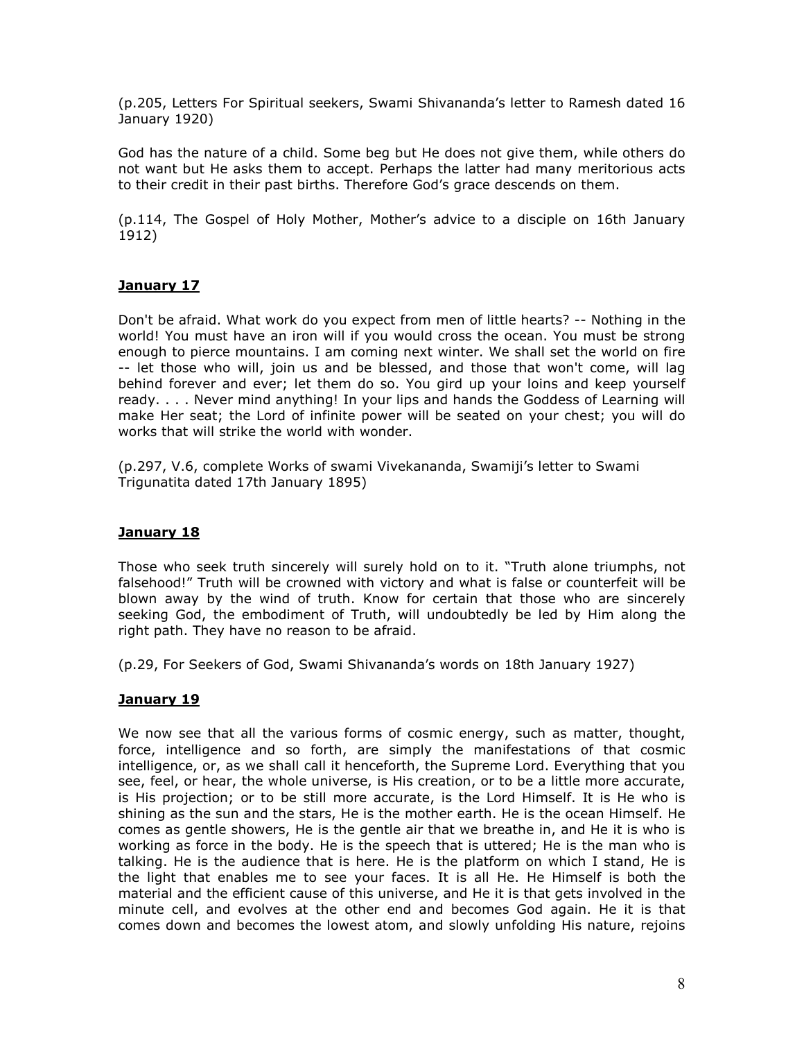(p.205, Letters For Spiritual seekers, Swami Shivananda's letter to Ramesh dated 16 January 1920)

God has the nature of a child. Some beg but He does not give them, while others do not want but He asks them to accept. Perhaps the latter had many meritorious acts to their credit in their past births. Therefore God's grace descends on them.

(p.114, The Gospel of Holy Mother, Mother's advice to a disciple on 16th January 1912)

### January 17

Don't be afraid. What work do you expect from men of little hearts? -- Nothing in the world! You must have an iron will if you would cross the ocean. You must be strong enough to pierce mountains. I am coming next winter. We shall set the world on fire -- let those who will, join us and be blessed, and those that won't come, will lag behind forever and ever; let them do so. You gird up your loins and keep yourself ready. . . . Never mind anything! In your lips and hands the Goddess of Learning will make Her seat; the Lord of infinite power will be seated on your chest; you will do works that will strike the world with wonder.

(p.297, V.6, complete Works of swami Vivekananda, Swamiji's letter to Swami Trigunatita dated 17th January 1895)

### January 18

Those who seek truth sincerely will surely hold on to it. "Truth alone triumphs, not falsehood!" Truth will be crowned with victory and what is false or counterfeit will be blown away by the wind of truth. Know for certain that those who are sincerely seeking God, the embodiment of Truth, will undoubtedly be led by Him along the right path. They have no reason to be afraid.

(p.29, For Seekers of God, Swami Shivananda's words on 18th January 1927)

#### January 19

We now see that all the various forms of cosmic energy, such as matter, thought, force, intelligence and so forth, are simply the manifestations of that cosmic intelligence, or, as we shall call it henceforth, the Supreme Lord. Everything that you see, feel, or hear, the whole universe, is His creation, or to be a little more accurate, is His projection; or to be still more accurate, is the Lord Himself. It is He who is shining as the sun and the stars, He is the mother earth. He is the ocean Himself. He comes as gentle showers, He is the gentle air that we breathe in, and He it is who is working as force in the body. He is the speech that is uttered; He is the man who is talking. He is the audience that is here. He is the platform on which I stand, He is the light that enables me to see your faces. It is all He. He Himself is both the material and the efficient cause of this universe, and He it is that gets involved in the minute cell, and evolves at the other end and becomes God again. He it is that comes down and becomes the lowest atom, and slowly unfolding His nature, rejoins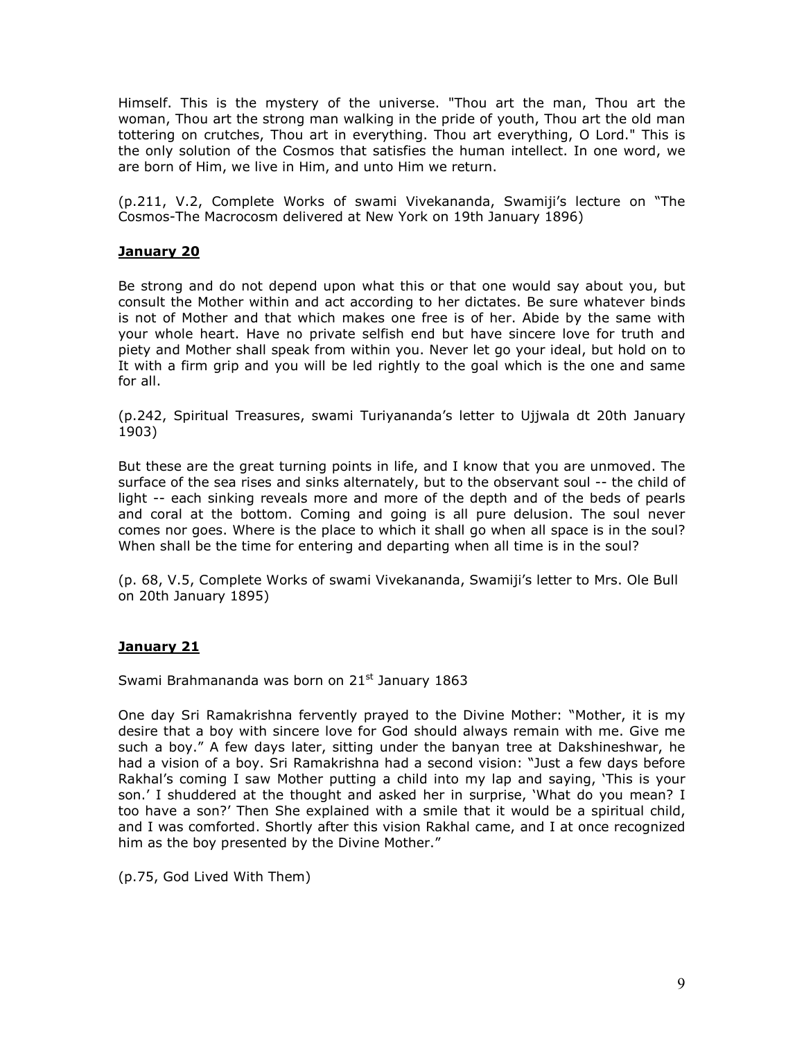Himself. This is the mystery of the universe. "Thou art the man, Thou art the woman, Thou art the strong man walking in the pride of youth, Thou art the old man tottering on crutches, Thou art in everything. Thou art everything, O Lord." This is the only solution of the Cosmos that satisfies the human intellect. In one word, we are born of Him, we live in Him, and unto Him we return.

(p.211, V.2, Complete Works of swami Vivekananda, Swamiji's lecture on "The Cosmos-The Macrocosm delivered at New York on 19th January 1896)

### **January 20**

Be strong and do not depend upon what this or that one would say about you, but consult the Mother within and act according to her dictates. Be sure whatever binds is not of Mother and that which makes one free is of her. Abide by the same with your whole heart. Have no private selfish end but have sincere love for truth and piety and Mother shall speak from within you. Never let go your ideal, but hold on to It with a firm grip and you will be led rightly to the goal which is the one and same for all.

(p.242, Spiritual Treasures, swami Turiyananda's letter to Ujjwala dt 20th January 1903)

But these are the great turning points in life, and I know that you are unmoved. The surface of the sea rises and sinks alternately, but to the observant soul -- the child of light -- each sinking reveals more and more of the depth and of the beds of pearls and coral at the bottom. Coming and going is all pure delusion. The soul never comes nor goes. Where is the place to which it shall go when all space is in the soul? When shall be the time for entering and departing when all time is in the soul?

(p. 68, V.5, Complete Works of swami Vivekananda, Swamiji's letter to Mrs. Ole Bull on 20th January 1895)

### January 21

Swami Brahmananda was born on 21<sup>st</sup> January 1863

One day Sri Ramakrishna fervently prayed to the Divine Mother: "Mother, it is my desire that a boy with sincere love for God should always remain with me. Give me such a boy." A few days later, sitting under the banyan tree at Dakshineshwar, he had a vision of a boy. Sri Ramakrishna had a second vision: "Just a few days before Rakhal's coming I saw Mother putting a child into my lap and saying, 'This is your son.' I shuddered at the thought and asked her in surprise, 'What do you mean? I too have a son?' Then She explained with a smile that it would be a spiritual child, and I was comforted. Shortly after this vision Rakhal came, and I at once recognized him as the boy presented by the Divine Mother."

(p.75, God Lived With Them)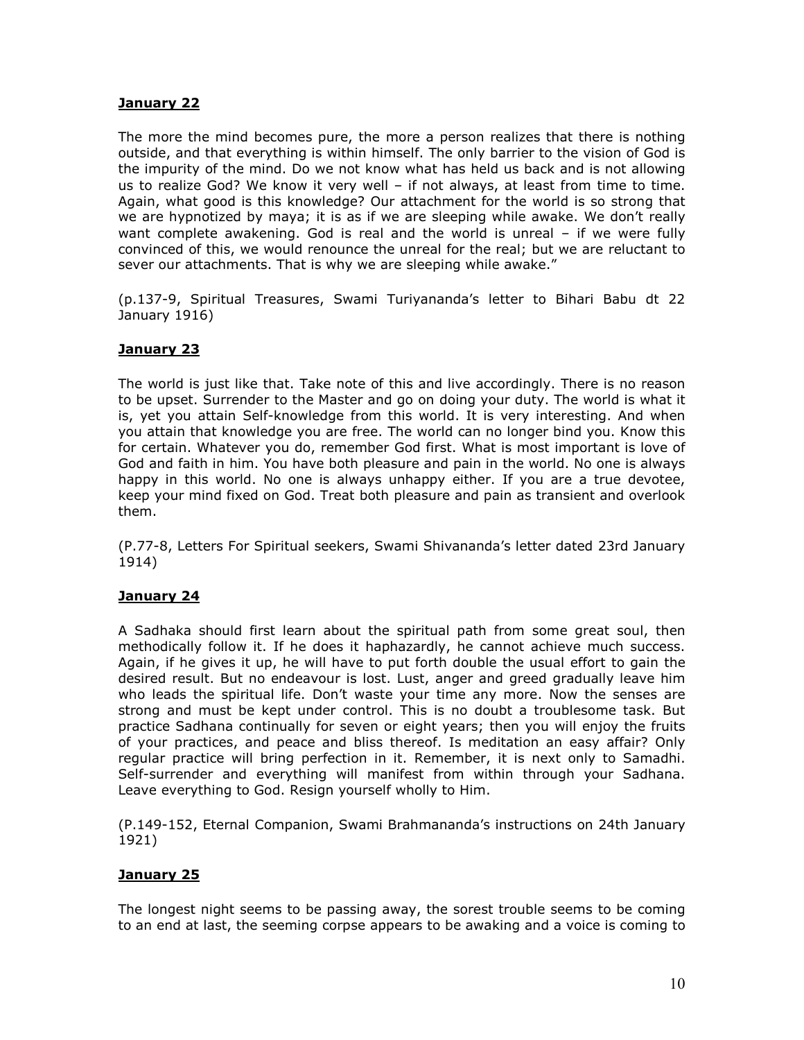### January 22

The more the mind becomes pure, the more a person realizes that there is nothing outside, and that everything is within himself. The only barrier to the vision of God is the impurity of the mind. Do we not know what has held us back and is not allowing us to realize God? We know it very well – if not always, at least from time to time. Again, what good is this knowledge? Our attachment for the world is so strong that we are hypnotized by maya; it is as if we are sleeping while awake. We don't really want complete awakening. God is real and the world is unreal – if we were fully convinced of this, we would renounce the unreal for the real; but we are reluctant to sever our attachments. That is why we are sleeping while awake."

(p.137-9, Spiritual Treasures, Swami Turiyananda's letter to Bihari Babu dt 22 January 1916)

### January 23

The world is just like that. Take note of this and live accordingly. There is no reason to be upset. Surrender to the Master and go on doing your duty. The world is what it is, yet you attain Self-knowledge from this world. It is very interesting. And when you attain that knowledge you are free. The world can no longer bind you. Know this for certain. Whatever you do, remember God first. What is most important is love of God and faith in him. You have both pleasure and pain in the world. No one is always happy in this world. No one is always unhappy either. If you are a true devotee, keep your mind fixed on God. Treat both pleasure and pain as transient and overlook them.

(P.77-8, Letters For Spiritual seekers, Swami Shivananda's letter dated 23rd January 1914)

### January 24

A Sadhaka should first learn about the spiritual path from some great soul, then methodically follow it. If he does it haphazardly, he cannot achieve much success. Again, if he gives it up, he will have to put forth double the usual effort to gain the desired result. But no endeavour is lost. Lust, anger and greed gradually leave him who leads the spiritual life. Don't waste your time any more. Now the senses are strong and must be kept under control. This is no doubt a troublesome task. But practice Sadhana continually for seven or eight years; then you will enjoy the fruits of your practices, and peace and bliss thereof. Is meditation an easy affair? Only regular practice will bring perfection in it. Remember, it is next only to Samadhi. Self-surrender and everything will manifest from within through your Sadhana. Leave everything to God. Resign yourself wholly to Him.

(P.149-152, Eternal Companion, Swami Brahmananda's instructions on 24th January 1921)

#### January 25

The longest night seems to be passing away, the sorest trouble seems to be coming to an end at last, the seeming corpse appears to be awaking and a voice is coming to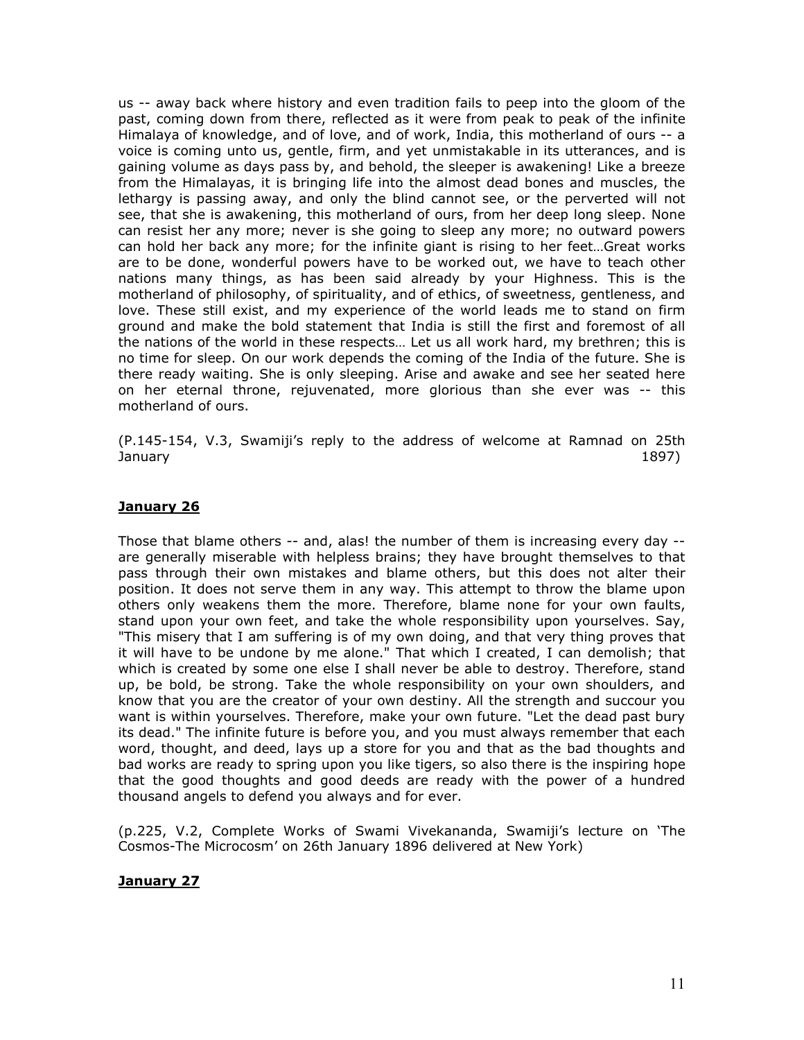us -- away back where history and even tradition fails to peep into the gloom of the past, coming down from there, reflected as it were from peak to peak of the infinite Himalaya of knowledge, and of love, and of work, India, this motherland of ours -- a voice is coming unto us, gentle, firm, and yet unmistakable in its utterances, and is gaining volume as days pass by, and behold, the sleeper is awakening! Like a breeze from the Himalayas, it is bringing life into the almost dead bones and muscles, the lethargy is passing away, and only the blind cannot see, or the perverted will not see, that she is awakening, this motherland of ours, from her deep long sleep. None can resist her any more; never is she going to sleep any more; no outward powers can hold her back any more; for the infinite giant is rising to her feet…Great works are to be done, wonderful powers have to be worked out, we have to teach other nations many things, as has been said already by your Highness. This is the motherland of philosophy, of spirituality, and of ethics, of sweetness, gentleness, and love. These still exist, and my experience of the world leads me to stand on firm ground and make the bold statement that India is still the first and foremost of all the nations of the world in these respects… Let us all work hard, my brethren; this is no time for sleep. On our work depends the coming of the India of the future. She is there ready waiting. She is only sleeping. Arise and awake and see her seated here on her eternal throne, rejuvenated, more glorious than she ever was -- this motherland of ours.

(P.145-154, V.3, Swamiji's reply to the address of welcome at Ramnad on 25th January 1897)

### January 26

Those that blame others -- and, alas! the number of them is increasing every day - are generally miserable with helpless brains; they have brought themselves to that pass through their own mistakes and blame others, but this does not alter their position. It does not serve them in any way. This attempt to throw the blame upon others only weakens them the more. Therefore, blame none for your own faults, stand upon your own feet, and take the whole responsibility upon yourselves. Say, "This misery that I am suffering is of my own doing, and that very thing proves that it will have to be undone by me alone." That which I created, I can demolish; that which is created by some one else I shall never be able to destroy. Therefore, stand up, be bold, be strong. Take the whole responsibility on your own shoulders, and know that you are the creator of your own destiny. All the strength and succour you want is within yourselves. Therefore, make your own future. "Let the dead past bury its dead." The infinite future is before you, and you must always remember that each word, thought, and deed, lays up a store for you and that as the bad thoughts and bad works are ready to spring upon you like tigers, so also there is the inspiring hope that the good thoughts and good deeds are ready with the power of a hundred thousand angels to defend you always and for ever.

(p.225, V.2, Complete Works of Swami Vivekananda, Swamiji's lecture on 'The Cosmos-The Microcosm' on 26th January 1896 delivered at New York)

### January 27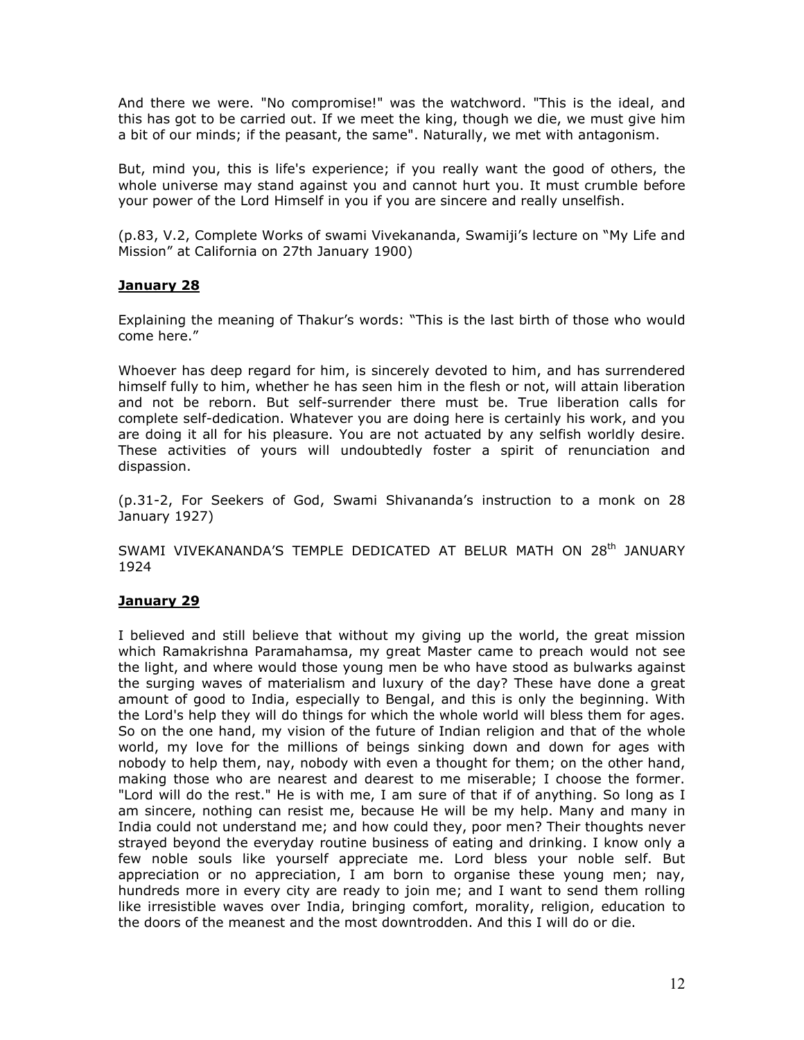And there we were. "No compromise!" was the watchword. "This is the ideal, and this has got to be carried out. If we meet the king, though we die, we must give him a bit of our minds; if the peasant, the same". Naturally, we met with antagonism.

But, mind you, this is life's experience; if you really want the good of others, the whole universe may stand against you and cannot hurt you. It must crumble before your power of the Lord Himself in you if you are sincere and really unselfish.

(p.83, V.2, Complete Works of swami Vivekananda, Swamiji's lecture on "My Life and Mission" at California on 27th January 1900)

### January 28

Explaining the meaning of Thakur's words: "This is the last birth of those who would come here."

Whoever has deep regard for him, is sincerely devoted to him, and has surrendered himself fully to him, whether he has seen him in the flesh or not, will attain liberation and not be reborn. But self-surrender there must be. True liberation calls for complete self-dedication. Whatever you are doing here is certainly his work, and you are doing it all for his pleasure. You are not actuated by any selfish worldly desire. These activities of yours will undoubtedly foster a spirit of renunciation and dispassion.

(p.31-2, For Seekers of God, Swami Shivananda's instruction to a monk on 28 January 1927)

SWAMI VIVEKANANDA'S TEMPLE DEDICATED AT BELUR MATH ON 28<sup>th</sup> JANUARY 1924

### January 29

I believed and still believe that without my giving up the world, the great mission which Ramakrishna Paramahamsa, my great Master came to preach would not see the light, and where would those young men be who have stood as bulwarks against the surging waves of materialism and luxury of the day? These have done a great amount of good to India, especially to Bengal, and this is only the beginning. With the Lord's help they will do things for which the whole world will bless them for ages. So on the one hand, my vision of the future of Indian religion and that of the whole world, my love for the millions of beings sinking down and down for ages with nobody to help them, nay, nobody with even a thought for them; on the other hand, making those who are nearest and dearest to me miserable; I choose the former. "Lord will do the rest." He is with me, I am sure of that if of anything. So long as I am sincere, nothing can resist me, because He will be my help. Many and many in India could not understand me; and how could they, poor men? Their thoughts never strayed beyond the everyday routine business of eating and drinking. I know only a few noble souls like yourself appreciate me. Lord bless your noble self. But appreciation or no appreciation, I am born to organise these young men; nay, hundreds more in every city are ready to join me; and I want to send them rolling like irresistible waves over India, bringing comfort, morality, religion, education to the doors of the meanest and the most downtrodden. And this I will do or die.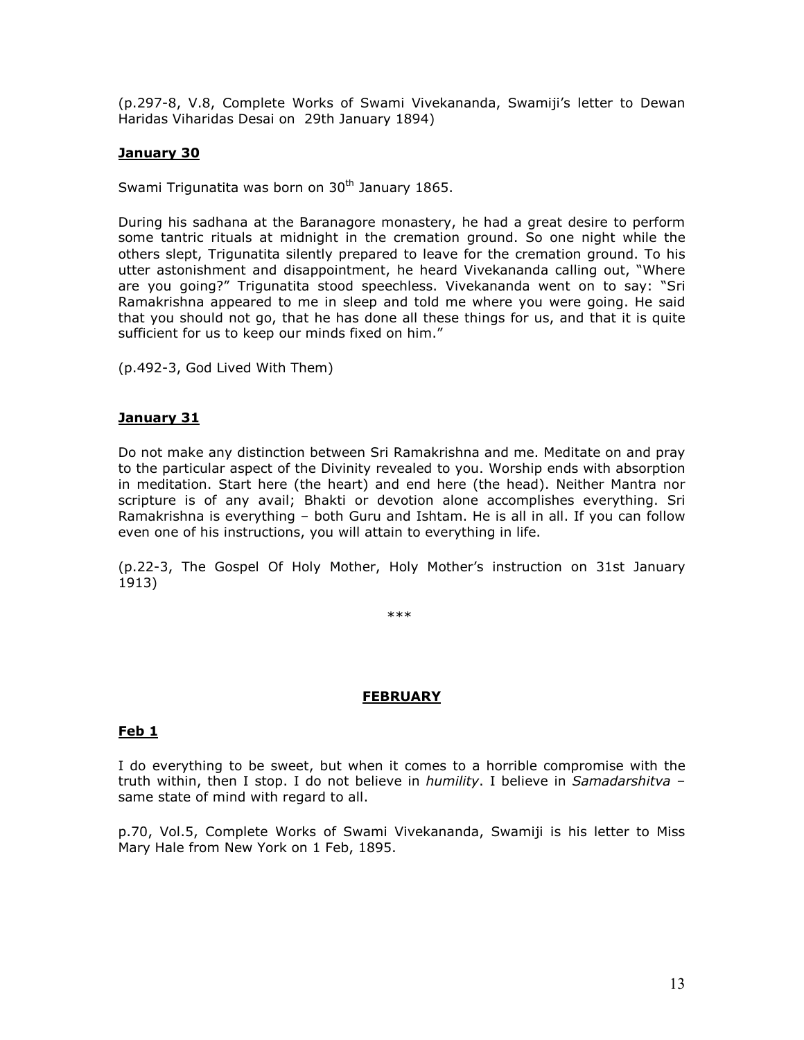(p.297-8, V.8, Complete Works of Swami Vivekananda, Swamiji's letter to Dewan Haridas Viharidas Desai on 29th January 1894)

### January 30

Swami Trigunatita was born on  $30<sup>th</sup>$  January 1865.

During his sadhana at the Baranagore monastery, he had a great desire to perform some tantric rituals at midnight in the cremation ground. So one night while the others slept, Trigunatita silently prepared to leave for the cremation ground. To his utter astonishment and disappointment, he heard Vivekananda calling out, "Where are you going?" Trigunatita stood speechless. Vivekananda went on to say: "Sri Ramakrishna appeared to me in sleep and told me where you were going. He said that you should not go, that he has done all these things for us, and that it is quite sufficient for us to keep our minds fixed on him."

(p.492-3, God Lived With Them)

#### January 31

Do not make any distinction between Sri Ramakrishna and me. Meditate on and pray to the particular aspect of the Divinity revealed to you. Worship ends with absorption in meditation. Start here (the heart) and end here (the head). Neither Mantra nor scripture is of any avail; Bhakti or devotion alone accomplishes everything. Sri Ramakrishna is everything – both Guru and Ishtam. He is all in all. If you can follow even one of his instructions, you will attain to everything in life.

(p.22-3, The Gospel Of Holy Mother, Holy Mother's instruction on 31st January 1913)

\*\*\*

#### **FEBRUARY**

#### Feb 1

I do everything to be sweet, but when it comes to a horrible compromise with the truth within, then I stop. I do not believe in *humility*. I believe in Samadarshitva same state of mind with regard to all.

p.70, Vol.5, Complete Works of Swami Vivekananda, Swamiji is his letter to Miss Mary Hale from New York on 1 Feb, 1895.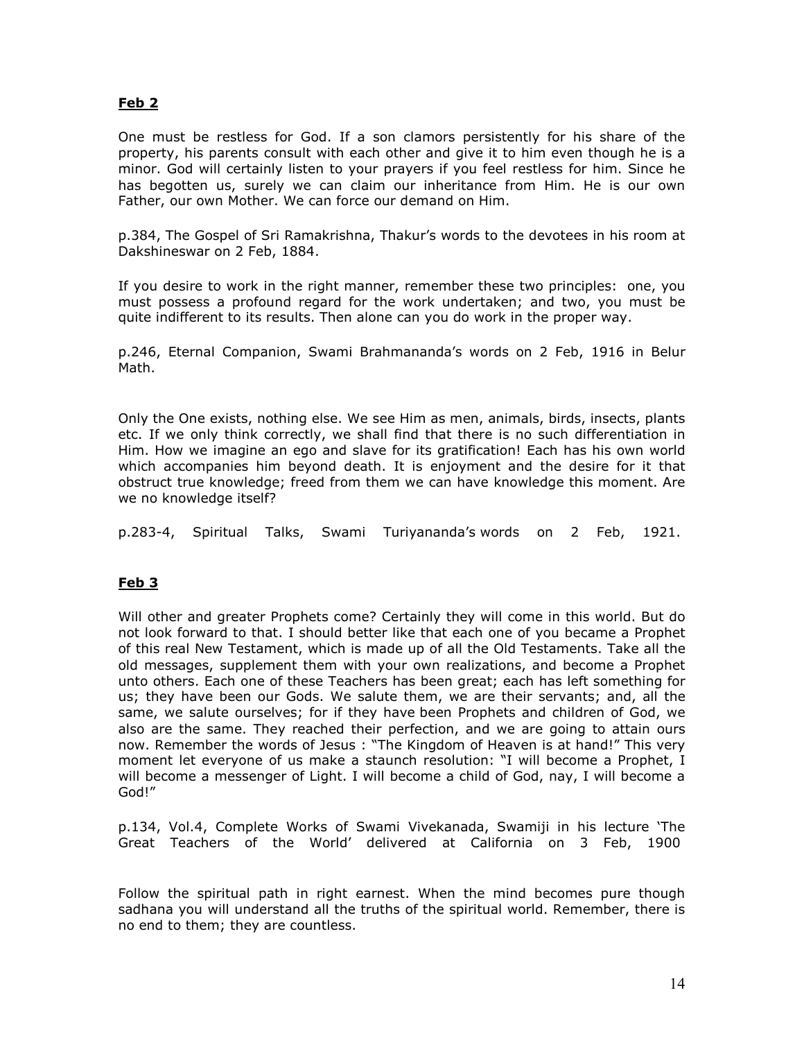### Feb 2

One must be restless for God. If a son clamors persistently for his share of the property, his parents consult with each other and give it to him even though he is a minor. God will certainly listen to your prayers if you feel restless for him. Since he has begotten us, surely we can claim our inheritance from Him. He is our own Father, our own Mother. We can force our demand on Him.

p.384, The Gospel of Sri Ramakrishna, Thakur's words to the devotees in his room at Dakshineswar on 2 Feb, 1884.

If you desire to work in the right manner, remember these two principles: one, you must possess a profound regard for the work undertaken; and two, you must be quite indifferent to its results. Then alone can you do work in the proper way.

p.246, Eternal Companion, Swami Brahmananda's words on 2 Feb, 1916 in Belur Math.

Only the One exists, nothing else. We see Him as men, animals, birds, insects, plants etc. If we only think correctly, we shall find that there is no such differentiation in Him. How we imagine an ego and slave for its gratification! Each has his own world which accompanies him beyond death. It is enjoyment and the desire for it that obstruct true knowledge; freed from them we can have knowledge this moment. Are we no knowledge itself?

p.283-4, Spiritual Talks, Swami Turiyananda's words on 2 Feb, 1921.

# Feb 3

Will other and greater Prophets come? Certainly they will come in this world. But do not look forward to that. I should better like that each one of you became a Prophet of this real New Testament, which is made up of all the Old Testaments. Take all the old messages, supplement them with your own realizations, and become a Prophet unto others. Each one of these Teachers has been great; each has left something for us; they have been our Gods. We salute them, we are their servants; and, all the same, we salute ourselves; for if they have been Prophets and children of God, we also are the same. They reached their perfection, and we are going to attain ours now. Remember the words of Jesus : "The Kingdom of Heaven is at hand!" This very moment let everyone of us make a staunch resolution: "I will become a Prophet, I will become a messenger of Light. I will become a child of God, nay, I will become a God!"

p.134, Vol.4, Complete Works of Swami Vivekanada, Swamiji in his lecture 'The Great Teachers of the World' delivered at California on 3 Feb, 1900

Follow the spiritual path in right earnest. When the mind becomes pure though sadhana you will understand all the truths of the spiritual world. Remember, there is no end to them; they are countless.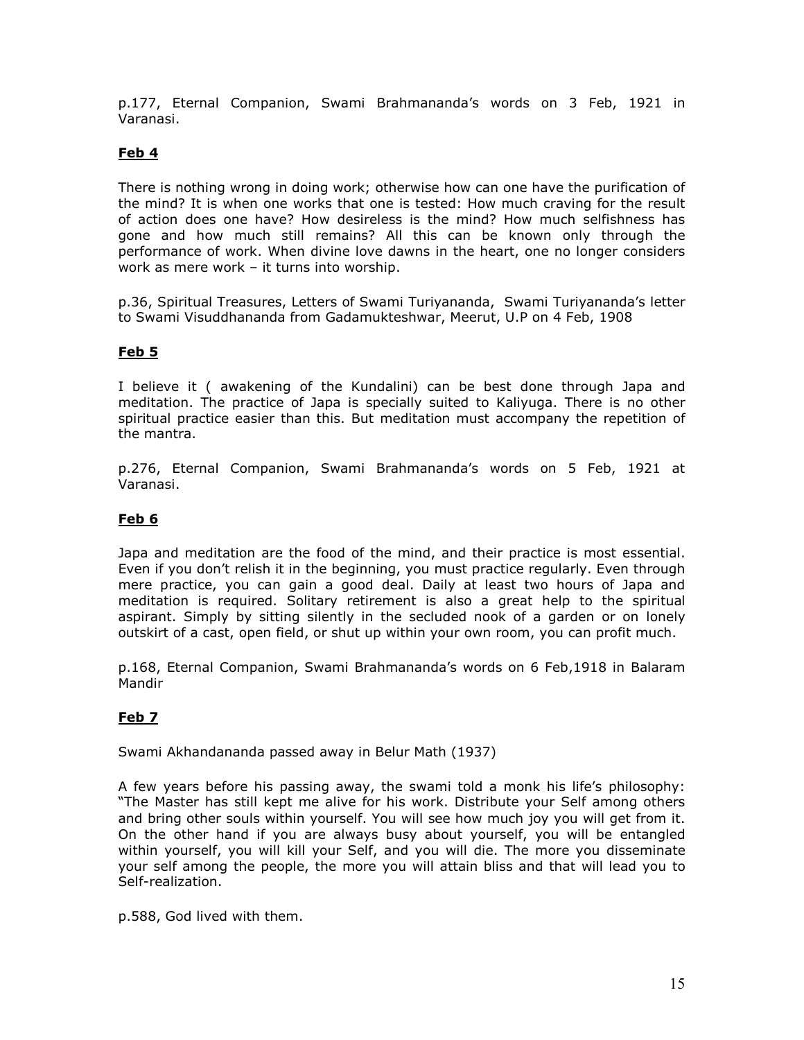p.177, Eternal Companion, Swami Brahmananda's words on 3 Feb, 1921 in Varanasi.

# Feb 4

There is nothing wrong in doing work; otherwise how can one have the purification of the mind? It is when one works that one is tested: How much craving for the result of action does one have? How desireless is the mind? How much selfishness has gone and how much still remains? All this can be known only through the performance of work. When divine love dawns in the heart, one no longer considers work as mere work – it turns into worship.

p.36, Spiritual Treasures, Letters of Swami Turiyananda, Swami Turiyananda's letter to Swami Visuddhananda from Gadamukteshwar, Meerut, U.P on 4 Feb, 1908

### Feb 5

I believe it ( awakening of the Kundalini) can be best done through Japa and meditation. The practice of Japa is specially suited to Kaliyuga. There is no other spiritual practice easier than this. But meditation must accompany the repetition of the mantra.

p.276, Eternal Companion, Swami Brahmananda's words on 5 Feb, 1921 at Varanasi.

### Feb 6

Japa and meditation are the food of the mind, and their practice is most essential. Even if you don't relish it in the beginning, you must practice regularly. Even through mere practice, you can gain a good deal. Daily at least two hours of Japa and meditation is required. Solitary retirement is also a great help to the spiritual aspirant. Simply by sitting silently in the secluded nook of a garden or on lonely outskirt of a cast, open field, or shut up within your own room, you can profit much.

p.168, Eternal Companion, Swami Brahmananda's words on 6 Feb,1918 in Balaram Mandir

### Feb 7

Swami Akhandananda passed away in Belur Math (1937)

A few years before his passing away, the swami told a monk his life's philosophy: "The Master has still kept me alive for his work. Distribute your Self among others and bring other souls within yourself. You will see how much joy you will get from it. On the other hand if you are always busy about yourself, you will be entangled within yourself, you will kill your Self, and you will die. The more you disseminate your self among the people, the more you will attain bliss and that will lead you to Self-realization.

p.588, God lived with them.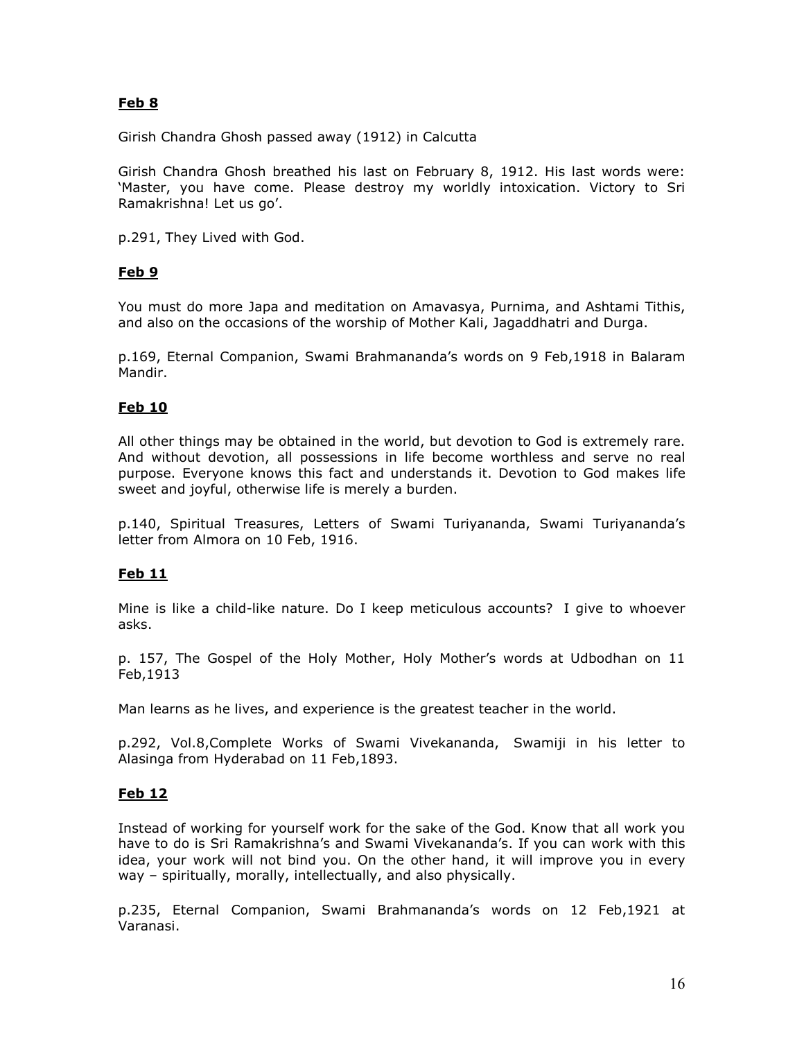### Feb 8

Girish Chandra Ghosh passed away (1912) in Calcutta

Girish Chandra Ghosh breathed his last on February 8, 1912. His last words were: 'Master, you have come. Please destroy my worldly intoxication. Victory to Sri Ramakrishna! Let us go'.

p.291, They Lived with God.

### Feb 9

You must do more Japa and meditation on Amavasya, Purnima, and Ashtami Tithis, and also on the occasions of the worship of Mother Kali, Jagaddhatri and Durga.

p.169, Eternal Companion, Swami Brahmananda's words on 9 Feb,1918 in Balaram Mandir.

### Feb 10

All other things may be obtained in the world, but devotion to God is extremely rare. And without devotion, all possessions in life become worthless and serve no real purpose. Everyone knows this fact and understands it. Devotion to God makes life sweet and joyful, otherwise life is merely a burden.

p.140, Spiritual Treasures, Letters of Swami Turiyananda, Swami Turiyananda's letter from Almora on 10 Feb, 1916.

#### Feb 11

Mine is like a child-like nature. Do I keep meticulous accounts? I give to whoever asks.

p. 157, The Gospel of the Holy Mother, Holy Mother's words at Udbodhan on 11 Feb,1913

Man learns as he lives, and experience is the greatest teacher in the world.

p.292, Vol.8,Complete Works of Swami Vivekananda, Swamiji in his letter to Alasinga from Hyderabad on 11 Feb,1893.

#### Feb 12

Instead of working for yourself work for the sake of the God. Know that all work you have to do is Sri Ramakrishna's and Swami Vivekananda's. If you can work with this idea, your work will not bind you. On the other hand, it will improve you in every way – spiritually, morally, intellectually, and also physically.

p.235, Eternal Companion, Swami Brahmananda's words on 12 Feb,1921 at Varanasi.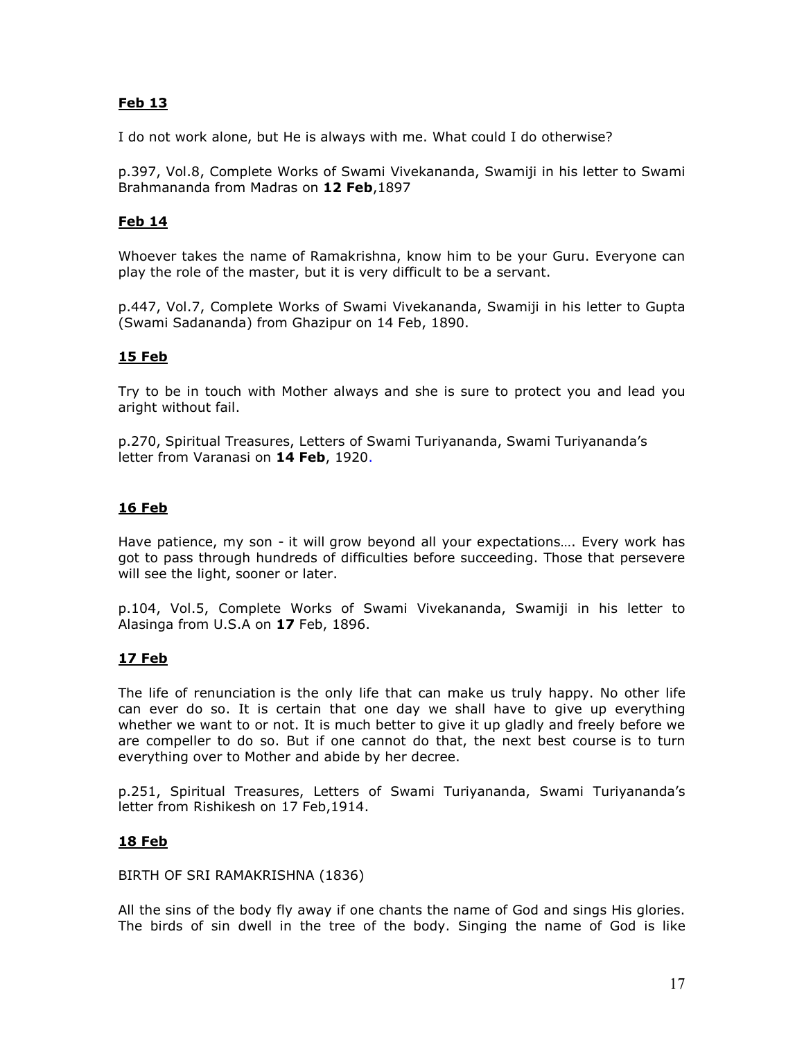### Feb 13

I do not work alone, but He is always with me. What could I do otherwise?

p.397, Vol.8, Complete Works of Swami Vivekananda, Swamiji in his letter to Swami Brahmananda from Madras on 12 Feb,1897

### Feb 14

Whoever takes the name of Ramakrishna, know him to be your Guru. Everyone can play the role of the master, but it is very difficult to be a servant.

p.447, Vol.7, Complete Works of Swami Vivekananda, Swamiji in his letter to Gupta (Swami Sadananda) from Ghazipur on 14 Feb, 1890.

#### 15 Feb

Try to be in touch with Mother always and she is sure to protect you and lead you aright without fail.

p.270, Spiritual Treasures, Letters of Swami Turiyananda, Swami Turiyananda's letter from Varanasi on 14 Feb, 1920.

#### 16 Feb

Have patience, my son - it will grow beyond all your expectations…. Every work has got to pass through hundreds of difficulties before succeeding. Those that persevere will see the light, sooner or later.

p.104, Vol.5, Complete Works of Swami Vivekananda, Swamiji in his letter to Alasinga from U.S.A on 17 Feb, 1896.

#### 17 Feb

The life of renunciation is the only life that can make us truly happy. No other life can ever do so. It is certain that one day we shall have to give up everything whether we want to or not. It is much better to give it up gladly and freely before we are compeller to do so. But if one cannot do that, the next best course is to turn everything over to Mother and abide by her decree.

p.251, Spiritual Treasures, Letters of Swami Turiyananda, Swami Turiyananda's letter from Rishikesh on 17 Feb,1914.

#### 18 Feb

#### BIRTH OF SRI RAMAKRISHNA (1836)

All the sins of the body fly away if one chants the name of God and sings His glories. The birds of sin dwell in the tree of the body. Singing the name of God is like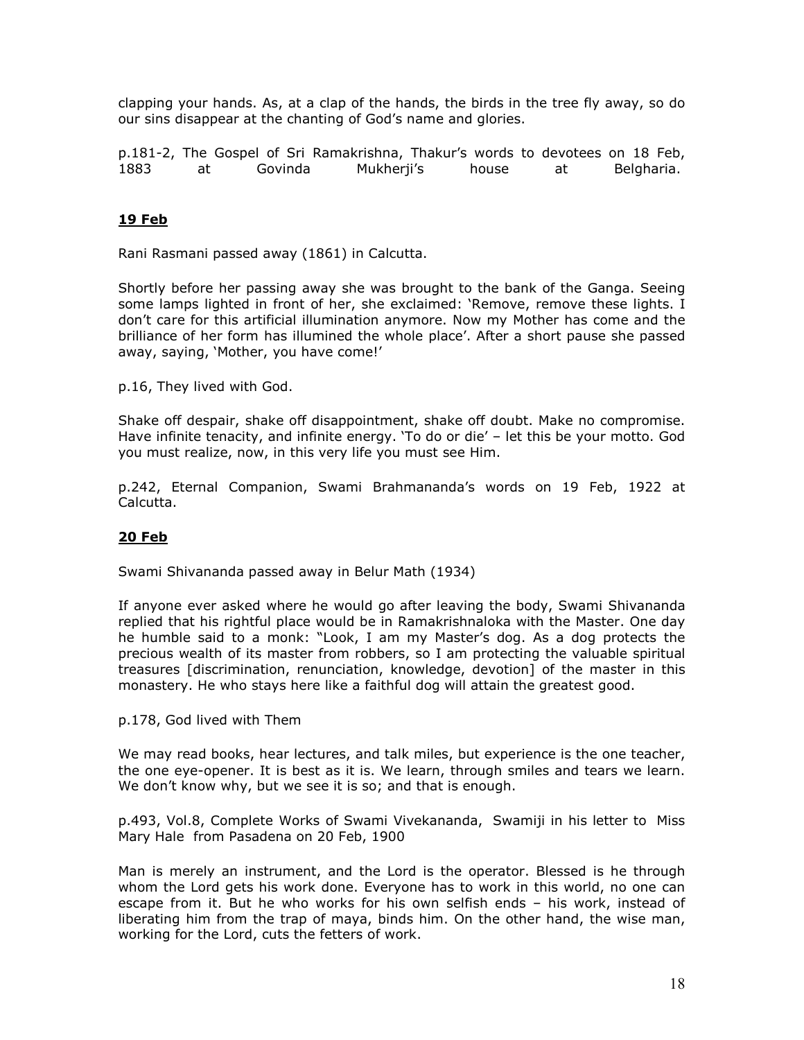clapping your hands. As, at a clap of the hands, the birds in the tree fly away, so do our sins disappear at the chanting of God's name and glories.

p.181-2, The Gospel of Sri Ramakrishna, Thakur's words to devotees on 18 Feb, 1883 at Govinda Mukherji's house at Belgharia.

### 19 Feb

Rani Rasmani passed away (1861) in Calcutta.

Shortly before her passing away she was brought to the bank of the Ganga. Seeing some lamps lighted in front of her, she exclaimed: 'Remove, remove these lights. I don't care for this artificial illumination anymore. Now my Mother has come and the brilliance of her form has illumined the whole place'. After a short pause she passed away, saying, 'Mother, you have come!'

p.16, They lived with God.

Shake off despair, shake off disappointment, shake off doubt. Make no compromise. Have infinite tenacity, and infinite energy. 'To do or die' – let this be your motto. God you must realize, now, in this very life you must see Him.

p.242, Eternal Companion, Swami Brahmananda's words on 19 Feb, 1922 at Calcutta.

#### 20 Feb

Swami Shivananda passed away in Belur Math (1934)

If anyone ever asked where he would go after leaving the body, Swami Shivananda replied that his rightful place would be in Ramakrishnaloka with the Master. One day he humble said to a monk: "Look, I am my Master's dog. As a dog protects the precious wealth of its master from robbers, so I am protecting the valuable spiritual treasures [discrimination, renunciation, knowledge, devotion] of the master in this monastery. He who stays here like a faithful dog will attain the greatest good.

p.178, God lived with Them

We may read books, hear lectures, and talk miles, but experience is the one teacher, the one eye-opener. It is best as it is. We learn, through smiles and tears we learn. We don't know why, but we see it is so; and that is enough.

p.493, Vol.8, Complete Works of Swami Vivekananda, Swamiji in his letter to Miss Mary Hale from Pasadena on 20 Feb, 1900

Man is merely an instrument, and the Lord is the operator. Blessed is he through whom the Lord gets his work done. Everyone has to work in this world, no one can escape from it. But he who works for his own selfish ends – his work, instead of liberating him from the trap of maya, binds him. On the other hand, the wise man, working for the Lord, cuts the fetters of work.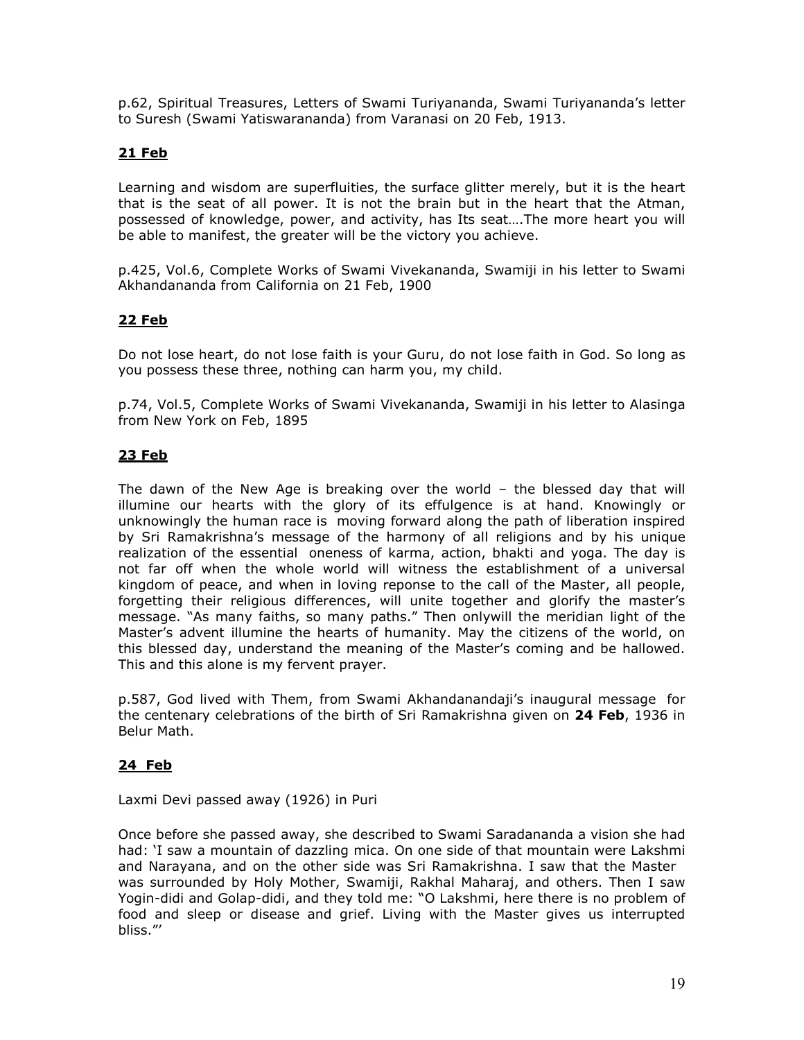p.62, Spiritual Treasures, Letters of Swami Turiyananda, Swami Turiyananda's letter to Suresh (Swami Yatiswarananda) from Varanasi on 20 Feb, 1913.

# 21 Feb

Learning and wisdom are superfluities, the surface glitter merely, but it is the heart that is the seat of all power. It is not the brain but in the heart that the Atman, possessed of knowledge, power, and activity, has Its seat….The more heart you will be able to manifest, the greater will be the victory you achieve.

p.425, Vol.6, Complete Works of Swami Vivekananda, Swamiji in his letter to Swami Akhandananda from California on 21 Feb, 1900

### 22 Feb

Do not lose heart, do not lose faith is your Guru, do not lose faith in God. So long as you possess these three, nothing can harm you, my child.

p.74, Vol.5, Complete Works of Swami Vivekananda, Swamiji in his letter to Alasinga from New York on Feb, 1895

### 23 Feb

The dawn of the New Age is breaking over the world – the blessed day that will illumine our hearts with the glory of its effulgence is at hand. Knowingly or unknowingly the human race is moving forward along the path of liberation inspired by Sri Ramakrishna's message of the harmony of all religions and by his unique realization of the essential oneness of karma, action, bhakti and yoga. The day is not far off when the whole world will witness the establishment of a universal kingdom of peace, and when in loving reponse to the call of the Master, all people, forgetting their religious differences, will unite together and glorify the master's message. "As many faiths, so many paths." Then onlywill the meridian light of the Master's advent illumine the hearts of humanity. May the citizens of the world, on this blessed day, understand the meaning of the Master's coming and be hallowed. This and this alone is my fervent prayer.

p.587, God lived with Them, from Swami Akhandanandaji's inaugural message for the centenary celebrations of the birth of Sri Ramakrishna given on 24 Feb, 1936 in Belur Math.

### 24 Feb

Laxmi Devi passed away (1926) in Puri

Once before she passed away, she described to Swami Saradananda a vision she had had: 'I saw a mountain of dazzling mica. On one side of that mountain were Lakshmi and Narayana, and on the other side was Sri Ramakrishna. I saw that the Master was surrounded by Holy Mother, Swamiji, Rakhal Maharaj, and others. Then I saw Yogin-didi and Golap-didi, and they told me: "O Lakshmi, here there is no problem of food and sleep or disease and grief. Living with the Master gives us interrupted bliss."'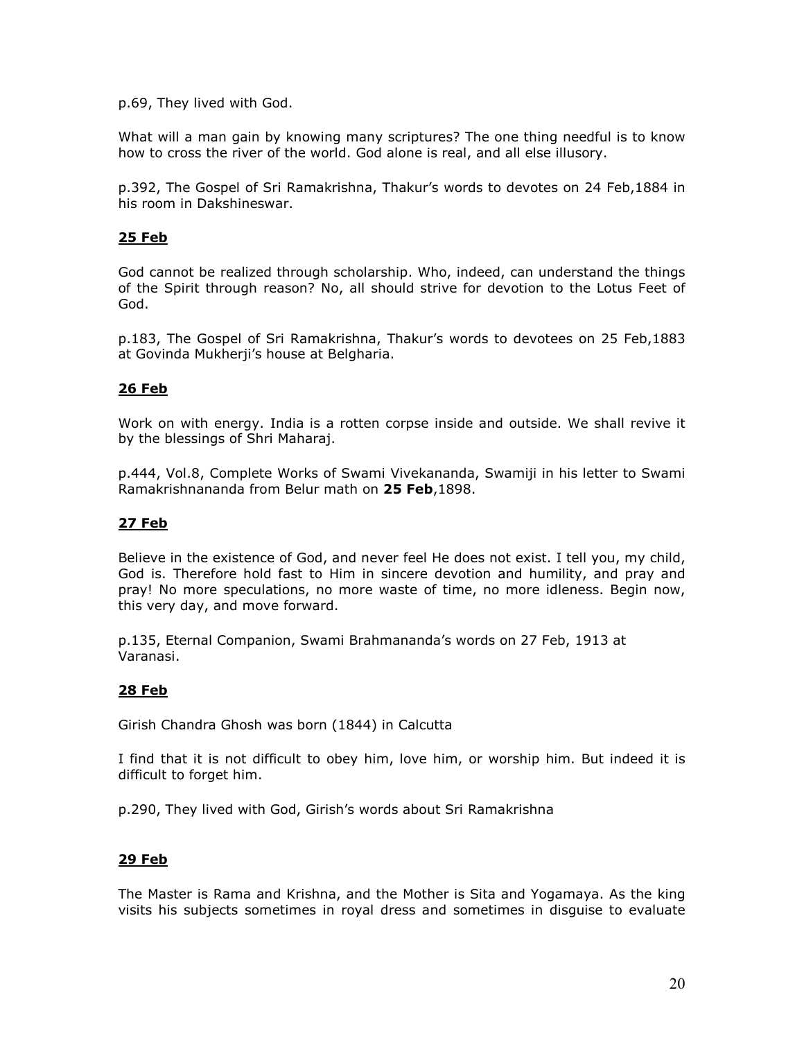p.69, They lived with God.

What will a man gain by knowing many scriptures? The one thing needful is to know how to cross the river of the world. God alone is real, and all else illusory.

p.392, The Gospel of Sri Ramakrishna, Thakur's words to devotes on 24 Feb,1884 in his room in Dakshineswar.

### 25 Feb

God cannot be realized through scholarship. Who, indeed, can understand the things of the Spirit through reason? No, all should strive for devotion to the Lotus Feet of God.

p.183, The Gospel of Sri Ramakrishna, Thakur's words to devotees on 25 Feb,1883 at Govinda Mukherji's house at Belgharia.

#### 26 Feb

Work on with energy. India is a rotten corpse inside and outside. We shall revive it by the blessings of Shri Maharaj.

p.444, Vol.8, Complete Works of Swami Vivekananda, Swamiji in his letter to Swami Ramakrishnananda from Belur math on 25 Feb, 1898.

#### 27 Feb

Believe in the existence of God, and never feel He does not exist. I tell you, my child, God is. Therefore hold fast to Him in sincere devotion and humility, and pray and pray! No more speculations, no more waste of time, no more idleness. Begin now, this very day, and move forward.

p.135, Eternal Companion, Swami Brahmananda's words on 27 Feb, 1913 at Varanasi.

#### 28 Feb

Girish Chandra Ghosh was born (1844) in Calcutta

I find that it is not difficult to obey him, love him, or worship him. But indeed it is difficult to forget him.

p.290, They lived with God, Girish's words about Sri Ramakrishna

#### 29 Feb

The Master is Rama and Krishna, and the Mother is Sita and Yogamaya. As the king visits his subjects sometimes in royal dress and sometimes in disguise to evaluate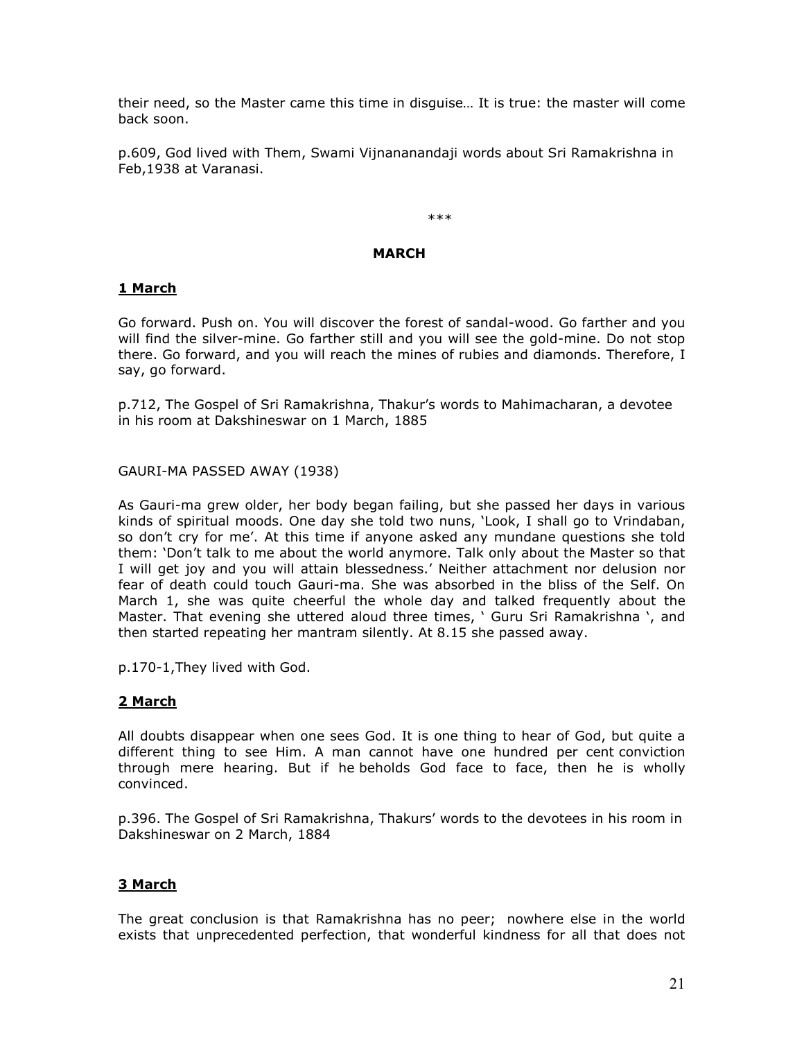their need, so the Master came this time in disguise… It is true: the master will come back soon.

p.609, God lived with Them, Swami Vijnananandaji words about Sri Ramakrishna in Feb,1938 at Varanasi.

### $***$

#### MARCH

#### 1 March

Go forward. Push on. You will discover the forest of sandal-wood. Go farther and you will find the silver-mine. Go farther still and you will see the gold-mine. Do not stop there. Go forward, and you will reach the mines of rubies and diamonds. Therefore, I say, go forward.

p.712, The Gospel of Sri Ramakrishna, Thakur's words to Mahimacharan, a devotee in his room at Dakshineswar on 1 March, 1885

#### GAURI-MA PASSED AWAY (1938)

As Gauri-ma grew older, her body began failing, but she passed her days in various kinds of spiritual moods. One day she told two nuns, 'Look, I shall go to Vrindaban, so don't cry for me'. At this time if anyone asked any mundane questions she told them: 'Don't talk to me about the world anymore. Talk only about the Master so that I will get joy and you will attain blessedness.' Neither attachment nor delusion nor fear of death could touch Gauri-ma. She was absorbed in the bliss of the Self. On March 1, she was quite cheerful the whole day and talked frequently about the Master. That evening she uttered aloud three times, ' Guru Sri Ramakrishna ', and then started repeating her mantram silently. At 8.15 she passed away.

p.170-1,They lived with God.

### 2 March

All doubts disappear when one sees God. It is one thing to hear of God, but quite a different thing to see Him. A man cannot have one hundred per cent conviction through mere hearing. But if he beholds God face to face, then he is wholly convinced.

p.396. The Gospel of Sri Ramakrishna, Thakurs' words to the devotees in his room in Dakshineswar on 2 March, 1884

### 3 March

The great conclusion is that Ramakrishna has no peer; nowhere else in the world exists that unprecedented perfection, that wonderful kindness for all that does not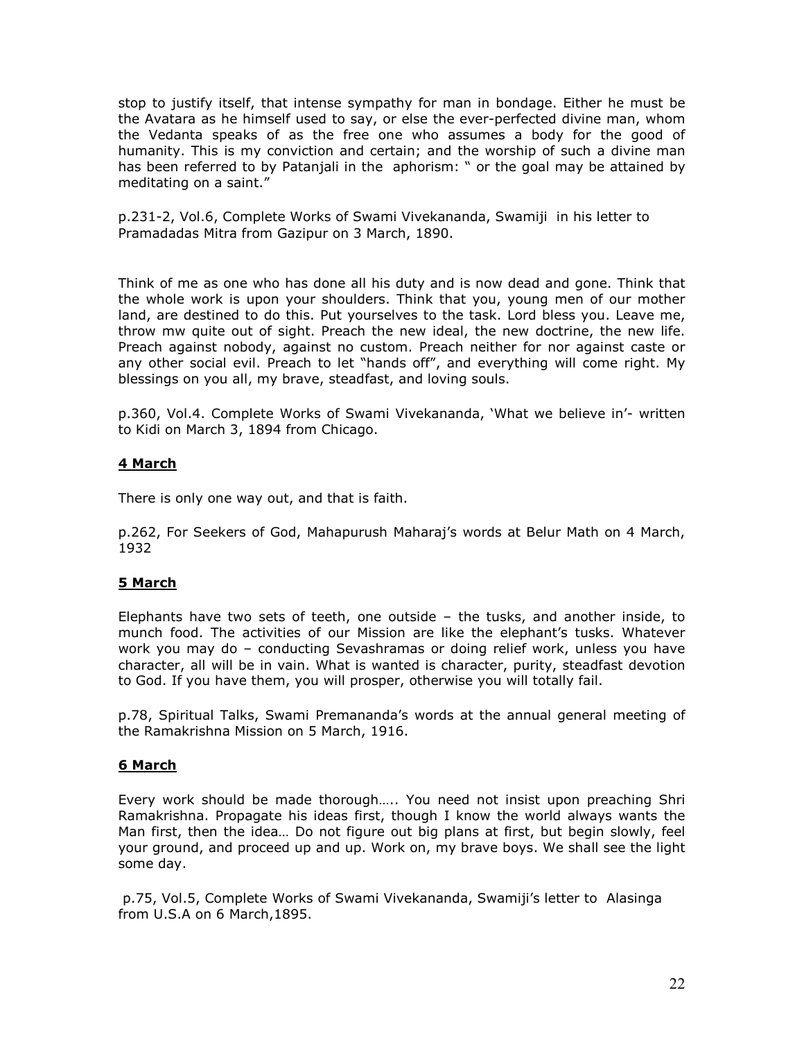stop to justify itself, that intense sympathy for man in bondage. Either he must be the Avatara as he himself used to say, or else the ever-perfected divine man, whom the Vedanta speaks of as the free one who assumes a body for the good of humanity. This is my conviction and certain; and the worship of such a divine man has been referred to by Patanjali in the aphorism: " or the goal may be attained by meditating on a saint."

p.231-2, Vol.6, Complete Works of Swami Vivekananda, Swamiji in his letter to Pramadadas Mitra from Gazipur on 3 March, 1890.

Think of me as one who has done all his duty and is now dead and gone. Think that the whole work is upon your shoulders. Think that you, young men of our mother land, are destined to do this. Put yourselves to the task. Lord bless you. Leave me, throw mw quite out of sight. Preach the new ideal, the new doctrine, the new life. Preach against nobody, against no custom. Preach neither for nor against caste or any other social evil. Preach to let "hands off", and everything will come right. My blessings on you all, my brave, steadfast, and loving souls.

p.360, Vol.4. Complete Works of Swami Vivekananda, 'What we believe in'- written to Kidi on March 3, 1894 from Chicago.

### 4 March

There is only one way out, and that is faith.

p.262, For Seekers of God, Mahapurush Maharaj's words at Belur Math on 4 March, 1932

### 5 March

Elephants have two sets of teeth, one outside – the tusks, and another inside, to munch food. The activities of our Mission are like the elephant's tusks. Whatever work you may do – conducting Sevashramas or doing relief work, unless you have character, all will be in vain. What is wanted is character, purity, steadfast devotion to God. If you have them, you will prosper, otherwise you will totally fail.

p.78, Spiritual Talks, Swami Premananda's words at the annual general meeting of the Ramakrishna Mission on 5 March, 1916.

#### 6 March

Every work should be made thorough….. You need not insist upon preaching Shri Ramakrishna. Propagate his ideas first, though I know the world always wants the Man first, then the idea… Do not figure out big plans at first, but begin slowly, feel your ground, and proceed up and up. Work on, my brave boys. We shall see the light some day.

 p.75, Vol.5, Complete Works of Swami Vivekananda, Swamiji's letter to Alasinga from U.S.A on 6 March,1895.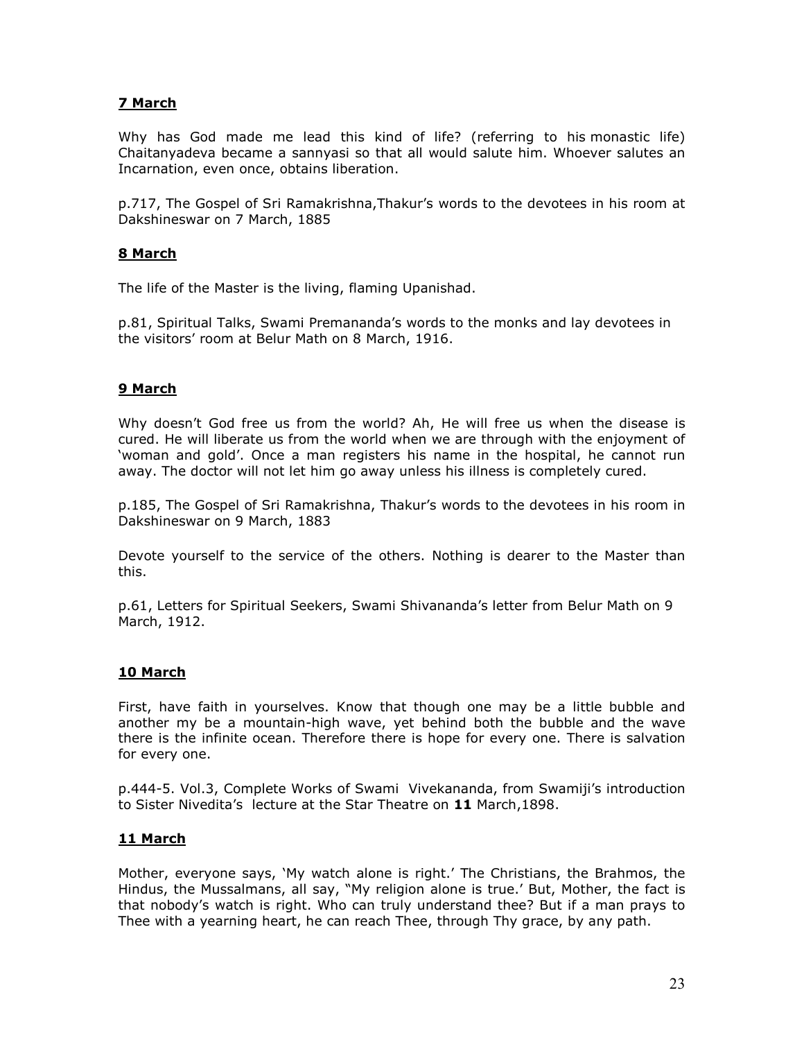### 7 March

Why has God made me lead this kind of life? (referring to his monastic life) Chaitanyadeva became a sannyasi so that all would salute him. Whoever salutes an Incarnation, even once, obtains liberation.

p.717, The Gospel of Sri Ramakrishna,Thakur's words to the devotees in his room at Dakshineswar on 7 March, 1885

#### 8 March

The life of the Master is the living, flaming Upanishad.

p.81, Spiritual Talks, Swami Premananda's words to the monks and lay devotees in the visitors' room at Belur Math on 8 March, 1916.

### 9 March

Why doesn't God free us from the world? Ah, He will free us when the disease is cured. He will liberate us from the world when we are through with the enjoyment of 'woman and gold'. Once a man registers his name in the hospital, he cannot run away. The doctor will not let him go away unless his illness is completely cured.

p.185, The Gospel of Sri Ramakrishna, Thakur's words to the devotees in his room in Dakshineswar on 9 March, 1883

Devote yourself to the service of the others. Nothing is dearer to the Master than this.

p.61, Letters for Spiritual Seekers, Swami Shivananda's letter from Belur Math on 9 March, 1912.

### 10 March

First, have faith in yourselves. Know that though one may be a little bubble and another my be a mountain-high wave, yet behind both the bubble and the wave there is the infinite ocean. Therefore there is hope for every one. There is salvation for every one.

p.444-5. Vol.3, Complete Works of Swami Vivekananda, from Swamiji's introduction to Sister Nivedita's lecture at the Star Theatre on 11 March, 1898.

#### 11 March

Mother, everyone says, 'My watch alone is right.' The Christians, the Brahmos, the Hindus, the Mussalmans, all say, "My religion alone is true.' But, Mother, the fact is that nobody's watch is right. Who can truly understand thee? But if a man prays to Thee with a yearning heart, he can reach Thee, through Thy grace, by any path.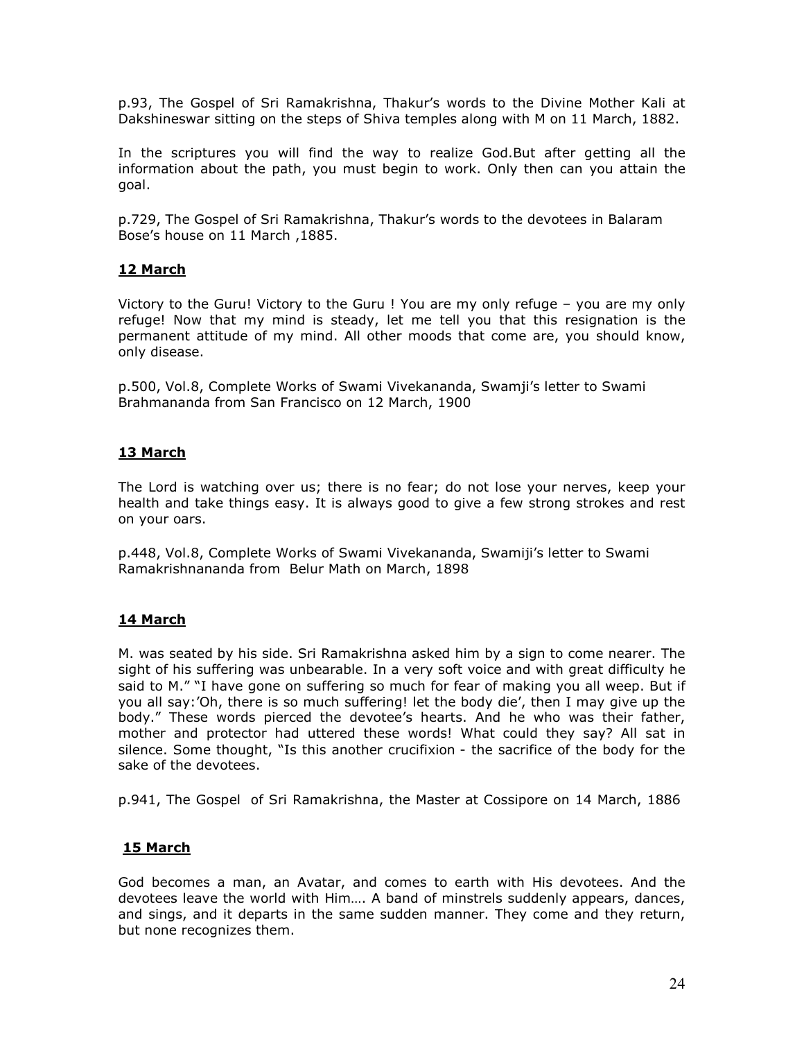p.93, The Gospel of Sri Ramakrishna, Thakur's words to the Divine Mother Kali at Dakshineswar sitting on the steps of Shiva temples along with M on 11 March, 1882.

In the scriptures you will find the way to realize God.But after getting all the information about the path, you must begin to work. Only then can you attain the goal.

p.729, The Gospel of Sri Ramakrishna, Thakur's words to the devotees in Balaram Bose's house on 11 March ,1885.

### 12 March

Victory to the Guru! Victory to the Guru ! You are my only refuge – you are my only refuge! Now that my mind is steady, let me tell you that this resignation is the permanent attitude of my mind. All other moods that come are, you should know, only disease.

p.500, Vol.8, Complete Works of Swami Vivekananda, Swamji's letter to Swami Brahmananda from San Francisco on 12 March, 1900

### 13 March

The Lord is watching over us; there is no fear; do not lose your nerves, keep your health and take things easy. It is always good to give a few strong strokes and rest on your oars.

p.448, Vol.8, Complete Works of Swami Vivekananda, Swamiji's letter to Swami Ramakrishnananda from Belur Math on March, 1898

#### 14 March

M. was seated by his side. Sri Ramakrishna asked him by a sign to come nearer. The sight of his suffering was unbearable. In a very soft voice and with great difficulty he said to M." "I have gone on suffering so much for fear of making you all weep. But if you all say:'Oh, there is so much suffering! let the body die', then I may give up the body." These words pierced the devotee's hearts. And he who was their father, mother and protector had uttered these words! What could they say? All sat in silence. Some thought, "Is this another crucifixion - the sacrifice of the body for the sake of the devotees.

p.941, The Gospel of Sri Ramakrishna, the Master at Cossipore on 14 March, 1886

### 15 March

God becomes a man, an Avatar, and comes to earth with His devotees. And the devotees leave the world with Him…. A band of minstrels suddenly appears, dances, and sings, and it departs in the same sudden manner. They come and they return, but none recognizes them.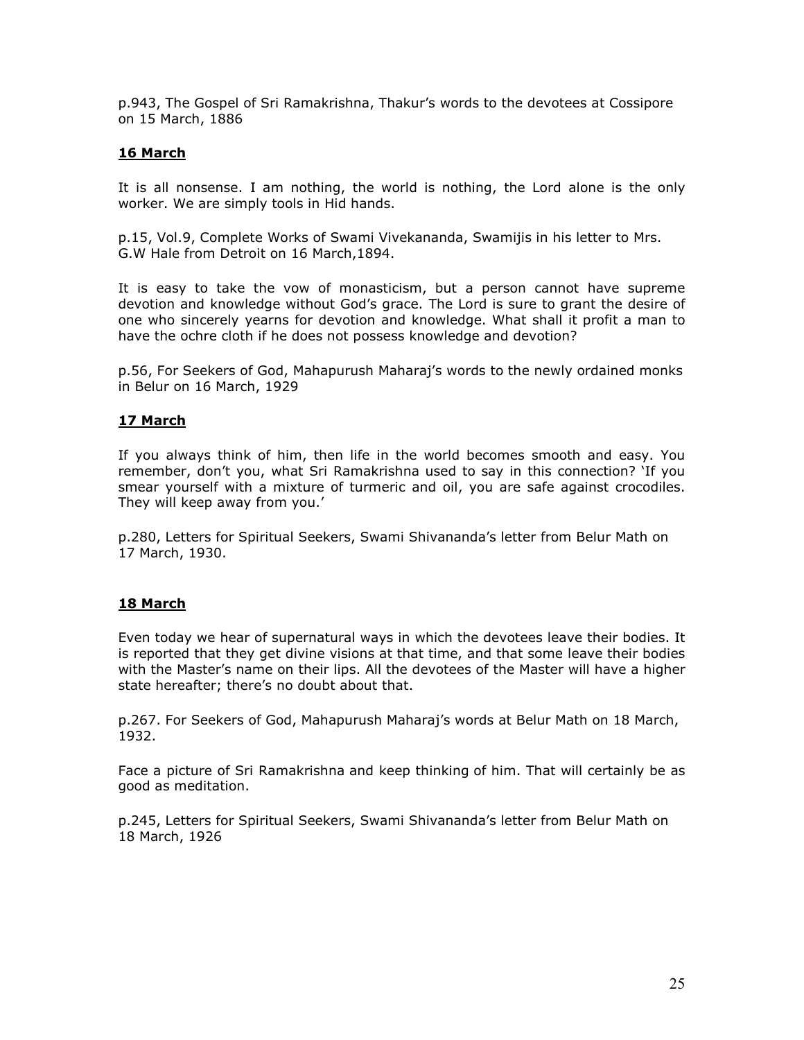p.943, The Gospel of Sri Ramakrishna, Thakur's words to the devotees at Cossipore on 15 March, 1886

### 16 March

It is all nonsense. I am nothing, the world is nothing, the Lord alone is the only worker. We are simply tools in Hid hands.

p.15, Vol.9, Complete Works of Swami Vivekananda, Swamijis in his letter to Mrs. G.W Hale from Detroit on 16 March,1894.

It is easy to take the vow of monasticism, but a person cannot have supreme devotion and knowledge without God's grace. The Lord is sure to grant the desire of one who sincerely yearns for devotion and knowledge. What shall it profit a man to have the ochre cloth if he does not possess knowledge and devotion?

p.56, For Seekers of God, Mahapurush Maharaj's words to the newly ordained monks in Belur on 16 March, 1929

#### 17 March

If you always think of him, then life in the world becomes smooth and easy. You remember, don't you, what Sri Ramakrishna used to say in this connection? 'If you smear yourself with a mixture of turmeric and oil, you are safe against crocodiles. They will keep away from you.'

p.280, Letters for Spiritual Seekers, Swami Shivananda's letter from Belur Math on 17 March, 1930.

#### 18 March

Even today we hear of supernatural ways in which the devotees leave their bodies. It is reported that they get divine visions at that time, and that some leave their bodies with the Master's name on their lips. All the devotees of the Master will have a higher state hereafter; there's no doubt about that.

p.267. For Seekers of God, Mahapurush Maharaj's words at Belur Math on 18 March, 1932.

Face a picture of Sri Ramakrishna and keep thinking of him. That will certainly be as good as meditation.

p.245, Letters for Spiritual Seekers, Swami Shivananda's letter from Belur Math on 18 March, 1926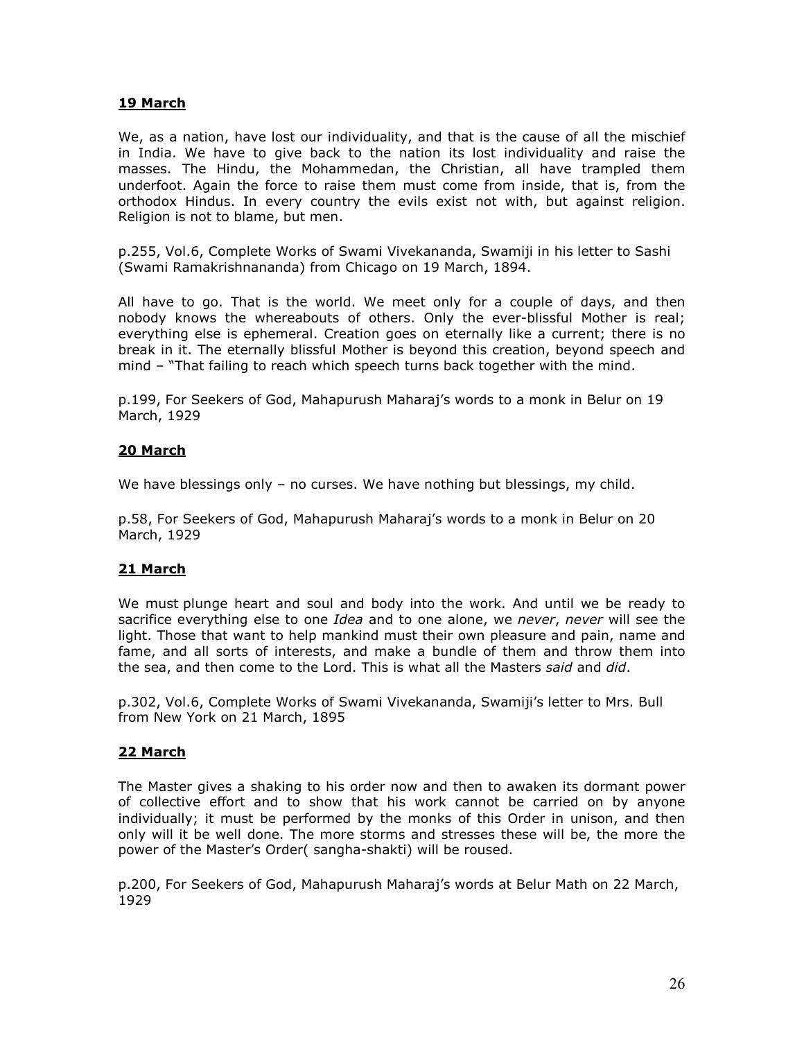#### 19 March

We, as a nation, have lost our individuality, and that is the cause of all the mischief in India. We have to give back to the nation its lost individuality and raise the masses. The Hindu, the Mohammedan, the Christian, all have trampled them underfoot. Again the force to raise them must come from inside, that is, from the orthodox Hindus. In every country the evils exist not with, but against religion. Religion is not to blame, but men.

p.255, Vol.6, Complete Works of Swami Vivekananda, Swamiji in his letter to Sashi (Swami Ramakrishnananda) from Chicago on 19 March, 1894.

All have to go. That is the world. We meet only for a couple of days, and then nobody knows the whereabouts of others. Only the ever-blissful Mother is real; everything else is ephemeral. Creation goes on eternally like a current; there is no break in it. The eternally blissful Mother is beyond this creation, beyond speech and mind – "That failing to reach which speech turns back together with the mind.

p.199, For Seekers of God, Mahapurush Maharaj's words to a monk in Belur on 19 March, 1929

### 20 March

We have blessings only - no curses. We have nothing but blessings, my child.

p.58, For Seekers of God, Mahapurush Maharaj's words to a monk in Belur on 20 March, 1929

#### 21 March

We must plunge heart and soul and body into the work. And until we be ready to sacrifice everything else to one *Idea* and to one alone, we never, never will see the light. Those that want to help mankind must their own pleasure and pain, name and fame, and all sorts of interests, and make a bundle of them and throw them into the sea, and then come to the Lord. This is what all the Masters said and did.

p.302, Vol.6, Complete Works of Swami Vivekananda, Swamiji's letter to Mrs. Bull from New York on 21 March, 1895

### 22 March

The Master gives a shaking to his order now and then to awaken its dormant power of collective effort and to show that his work cannot be carried on by anyone individually; it must be performed by the monks of this Order in unison, and then only will it be well done. The more storms and stresses these will be, the more the power of the Master's Order( sangha-shakti) will be roused.

p.200, For Seekers of God, Mahapurush Maharaj's words at Belur Math on 22 March, 1929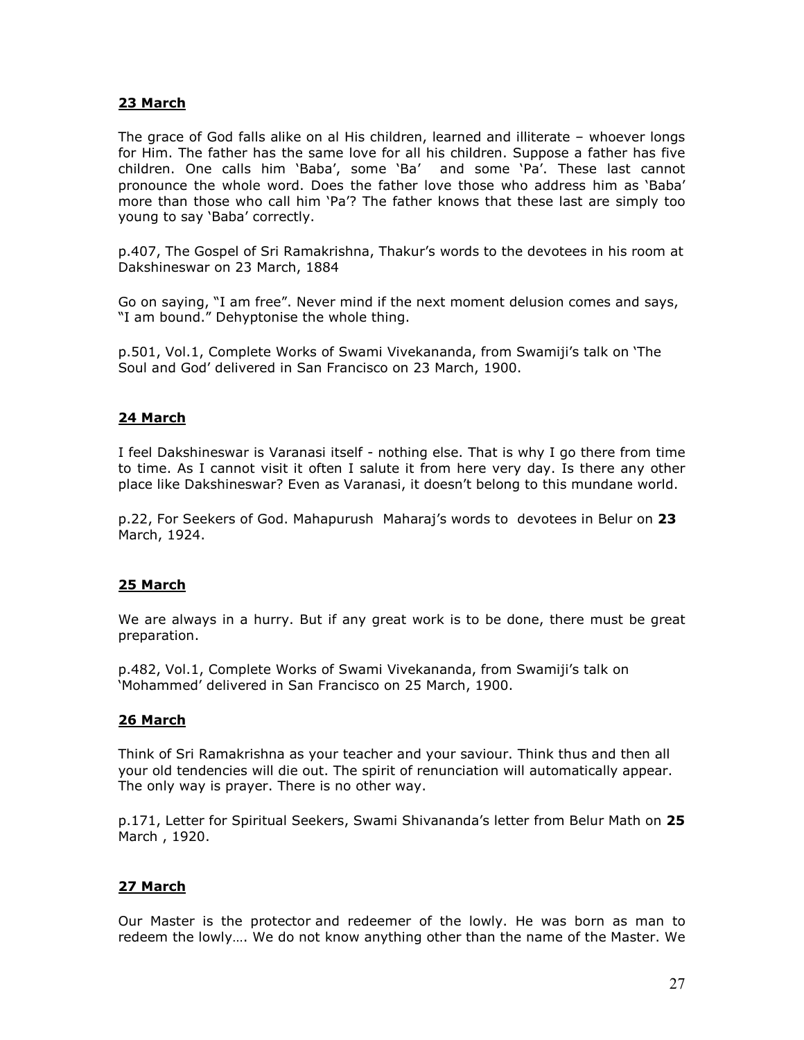### 23 March

The grace of God falls alike on al His children, learned and illiterate – whoever longs for Him. The father has the same love for all his children. Suppose a father has five children. One calls him 'Baba', some 'Ba' and some 'Pa'. These last cannot pronounce the whole word. Does the father love those who address him as 'Baba' more than those who call him 'Pa'? The father knows that these last are simply too young to say 'Baba' correctly.

p.407, The Gospel of Sri Ramakrishna, Thakur's words to the devotees in his room at Dakshineswar on 23 March, 1884

Go on saying, "I am free". Never mind if the next moment delusion comes and says, "I am bound." Dehyptonise the whole thing.

p.501, Vol.1, Complete Works of Swami Vivekananda, from Swamiji's talk on 'The Soul and God' delivered in San Francisco on 23 March, 1900.

### 24 March

I feel Dakshineswar is Varanasi itself - nothing else. That is why I go there from time to time. As I cannot visit it often I salute it from here very day. Is there any other place like Dakshineswar? Even as Varanasi, it doesn't belong to this mundane world.

p.22, For Seekers of God. Mahapurush Maharaj's words to devotees in Belur on 23 March, 1924.

#### 25 March

We are always in a hurry. But if any great work is to be done, there must be great preparation.

p.482, Vol.1, Complete Works of Swami Vivekananda, from Swamiji's talk on 'Mohammed' delivered in San Francisco on 25 March, 1900.

#### 26 March

Think of Sri Ramakrishna as your teacher and your saviour. Think thus and then all your old tendencies will die out. The spirit of renunciation will automatically appear. The only way is prayer. There is no other way.

p.171, Letter for Spiritual Seekers, Swami Shivananda's letter from Belur Math on 25 March , 1920.

#### 27 March

Our Master is the protector and redeemer of the lowly. He was born as man to redeem the lowly…. We do not know anything other than the name of the Master. We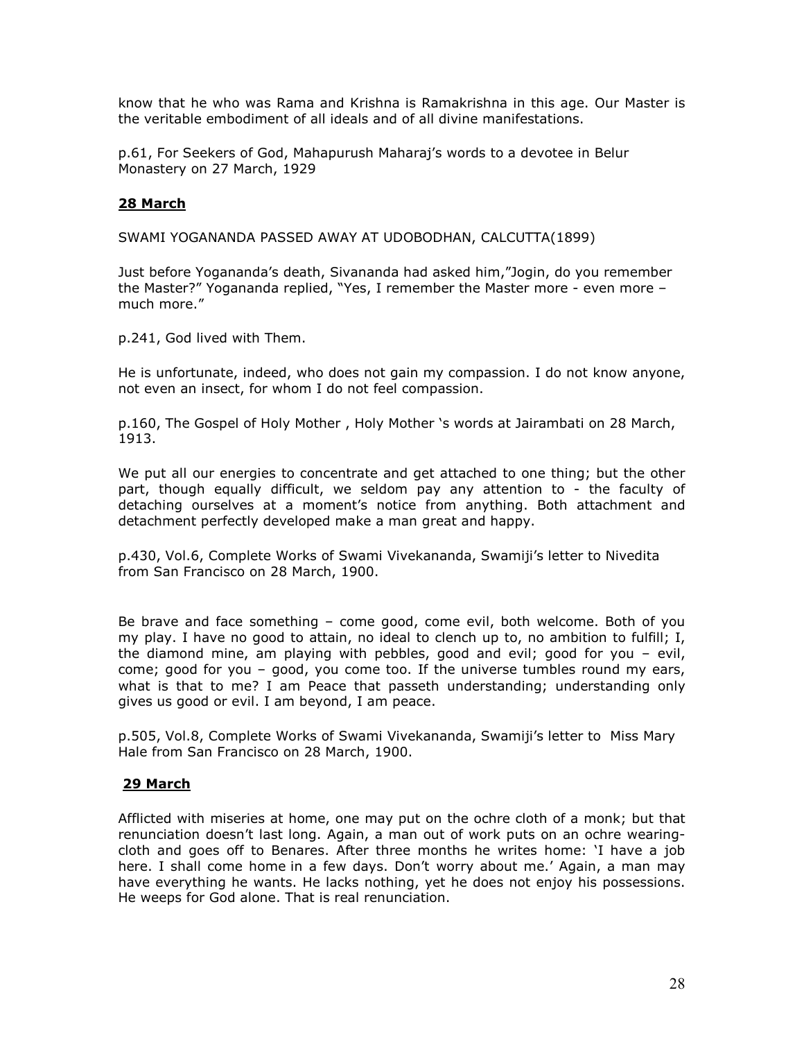know that he who was Rama and Krishna is Ramakrishna in this age. Our Master is the veritable embodiment of all ideals and of all divine manifestations.

p.61, For Seekers of God, Mahapurush Maharaj's words to a devotee in Belur Monastery on 27 March, 1929

#### 28 March

SWAMI YOGANANDA PASSED AWAY AT UDOBODHAN, CALCUTTA(1899)

Just before Yogananda's death, Sivananda had asked him,"Jogin, do you remember the Master?" Yogananda replied, "Yes, I remember the Master more - even more – much more."

p.241, God lived with Them.

He is unfortunate, indeed, who does not gain my compassion. I do not know anyone, not even an insect, for whom I do not feel compassion.

p.160, The Gospel of Holy Mother , Holy Mother 's words at Jairambati on 28 March, 1913.

We put all our energies to concentrate and get attached to one thing; but the other part, though equally difficult, we seldom pay any attention to - the faculty of detaching ourselves at a moment's notice from anything. Both attachment and detachment perfectly developed make a man great and happy.

p.430, Vol.6, Complete Works of Swami Vivekananda, Swamiji's letter to Nivedita from San Francisco on 28 March, 1900.

Be brave and face something – come good, come evil, both welcome. Both of you my play. I have no good to attain, no ideal to clench up to, no ambition to fulfill; I, the diamond mine, am playing with pebbles, good and evil; good for you – evil, come; good for you – good, you come too. If the universe tumbles round my ears, what is that to me? I am Peace that passeth understanding; understanding only gives us good or evil. I am beyond, I am peace.

p.505, Vol.8, Complete Works of Swami Vivekananda, Swamiji's letter to Miss Mary Hale from San Francisco on 28 March, 1900.

#### 29 March

Afflicted with miseries at home, one may put on the ochre cloth of a monk; but that renunciation doesn't last long. Again, a man out of work puts on an ochre wearingcloth and goes off to Benares. After three months he writes home: 'I have a job here. I shall come home in a few days. Don't worry about me.' Again, a man may have everything he wants. He lacks nothing, yet he does not enjoy his possessions. He weeps for God alone. That is real renunciation.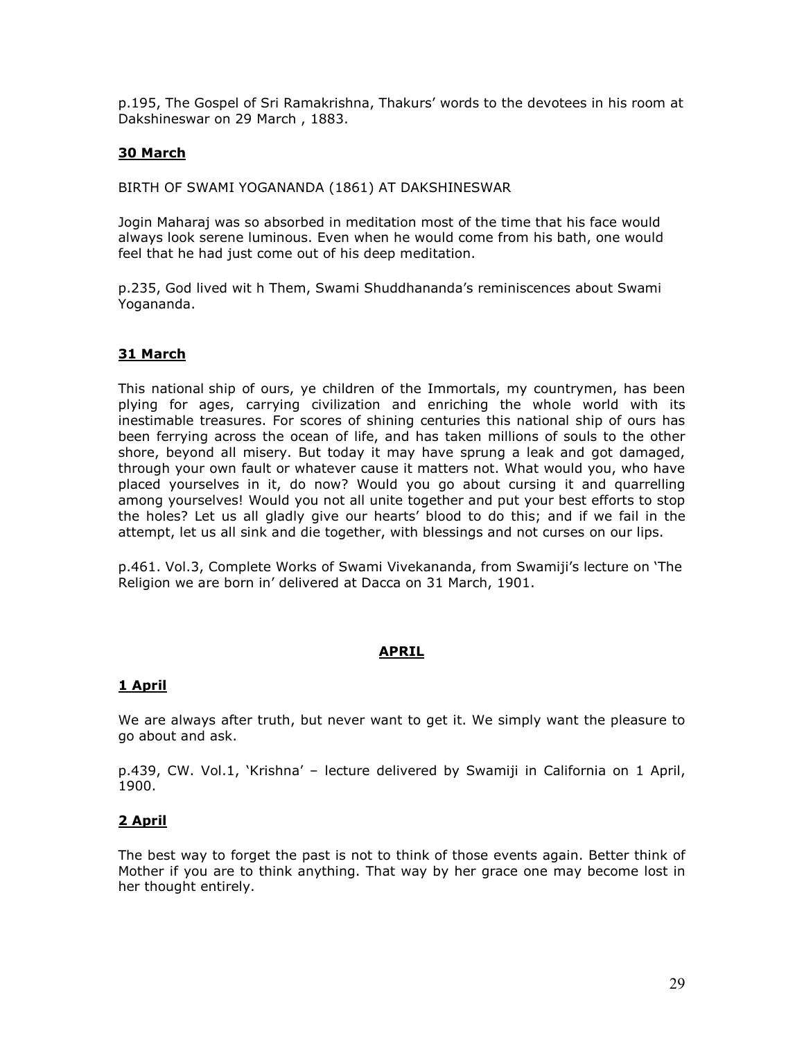p.195, The Gospel of Sri Ramakrishna, Thakurs' words to the devotees in his room at Dakshineswar on 29 March , 1883.

### 30 March

BIRTH OF SWAMI YOGANANDA (1861) AT DAKSHINESWAR

Jogin Maharaj was so absorbed in meditation most of the time that his face would always look serene luminous. Even when he would come from his bath, one would feel that he had just come out of his deep meditation.

p.235, God lived wit h Them, Swami Shuddhananda's reminiscences about Swami Yogananda.

### 31 March

This national ship of ours, ye children of the Immortals, my countrymen, has been plying for ages, carrying civilization and enriching the whole world with its inestimable treasures. For scores of shining centuries this national ship of ours has been ferrying across the ocean of life, and has taken millions of souls to the other shore, beyond all misery. But today it may have sprung a leak and got damaged, through your own fault or whatever cause it matters not. What would you, who have placed yourselves in it, do now? Would you go about cursing it and quarrelling among yourselves! Would you not all unite together and put your best efforts to stop the holes? Let us all gladly give our hearts' blood to do this; and if we fail in the attempt, let us all sink and die together, with blessings and not curses on our lips.

p.461. Vol.3, Complete Works of Swami Vivekananda, from Swamiji's lecture on 'The Religion we are born in' delivered at Dacca on 31 March, 1901.

#### APRIL

#### 1 April

We are always after truth, but never want to get it. We simply want the pleasure to go about and ask.

p.439, CW. Vol.1, 'Krishna' – lecture delivered by Swamiji in California on 1 April, 1900.

#### 2 April

The best way to forget the past is not to think of those events again. Better think of Mother if you are to think anything. That way by her grace one may become lost in her thought entirely.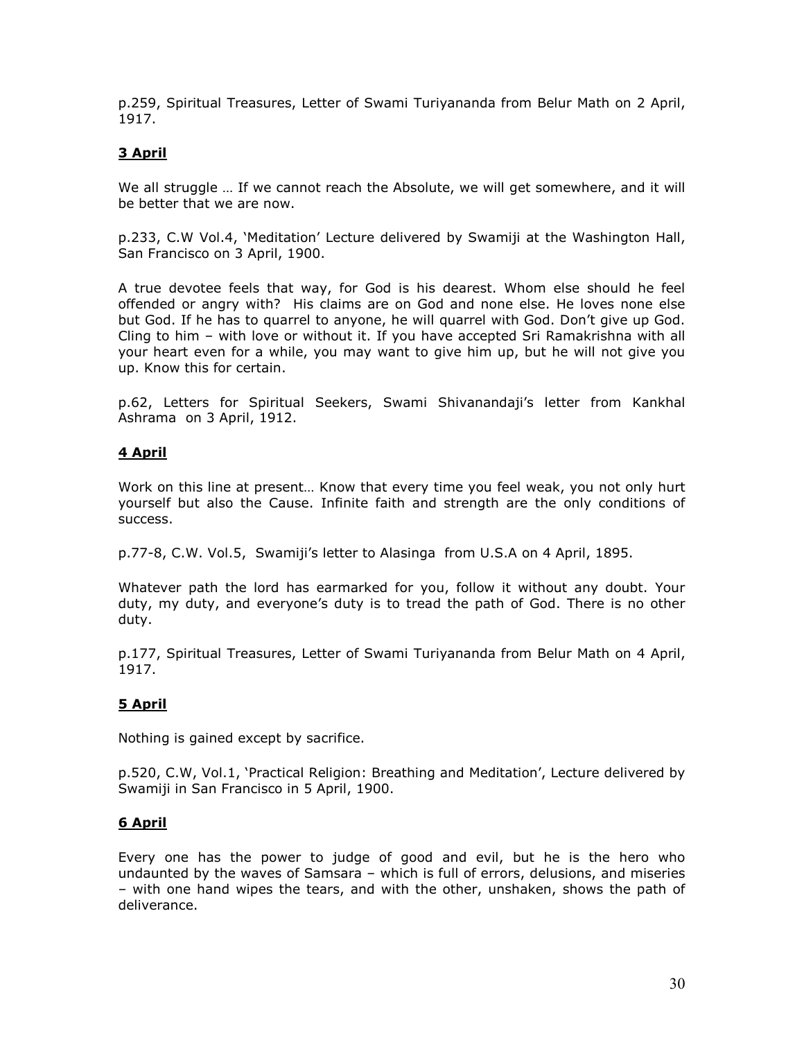p.259, Spiritual Treasures, Letter of Swami Turiyananda from Belur Math on 2 April, 1917.

# 3 April

We all struggle … If we cannot reach the Absolute, we will get somewhere, and it will be better that we are now.

p.233, C.W Vol.4, 'Meditation' Lecture delivered by Swamiji at the Washington Hall, San Francisco on 3 April, 1900.

A true devotee feels that way, for God is his dearest. Whom else should he feel offended or angry with? His claims are on God and none else. He loves none else but God. If he has to quarrel to anyone, he will quarrel with God. Don't give up God. Cling to him – with love or without it. If you have accepted Sri Ramakrishna with all your heart even for a while, you may want to give him up, but he will not give you up. Know this for certain.

p.62, Letters for Spiritual Seekers, Swami Shivanandaji's letter from Kankhal Ashrama on 3 April, 1912.

### 4 April

Work on this line at present… Know that every time you feel weak, you not only hurt yourself but also the Cause. Infinite faith and strength are the only conditions of success.

p.77-8, C.W. Vol.5, Swamiji's letter to Alasinga from U.S.A on 4 April, 1895.

Whatever path the lord has earmarked for you, follow it without any doubt. Your duty, my duty, and everyone's duty is to tread the path of God. There is no other duty.

p.177, Spiritual Treasures, Letter of Swami Turiyananda from Belur Math on 4 April, 1917.

### 5 April

Nothing is gained except by sacrifice.

p.520, C.W, Vol.1, 'Practical Religion: Breathing and Meditation', Lecture delivered by Swamiji in San Francisco in 5 April, 1900.

#### 6 April

Every one has the power to judge of good and evil, but he is the hero who undaunted by the waves of Samsara – which is full of errors, delusions, and miseries – with one hand wipes the tears, and with the other, unshaken, shows the path of deliverance.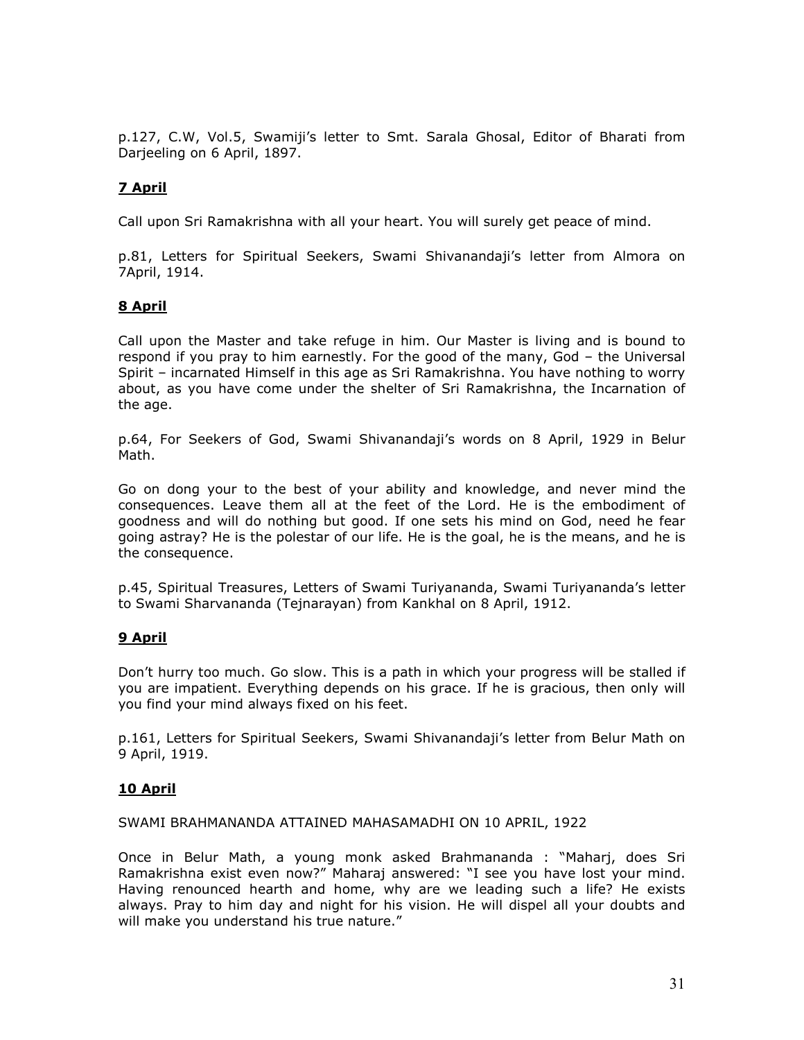p.127, C.W, Vol.5, Swamiji's letter to Smt. Sarala Ghosal, Editor of Bharati from Darjeeling on 6 April, 1897.

# 7 April

Call upon Sri Ramakrishna with all your heart. You will surely get peace of mind.

p.81, Letters for Spiritual Seekers, Swami Shivanandaji's letter from Almora on 7April, 1914.

### 8 April

Call upon the Master and take refuge in him. Our Master is living and is bound to respond if you pray to him earnestly. For the good of the many, God – the Universal Spirit – incarnated Himself in this age as Sri Ramakrishna. You have nothing to worry about, as you have come under the shelter of Sri Ramakrishna, the Incarnation of the age.

p.64, For Seekers of God, Swami Shivanandaji's words on 8 April, 1929 in Belur Math.

Go on dong your to the best of your ability and knowledge, and never mind the consequences. Leave them all at the feet of the Lord. He is the embodiment of goodness and will do nothing but good. If one sets his mind on God, need he fear going astray? He is the polestar of our life. He is the goal, he is the means, and he is the consequence.

p.45, Spiritual Treasures, Letters of Swami Turiyananda, Swami Turiyananda's letter to Swami Sharvananda (Tejnarayan) from Kankhal on 8 April, 1912.

#### 9 April

Don't hurry too much. Go slow. This is a path in which your progress will be stalled if you are impatient. Everything depends on his grace. If he is gracious, then only will you find your mind always fixed on his feet.

p.161, Letters for Spiritual Seekers, Swami Shivanandaji's letter from Belur Math on 9 April, 1919.

#### 10 April

SWAMI BRAHMANANDA ATTAINED MAHASAMADHI ON 10 APRIL, 1922

Once in Belur Math, a young monk asked Brahmananda : "Maharj, does Sri Ramakrishna exist even now?" Maharaj answered: "I see you have lost your mind. Having renounced hearth and home, why are we leading such a life? He exists always. Pray to him day and night for his vision. He will dispel all your doubts and will make you understand his true nature."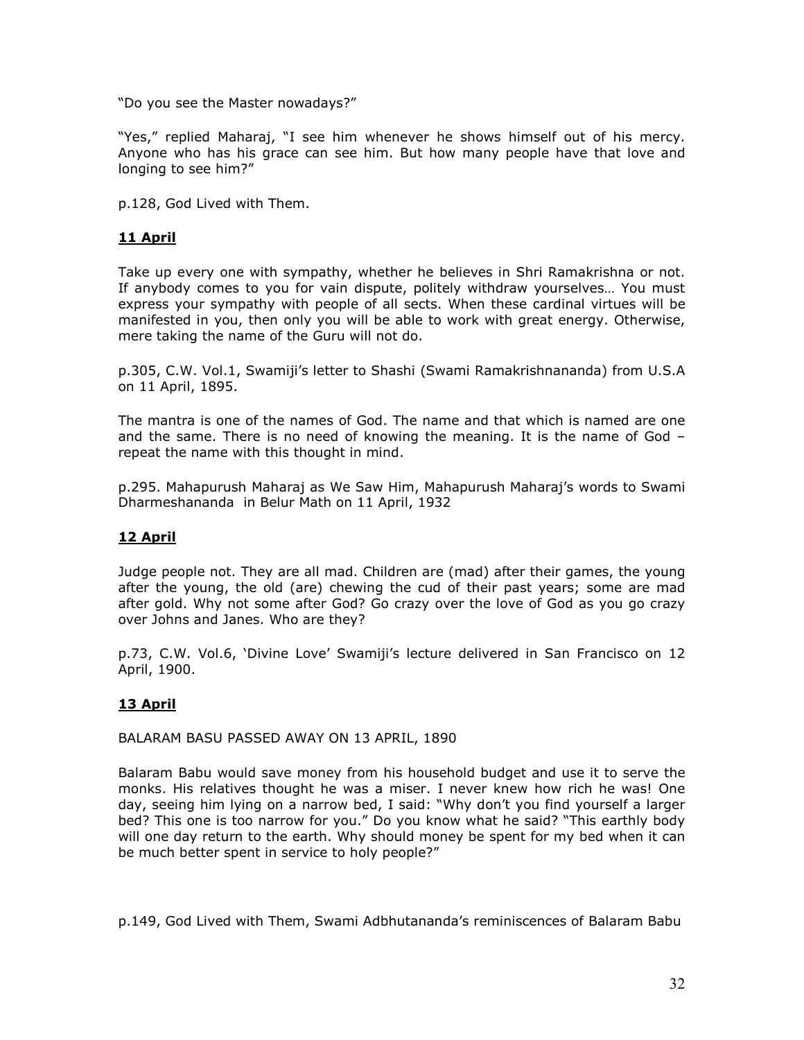"Do you see the Master nowadays?"

"Yes," replied Maharaj, "I see him whenever he shows himself out of his mercy. Anyone who has his grace can see him. But how many people have that love and longing to see him?"

p.128, God Lived with Them.

### 11 April

Take up every one with sympathy, whether he believes in Shri Ramakrishna or not. If anybody comes to you for vain dispute, politely withdraw yourselves… You must express your sympathy with people of all sects. When these cardinal virtues will be manifested in you, then only you will be able to work with great energy. Otherwise, mere taking the name of the Guru will not do.

p.305, C.W. Vol.1, Swamiji's letter to Shashi (Swami Ramakrishnananda) from U.S.A on 11 April, 1895.

The mantra is one of the names of God. The name and that which is named are one and the same. There is no need of knowing the meaning. It is the name of God – repeat the name with this thought in mind.

p.295. Mahapurush Maharaj as We Saw Him, Mahapurush Maharaj's words to Swami Dharmeshananda in Belur Math on 11 April, 1932

#### 12 April

Judge people not. They are all mad. Children are (mad) after their games, the young after the young, the old (are) chewing the cud of their past years; some are mad after gold. Why not some after God? Go crazy over the love of God as you go crazy over Johns and Janes. Who are they?

p.73, C.W. Vol.6, 'Divine Love' Swamiji's lecture delivered in San Francisco on 12 April, 1900.

#### 13 April

BALARAM BASU PASSED AWAY ON 13 APRIL, 1890

Balaram Babu would save money from his household budget and use it to serve the monks. His relatives thought he was a miser. I never knew how rich he was! One day, seeing him lying on a narrow bed, I said: "Why don't you find yourself a larger bed? This one is too narrow for you." Do you know what he said? "This earthly body will one day return to the earth. Why should money be spent for my bed when it can be much better spent in service to holy people?"

p.149, God Lived with Them, Swami Adbhutananda's reminiscences of Balaram Babu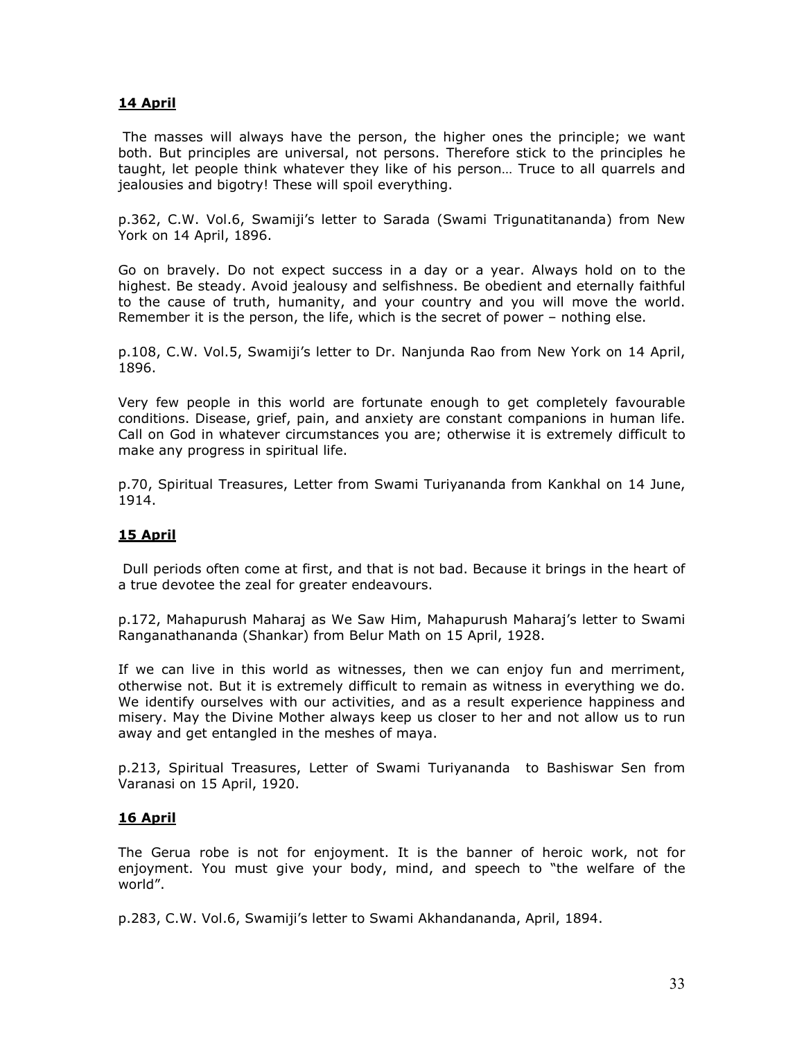The masses will always have the person, the higher ones the principle; we want both. But principles are universal, not persons. Therefore stick to the principles he taught, let people think whatever they like of his person… Truce to all quarrels and jealousies and bigotry! These will spoil everything.

p.362, C.W. Vol.6, Swamiji's letter to Sarada (Swami Trigunatitananda) from New York on 14 April, 1896.

Go on bravely. Do not expect success in a day or a year. Always hold on to the highest. Be steady. Avoid jealousy and selfishness. Be obedient and eternally faithful to the cause of truth, humanity, and your country and you will move the world. Remember it is the person, the life, which is the secret of power – nothing else.

p.108, C.W. Vol.5, Swamiji's letter to Dr. Nanjunda Rao from New York on 14 April, 1896.

Very few people in this world are fortunate enough to get completely favourable conditions. Disease, grief, pain, and anxiety are constant companions in human life. Call on God in whatever circumstances you are; otherwise it is extremely difficult to make any progress in spiritual life.

p.70, Spiritual Treasures, Letter from Swami Turiyananda from Kankhal on 14 June, 1914.

### 15 April

 Dull periods often come at first, and that is not bad. Because it brings in the heart of a true devotee the zeal for greater endeavours.

p.172, Mahapurush Maharaj as We Saw Him, Mahapurush Maharaj's letter to Swami Ranganathananda (Shankar) from Belur Math on 15 April, 1928.

If we can live in this world as witnesses, then we can enjoy fun and merriment, otherwise not. But it is extremely difficult to remain as witness in everything we do. We identify ourselves with our activities, and as a result experience happiness and misery. May the Divine Mother always keep us closer to her and not allow us to run away and get entangled in the meshes of maya.

p.213, Spiritual Treasures, Letter of Swami Turiyananda to Bashiswar Sen from Varanasi on 15 April, 1920.

#### 16 April

The Gerua robe is not for enjoyment. It is the banner of heroic work, not for enjoyment. You must give your body, mind, and speech to "the welfare of the world".

p.283, C.W. Vol.6, Swamiji's letter to Swami Akhandananda, April, 1894.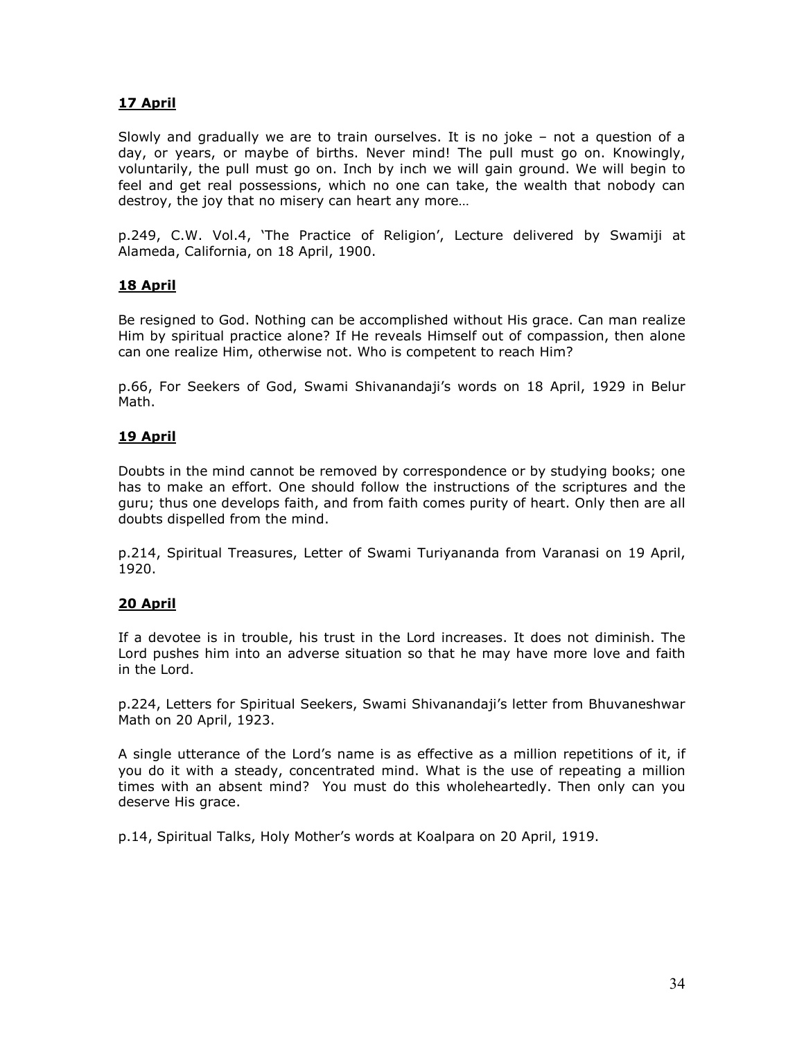Slowly and gradually we are to train ourselves. It is no joke – not a question of a day, or years, or maybe of births. Never mind! The pull must go on. Knowingly, voluntarily, the pull must go on. Inch by inch we will gain ground. We will begin to feel and get real possessions, which no one can take, the wealth that nobody can destroy, the joy that no misery can heart any more…

p.249, C.W. Vol.4, 'The Practice of Religion', Lecture delivered by Swamiji at Alameda, California, on 18 April, 1900.

### 18 April

Be resigned to God. Nothing can be accomplished without His grace. Can man realize Him by spiritual practice alone? If He reveals Himself out of compassion, then alone can one realize Him, otherwise not. Who is competent to reach Him?

p.66, For Seekers of God, Swami Shivanandaji's words on 18 April, 1929 in Belur Math.

### 19 April

Doubts in the mind cannot be removed by correspondence or by studying books; one has to make an effort. One should follow the instructions of the scriptures and the guru; thus one develops faith, and from faith comes purity of heart. Only then are all doubts dispelled from the mind.

p.214, Spiritual Treasures, Letter of Swami Turiyananda from Varanasi on 19 April, 1920.

#### 20 April

If a devotee is in trouble, his trust in the Lord increases. It does not diminish. The Lord pushes him into an adverse situation so that he may have more love and faith in the Lord.

p.224, Letters for Spiritual Seekers, Swami Shivanandaji's letter from Bhuvaneshwar Math on 20 April, 1923.

A single utterance of the Lord's name is as effective as a million repetitions of it, if you do it with a steady, concentrated mind. What is the use of repeating a million times with an absent mind? You must do this wholeheartedly. Then only can you deserve His grace.

p.14, Spiritual Talks, Holy Mother's words at Koalpara on 20 April, 1919.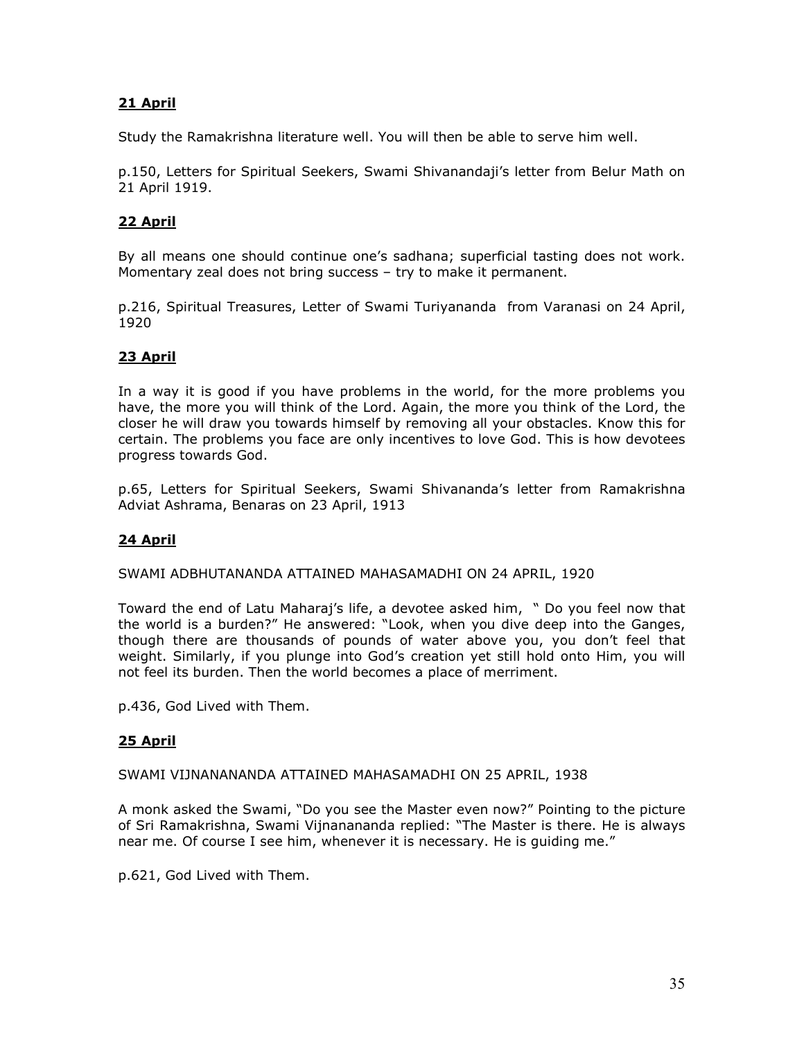Study the Ramakrishna literature well. You will then be able to serve him well.

p.150, Letters for Spiritual Seekers, Swami Shivanandaji's letter from Belur Math on 21 April 1919.

### 22 April

By all means one should continue one's sadhana; superficial tasting does not work. Momentary zeal does not bring success – try to make it permanent.

p.216, Spiritual Treasures, Letter of Swami Turiyananda from Varanasi on 24 April, 1920

### 23 April

In a way it is good if you have problems in the world, for the more problems you have, the more you will think of the Lord. Again, the more you think of the Lord, the closer he will draw you towards himself by removing all your obstacles. Know this for certain. The problems you face are only incentives to love God. This is how devotees progress towards God.

p.65, Letters for Spiritual Seekers, Swami Shivananda's letter from Ramakrishna Adviat Ashrama, Benaras on 23 April, 1913

### 24 April

SWAMI ADBHUTANANDA ATTAINED MAHASAMADHI ON 24 APRIL, 1920

Toward the end of Latu Maharaj's life, a devotee asked him, " Do you feel now that the world is a burden?" He answered: "Look, when you dive deep into the Ganges, though there are thousands of pounds of water above you, you don't feel that weight. Similarly, if you plunge into God's creation yet still hold onto Him, you will not feel its burden. Then the world becomes a place of merriment.

p.436, God Lived with Them.

### 25 April

#### SWAMI VIJNANANANDA ATTAINED MAHASAMADHI ON 25 APRIL, 1938

A monk asked the Swami, "Do you see the Master even now?" Pointing to the picture of Sri Ramakrishna, Swami Vijnanananda replied: "The Master is there. He is always near me. Of course I see him, whenever it is necessary. He is guiding me."

p.621, God Lived with Them.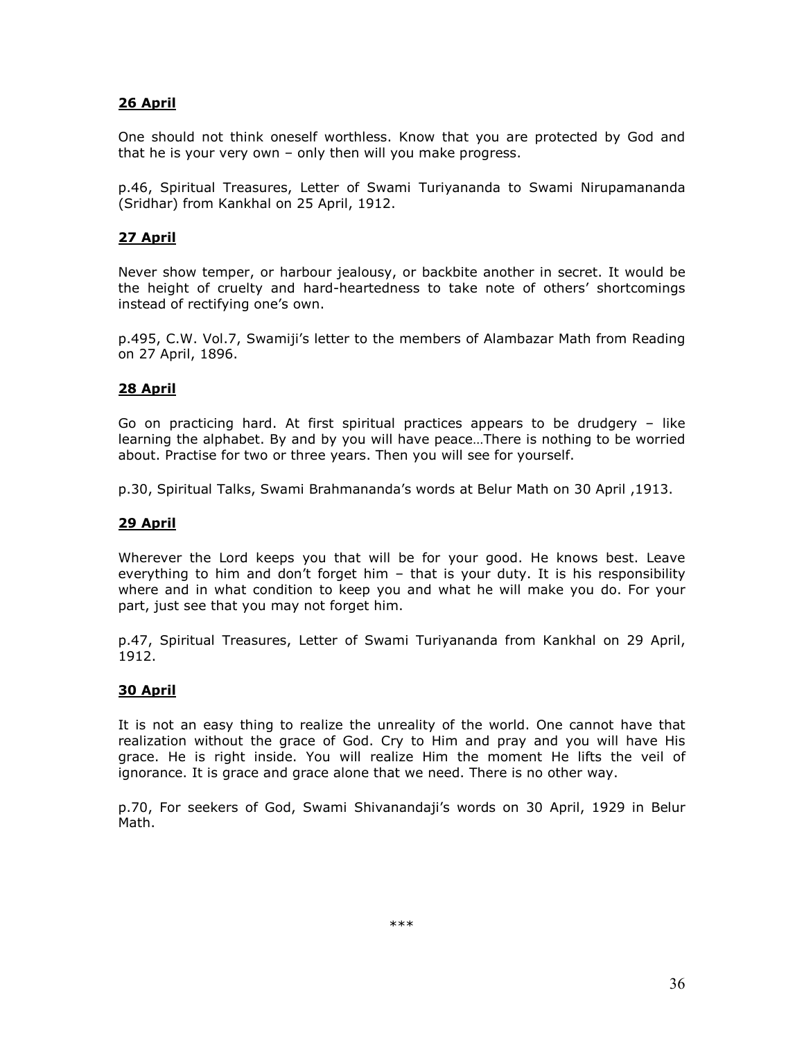One should not think oneself worthless. Know that you are protected by God and that he is your very own – only then will you make progress.

p.46, Spiritual Treasures, Letter of Swami Turiyananda to Swami Nirupamananda (Sridhar) from Kankhal on 25 April, 1912.

### 27 April

Never show temper, or harbour jealousy, or backbite another in secret. It would be the height of cruelty and hard-heartedness to take note of others' shortcomings instead of rectifying one's own.

p.495, C.W. Vol.7, Swamiji's letter to the members of Alambazar Math from Reading on 27 April, 1896.

#### 28 April

Go on practicing hard. At first spiritual practices appears to be drudgery – like learning the alphabet. By and by you will have peace…There is nothing to be worried about. Practise for two or three years. Then you will see for yourself.

p.30, Spiritual Talks, Swami Brahmananda's words at Belur Math on 30 April ,1913.

#### 29 April

Wherever the Lord keeps you that will be for your good. He knows best. Leave everything to him and don't forget him – that is your duty. It is his responsibility where and in what condition to keep you and what he will make you do. For your part, just see that you may not forget him.

p.47, Spiritual Treasures, Letter of Swami Turiyananda from Kankhal on 29 April, 1912.

#### 30 April

It is not an easy thing to realize the unreality of the world. One cannot have that realization without the grace of God. Cry to Him and pray and you will have His grace. He is right inside. You will realize Him the moment He lifts the veil of ignorance. It is grace and grace alone that we need. There is no other way.

p.70, For seekers of God, Swami Shivanandaji's words on 30 April, 1929 in Belur Math.

\*\*\*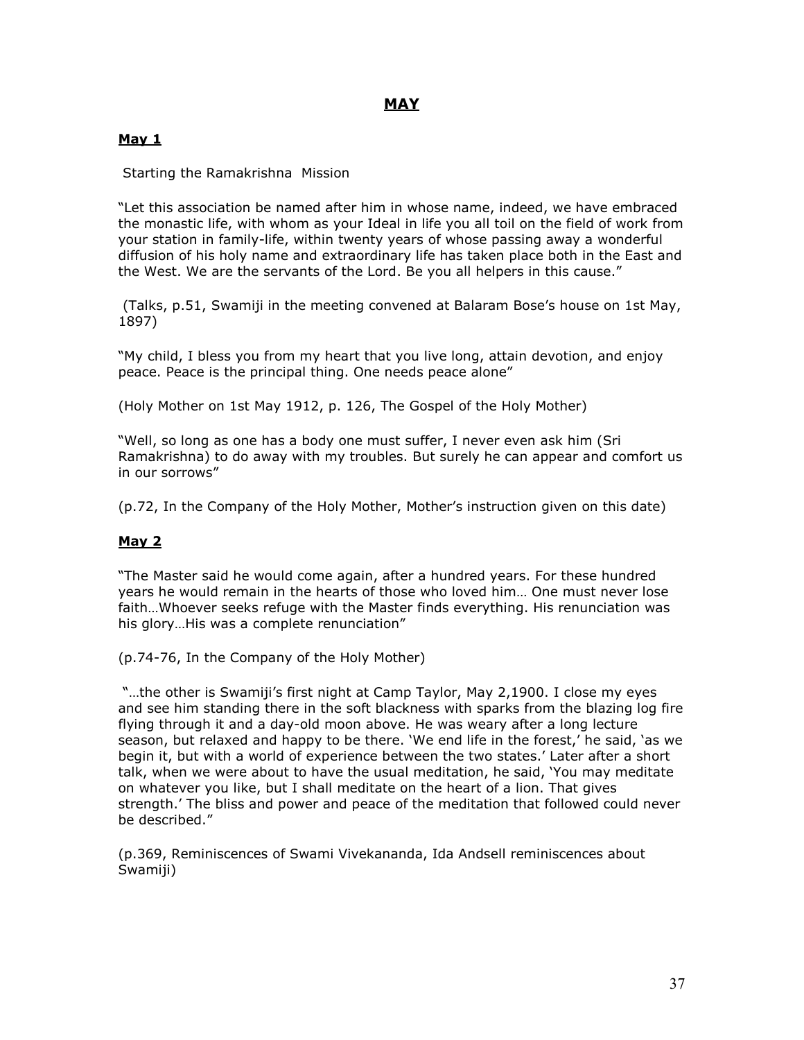# MAY

### May 1

Starting the Ramakrishna Mission

"Let this association be named after him in whose name, indeed, we have embraced the monastic life, with whom as your Ideal in life you all toil on the field of work from your station in family-life, within twenty years of whose passing away a wonderful diffusion of his holy name and extraordinary life has taken place both in the East and the West. We are the servants of the Lord. Be you all helpers in this cause."

 (Talks, p.51, Swamiji in the meeting convened at Balaram Bose's house on 1st May, 1897)

"My child, I bless you from my heart that you live long, attain devotion, and enjoy peace. Peace is the principal thing. One needs peace alone"

(Holy Mother on 1st May 1912, p. 126, The Gospel of the Holy Mother)

"Well, so long as one has a body one must suffer, I never even ask him (Sri Ramakrishna) to do away with my troubles. But surely he can appear and comfort us in our sorrows"

(p.72, In the Company of the Holy Mother, Mother's instruction given on this date)

## May 2

"The Master said he would come again, after a hundred years. For these hundred years he would remain in the hearts of those who loved him… One must never lose faith…Whoever seeks refuge with the Master finds everything. His renunciation was his glory…His was a complete renunciation"

(p.74-76, In the Company of the Holy Mother)

 "…the other is Swamiji's first night at Camp Taylor, May 2,1900. I close my eyes and see him standing there in the soft blackness with sparks from the blazing log fire flying through it and a day-old moon above. He was weary after a long lecture season, but relaxed and happy to be there. 'We end life in the forest,' he said, 'as we begin it, but with a world of experience between the two states.' Later after a short talk, when we were about to have the usual meditation, he said, 'You may meditate on whatever you like, but I shall meditate on the heart of a lion. That gives strength.' The bliss and power and peace of the meditation that followed could never be described."

(p.369, Reminiscences of Swami Vivekananda, Ida Andsell reminiscences about Swamiji)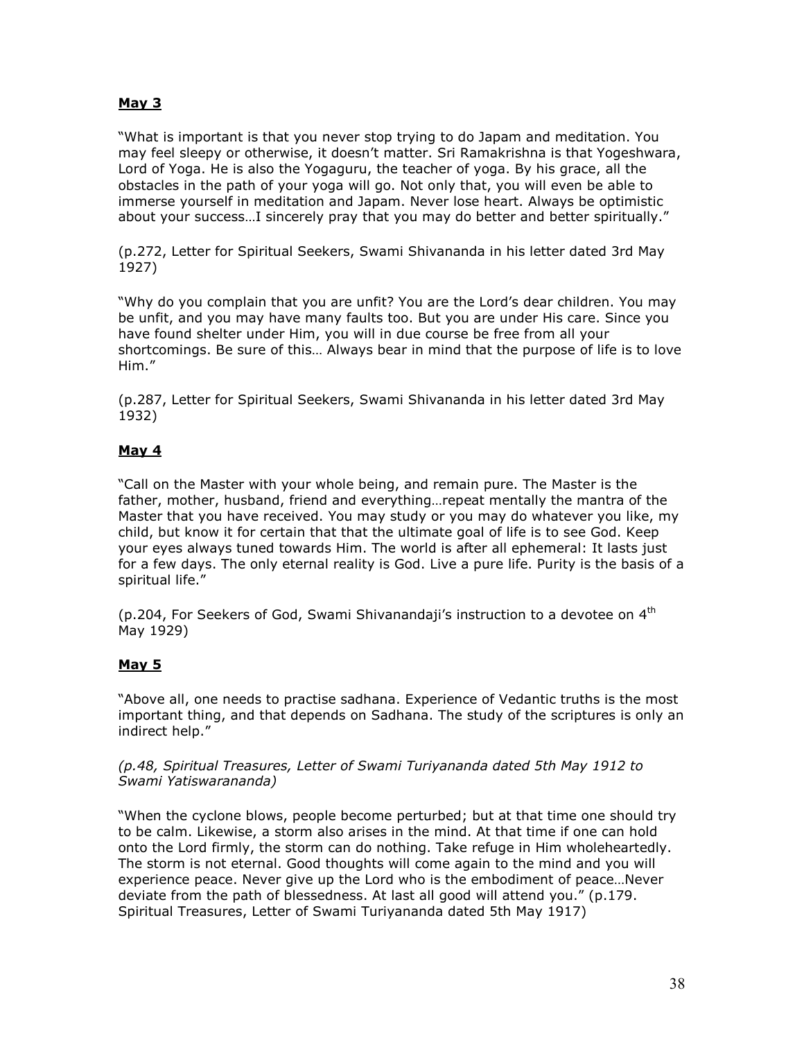"What is important is that you never stop trying to do Japam and meditation. You may feel sleepy or otherwise, it doesn't matter. Sri Ramakrishna is that Yogeshwara, Lord of Yoga. He is also the Yogaguru, the teacher of yoga. By his grace, all the obstacles in the path of your yoga will go. Not only that, you will even be able to immerse yourself in meditation and Japam. Never lose heart. Always be optimistic about your success…I sincerely pray that you may do better and better spiritually."

(p.272, Letter for Spiritual Seekers, Swami Shivananda in his letter dated 3rd May 1927)

"Why do you complain that you are unfit? You are the Lord's dear children. You may be unfit, and you may have many faults too. But you are under His care. Since you have found shelter under Him, you will in due course be free from all your shortcomings. Be sure of this… Always bear in mind that the purpose of life is to love Him."

(p.287, Letter for Spiritual Seekers, Swami Shivananda in his letter dated 3rd May 1932)

## May 4

"Call on the Master with your whole being, and remain pure. The Master is the father, mother, husband, friend and everything…repeat mentally the mantra of the Master that you have received. You may study or you may do whatever you like, my child, but know it for certain that that the ultimate goal of life is to see God. Keep your eyes always tuned towards Him. The world is after all ephemeral: It lasts just for a few days. The only eternal reality is God. Live a pure life. Purity is the basis of a spiritual life."

(p.204, For Seekers of God, Swami Shivanandaji's instruction to a devotee on 4th May 1929)

# May 5

"Above all, one needs to practise sadhana. Experience of Vedantic truths is the most important thing, and that depends on Sadhana. The study of the scriptures is only an indirect help."

(p.48, Spiritual Treasures, Letter of Swami Turiyananda dated 5th May 1912 to Swami Yatiswarananda)

"When the cyclone blows, people become perturbed; but at that time one should try to be calm. Likewise, a storm also arises in the mind. At that time if one can hold onto the Lord firmly, the storm can do nothing. Take refuge in Him wholeheartedly. The storm is not eternal. Good thoughts will come again to the mind and you will experience peace. Never give up the Lord who is the embodiment of peace…Never deviate from the path of blessedness. At last all good will attend you." (p.179. Spiritual Treasures, Letter of Swami Turiyananda dated 5th May 1917)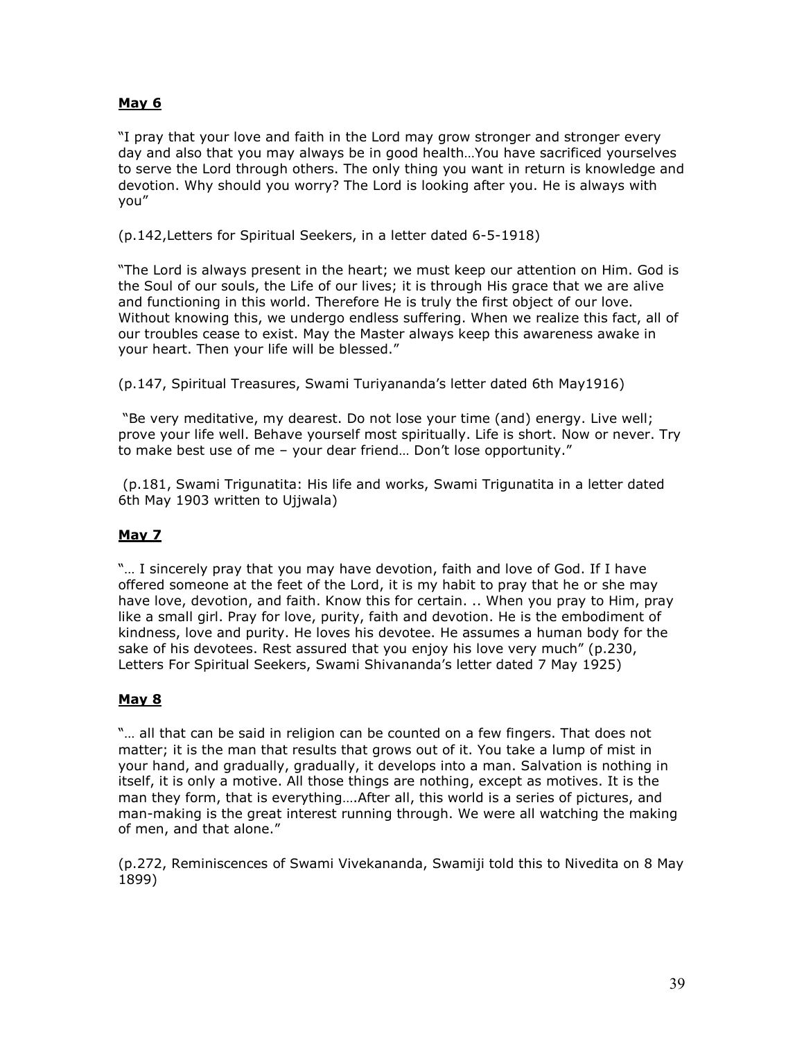"I pray that your love and faith in the Lord may grow stronger and stronger every day and also that you may always be in good health…You have sacrificed yourselves to serve the Lord through others. The only thing you want in return is knowledge and devotion. Why should you worry? The Lord is looking after you. He is always with you"

(p.142,Letters for Spiritual Seekers, in a letter dated 6-5-1918)

"The Lord is always present in the heart; we must keep our attention on Him. God is the Soul of our souls, the Life of our lives; it is through His grace that we are alive and functioning in this world. Therefore He is truly the first object of our love. Without knowing this, we undergo endless suffering. When we realize this fact, all of our troubles cease to exist. May the Master always keep this awareness awake in your heart. Then your life will be blessed."

(p.147, Spiritual Treasures, Swami Turiyananda's letter dated 6th May1916)

 "Be very meditative, my dearest. Do not lose your time (and) energy. Live well; prove your life well. Behave yourself most spiritually. Life is short. Now or never. Try to make best use of me – your dear friend… Don't lose opportunity."

 (p.181, Swami Trigunatita: His life and works, Swami Trigunatita in a letter dated 6th May 1903 written to Ujjwala)

# May 7

"… I sincerely pray that you may have devotion, faith and love of God. If I have offered someone at the feet of the Lord, it is my habit to pray that he or she may have love, devotion, and faith. Know this for certain. .. When you pray to Him, pray like a small girl. Pray for love, purity, faith and devotion. He is the embodiment of kindness, love and purity. He loves his devotee. He assumes a human body for the sake of his devotees. Rest assured that you enjoy his love very much" (p.230, Letters For Spiritual Seekers, Swami Shivananda's letter dated 7 May 1925)

## May 8

"… all that can be said in religion can be counted on a few fingers. That does not matter; it is the man that results that grows out of it. You take a lump of mist in your hand, and gradually, gradually, it develops into a man. Salvation is nothing in itself, it is only a motive. All those things are nothing, except as motives. It is the man they form, that is everything….After all, this world is a series of pictures, and man-making is the great interest running through. We were all watching the making of men, and that alone."

(p.272, Reminiscences of Swami Vivekananda, Swamiji told this to Nivedita on 8 May 1899)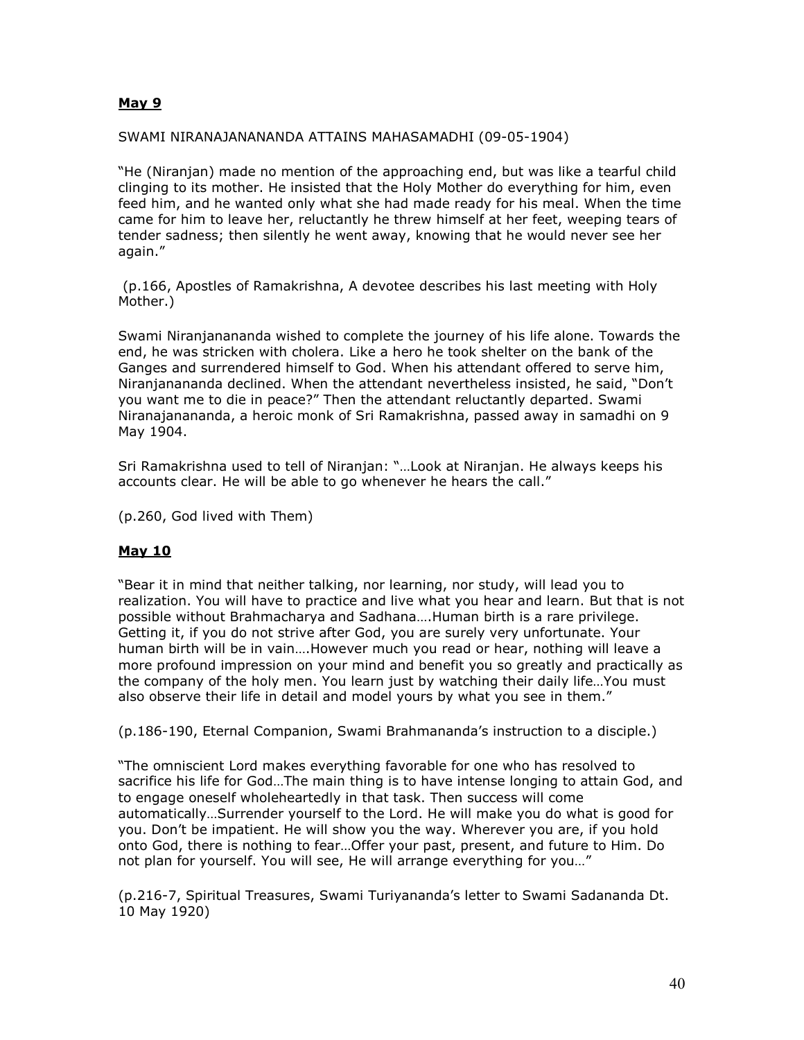#### SWAMI NIRANAJANANANDA ATTAINS MAHASAMADHI (09-05-1904)

"He (Niranjan) made no mention of the approaching end, but was like a tearful child clinging to its mother. He insisted that the Holy Mother do everything for him, even feed him, and he wanted only what she had made ready for his meal. When the time came for him to leave her, reluctantly he threw himself at her feet, weeping tears of tender sadness; then silently he went away, knowing that he would never see her again."

 (p.166, Apostles of Ramakrishna, A devotee describes his last meeting with Holy Mother.)

Swami Niranjanananda wished to complete the journey of his life alone. Towards the end, he was stricken with cholera. Like a hero he took shelter on the bank of the Ganges and surrendered himself to God. When his attendant offered to serve him, Niranjanananda declined. When the attendant nevertheless insisted, he said, "Don't you want me to die in peace?" Then the attendant reluctantly departed. Swami Niranajanananda, a heroic monk of Sri Ramakrishna, passed away in samadhi on 9 May 1904.

Sri Ramakrishna used to tell of Niranjan: "…Look at Niranjan. He always keeps his accounts clear. He will be able to go whenever he hears the call."

(p.260, God lived with Them)

#### May 10

"Bear it in mind that neither talking, nor learning, nor study, will lead you to realization. You will have to practice and live what you hear and learn. But that is not possible without Brahmacharya and Sadhana….Human birth is a rare privilege. Getting it, if you do not strive after God, you are surely very unfortunate. Your human birth will be in vain….However much you read or hear, nothing will leave a more profound impression on your mind and benefit you so greatly and practically as the company of the holy men. You learn just by watching their daily life…You must also observe their life in detail and model yours by what you see in them."

(p.186-190, Eternal Companion, Swami Brahmananda's instruction to a disciple.)

"The omniscient Lord makes everything favorable for one who has resolved to sacrifice his life for God…The main thing is to have intense longing to attain God, and to engage oneself wholeheartedly in that task. Then success will come automatically…Surrender yourself to the Lord. He will make you do what is good for you. Don't be impatient. He will show you the way. Wherever you are, if you hold onto God, there is nothing to fear…Offer your past, present, and future to Him. Do not plan for yourself. You will see, He will arrange everything for you…"

(p.216-7, Spiritual Treasures, Swami Turiyananda's letter to Swami Sadananda Dt. 10 May 1920)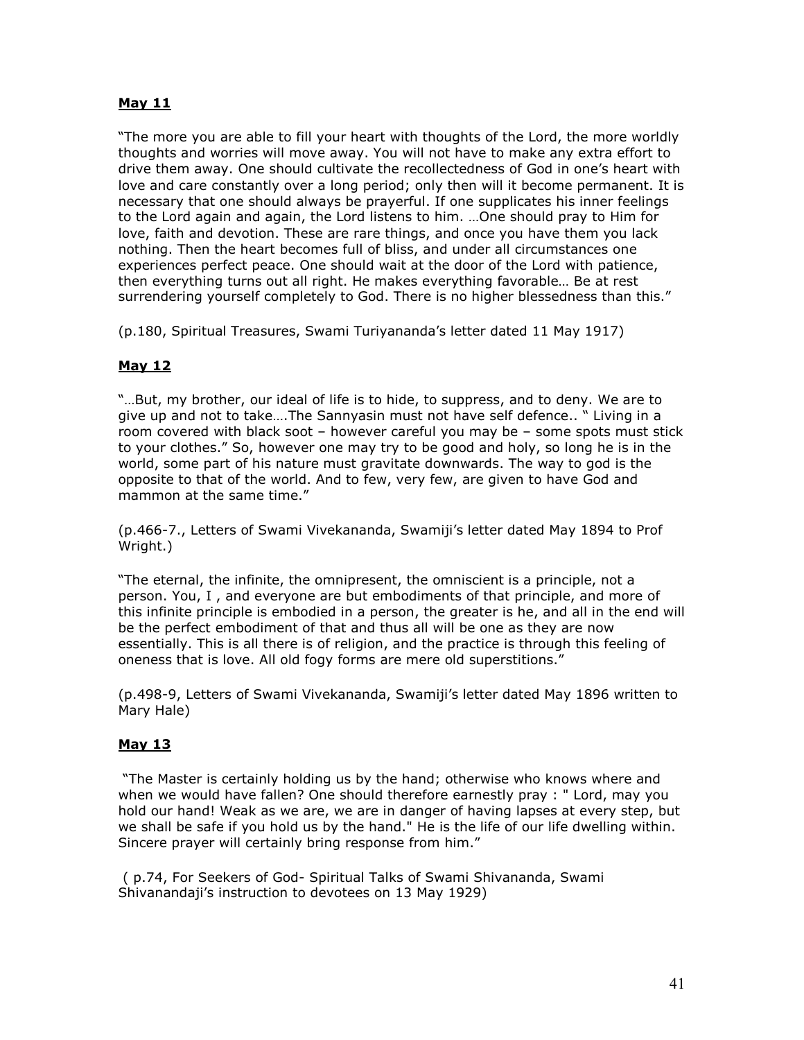"The more you are able to fill your heart with thoughts of the Lord, the more worldly thoughts and worries will move away. You will not have to make any extra effort to drive them away. One should cultivate the recollectedness of God in one's heart with love and care constantly over a long period; only then will it become permanent. It is necessary that one should always be prayerful. If one supplicates his inner feelings to the Lord again and again, the Lord listens to him. …One should pray to Him for love, faith and devotion. These are rare things, and once you have them you lack nothing. Then the heart becomes full of bliss, and under all circumstances one experiences perfect peace. One should wait at the door of the Lord with patience, then everything turns out all right. He makes everything favorable… Be at rest surrendering yourself completely to God. There is no higher blessedness than this."

(p.180, Spiritual Treasures, Swami Turiyananda's letter dated 11 May 1917)

# May 12

"…But, my brother, our ideal of life is to hide, to suppress, and to deny. We are to give up and not to take….The Sannyasin must not have self defence.. " Living in a room covered with black soot – however careful you may be – some spots must stick to your clothes." So, however one may try to be good and holy, so long he is in the world, some part of his nature must gravitate downwards. The way to god is the opposite to that of the world. And to few, very few, are given to have God and mammon at the same time."

(p.466-7., Letters of Swami Vivekananda, Swamiji's letter dated May 1894 to Prof Wright.)

"The eternal, the infinite, the omnipresent, the omniscient is a principle, not a person. You, I , and everyone are but embodiments of that principle, and more of this infinite principle is embodied in a person, the greater is he, and all in the end will be the perfect embodiment of that and thus all will be one as they are now essentially. This is all there is of religion, and the practice is through this feeling of oneness that is love. All old fogy forms are mere old superstitions."

(p.498-9, Letters of Swami Vivekananda, Swamiji's letter dated May 1896 written to Mary Hale)

## May 13

 "The Master is certainly holding us by the hand; otherwise who knows where and when we would have fallen? One should therefore earnestly pray : " Lord, may you hold our hand! Weak as we are, we are in danger of having lapses at every step, but we shall be safe if you hold us by the hand." He is the life of our life dwelling within. Sincere prayer will certainly bring response from him."

 ( p.74, For Seekers of God- Spiritual Talks of Swami Shivananda, Swami Shivanandaji's instruction to devotees on 13 May 1929)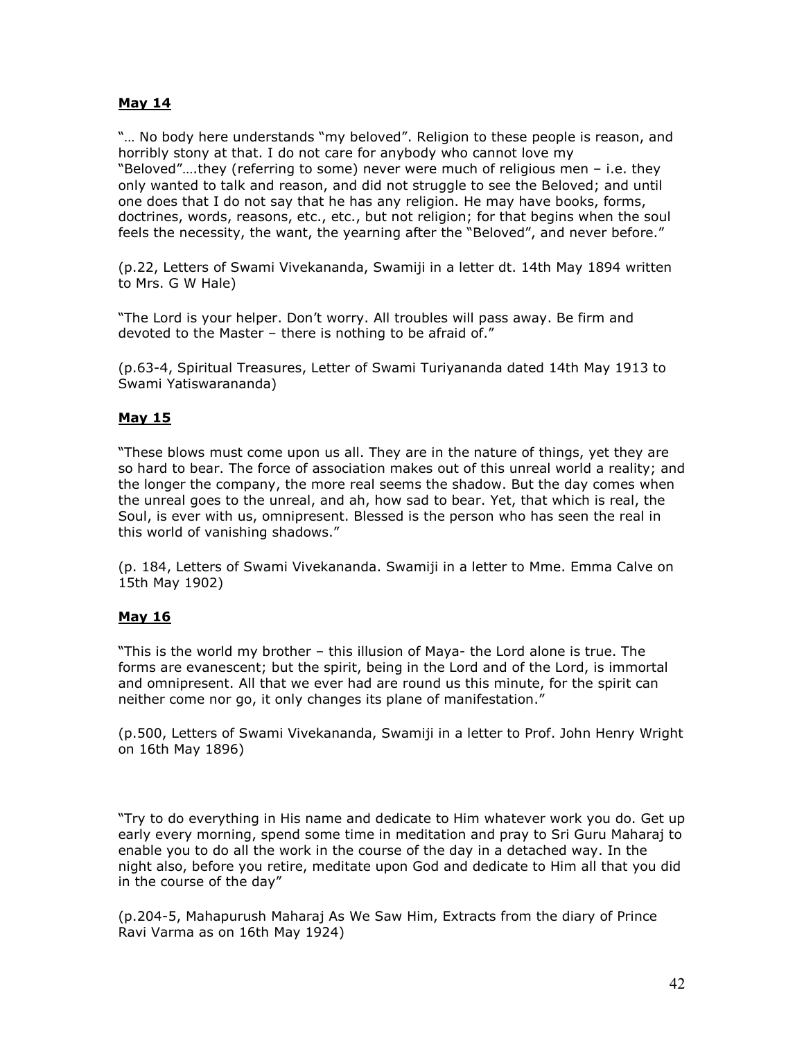"... No body here understands "my beloved". Religion to these people is reason, and horribly stony at that. I do not care for anybody who cannot love my "Beloved"….they (referring to some) never were much of religious men – i.e. they only wanted to talk and reason, and did not struggle to see the Beloved; and until one does that I do not say that he has any religion. He may have books, forms, doctrines, words, reasons, etc., etc., but not religion; for that begins when the soul feels the necessity, the want, the yearning after the "Beloved", and never before."

(p.22, Letters of Swami Vivekananda, Swamiji in a letter dt. 14th May 1894 written to Mrs. G W Hale)

"The Lord is your helper. Don't worry. All troubles will pass away. Be firm and devoted to the Master – there is nothing to be afraid of."

(p.63-4, Spiritual Treasures, Letter of Swami Turiyananda dated 14th May 1913 to Swami Yatiswarananda)

#### May 15

"These blows must come upon us all. They are in the nature of things, yet they are so hard to bear. The force of association makes out of this unreal world a reality; and the longer the company, the more real seems the shadow. But the day comes when the unreal goes to the unreal, and ah, how sad to bear. Yet, that which is real, the Soul, is ever with us, omnipresent. Blessed is the person who has seen the real in this world of vanishing shadows."

(p. 184, Letters of Swami Vivekananda. Swamiji in a letter to Mme. Emma Calve on 15th May 1902)

## May 16

"This is the world my brother – this illusion of Maya- the Lord alone is true. The forms are evanescent; but the spirit, being in the Lord and of the Lord, is immortal and omnipresent. All that we ever had are round us this minute, for the spirit can neither come nor go, it only changes its plane of manifestation."

(p.500, Letters of Swami Vivekananda, Swamiji in a letter to Prof. John Henry Wright on 16th May 1896)

"Try to do everything in His name and dedicate to Him whatever work you do. Get up early every morning, spend some time in meditation and pray to Sri Guru Maharaj to enable you to do all the work in the course of the day in a detached way. In the night also, before you retire, meditate upon God and dedicate to Him all that you did in the course of the day"

(p.204-5, Mahapurush Maharaj As We Saw Him, Extracts from the diary of Prince Ravi Varma as on 16th May 1924)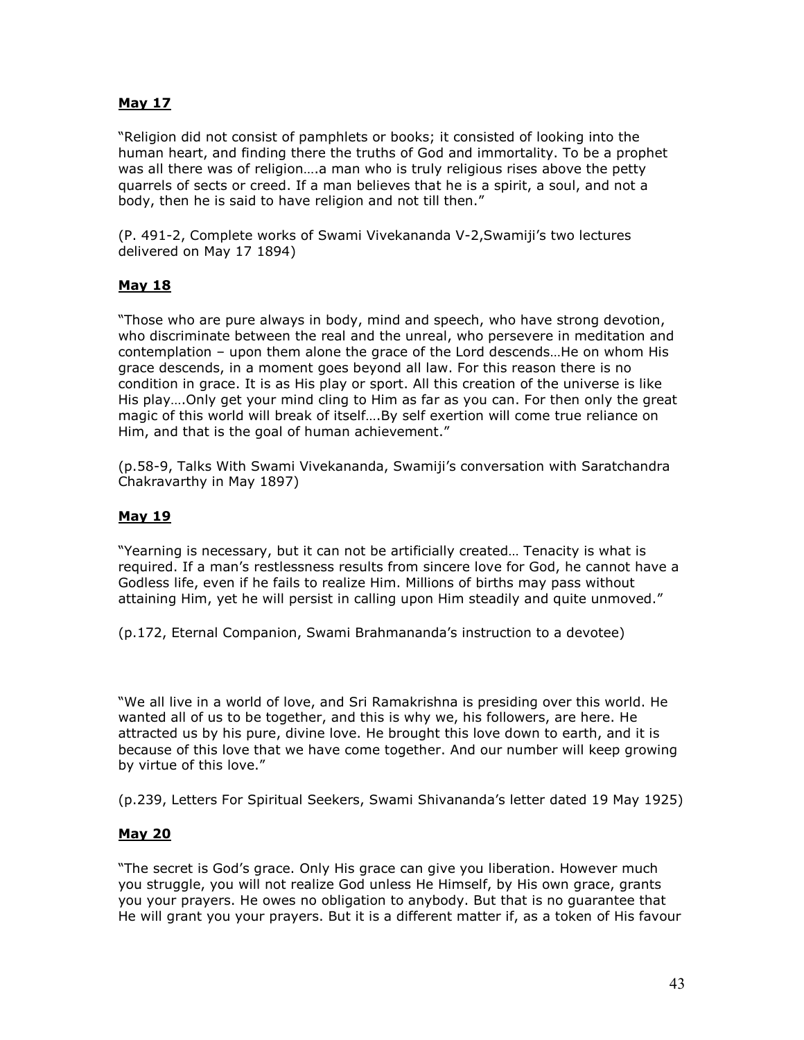"Religion did not consist of pamphlets or books; it consisted of looking into the human heart, and finding there the truths of God and immortality. To be a prophet was all there was of religion....a man who is truly religious rises above the petty quarrels of sects or creed. If a man believes that he is a spirit, a soul, and not a body, then he is said to have religion and not till then."

(P. 491-2, Complete works of Swami Vivekananda V-2,Swamiji's two lectures delivered on May 17 1894)

## May 18

"Those who are pure always in body, mind and speech, who have strong devotion, who discriminate between the real and the unreal, who persevere in meditation and contemplation – upon them alone the grace of the Lord descends…He on whom His grace descends, in a moment goes beyond all law. For this reason there is no condition in grace. It is as His play or sport. All this creation of the universe is like His play….Only get your mind cling to Him as far as you can. For then only the great magic of this world will break of itself….By self exertion will come true reliance on Him, and that is the goal of human achievement."

(p.58-9, Talks With Swami Vivekananda, Swamiji's conversation with Saratchandra Chakravarthy in May 1897)

## May 19

"Yearning is necessary, but it can not be artificially created… Tenacity is what is required. If a man's restlessness results from sincere love for God, he cannot have a Godless life, even if he fails to realize Him. Millions of births may pass without attaining Him, yet he will persist in calling upon Him steadily and quite unmoved."

(p.172, Eternal Companion, Swami Brahmananda's instruction to a devotee)

"We all live in a world of love, and Sri Ramakrishna is presiding over this world. He wanted all of us to be together, and this is why we, his followers, are here. He attracted us by his pure, divine love. He brought this love down to earth, and it is because of this love that we have come together. And our number will keep growing by virtue of this love."

(p.239, Letters For Spiritual Seekers, Swami Shivananda's letter dated 19 May 1925)

## **May 20**

"The secret is God's grace. Only His grace can give you liberation. However much you struggle, you will not realize God unless He Himself, by His own grace, grants you your prayers. He owes no obligation to anybody. But that is no guarantee that He will grant you your prayers. But it is a different matter if, as a token of His favour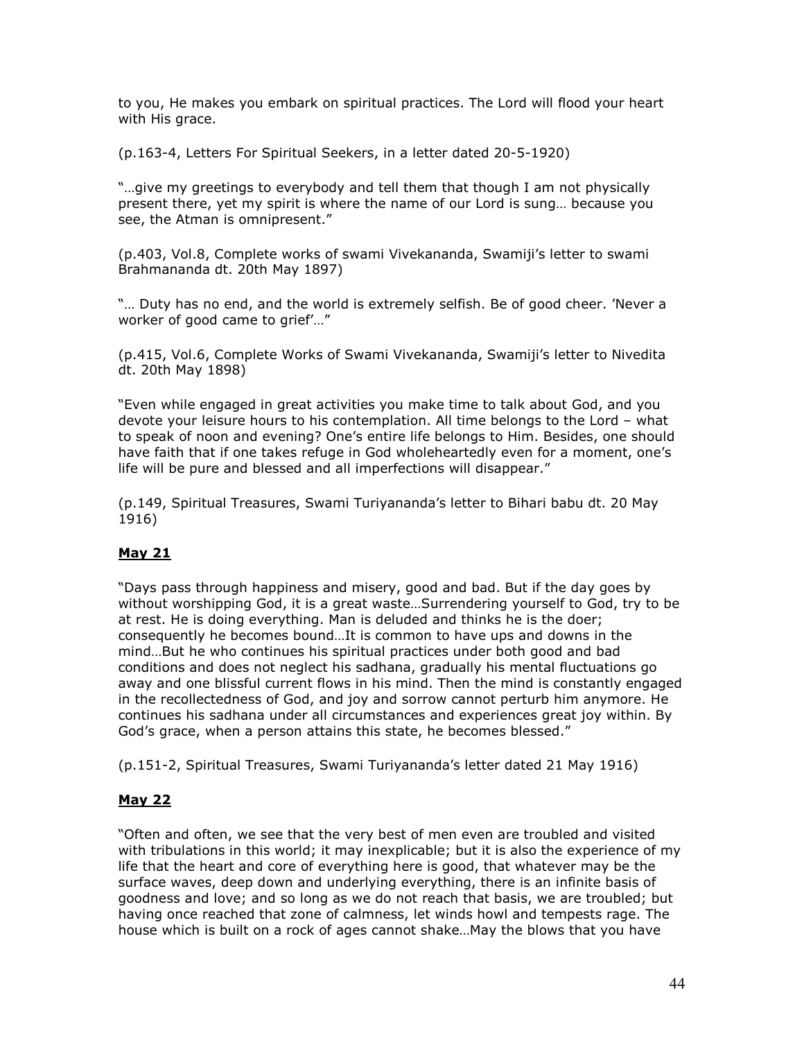to you, He makes you embark on spiritual practices. The Lord will flood your heart with His grace.

(p.163-4, Letters For Spiritual Seekers, in a letter dated 20-5-1920)

"…give my greetings to everybody and tell them that though I am not physically present there, yet my spirit is where the name of our Lord is sung… because you see, the Atman is omnipresent."

(p.403, Vol.8, Complete works of swami Vivekananda, Swamiji's letter to swami Brahmananda dt. 20th May 1897)

"… Duty has no end, and the world is extremely selfish. Be of good cheer. 'Never a worker of good came to grief'…"

(p.415, Vol.6, Complete Works of Swami Vivekananda, Swamiji's letter to Nivedita dt. 20th May 1898)

"Even while engaged in great activities you make time to talk about God, and you devote your leisure hours to his contemplation. All time belongs to the Lord – what to speak of noon and evening? One's entire life belongs to Him. Besides, one should have faith that if one takes refuge in God wholeheartedly even for a moment, one's life will be pure and blessed and all imperfections will disappear."

(p.149, Spiritual Treasures, Swami Turiyananda's letter to Bihari babu dt. 20 May 1916)

# May 21

"Days pass through happiness and misery, good and bad. But if the day goes by without worshipping God, it is a great waste…Surrendering yourself to God, try to be at rest. He is doing everything. Man is deluded and thinks he is the doer; consequently he becomes bound…It is common to have ups and downs in the mind…But he who continues his spiritual practices under both good and bad conditions and does not neglect his sadhana, gradually his mental fluctuations go away and one blissful current flows in his mind. Then the mind is constantly engaged in the recollectedness of God, and joy and sorrow cannot perturb him anymore. He continues his sadhana under all circumstances and experiences great joy within. By God's grace, when a person attains this state, he becomes blessed."

(p.151-2, Spiritual Treasures, Swami Turiyananda's letter dated 21 May 1916)

## May 22

"Often and often, we see that the very best of men even are troubled and visited with tribulations in this world; it may inexplicable; but it is also the experience of my life that the heart and core of everything here is good, that whatever may be the surface waves, deep down and underlying everything, there is an infinite basis of goodness and love; and so long as we do not reach that basis, we are troubled; but having once reached that zone of calmness, let winds howl and tempests rage. The house which is built on a rock of ages cannot shake…May the blows that you have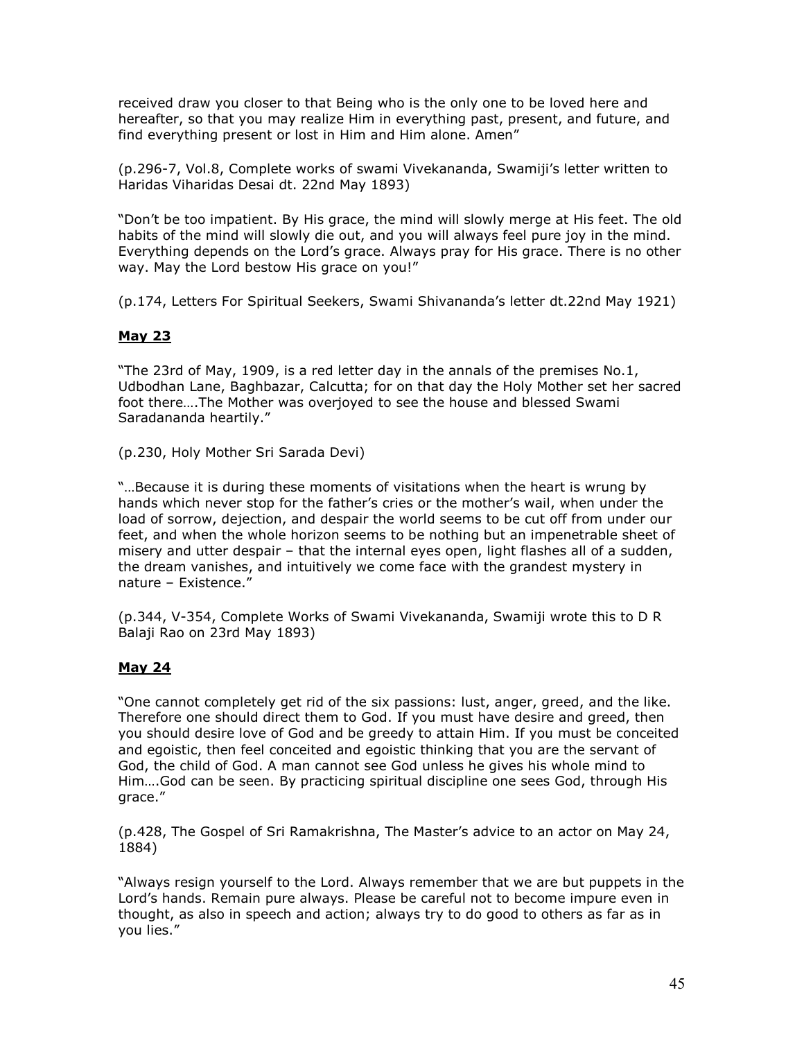received draw you closer to that Being who is the only one to be loved here and hereafter, so that you may realize Him in everything past, present, and future, and find everything present or lost in Him and Him alone. Amen"

(p.296-7, Vol.8, Complete works of swami Vivekananda, Swamiji's letter written to Haridas Viharidas Desai dt. 22nd May 1893)

"Don't be too impatient. By His grace, the mind will slowly merge at His feet. The old habits of the mind will slowly die out, and you will always feel pure joy in the mind. Everything depends on the Lord's grace. Always pray for His grace. There is no other way. May the Lord bestow His grace on you!"

(p.174, Letters For Spiritual Seekers, Swami Shivananda's letter dt.22nd May 1921)

## May 23

"The 23rd of May, 1909, is a red letter day in the annals of the premises  $No.1$ , Udbodhan Lane, Baghbazar, Calcutta; for on that day the Holy Mother set her sacred foot there….The Mother was overjoyed to see the house and blessed Swami Saradananda heartily."

(p.230, Holy Mother Sri Sarada Devi)

"…Because it is during these moments of visitations when the heart is wrung by hands which never stop for the father's cries or the mother's wail, when under the load of sorrow, dejection, and despair the world seems to be cut off from under our feet, and when the whole horizon seems to be nothing but an impenetrable sheet of misery and utter despair – that the internal eyes open, light flashes all of a sudden, the dream vanishes, and intuitively we come face with the grandest mystery in nature – Existence."

(p.344, V-354, Complete Works of Swami Vivekananda, Swamiji wrote this to D R Balaji Rao on 23rd May 1893)

## May 24

"One cannot completely get rid of the six passions: lust, anger, greed, and the like. Therefore one should direct them to God. If you must have desire and greed, then you should desire love of God and be greedy to attain Him. If you must be conceited and egoistic, then feel conceited and egoistic thinking that you are the servant of God, the child of God. A man cannot see God unless he gives his whole mind to Him….God can be seen. By practicing spiritual discipline one sees God, through His grace."

(p.428, The Gospel of Sri Ramakrishna, The Master's advice to an actor on May 24, 1884)

"Always resign yourself to the Lord. Always remember that we are but puppets in the Lord's hands. Remain pure always. Please be careful not to become impure even in thought, as also in speech and action; always try to do good to others as far as in you lies."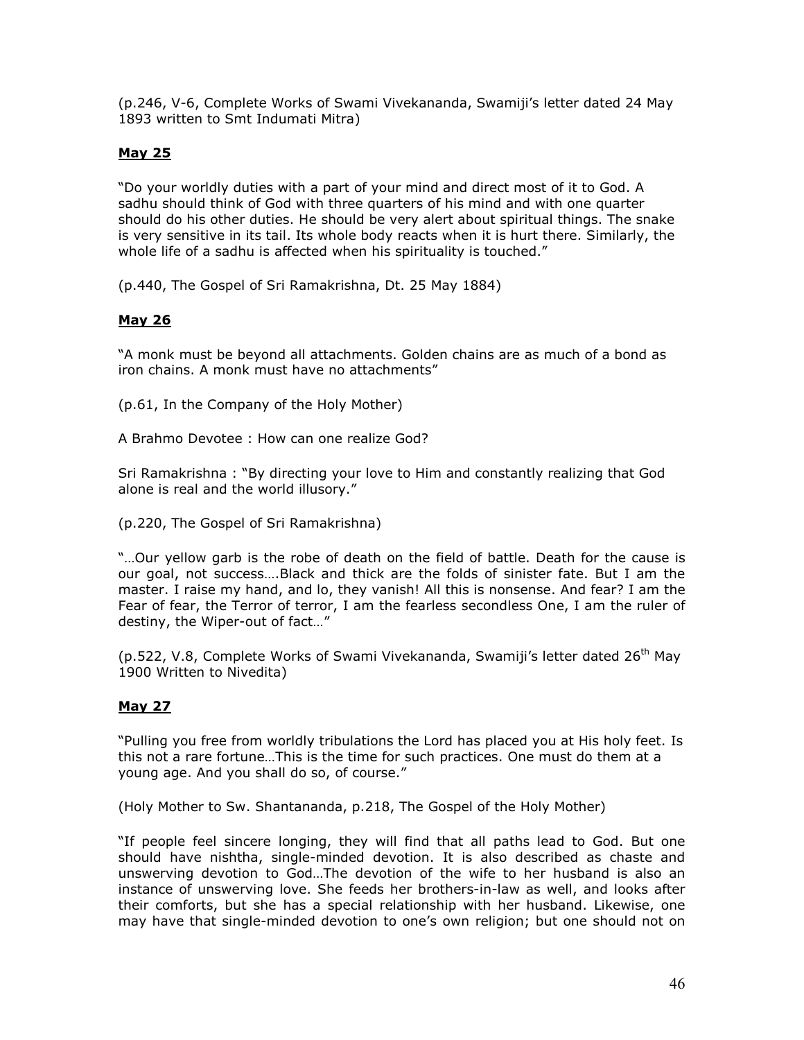(p.246, V-6, Complete Works of Swami Vivekananda, Swamiji's letter dated 24 May 1893 written to Smt Indumati Mitra)

# May 25

"Do your worldly duties with a part of your mind and direct most of it to God. A sadhu should think of God with three quarters of his mind and with one quarter should do his other duties. He should be very alert about spiritual things. The snake is very sensitive in its tail. Its whole body reacts when it is hurt there. Similarly, the whole life of a sadhu is affected when his spirituality is touched."

(p.440, The Gospel of Sri Ramakrishna, Dt. 25 May 1884)

# May 26

"A monk must be beyond all attachments. Golden chains are as much of a bond as iron chains. A monk must have no attachments"

(p.61, In the Company of the Holy Mother)

A Brahmo Devotee : How can one realize God?

Sri Ramakrishna : "By directing your love to Him and constantly realizing that God alone is real and the world illusory."

(p.220, The Gospel of Sri Ramakrishna)

"…Our yellow garb is the robe of death on the field of battle. Death for the cause is our goal, not success….Black and thick are the folds of sinister fate. But I am the master. I raise my hand, and lo, they vanish! All this is nonsense. And fear? I am the Fear of fear, the Terror of terror, I am the fearless secondless One, I am the ruler of destiny, the Wiper-out of fact…"

(p.522, V.8, Complete Works of Swami Vivekananda, Swamiji's letter dated  $26^{th}$  May 1900 Written to Nivedita)

# May 27

"Pulling you free from worldly tribulations the Lord has placed you at His holy feet. Is this not a rare fortune…This is the time for such practices. One must do them at a young age. And you shall do so, of course."

(Holy Mother to Sw. Shantananda, p.218, The Gospel of the Holy Mother)

"If people feel sincere longing, they will find that all paths lead to God. But one should have nishtha, single-minded devotion. It is also described as chaste and unswerving devotion to God…The devotion of the wife to her husband is also an instance of unswerving love. She feeds her brothers-in-law as well, and looks after their comforts, but she has a special relationship with her husband. Likewise, one may have that single-minded devotion to one's own religion; but one should not on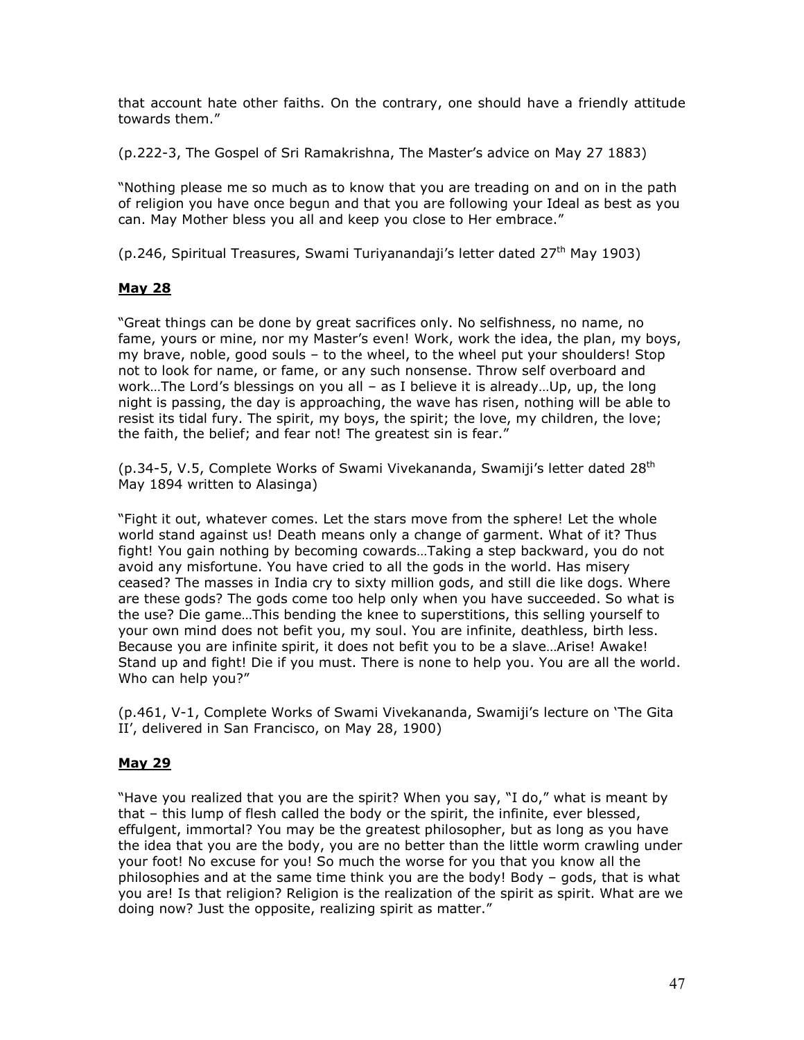that account hate other faiths. On the contrary, one should have a friendly attitude towards them."

(p.222-3, The Gospel of Sri Ramakrishna, The Master's advice on May 27 1883)

"Nothing please me so much as to know that you are treading on and on in the path of religion you have once begun and that you are following your Ideal as best as you can. May Mother bless you all and keep you close to Her embrace."

(p.246, Spiritual Treasures, Swami Turiyanandaji's letter dated 27<sup>th</sup> May 1903)

## May 28

"Great things can be done by great sacrifices only. No selfishness, no name, no fame, yours or mine, nor my Master's even! Work, work the idea, the plan, my boys, my brave, noble, good souls – to the wheel, to the wheel put your shoulders! Stop not to look for name, or fame, or any such nonsense. Throw self overboard and work…The Lord's blessings on you all – as I believe it is already…Up, up, the long night is passing, the day is approaching, the wave has risen, nothing will be able to resist its tidal fury. The spirit, my boys, the spirit; the love, my children, the love; the faith, the belief; and fear not! The greatest sin is fear."

(p.34-5, V.5, Complete Works of Swami Vivekananda, Swamiji's letter dated 28<sup>th</sup> May 1894 written to Alasinga)

"Fight it out, whatever comes. Let the stars move from the sphere! Let the whole world stand against us! Death means only a change of garment. What of it? Thus fight! You gain nothing by becoming cowards…Taking a step backward, you do not avoid any misfortune. You have cried to all the gods in the world. Has misery ceased? The masses in India cry to sixty million gods, and still die like dogs. Where are these gods? The gods come too help only when you have succeeded. So what is the use? Die game…This bending the knee to superstitions, this selling yourself to your own mind does not befit you, my soul. You are infinite, deathless, birth less. Because you are infinite spirit, it does not befit you to be a slave…Arise! Awake! Stand up and fight! Die if you must. There is none to help you. You are all the world. Who can help you?"

(p.461, V-1, Complete Works of Swami Vivekananda, Swamiji's lecture on 'The Gita II', delivered in San Francisco, on May 28, 1900)

## May 29

"Have you realized that you are the spirit? When you say, "I do," what is meant by that – this lump of flesh called the body or the spirit, the infinite, ever blessed, effulgent, immortal? You may be the greatest philosopher, but as long as you have the idea that you are the body, you are no better than the little worm crawling under your foot! No excuse for you! So much the worse for you that you know all the philosophies and at the same time think you are the body! Body – gods, that is what you are! Is that religion? Religion is the realization of the spirit as spirit. What are we doing now? Just the opposite, realizing spirit as matter."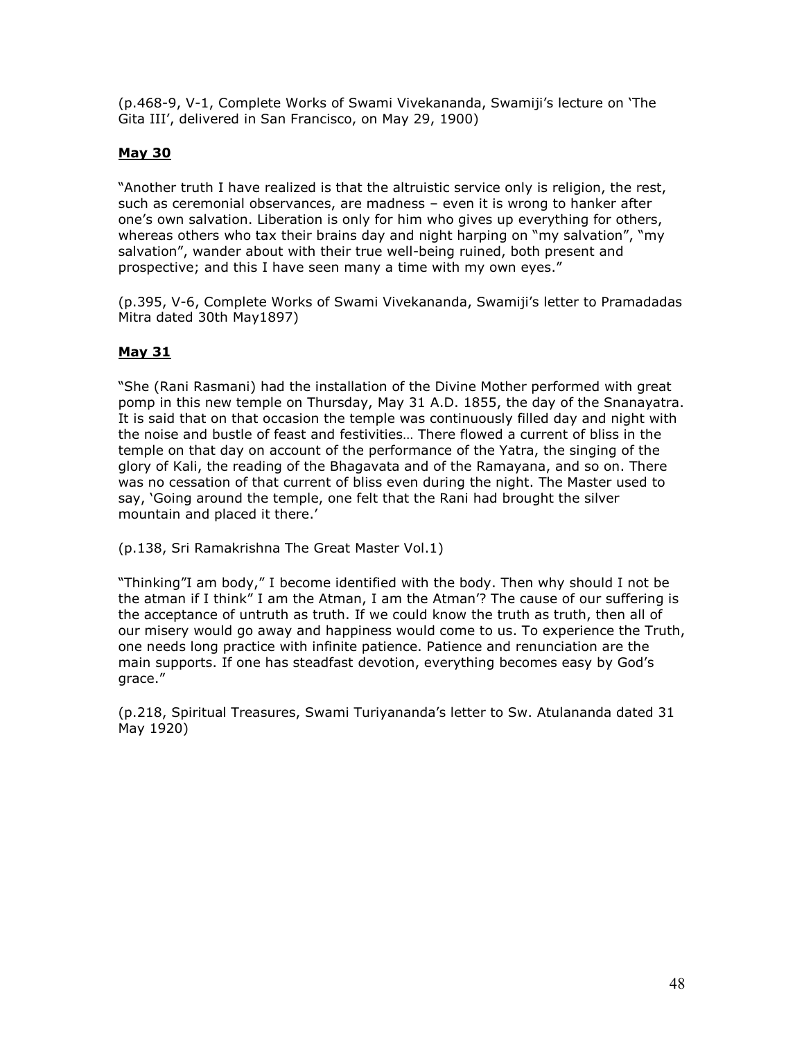(p.468-9, V-1, Complete Works of Swami Vivekananda, Swamiji's lecture on 'The Gita III', delivered in San Francisco, on May 29, 1900)

# May 30

"Another truth I have realized is that the altruistic service only is religion, the rest, such as ceremonial observances, are madness – even it is wrong to hanker after one's own salvation. Liberation is only for him who gives up everything for others, whereas others who tax their brains day and night harping on "my salvation", "my salvation", wander about with their true well-being ruined, both present and prospective; and this I have seen many a time with my own eyes."

(p.395, V-6, Complete Works of Swami Vivekananda, Swamiji's letter to Pramadadas Mitra dated 30th May1897)

## May 31

"She (Rani Rasmani) had the installation of the Divine Mother performed with great pomp in this new temple on Thursday, May 31 A.D. 1855, the day of the Snanayatra. It is said that on that occasion the temple was continuously filled day and night with the noise and bustle of feast and festivities… There flowed a current of bliss in the temple on that day on account of the performance of the Yatra, the singing of the glory of Kali, the reading of the Bhagavata and of the Ramayana, and so on. There was no cessation of that current of bliss even during the night. The Master used to say, 'Going around the temple, one felt that the Rani had brought the silver mountain and placed it there.'

(p.138, Sri Ramakrishna The Great Master Vol.1)

"Thinking"I am body," I become identified with the body. Then why should I not be the atman if I think" I am the Atman, I am the Atman'? The cause of our suffering is the acceptance of untruth as truth. If we could know the truth as truth, then all of our misery would go away and happiness would come to us. To experience the Truth, one needs long practice with infinite patience. Patience and renunciation are the main supports. If one has steadfast devotion, everything becomes easy by God's grace."

(p.218, Spiritual Treasures, Swami Turiyananda's letter to Sw. Atulananda dated 31 May 1920)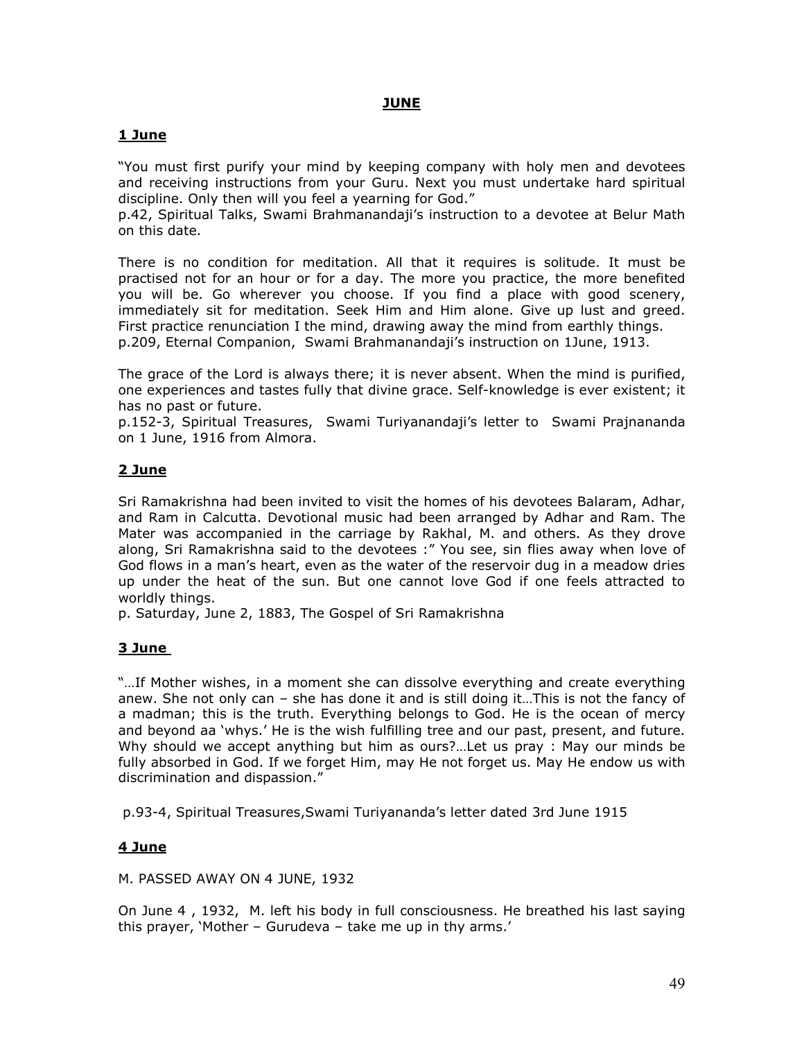#### **JUNE**

#### 1 June

"You must first purify your mind by keeping company with holy men and devotees and receiving instructions from your Guru. Next you must undertake hard spiritual discipline. Only then will you feel a yearning for God."

p.42, Spiritual Talks, Swami Brahmanandaji's instruction to a devotee at Belur Math on this date.

There is no condition for meditation. All that it requires is solitude. It must be practised not for an hour or for a day. The more you practice, the more benefited you will be. Go wherever you choose. If you find a place with good scenery, immediately sit for meditation. Seek Him and Him alone. Give up lust and greed. First practice renunciation I the mind, drawing away the mind from earthly things. p.209, Eternal Companion, Swami Brahmanandaji's instruction on 1June, 1913.

The grace of the Lord is always there; it is never absent. When the mind is purified, one experiences and tastes fully that divine grace. Self-knowledge is ever existent; it has no past or future.

p.152-3, Spiritual Treasures, Swami Turiyanandaji's letter to Swami Prajnananda on 1 June, 1916 from Almora.

## 2 June

Sri Ramakrishna had been invited to visit the homes of his devotees Balaram, Adhar, and Ram in Calcutta. Devotional music had been arranged by Adhar and Ram. The Mater was accompanied in the carriage by Rakhal, M. and others. As they drove along, Sri Ramakrishna said to the devotees :" You see, sin flies away when love of God flows in a man's heart, even as the water of the reservoir dug in a meadow dries up under the heat of the sun. But one cannot love God if one feels attracted to worldly things.

p. Saturday, June 2, 1883, The Gospel of Sri Ramakrishna

## 3 June

"…If Mother wishes, in a moment she can dissolve everything and create everything anew. She not only can – she has done it and is still doing it…This is not the fancy of a madman; this is the truth. Everything belongs to God. He is the ocean of mercy and beyond aa 'whys.' He is the wish fulfilling tree and our past, present, and future. Why should we accept anything but him as ours?…Let us pray : May our minds be fully absorbed in God. If we forget Him, may He not forget us. May He endow us with discrimination and dispassion."

p.93-4, Spiritual Treasures,Swami Turiyananda's letter dated 3rd June 1915

## 4 June

M. PASSED AWAY ON 4 JUNE, 1932

On June 4 , 1932, M. left his body in full consciousness. He breathed his last saying this prayer, 'Mother – Gurudeva – take me up in thy arms.'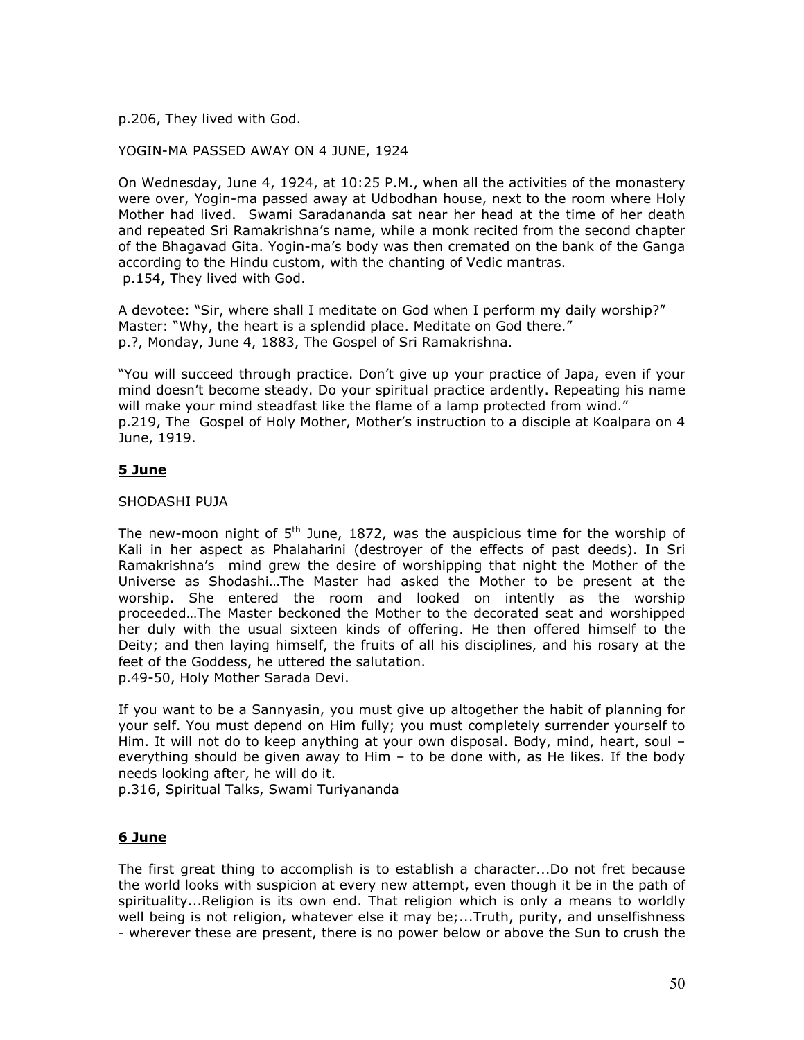#### p.206, They lived with God.

#### YOGIN-MA PASSED AWAY ON 4 JUNE, 1924

On Wednesday, June 4, 1924, at 10:25 P.M., when all the activities of the monastery were over, Yogin-ma passed away at Udbodhan house, next to the room where Holy Mother had lived. Swami Saradananda sat near her head at the time of her death and repeated Sri Ramakrishna's name, while a monk recited from the second chapter of the Bhagavad Gita. Yogin-ma's body was then cremated on the bank of the Ganga according to the Hindu custom, with the chanting of Vedic mantras. p.154, They lived with God.

A devotee: "Sir, where shall I meditate on God when I perform my daily worship?" Master: "Why, the heart is a splendid place. Meditate on God there." p.?, Monday, June 4, 1883, The Gospel of Sri Ramakrishna.

"You will succeed through practice. Don't give up your practice of Japa, even if your mind doesn't become steady. Do your spiritual practice ardently. Repeating his name will make your mind steadfast like the flame of a lamp protected from wind." p.219, The Gospel of Holy Mother, Mother's instruction to a disciple at Koalpara on 4 June, 1919.

#### 5 June

#### SHODASHI PUJA

The new-moon night of  $5<sup>th</sup>$  June, 1872, was the auspicious time for the worship of Kali in her aspect as Phalaharini (destroyer of the effects of past deeds). In Sri Ramakrishna's mind grew the desire of worshipping that night the Mother of the Universe as Shodashi…The Master had asked the Mother to be present at the worship. She entered the room and looked on intently as the worship proceeded…The Master beckoned the Mother to the decorated seat and worshipped her duly with the usual sixteen kinds of offering. He then offered himself to the Deity; and then laying himself, the fruits of all his disciplines, and his rosary at the feet of the Goddess, he uttered the salutation.

p.49-50, Holy Mother Sarada Devi.

If you want to be a Sannyasin, you must give up altogether the habit of planning for your self. You must depend on Him fully; you must completely surrender yourself to Him. It will not do to keep anything at your own disposal. Body, mind, heart, soul – everything should be given away to Him – to be done with, as He likes. If the body needs looking after, he will do it.

p.316, Spiritual Talks, Swami Turiyananda

## 6 June

The first great thing to accomplish is to establish a character...Do not fret because the world looks with suspicion at every new attempt, even though it be in the path of spirituality...Religion is its own end. That religion which is only a means to worldly well being is not religion, whatever else it may be;...Truth, purity, and unselfishness - wherever these are present, there is no power below or above the Sun to crush the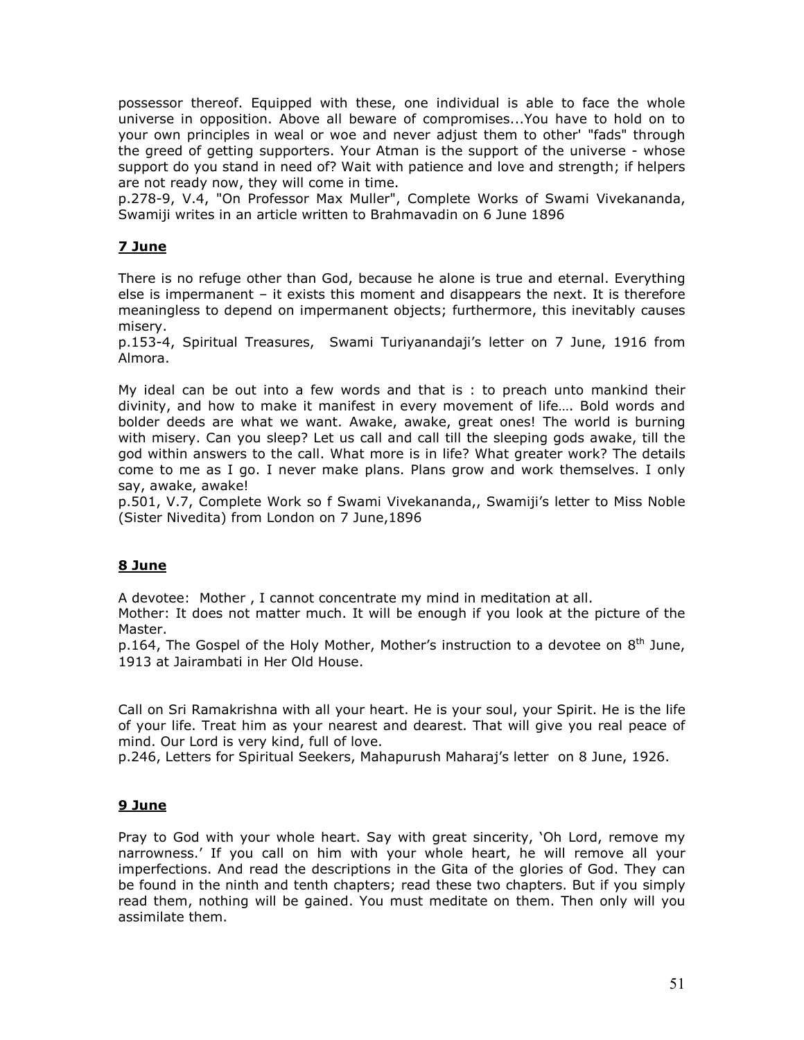possessor thereof. Equipped with these, one individual is able to face the whole universe in opposition. Above all beware of compromises...You have to hold on to your own principles in weal or woe and never adjust them to other' "fads" through the greed of getting supporters. Your Atman is the support of the universe - whose support do you stand in need of? Wait with patience and love and strength; if helpers are not ready now, they will come in time.

p.278-9, V.4, "On Professor Max Muller", Complete Works of Swami Vivekananda, Swamiji writes in an article written to Brahmavadin on 6 June 1896

## 7 June

There is no refuge other than God, because he alone is true and eternal. Everything else is impermanent – it exists this moment and disappears the next. It is therefore meaningless to depend on impermanent objects; furthermore, this inevitably causes misery.

p.153-4, Spiritual Treasures, Swami Turiyanandaji's letter on 7 June, 1916 from Almora.

My ideal can be out into a few words and that is : to preach unto mankind their divinity, and how to make it manifest in every movement of life…. Bold words and bolder deeds are what we want. Awake, awake, great ones! The world is burning with misery. Can you sleep? Let us call and call till the sleeping gods awake, till the god within answers to the call. What more is in life? What greater work? The details come to me as I go. I never make plans. Plans grow and work themselves. I only say, awake, awake!

p.501, V.7, Complete Work so f Swami Vivekananda,, Swamiji's letter to Miss Noble (Sister Nivedita) from London on 7 June,1896

## 8 June

A devotee: Mother , I cannot concentrate my mind in meditation at all.

Mother: It does not matter much. It will be enough if you look at the picture of the Master.

p.164, The Gospel of the Holy Mother, Mother's instruction to a devotee on  $8<sup>th</sup>$  June, 1913 at Jairambati in Her Old House.

Call on Sri Ramakrishna with all your heart. He is your soul, your Spirit. He is the life of your life. Treat him as your nearest and dearest. That will give you real peace of mind. Our Lord is very kind, full of love.

p.246, Letters for Spiritual Seekers, Mahapurush Maharaj's letter on 8 June, 1926.

## 9 June

Pray to God with your whole heart. Say with great sincerity, 'Oh Lord, remove my narrowness.' If you call on him with your whole heart, he will remove all your imperfections. And read the descriptions in the Gita of the glories of God. They can be found in the ninth and tenth chapters; read these two chapters. But if you simply read them, nothing will be gained. You must meditate on them. Then only will you assimilate them.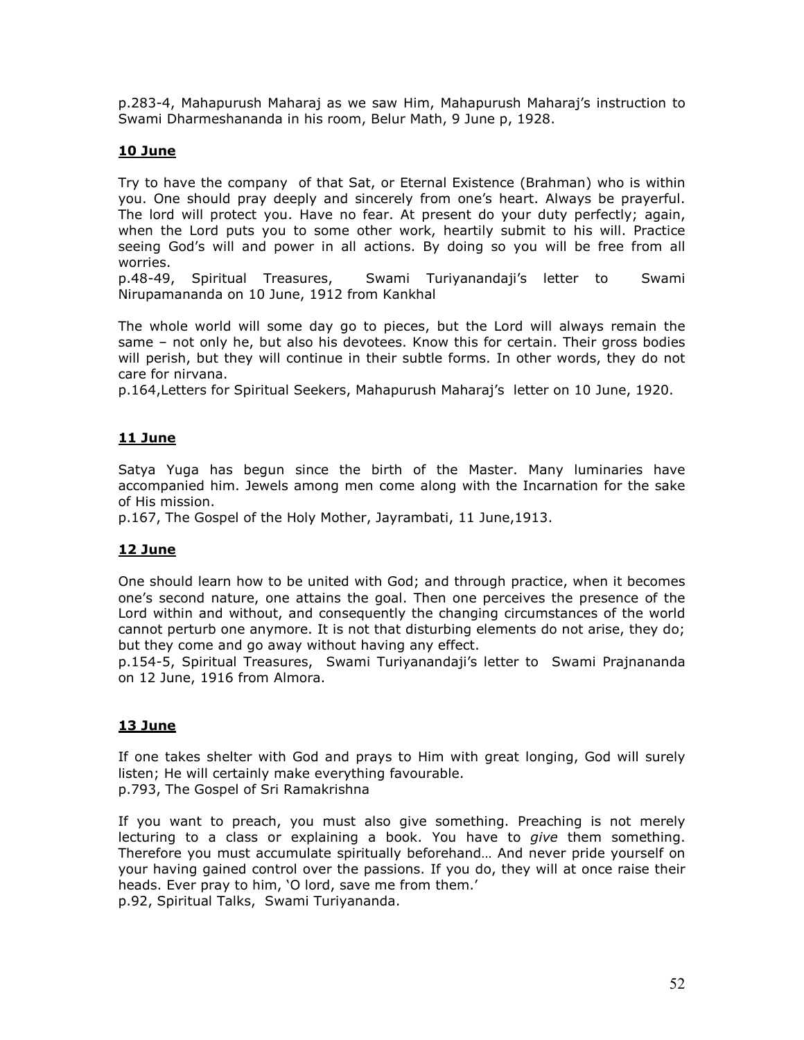p.283-4, Mahapurush Maharaj as we saw Him, Mahapurush Maharaj's instruction to Swami Dharmeshananda in his room, Belur Math, 9 June p, 1928.

## 10 June

Try to have the company of that Sat, or Eternal Existence (Brahman) who is within you. One should pray deeply and sincerely from one's heart. Always be prayerful. The lord will protect you. Have no fear. At present do your duty perfectly; again, when the Lord puts you to some other work, heartily submit to his will. Practice seeing God's will and power in all actions. By doing so you will be free from all worries.

p.48-49, Spiritual Treasures, Swami Turiyanandaji's letter to Swami Nirupamananda on 10 June, 1912 from Kankhal

The whole world will some day go to pieces, but the Lord will always remain the same – not only he, but also his devotees. Know this for certain. Their gross bodies will perish, but they will continue in their subtle forms. In other words, they do not care for nirvana.

p.164,Letters for Spiritual Seekers, Mahapurush Maharaj's letter on 10 June, 1920.

## 11 June

Satya Yuga has begun since the birth of the Master. Many luminaries have accompanied him. Jewels among men come along with the Incarnation for the sake of His mission.

p.167, The Gospel of the Holy Mother, Jayrambati, 11 June,1913.

## 12 June

One should learn how to be united with God; and through practice, when it becomes one's second nature, one attains the goal. Then one perceives the presence of the Lord within and without, and consequently the changing circumstances of the world cannot perturb one anymore. It is not that disturbing elements do not arise, they do; but they come and go away without having any effect.

p.154-5, Spiritual Treasures, Swami Turiyanandaji's letter to Swami Prajnananda on 12 June, 1916 from Almora.

## 13 June

If one takes shelter with God and prays to Him with great longing, God will surely listen; He will certainly make everything favourable. p.793, The Gospel of Sri Ramakrishna

If you want to preach, you must also give something. Preaching is not merely lecturing to a class or explaining a book. You have to *give* them something. Therefore you must accumulate spiritually beforehand… And never pride yourself on your having gained control over the passions. If you do, they will at once raise their heads. Ever pray to him, 'O lord, save me from them.' p.92, Spiritual Talks, Swami Turiyananda.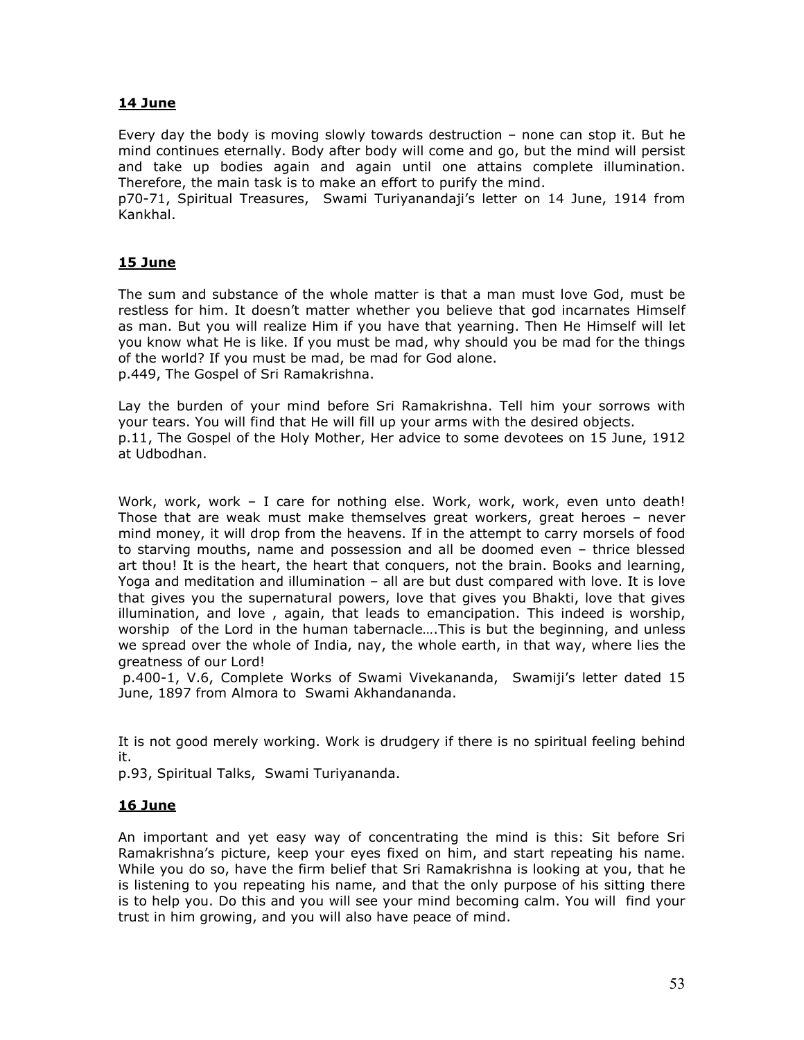Every day the body is moving slowly towards destruction – none can stop it. But he mind continues eternally. Body after body will come and go, but the mind will persist and take up bodies again and again until one attains complete illumination. Therefore, the main task is to make an effort to purify the mind.

p70-71, Spiritual Treasures, Swami Turiyanandaji's letter on 14 June, 1914 from Kankhal.

#### 15 June

The sum and substance of the whole matter is that a man must love God, must be restless for him. It doesn't matter whether you believe that god incarnates Himself as man. But you will realize Him if you have that yearning. Then He Himself will let you know what He is like. If you must be mad, why should you be mad for the things of the world? If you must be mad, be mad for God alone. p.449, The Gospel of Sri Ramakrishna.

Lay the burden of your mind before Sri Ramakrishna. Tell him your sorrows with your tears. You will find that He will fill up your arms with the desired objects. p.11, The Gospel of the Holy Mother, Her advice to some devotees on 15 June, 1912 at Udbodhan.

Work, work, work – I care for nothing else. Work, work, work, even unto death! Those that are weak must make themselves great workers, great heroes – never mind money, it will drop from the heavens. If in the attempt to carry morsels of food to starving mouths, name and possession and all be doomed even – thrice blessed art thou! It is the heart, the heart that conquers, not the brain. Books and learning, Yoga and meditation and illumination – all are but dust compared with love. It is love that gives you the supernatural powers, love that gives you Bhakti, love that gives illumination, and love , again, that leads to emancipation. This indeed is worship, worship of the Lord in the human tabernacle….This is but the beginning, and unless we spread over the whole of India, nay, the whole earth, in that way, where lies the greatness of our Lord!

 p.400-1, V.6, Complete Works of Swami Vivekananda, Swamiji's letter dated 15 June, 1897 from Almora to Swami Akhandananda.

It is not good merely working. Work is drudgery if there is no spiritual feeling behind it.

p.93, Spiritual Talks, Swami Turiyananda.

## 16 June

An important and yet easy way of concentrating the mind is this: Sit before Sri Ramakrishna's picture, keep your eyes fixed on him, and start repeating his name. While you do so, have the firm belief that Sri Ramakrishna is looking at you, that he is listening to you repeating his name, and that the only purpose of his sitting there is to help you. Do this and you will see your mind becoming calm. You will find your trust in him growing, and you will also have peace of mind.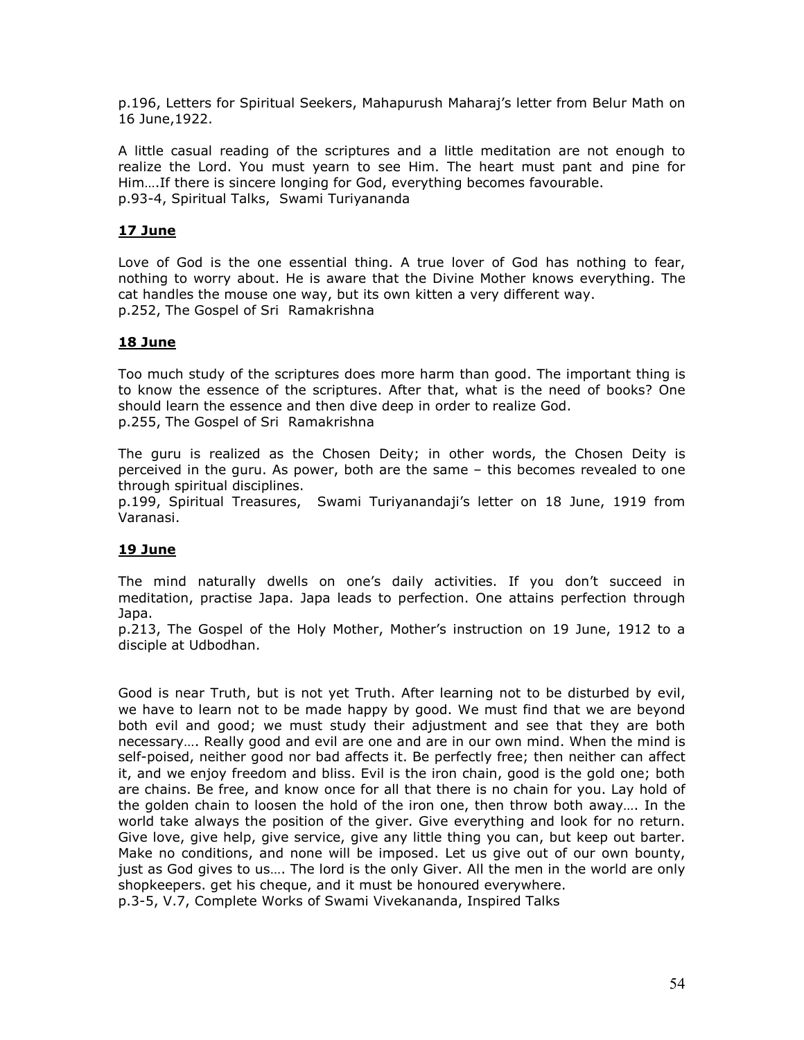p.196, Letters for Spiritual Seekers, Mahapurush Maharaj's letter from Belur Math on 16 June,1922.

A little casual reading of the scriptures and a little meditation are not enough to realize the Lord. You must yearn to see Him. The heart must pant and pine for Him….If there is sincere longing for God, everything becomes favourable. p.93-4, Spiritual Talks, Swami Turiyananda

## 17 June

Love of God is the one essential thing. A true lover of God has nothing to fear, nothing to worry about. He is aware that the Divine Mother knows everything. The cat handles the mouse one way, but its own kitten a very different way. p.252, The Gospel of Sri Ramakrishna

#### 18 June

Too much study of the scriptures does more harm than good. The important thing is to know the essence of the scriptures. After that, what is the need of books? One should learn the essence and then dive deep in order to realize God. p.255, The Gospel of Sri Ramakrishna

The guru is realized as the Chosen Deity; in other words, the Chosen Deity is perceived in the guru. As power, both are the same – this becomes revealed to one through spiritual disciplines.

p.199, Spiritual Treasures, Swami Turiyanandaji's letter on 18 June, 1919 from Varanasi.

## 19 June

The mind naturally dwells on one's daily activities. If you don't succeed in meditation, practise Japa. Japa leads to perfection. One attains perfection through Japa.

p.213, The Gospel of the Holy Mother, Mother's instruction on 19 June, 1912 to a disciple at Udbodhan.

Good is near Truth, but is not yet Truth. After learning not to be disturbed by evil, we have to learn not to be made happy by good. We must find that we are beyond both evil and good; we must study their adjustment and see that they are both necessary…. Really good and evil are one and are in our own mind. When the mind is self-poised, neither good nor bad affects it. Be perfectly free; then neither can affect it, and we enjoy freedom and bliss. Evil is the iron chain, good is the gold one; both are chains. Be free, and know once for all that there is no chain for you. Lay hold of the golden chain to loosen the hold of the iron one, then throw both away…. In the world take always the position of the giver. Give everything and look for no return. Give love, give help, give service, give any little thing you can, but keep out barter. Make no conditions, and none will be imposed. Let us give out of our own bounty, just as God gives to us…. The lord is the only Giver. All the men in the world are only shopkeepers. get his cheque, and it must be honoured everywhere.

p.3-5, V.7, Complete Works of Swami Vivekananda, Inspired Talks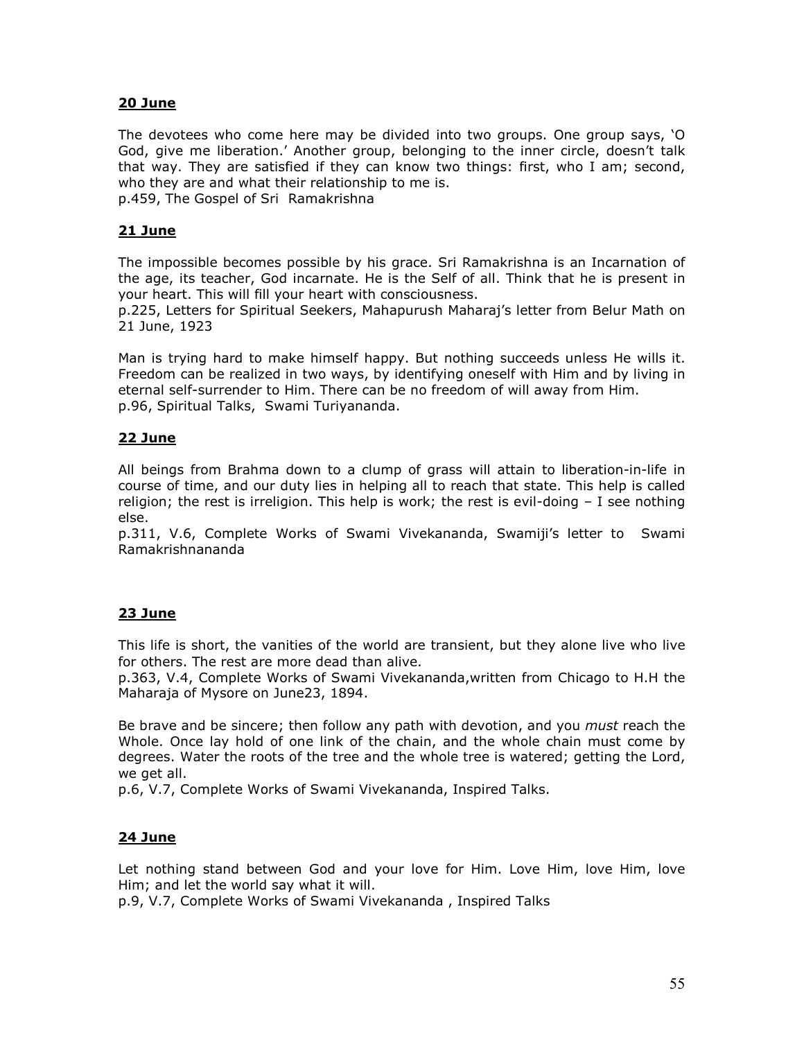The devotees who come here may be divided into two groups. One group says, 'O God, give me liberation.' Another group, belonging to the inner circle, doesn't talk that way. They are satisfied if they can know two things: first, who I am; second, who they are and what their relationship to me is.

p.459, The Gospel of Sri Ramakrishna

#### 21 June

The impossible becomes possible by his grace. Sri Ramakrishna is an Incarnation of the age, its teacher, God incarnate. He is the Self of all. Think that he is present in your heart. This will fill your heart with consciousness.

p.225, Letters for Spiritual Seekers, Mahapurush Maharaj's letter from Belur Math on 21 June, 1923

Man is trying hard to make himself happy. But nothing succeeds unless He wills it. Freedom can be realized in two ways, by identifying oneself with Him and by living in eternal self-surrender to Him. There can be no freedom of will away from Him. p.96, Spiritual Talks, Swami Turiyananda.

#### 22 June

All beings from Brahma down to a clump of grass will attain to liberation-in-life in course of time, and our duty lies in helping all to reach that state. This help is called religion; the rest is irreligion. This help is work; the rest is evil-doing  $-1$  see nothing else.

p.311, V.6, Complete Works of Swami Vivekananda, Swamiji's letter to Swami Ramakrishnananda

## 23 June

This life is short, the vanities of the world are transient, but they alone live who live for others. The rest are more dead than alive.

p.363, V.4, Complete Works of Swami Vivekananda,written from Chicago to H.H the Maharaja of Mysore on June23, 1894.

Be brave and be sincere; then follow any path with devotion, and you *must* reach the Whole. Once lay hold of one link of the chain, and the whole chain must come by degrees. Water the roots of the tree and the whole tree is watered; getting the Lord, we get all.

p.6, V.7, Complete Works of Swami Vivekananda, Inspired Talks.

## 24 June

Let nothing stand between God and your love for Him. Love Him, love Him, love Him; and let the world say what it will.

p.9, V.7, Complete Works of Swami Vivekananda , Inspired Talks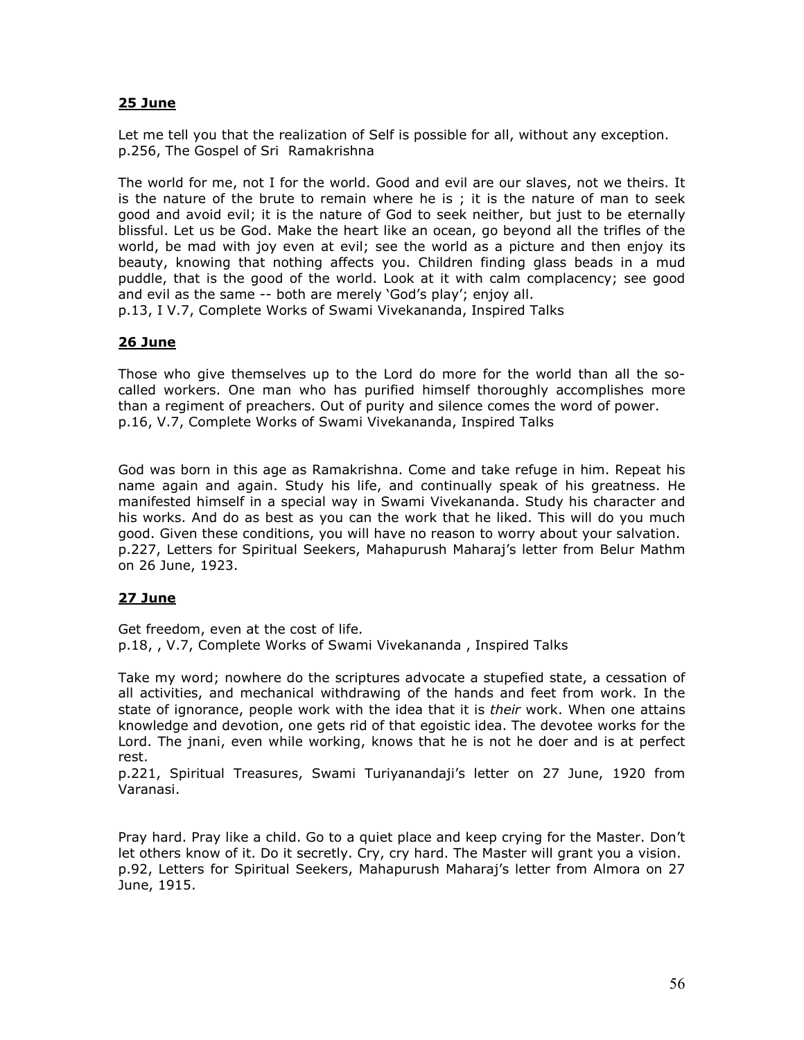Let me tell you that the realization of Self is possible for all, without any exception. p.256, The Gospel of Sri Ramakrishna

The world for me, not I for the world. Good and evil are our slaves, not we theirs. It is the nature of the brute to remain where he is ; it is the nature of man to seek good and avoid evil; it is the nature of God to seek neither, but just to be eternally blissful. Let us be God. Make the heart like an ocean, go beyond all the trifles of the world, be mad with joy even at evil; see the world as a picture and then enjoy its beauty, knowing that nothing affects you. Children finding glass beads in a mud puddle, that is the good of the world. Look at it with calm complacency; see good and evil as the same -- both are merely 'God's play'; enjoy all. p.13, I V.7, Complete Works of Swami Vivekananda, Inspired Talks

#### 26 June

Those who give themselves up to the Lord do more for the world than all the socalled workers. One man who has purified himself thoroughly accomplishes more than a regiment of preachers. Out of purity and silence comes the word of power. p.16, V.7, Complete Works of Swami Vivekananda, Inspired Talks

God was born in this age as Ramakrishna. Come and take refuge in him. Repeat his name again and again. Study his life, and continually speak of his greatness. He manifested himself in a special way in Swami Vivekananda. Study his character and his works. And do as best as you can the work that he liked. This will do you much good. Given these conditions, you will have no reason to worry about your salvation. p.227, Letters for Spiritual Seekers, Mahapurush Maharaj's letter from Belur Mathm on 26 June, 1923.

## 27 June

Get freedom, even at the cost of life. p.18, , V.7, Complete Works of Swami Vivekananda , Inspired Talks

Take my word; nowhere do the scriptures advocate a stupefied state, a cessation of all activities, and mechanical withdrawing of the hands and feet from work. In the state of ignorance, people work with the idea that it is *their* work. When one attains knowledge and devotion, one gets rid of that egoistic idea. The devotee works for the Lord. The jnani, even while working, knows that he is not he doer and is at perfect rest.

p.221, Spiritual Treasures, Swami Turiyanandaji's letter on 27 June, 1920 from Varanasi.

Pray hard. Pray like a child. Go to a quiet place and keep crying for the Master. Don't let others know of it. Do it secretly. Cry, cry hard. The Master will grant you a vision. p.92, Letters for Spiritual Seekers, Mahapurush Maharaj's letter from Almora on 27 June, 1915.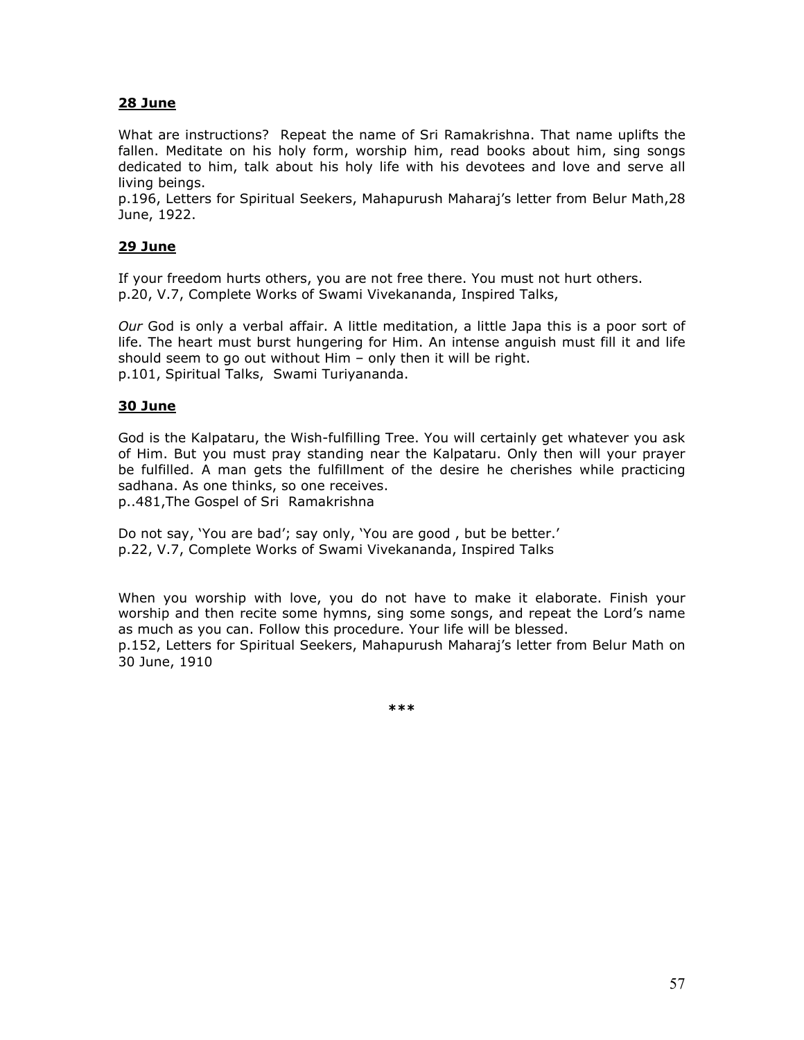What are instructions? Repeat the name of Sri Ramakrishna. That name uplifts the fallen. Meditate on his holy form, worship him, read books about him, sing songs dedicated to him, talk about his holy life with his devotees and love and serve all living beings.

p.196, Letters for Spiritual Seekers, Mahapurush Maharaj's letter from Belur Math,28 June, 1922.

#### 29 June

If your freedom hurts others, you are not free there. You must not hurt others. p.20, V.7, Complete Works of Swami Vivekananda, Inspired Talks,

Our God is only a verbal affair. A little meditation, a little Japa this is a poor sort of life. The heart must burst hungering for Him. An intense anguish must fill it and life should seem to go out without Him – only then it will be right. p.101, Spiritual Talks, Swami Turiyananda.

#### 30 June

30 June, 1910

God is the Kalpataru, the Wish-fulfilling Tree. You will certainly get whatever you ask of Him. But you must pray standing near the Kalpataru. Only then will your prayer be fulfilled. A man gets the fulfillment of the desire he cherishes while practicing sadhana. As one thinks, so one receives.

p..481,The Gospel of Sri Ramakrishna

Do not say, 'You are bad'; say only, 'You are good , but be better.' p.22, V.7, Complete Works of Swami Vivekananda, Inspired Talks

When you worship with love, you do not have to make it elaborate. Finish your worship and then recite some hymns, sing some songs, and repeat the Lord's name as much as you can. Follow this procedure. Your life will be blessed. p.152, Letters for Spiritual Seekers, Mahapurush Maharaj's letter from Belur Math on

\*\*\*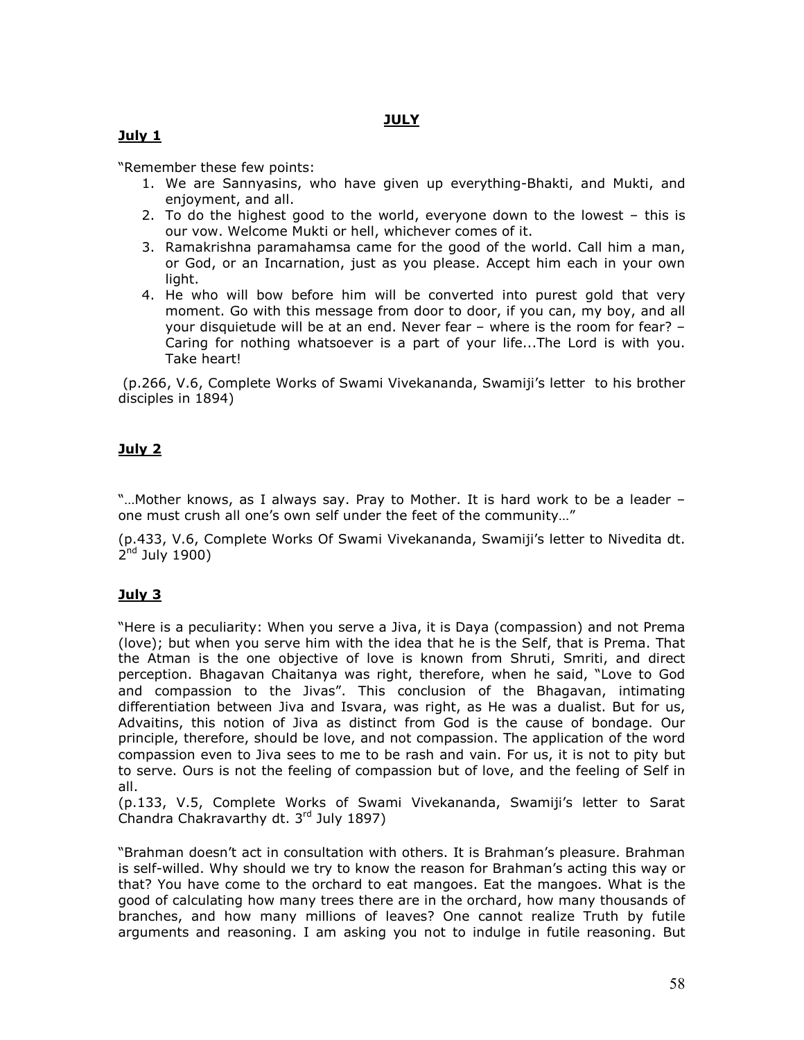## July 1

"Remember these few points:

- 1. We are Sannyasins, who have given up everything-Bhakti, and Mukti, and enjoyment, and all.
- 2. To do the highest good to the world, everyone down to the lowest this is our vow. Welcome Mukti or hell, whichever comes of it.
- 3. Ramakrishna paramahamsa came for the good of the world. Call him a man, or God, or an Incarnation, just as you please. Accept him each in your own light.
- 4. He who will bow before him will be converted into purest gold that very moment. Go with this message from door to door, if you can, my boy, and all your disquietude will be at an end. Never fear – where is the room for fear? – Caring for nothing whatsoever is a part of your life...The Lord is with you. Take heart!

 (p.266, V.6, Complete Works of Swami Vivekananda, Swamiji's letter to his brother disciples in 1894)

## July 2

"…Mother knows, as I always say. Pray to Mother. It is hard work to be a leader – one must crush all one's own self under the feet of the community…"

(p.433, V.6, Complete Works Of Swami Vivekananda, Swamiji's letter to Nivedita dt. 2<sup>nd</sup> July 1900)

## July 3

"Here is a peculiarity: When you serve a Jiva, it is Daya (compassion) and not Prema (love); but when you serve him with the idea that he is the Self, that is Prema. That the Atman is the one objective of love is known from Shruti, Smriti, and direct perception. Bhagavan Chaitanya was right, therefore, when he said, "Love to God and compassion to the Jivas". This conclusion of the Bhagavan, intimating differentiation between Jiva and Isvara, was right, as He was a dualist. But for us, Advaitins, this notion of Jiva as distinct from God is the cause of bondage. Our principle, therefore, should be love, and not compassion. The application of the word compassion even to Jiva sees to me to be rash and vain. For us, it is not to pity but to serve. Ours is not the feeling of compassion but of love, and the feeling of Self in all.

(p.133, V.5, Complete Works of Swami Vivekananda, Swamiji's letter to Sarat Chandra Chakravarthy dt. 3<sup>rd</sup> July 1897)

"Brahman doesn't act in consultation with others. It is Brahman's pleasure. Brahman is self-willed. Why should we try to know the reason for Brahman's acting this way or that? You have come to the orchard to eat mangoes. Eat the mangoes. What is the good of calculating how many trees there are in the orchard, how many thousands of branches, and how many millions of leaves? One cannot realize Truth by futile arguments and reasoning. I am asking you not to indulge in futile reasoning. But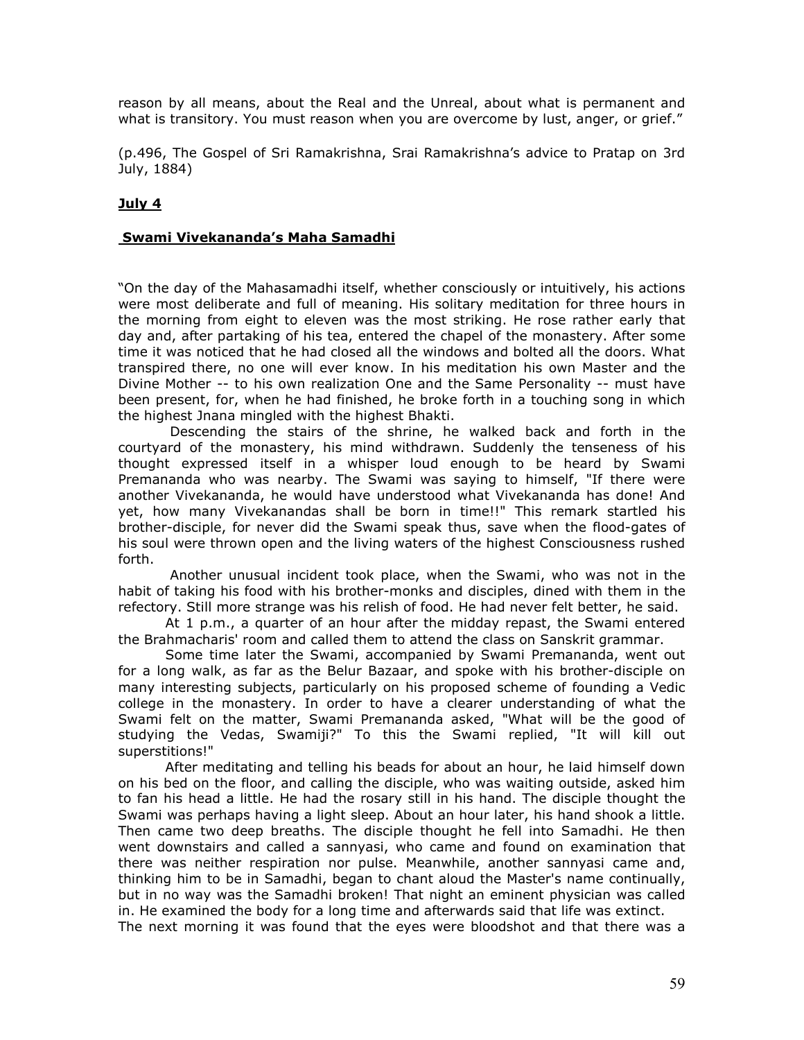reason by all means, about the Real and the Unreal, about what is permanent and what is transitory. You must reason when you are overcome by lust, anger, or grief."

(p.496, The Gospel of Sri Ramakrishna, Srai Ramakrishna's advice to Pratap on 3rd July, 1884)

## July 4

#### Swami Vivekananda's Maha Samadhi

"On the day of the Mahasamadhi itself, whether consciously or intuitively, his actions were most deliberate and full of meaning. His solitary meditation for three hours in the morning from eight to eleven was the most striking. He rose rather early that day and, after partaking of his tea, entered the chapel of the monastery. After some time it was noticed that he had closed all the windows and bolted all the doors. What transpired there, no one will ever know. In his meditation his own Master and the Divine Mother -- to his own realization One and the Same Personality -- must have been present, for, when he had finished, he broke forth in a touching song in which the highest Jnana mingled with the highest Bhakti.

 Descending the stairs of the shrine, he walked back and forth in the courtyard of the monastery, his mind withdrawn. Suddenly the tenseness of his thought expressed itself in a whisper loud enough to be heard by Swami Premananda who was nearby. The Swami was saying to himself, "If there were another Vivekananda, he would have understood what Vivekananda has done! And yet, how many Vivekanandas shall be born in time!!" This remark startled his brother-disciple, for never did the Swami speak thus, save when the flood-gates of his soul were thrown open and the living waters of the highest Consciousness rushed forth.

 Another unusual incident took place, when the Swami, who was not in the habit of taking his food with his brother-monks and disciples, dined with them in the refectory. Still more strange was his relish of food. He had never felt better, he said.

At 1 p.m., a quarter of an hour after the midday repast, the Swami entered the Brahmacharis' room and called them to attend the class on Sanskrit grammar.

Some time later the Swami, accompanied by Swami Premananda, went out for a long walk, as far as the Belur Bazaar, and spoke with his brother-disciple on many interesting subjects, particularly on his proposed scheme of founding a Vedic college in the monastery. In order to have a clearer understanding of what the Swami felt on the matter, Swami Premananda asked, "What will be the good of studying the Vedas, Swamiji?" To this the Swami replied, "It will kill out superstitions!"

After meditating and telling his beads for about an hour, he laid himself down on his bed on the floor, and calling the disciple, who was waiting outside, asked him to fan his head a little. He had the rosary still in his hand. The disciple thought the Swami was perhaps having a light sleep. About an hour later, his hand shook a little. Then came two deep breaths. The disciple thought he fell into Samadhi. He then went downstairs and called a sannyasi, who came and found on examination that there was neither respiration nor pulse. Meanwhile, another sannyasi came and, thinking him to be in Samadhi, began to chant aloud the Master's name continually, but in no way was the Samadhi broken! That night an eminent physician was called in. He examined the body for a long time and afterwards said that life was extinct. The next morning it was found that the eyes were bloodshot and that there was a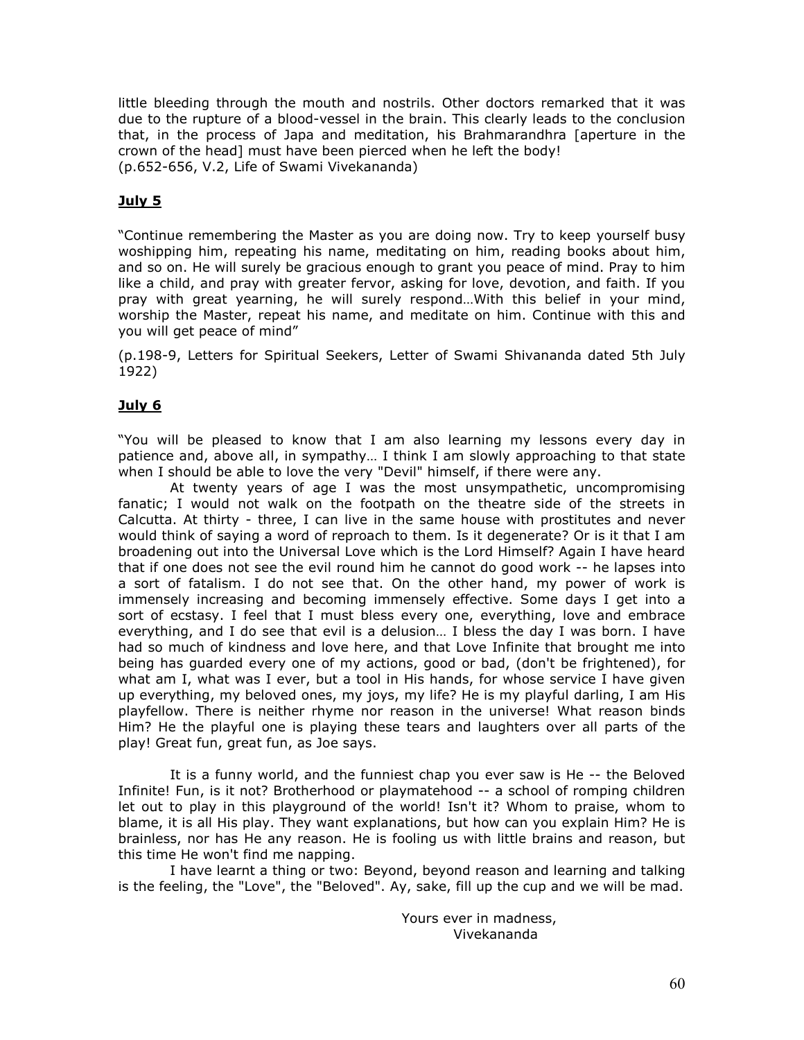little bleeding through the mouth and nostrils. Other doctors remarked that it was due to the rupture of a blood-vessel in the brain. This clearly leads to the conclusion that, in the process of Japa and meditation, his Brahmarandhra [aperture in the crown of the head] must have been pierced when he left the body! (p.652-656, V.2, Life of Swami Vivekananda)

# July 5

"Continue remembering the Master as you are doing now. Try to keep yourself busy woshipping him, repeating his name, meditating on him, reading books about him, and so on. He will surely be gracious enough to grant you peace of mind. Pray to him like a child, and pray with greater fervor, asking for love, devotion, and faith. If you pray with great yearning, he will surely respond…With this belief in your mind, worship the Master, repeat his name, and meditate on him. Continue with this and you will get peace of mind"

(p.198-9, Letters for Spiritual Seekers, Letter of Swami Shivananda dated 5th July 1922)

## July 6

"You will be pleased to know that I am also learning my lessons every day in patience and, above all, in sympathy… I think I am slowly approaching to that state when I should be able to love the very "Devil" himself, if there were any.

 At twenty years of age I was the most unsympathetic, uncompromising fanatic; I would not walk on the footpath on the theatre side of the streets in Calcutta. At thirty - three, I can live in the same house with prostitutes and never would think of saying a word of reproach to them. Is it degenerate? Or is it that I am broadening out into the Universal Love which is the Lord Himself? Again I have heard that if one does not see the evil round him he cannot do good work -- he lapses into a sort of fatalism. I do not see that. On the other hand, my power of work is immensely increasing and becoming immensely effective. Some days I get into a sort of ecstasy. I feel that I must bless every one, everything, love and embrace everything, and I do see that evil is a delusion… I bless the day I was born. I have had so much of kindness and love here, and that Love Infinite that brought me into being has guarded every one of my actions, good or bad, (don't be frightened), for what am I, what was I ever, but a tool in His hands, for whose service I have given up everything, my beloved ones, my joys, my life? He is my playful darling, I am His playfellow. There is neither rhyme nor reason in the universe! What reason binds Him? He the playful one is playing these tears and laughters over all parts of the play! Great fun, great fun, as Joe says.

 It is a funny world, and the funniest chap you ever saw is He -- the Beloved Infinite! Fun, is it not? Brotherhood or playmatehood -- a school of romping children let out to play in this playground of the world! Isn't it? Whom to praise, whom to blame, it is all His play. They want explanations, but how can you explain Him? He is brainless, nor has He any reason. He is fooling us with little brains and reason, but this time He won't find me napping.

 I have learnt a thing or two: Beyond, beyond reason and learning and talking is the feeling, the "Love", the "Beloved". Ay, sake, fill up the cup and we will be mad.

> Yours ever in madness, Vivekananda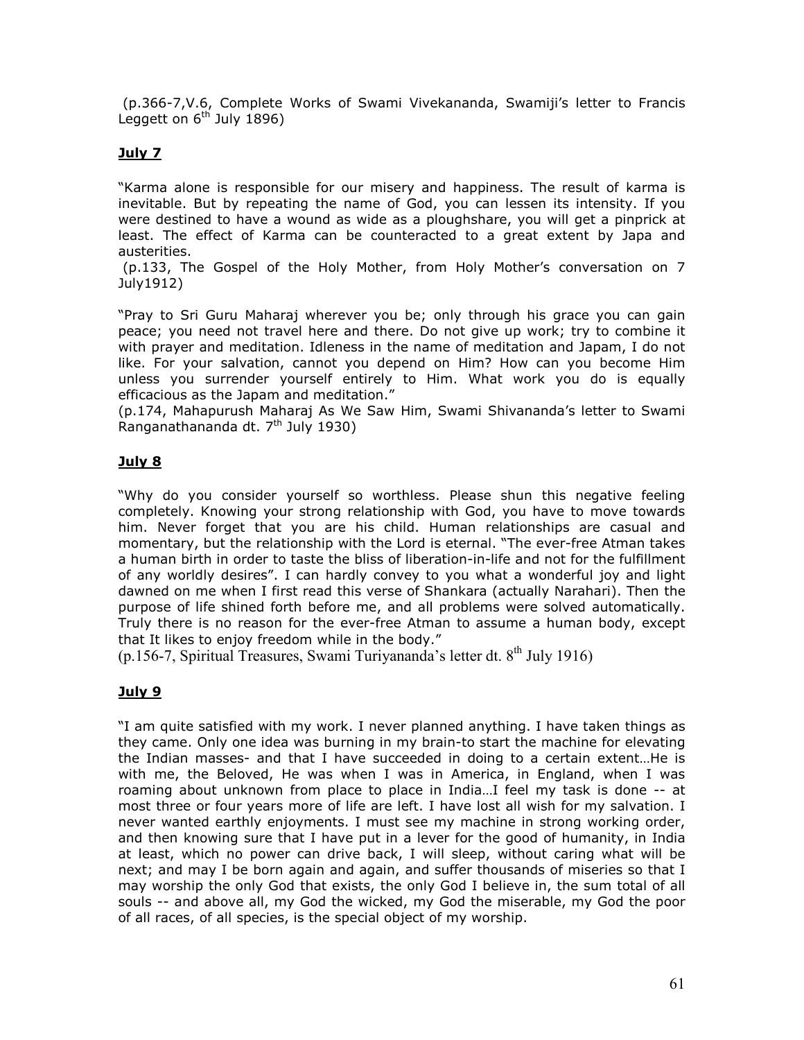(p.366-7,V.6, Complete Works of Swami Vivekananda, Swamiji's letter to Francis Leggett on  $6<sup>th</sup>$  July 1896)

# July 7

"Karma alone is responsible for our misery and happiness. The result of karma is inevitable. But by repeating the name of God, you can lessen its intensity. If you were destined to have a wound as wide as a ploughshare, you will get a pinprick at least. The effect of Karma can be counteracted to a great extent by Japa and austerities.

 (p.133, The Gospel of the Holy Mother, from Holy Mother's conversation on 7 July1912)

"Pray to Sri Guru Maharaj wherever you be; only through his grace you can gain peace; you need not travel here and there. Do not give up work; try to combine it with prayer and meditation. Idleness in the name of meditation and Japam, I do not like. For your salvation, cannot you depend on Him? How can you become Him unless you surrender yourself entirely to Him. What work you do is equally efficacious as the Japam and meditation."

(p.174, Mahapurush Maharaj As We Saw Him, Swami Shivananda's letter to Swami Ranganathananda dt.  $7<sup>th</sup>$  July 1930)

# July 8

"Why do you consider yourself so worthless. Please shun this negative feeling completely. Knowing your strong relationship with God, you have to move towards him. Never forget that you are his child. Human relationships are casual and momentary, but the relationship with the Lord is eternal. "The ever-free Atman takes a human birth in order to taste the bliss of liberation-in-life and not for the fulfillment of any worldly desires". I can hardly convey to you what a wonderful joy and light dawned on me when I first read this verse of Shankara (actually Narahari). Then the purpose of life shined forth before me, and all problems were solved automatically. Truly there is no reason for the ever-free Atman to assume a human body, except that It likes to enjoy freedom while in the body."

 $(p.156-7,$  Spiritual Treasures, Swami Turiyananda's letter dt.  $8<sup>th</sup>$  July 1916)

# July 9

"I am quite satisfied with my work. I never planned anything. I have taken things as they came. Only one idea was burning in my brain-to start the machine for elevating the Indian masses- and that I have succeeded in doing to a certain extent…He is with me, the Beloved, He was when I was in America, in England, when I was roaming about unknown from place to place in India…I feel my task is done -- at most three or four years more of life are left. I have lost all wish for my salvation. I never wanted earthly enjoyments. I must see my machine in strong working order, and then knowing sure that I have put in a lever for the good of humanity, in India at least, which no power can drive back, I will sleep, without caring what will be next; and may I be born again and again, and suffer thousands of miseries so that I may worship the only God that exists, the only God I believe in, the sum total of all souls -- and above all, my God the wicked, my God the miserable, my God the poor of all races, of all species, is the special object of my worship.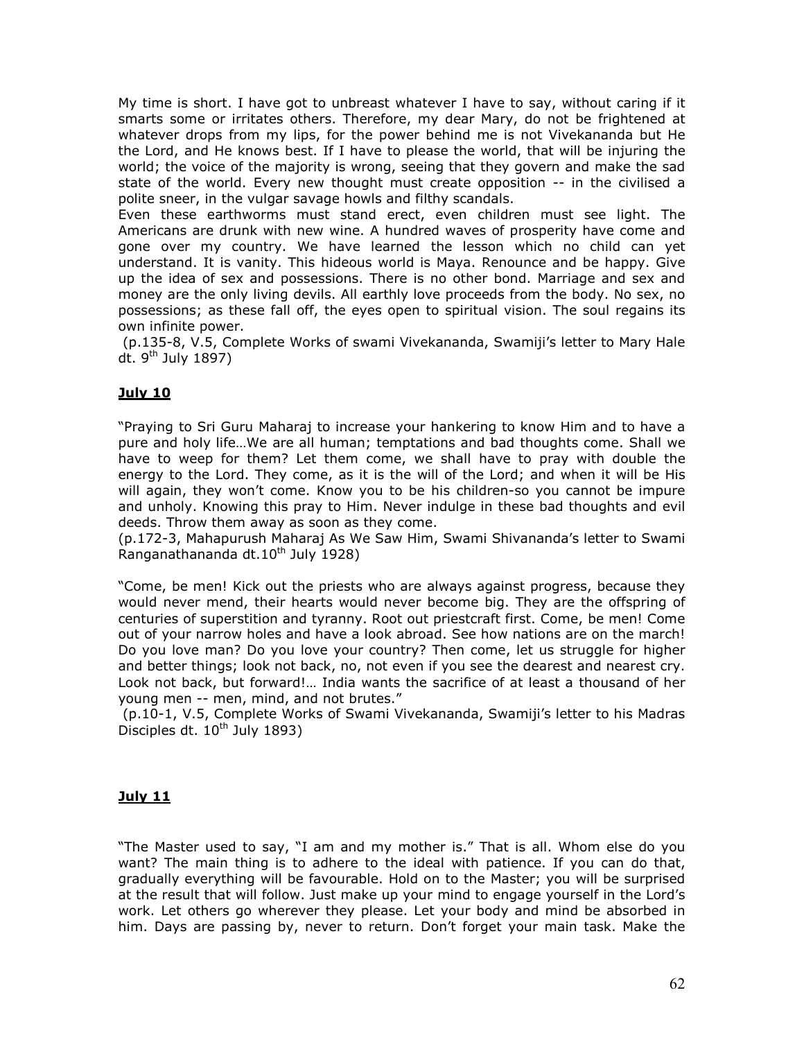My time is short. I have got to unbreast whatever I have to say, without caring if it smarts some or irritates others. Therefore, my dear Mary, do not be frightened at whatever drops from my lips, for the power behind me is not Vivekananda but He the Lord, and He knows best. If I have to please the world, that will be injuring the world; the voice of the majority is wrong, seeing that they govern and make the sad state of the world. Every new thought must create opposition -- in the civilised a polite sneer, in the vulgar savage howls and filthy scandals.

Even these earthworms must stand erect, even children must see light. The Americans are drunk with new wine. A hundred waves of prosperity have come and gone over my country. We have learned the lesson which no child can yet understand. It is vanity. This hideous world is Maya. Renounce and be happy. Give up the idea of sex and possessions. There is no other bond. Marriage and sex and money are the only living devils. All earthly love proceeds from the body. No sex, no possessions; as these fall off, the eyes open to spiritual vision. The soul regains its own infinite power.

 (p.135-8, V.5, Complete Works of swami Vivekananda, Swamiji's letter to Mary Hale dt. 9<sup>th</sup> July 1897)

## July 10

"Praying to Sri Guru Maharaj to increase your hankering to know Him and to have a pure and holy life…We are all human; temptations and bad thoughts come. Shall we have to weep for them? Let them come, we shall have to pray with double the energy to the Lord. They come, as it is the will of the Lord; and when it will be His will again, they won't come. Know you to be his children-so you cannot be impure and unholy. Knowing this pray to Him. Never indulge in these bad thoughts and evil deeds. Throw them away as soon as they come.

(p.172-3, Mahapurush Maharaj As We Saw Him, Swami Shivananda's letter to Swami Ranganathananda dt.10<sup>th</sup> July 1928)

"Come, be men! Kick out the priests who are always against progress, because they would never mend, their hearts would never become big. They are the offspring of centuries of superstition and tyranny. Root out priestcraft first. Come, be men! Come out of your narrow holes and have a look abroad. See how nations are on the march! Do you love man? Do you love your country? Then come, let us struggle for higher and better things; look not back, no, not even if you see the dearest and nearest cry. Look not back, but forward!… India wants the sacrifice of at least a thousand of her young men -- men, mind, and not brutes."

 (p.10-1, V.5, Complete Works of Swami Vivekananda, Swamiji's letter to his Madras Disciples dt.  $10^{th}$  July 1893)

## July 11

"The Master used to say, "I am and my mother is." That is all. Whom else do you want? The main thing is to adhere to the ideal with patience. If you can do that, gradually everything will be favourable. Hold on to the Master; you will be surprised at the result that will follow. Just make up your mind to engage yourself in the Lord's work. Let others go wherever they please. Let your body and mind be absorbed in him. Days are passing by, never to return. Don't forget your main task. Make the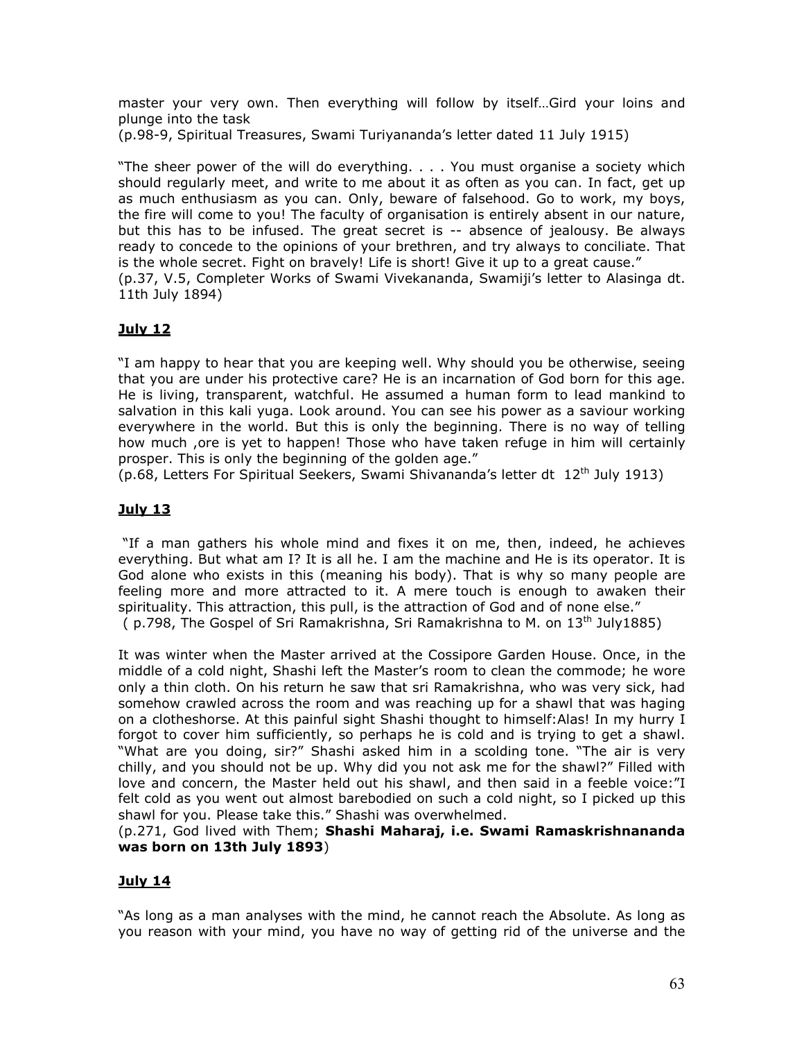master your very own. Then everything will follow by itself…Gird your loins and plunge into the task

(p.98-9, Spiritual Treasures, Swami Turiyananda's letter dated 11 July 1915)

"The sheer power of the will do everything. . . . You must organise a society which should regularly meet, and write to me about it as often as you can. In fact, get up as much enthusiasm as you can. Only, beware of falsehood. Go to work, my boys, the fire will come to you! The faculty of organisation is entirely absent in our nature, but this has to be infused. The great secret is -- absence of jealousy. Be always ready to concede to the opinions of your brethren, and try always to conciliate. That is the whole secret. Fight on bravely! Life is short! Give it up to a great cause."

(p.37, V.5, Completer Works of Swami Vivekananda, Swamiji's letter to Alasinga dt. 11th July 1894)

## July 12

"I am happy to hear that you are keeping well. Why should you be otherwise, seeing that you are under his protective care? He is an incarnation of God born for this age. He is living, transparent, watchful. He assumed a human form to lead mankind to salvation in this kali yuga. Look around. You can see his power as a saviour working everywhere in the world. But this is only the beginning. There is no way of telling how much ,ore is yet to happen! Those who have taken refuge in him will certainly prosper. This is only the beginning of the golden age."

(p.68, Letters For Spiritual Seekers, Swami Shivananda's letter dt  $12<sup>th</sup>$  July 1913)

## July 13

 "If a man gathers his whole mind and fixes it on me, then, indeed, he achieves everything. But what am I? It is all he. I am the machine and He is its operator. It is God alone who exists in this (meaning his body). That is why so many people are feeling more and more attracted to it. A mere touch is enough to awaken their spirituality. This attraction, this pull, is the attraction of God and of none else." ( p.798, The Gospel of Sri Ramakrishna, Sri Ramakrishna to M. on 13th July1885)

It was winter when the Master arrived at the Cossipore Garden House. Once, in the middle of a cold night, Shashi left the Master's room to clean the commode; he wore only a thin cloth. On his return he saw that sri Ramakrishna, who was very sick, had somehow crawled across the room and was reaching up for a shawl that was haging on a clotheshorse. At this painful sight Shashi thought to himself:Alas! In my hurry I forgot to cover him sufficiently, so perhaps he is cold and is trying to get a shawl. "What are you doing, sir?" Shashi asked him in a scolding tone. "The air is very chilly, and you should not be up. Why did you not ask me for the shawl?" Filled with love and concern, the Master held out his shawl, and then said in a feeble voice:"I felt cold as you went out almost barebodied on such a cold night, so I picked up this shawl for you. Please take this." Shashi was overwhelmed.

(p.271, God lived with Them; Shashi Maharaj, i.e. Swami Ramaskrishnananda was born on 13th July 1893)

## July 14

"As long as a man analyses with the mind, he cannot reach the Absolute. As long as you reason with your mind, you have no way of getting rid of the universe and the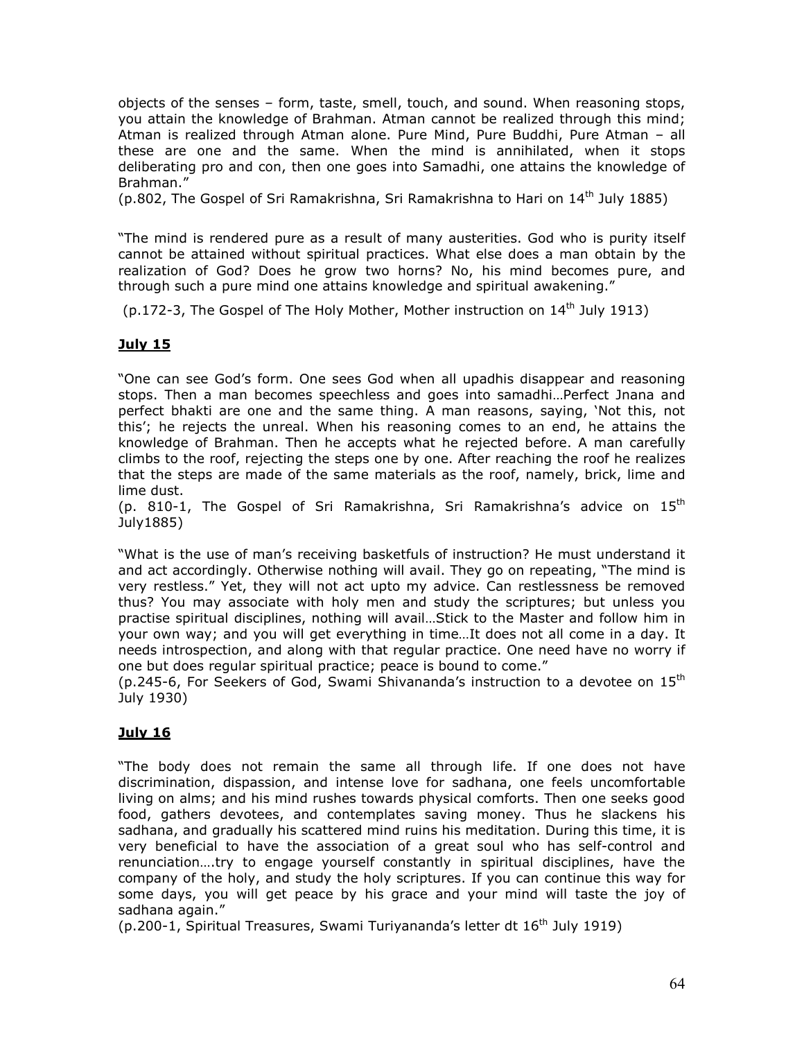objects of the senses – form, taste, smell, touch, and sound. When reasoning stops, you attain the knowledge of Brahman. Atman cannot be realized through this mind; Atman is realized through Atman alone. Pure Mind, Pure Buddhi, Pure Atman – all these are one and the same. When the mind is annihilated, when it stops deliberating pro and con, then one goes into Samadhi, one attains the knowledge of Brahman."

(p.802, The Gospel of Sri Ramakrishna, Sri Ramakrishna to Hari on  $14^{\text{th}}$  July 1885)

"The mind is rendered pure as a result of many austerities. God who is purity itself cannot be attained without spiritual practices. What else does a man obtain by the realization of God? Does he grow two horns? No, his mind becomes pure, and through such a pure mind one attains knowledge and spiritual awakening."

 $(p.172-3,$  The Gospel of The Holy Mother, Mother instruction on  $14<sup>th</sup>$  July 1913)

## July 15

"One can see God's form. One sees God when all upadhis disappear and reasoning stops. Then a man becomes speechless and goes into samadhi…Perfect Jnana and perfect bhakti are one and the same thing. A man reasons, saying, 'Not this, not this'; he rejects the unreal. When his reasoning comes to an end, he attains the knowledge of Brahman. Then he accepts what he rejected before. A man carefully climbs to the roof, rejecting the steps one by one. After reaching the roof he realizes that the steps are made of the same materials as the roof, namely, brick, lime and lime dust.

(p. 810-1, The Gospel of Sri Ramakrishna, Sri Ramakrishna's advice on 15<sup>th</sup> July1885)

"What is the use of man's receiving basketfuls of instruction? He must understand it and act accordingly. Otherwise nothing will avail. They go on repeating, "The mind is very restless." Yet, they will not act upto my advice. Can restlessness be removed thus? You may associate with holy men and study the scriptures; but unless you practise spiritual disciplines, nothing will avail…Stick to the Master and follow him in your own way; and you will get everything in time…It does not all come in a day. It needs introspection, and along with that regular practice. One need have no worry if one but does regular spiritual practice; peace is bound to come."

(p.245-6, For Seekers of God, Swami Shivananda's instruction to a devotee on  $15^{th}$ July 1930)

# July 16

"The body does not remain the same all through life. If one does not have discrimination, dispassion, and intense love for sadhana, one feels uncomfortable living on alms; and his mind rushes towards physical comforts. Then one seeks good food, gathers devotees, and contemplates saving money. Thus he slackens his sadhana, and gradually his scattered mind ruins his meditation. During this time, it is very beneficial to have the association of a great soul who has self-control and renunciation….try to engage yourself constantly in spiritual disciplines, have the company of the holy, and study the holy scriptures. If you can continue this way for some days, you will get peace by his grace and your mind will taste the joy of sadhana again."

(p.200-1, Spiritual Treasures, Swami Turiyananda's letter dt  $16<sup>th</sup>$  July 1919)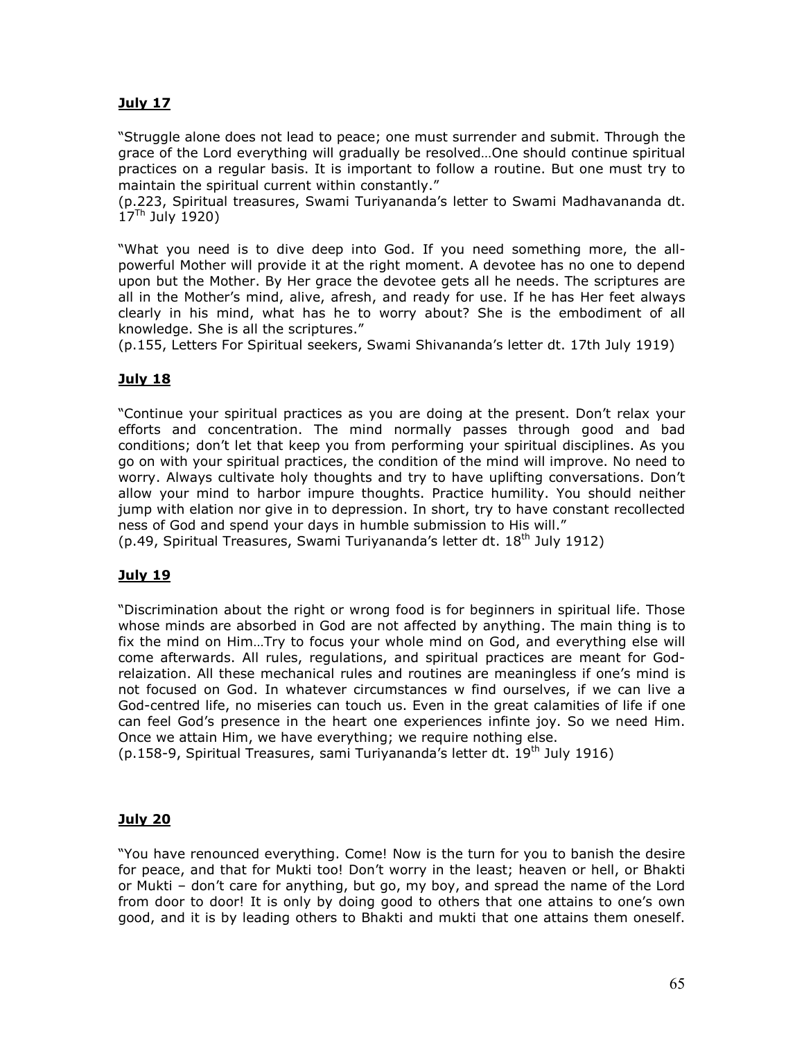## July 17

"Struggle alone does not lead to peace; one must surrender and submit. Through the grace of the Lord everything will gradually be resolved…One should continue spiritual practices on a regular basis. It is important to follow a routine. But one must try to maintain the spiritual current within constantly."

(p.223, Spiritual treasures, Swami Turiyananda's letter to Swami Madhavananda dt.  $17^{Th}$  July 1920)

"What you need is to dive deep into God. If you need something more, the allpowerful Mother will provide it at the right moment. A devotee has no one to depend upon but the Mother. By Her grace the devotee gets all he needs. The scriptures are all in the Mother's mind, alive, afresh, and ready for use. If he has Her feet always clearly in his mind, what has he to worry about? She is the embodiment of all knowledge. She is all the scriptures."

(p.155, Letters For Spiritual seekers, Swami Shivananda's letter dt. 17th July 1919)

## July 18

"Continue your spiritual practices as you are doing at the present. Don't relax your efforts and concentration. The mind normally passes through good and bad conditions; don't let that keep you from performing your spiritual disciplines. As you go on with your spiritual practices, the condition of the mind will improve. No need to worry. Always cultivate holy thoughts and try to have uplifting conversations. Don't allow your mind to harbor impure thoughts. Practice humility. You should neither jump with elation nor give in to depression. In short, try to have constant recollected ness of God and spend your days in humble submission to His will."

(p.49, Spiritual Treasures, Swami Turiyananda's letter dt.  $18<sup>th</sup>$  July 1912)

## July 19

"Discrimination about the right or wrong food is for beginners in spiritual life. Those whose minds are absorbed in God are not affected by anything. The main thing is to fix the mind on Him…Try to focus your whole mind on God, and everything else will come afterwards. All rules, regulations, and spiritual practices are meant for Godrelaization. All these mechanical rules and routines are meaningless if one's mind is not focused on God. In whatever circumstances w find ourselves, if we can live a God-centred life, no miseries can touch us. Even in the great calamities of life if one can feel God's presence in the heart one experiences infinte joy. So we need Him. Once we attain Him, we have everything; we require nothing else.

(p.158-9, Spiritual Treasures, sami Turiyananda's letter dt.  $19^{th}$  July 1916)

## July 20

"You have renounced everything. Come! Now is the turn for you to banish the desire for peace, and that for Mukti too! Don't worry in the least; heaven or hell, or Bhakti or Mukti – don't care for anything, but go, my boy, and spread the name of the Lord from door to door! It is only by doing good to others that one attains to one's own good, and it is by leading others to Bhakti and mukti that one attains them oneself.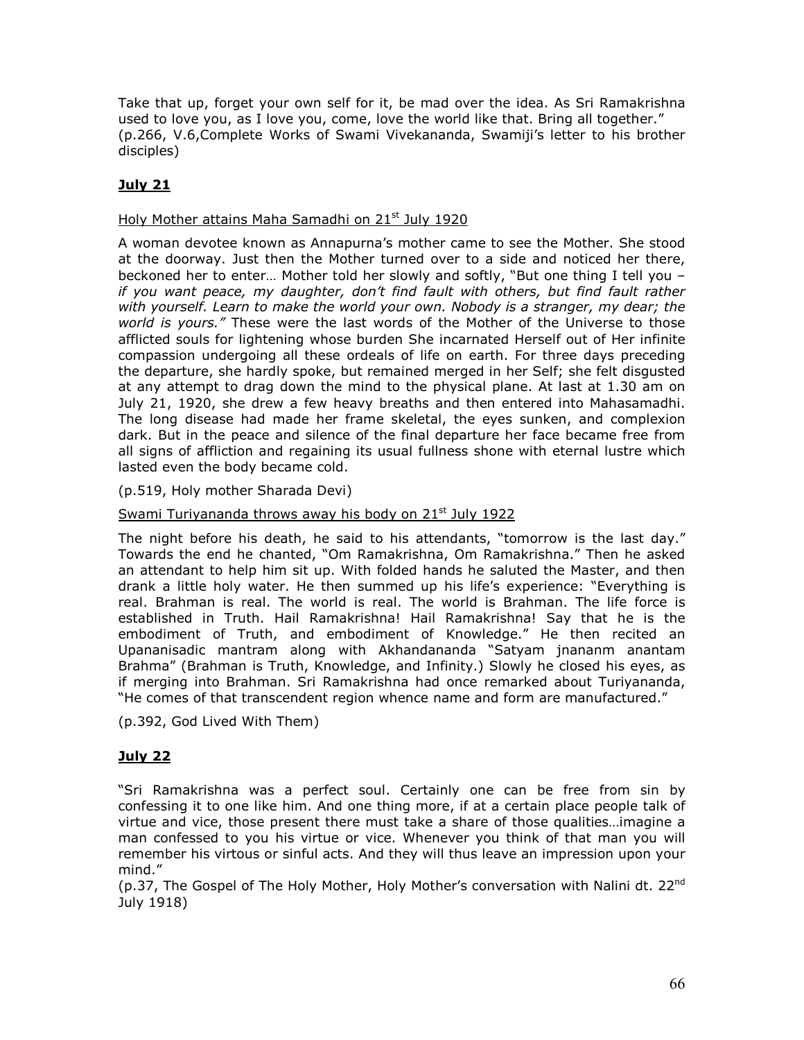Take that up, forget your own self for it, be mad over the idea. As Sri Ramakrishna used to love you, as I love you, come, love the world like that. Bring all together." (p.266, V.6,Complete Works of Swami Vivekananda, Swamiji's letter to his brother disciples)

# July 21

## Holy Mother attains Maha Samadhi on 21<sup>st</sup> July 1920

A woman devotee known as Annapurna's mother came to see the Mother. She stood at the doorway. Just then the Mother turned over to a side and noticed her there, beckoned her to enter… Mother told her slowly and softly, "But one thing I tell you – if you want peace, my daughter, don't find fault with others, but find fault rather with yourself. Learn to make the world your own. Nobody is a stranger, my dear; the world is yours." These were the last words of the Mother of the Universe to those afflicted souls for lightening whose burden She incarnated Herself out of Her infinite compassion undergoing all these ordeals of life on earth. For three days preceding the departure, she hardly spoke, but remained merged in her Self; she felt disgusted at any attempt to drag down the mind to the physical plane. At last at 1.30 am on July 21, 1920, she drew a few heavy breaths and then entered into Mahasamadhi. The long disease had made her frame skeletal, the eyes sunken, and complexion dark. But in the peace and silence of the final departure her face became free from all signs of affliction and regaining its usual fullness shone with eternal lustre which lasted even the body became cold.

(p.519, Holy mother Sharada Devi)

Swami Turiyananda throws away his body on 21<sup>st</sup> July 1922

The night before his death, he said to his attendants, "tomorrow is the last day." Towards the end he chanted, "Om Ramakrishna, Om Ramakrishna." Then he asked an attendant to help him sit up. With folded hands he saluted the Master, and then drank a little holy water. He then summed up his life's experience: "Everything is real. Brahman is real. The world is real. The world is Brahman. The life force is established in Truth. Hail Ramakrishna! Hail Ramakrishna! Say that he is the embodiment of Truth, and embodiment of Knowledge." He then recited an Upananisadic mantram along with Akhandananda "Satyam jnananm anantam Brahma" (Brahman is Truth, Knowledge, and Infinity.) Slowly he closed his eyes, as if merging into Brahman. Sri Ramakrishna had once remarked about Turiyananda, "He comes of that transcendent region whence name and form are manufactured."

(p.392, God Lived With Them)

# July 22

"Sri Ramakrishna was a perfect soul. Certainly one can be free from sin by confessing it to one like him. And one thing more, if at a certain place people talk of virtue and vice, those present there must take a share of those qualities…imagine a man confessed to you his virtue or vice. Whenever you think of that man you will remember his virtous or sinful acts. And they will thus leave an impression upon your mind."

(p.37, The Gospel of The Holy Mother, Holy Mother's conversation with Nalini dt. 22<sup>nd</sup> July 1918)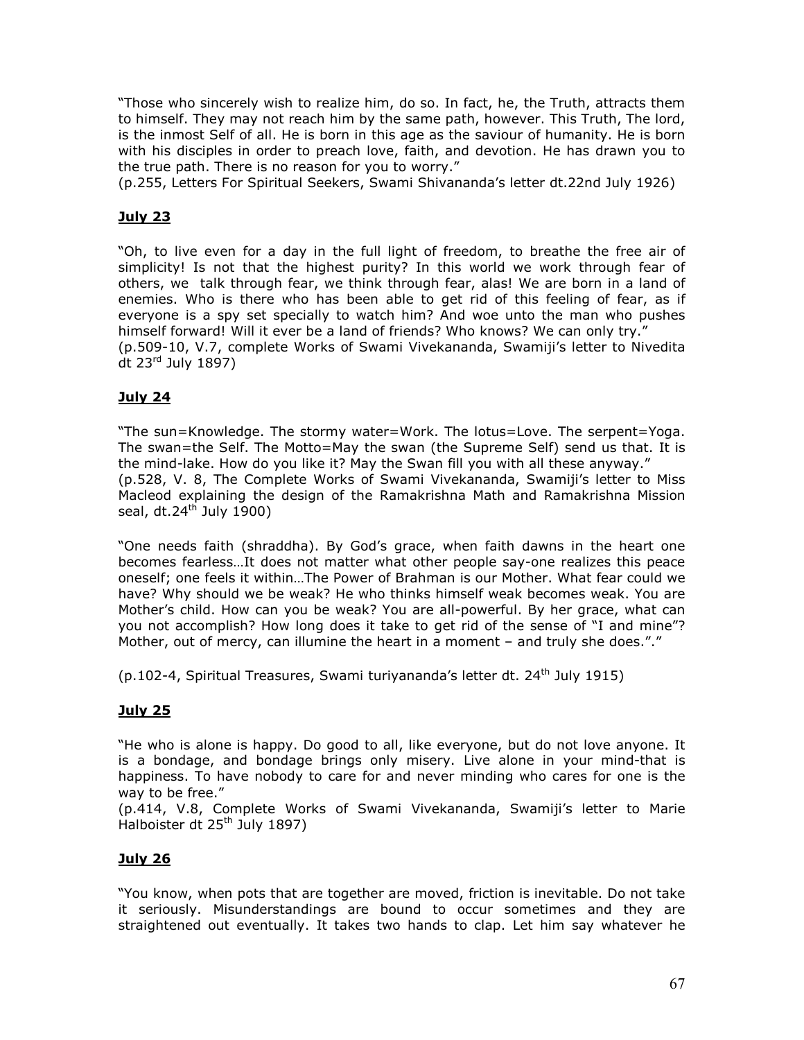"Those who sincerely wish to realize him, do so. In fact, he, the Truth, attracts them to himself. They may not reach him by the same path, however. This Truth, The lord, is the inmost Self of all. He is born in this age as the saviour of humanity. He is born with his disciples in order to preach love, faith, and devotion. He has drawn you to the true path. There is no reason for you to worry."

(p.255, Letters For Spiritual Seekers, Swami Shivananda's letter dt.22nd July 1926)

# July 23

"Oh, to live even for a day in the full light of freedom, to breathe the free air of simplicity! Is not that the highest purity? In this world we work through fear of others, we talk through fear, we think through fear, alas! We are born in a land of enemies. Who is there who has been able to get rid of this feeling of fear, as if everyone is a spy set specially to watch him? And woe unto the man who pushes himself forward! Will it ever be a land of friends? Who knows? We can only try." (p.509-10, V.7, complete Works of Swami Vivekananda, Swamiji's letter to Nivedita  $dt$  23 $rd$  July 1897)

# July 24

"The sun=Knowledge. The stormy water=Work. The lotus=Love. The serpent=Yoga. The swan=the Self. The Motto=May the swan (the Supreme Self) send us that. It is the mind-lake. How do you like it? May the Swan fill you with all these anyway." (p.528, V. 8, The Complete Works of Swami Vivekananda, Swamiji's letter to Miss Macleod explaining the design of the Ramakrishna Math and Ramakrishna Mission seal, dt. $24<sup>th</sup>$  July 1900)

"One needs faith (shraddha). By God's grace, when faith dawns in the heart one becomes fearless…It does not matter what other people say-one realizes this peace oneself; one feels it within…The Power of Brahman is our Mother. What fear could we have? Why should we be weak? He who thinks himself weak becomes weak. You are Mother's child. How can you be weak? You are all-powerful. By her grace, what can you not accomplish? How long does it take to get rid of the sense of "I and mine"? Mother, out of mercy, can illumine the heart in a moment – and truly she does."."

(p.102-4, Spiritual Treasures, Swami turiyananda's letter dt.  $24<sup>th</sup>$  July 1915)

# July 25

"He who is alone is happy. Do good to all, like everyone, but do not love anyone. It is a bondage, and bondage brings only misery. Live alone in your mind-that is happiness. To have nobody to care for and never minding who cares for one is the way to be free."

(p.414, V.8, Complete Works of Swami Vivekananda, Swamiji's letter to Marie Halboister dt  $25<sup>th</sup>$  July 1897)

## July 26

"You know, when pots that are together are moved, friction is inevitable. Do not take it seriously. Misunderstandings are bound to occur sometimes and they are straightened out eventually. It takes two hands to clap. Let him say whatever he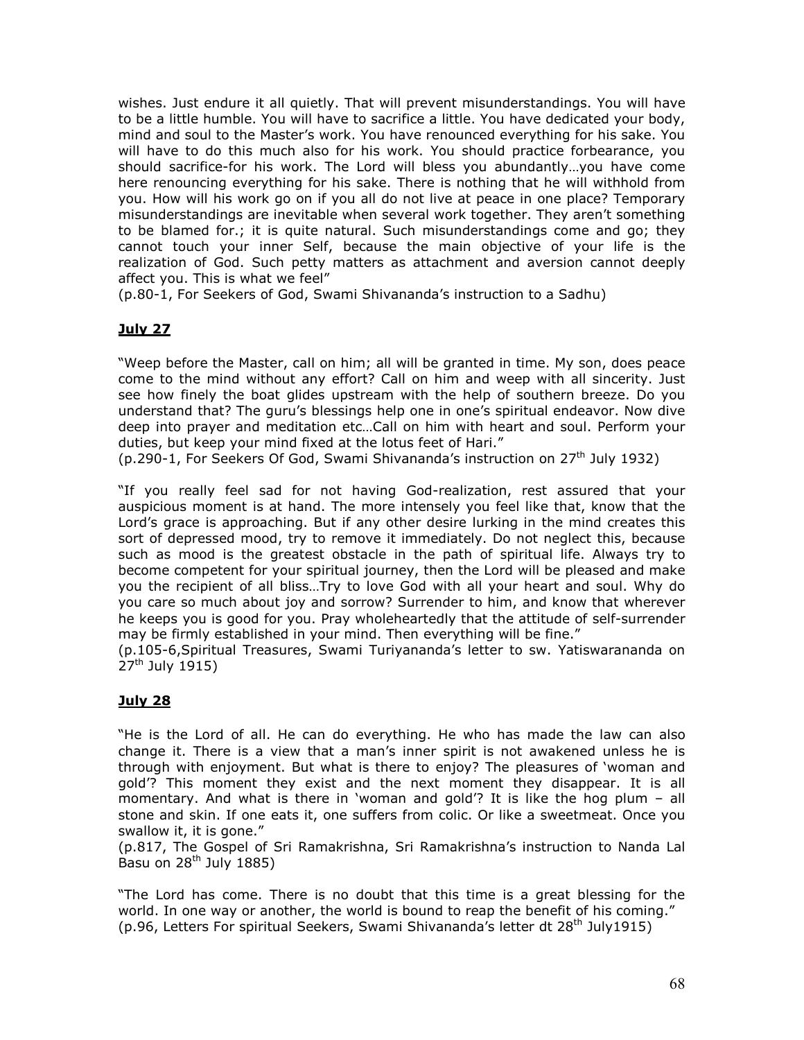wishes. Just endure it all quietly. That will prevent misunderstandings. You will have to be a little humble. You will have to sacrifice a little. You have dedicated your body, mind and soul to the Master's work. You have renounced everything for his sake. You will have to do this much also for his work. You should practice forbearance, you should sacrifice-for his work. The Lord will bless you abundantly…you have come here renouncing everything for his sake. There is nothing that he will withhold from you. How will his work go on if you all do not live at peace in one place? Temporary misunderstandings are inevitable when several work together. They aren't something to be blamed for.; it is quite natural. Such misunderstandings come and go; they cannot touch your inner Self, because the main objective of your life is the realization of God. Such petty matters as attachment and aversion cannot deeply affect you. This is what we feel"

(p.80-1, For Seekers of God, Swami Shivananda's instruction to a Sadhu)

# July 27

"Weep before the Master, call on him; all will be granted in time. My son, does peace come to the mind without any effort? Call on him and weep with all sincerity. Just see how finely the boat glides upstream with the help of southern breeze. Do you understand that? The guru's blessings help one in one's spiritual endeavor. Now dive deep into prayer and meditation etc…Call on him with heart and soul. Perform your duties, but keep your mind fixed at the lotus feet of Hari."

(p.290-1, For Seekers Of God, Swami Shivananda's instruction on 27<sup>th</sup> July 1932)

"If you really feel sad for not having God-realization, rest assured that your auspicious moment is at hand. The more intensely you feel like that, know that the Lord's grace is approaching. But if any other desire lurking in the mind creates this sort of depressed mood, try to remove it immediately. Do not neglect this, because such as mood is the greatest obstacle in the path of spiritual life. Always try to become competent for your spiritual journey, then the Lord will be pleased and make you the recipient of all bliss…Try to love God with all your heart and soul. Why do you care so much about joy and sorrow? Surrender to him, and know that wherever he keeps you is good for you. Pray wholeheartedly that the attitude of self-surrender may be firmly established in your mind. Then everything will be fine."

(p.105-6,Spiritual Treasures, Swami Turiyananda's letter to sw. Yatiswarananda on  $27<sup>th</sup>$  July 1915)

# July 28

"He is the Lord of all. He can do everything. He who has made the law can also change it. There is a view that a man's inner spirit is not awakened unless he is through with enjoyment. But what is there to enjoy? The pleasures of 'woman and gold'? This moment they exist and the next moment they disappear. It is all momentary. And what is there in 'woman and gold'? It is like the hog plum – all stone and skin. If one eats it, one suffers from colic. Or like a sweetmeat. Once you swallow it, it is gone."

(p.817, The Gospel of Sri Ramakrishna, Sri Ramakrishna's instruction to Nanda Lal Basu on  $28<sup>th</sup>$  July 1885)

"The Lord has come. There is no doubt that this time is a great blessing for the world. In one way or another, the world is bound to reap the benefit of his coming." (p.96, Letters For spiritual Seekers, Swami Shivananda's letter dt 28<sup>th</sup> July1915)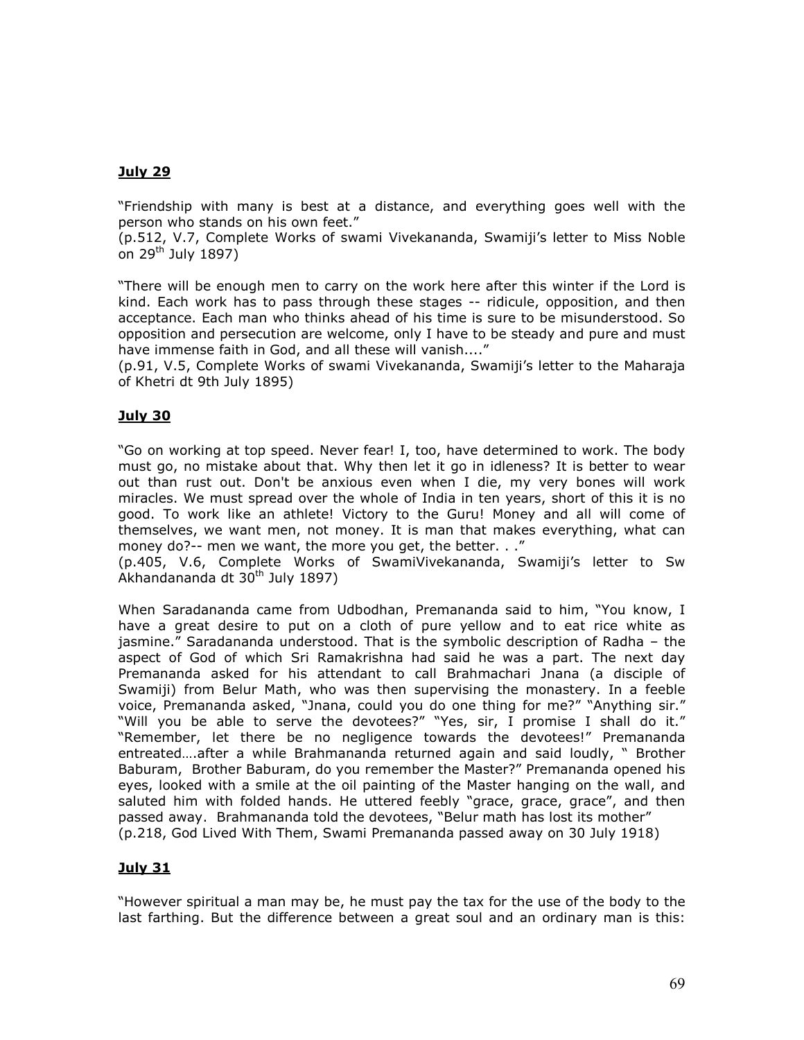## July 29

"Friendship with many is best at a distance, and everything goes well with the person who stands on his own feet."

(p.512, V.7, Complete Works of swami Vivekananda, Swamiji's letter to Miss Noble on 29<sup>th</sup> July 1897)

"There will be enough men to carry on the work here after this winter if the Lord is kind. Each work has to pass through these stages -- ridicule, opposition, and then acceptance. Each man who thinks ahead of his time is sure to be misunderstood. So opposition and persecution are welcome, only I have to be steady and pure and must have immense faith in God, and all these will vanish...."

(p.91, V.5, Complete Works of swami Vivekananda, Swamiji's letter to the Maharaja of Khetri dt 9th July 1895)

#### July 30

"Go on working at top speed. Never fear! I, too, have determined to work. The body must go, no mistake about that. Why then let it go in idleness? It is better to wear out than rust out. Don't be anxious even when I die, my very bones will work miracles. We must spread over the whole of India in ten years, short of this it is no good. To work like an athlete! Victory to the Guru! Money and all will come of themselves, we want men, not money. It is man that makes everything, what can money do?-- men we want, the more you get, the better. . ."

(p.405, V.6, Complete Works of SwamiVivekananda, Swamiji's letter to Sw Akhandananda dt 30<sup>th</sup> July 1897)

When Saradananda came from Udbodhan, Premananda said to him, "You know, I have a great desire to put on a cloth of pure yellow and to eat rice white as jasmine." Saradananda understood. That is the symbolic description of Radha – the aspect of God of which Sri Ramakrishna had said he was a part. The next day Premananda asked for his attendant to call Brahmachari Jnana (a disciple of Swamiji) from Belur Math, who was then supervising the monastery. In a feeble voice, Premananda asked, "Jnana, could you do one thing for me?" "Anything sir." "Will you be able to serve the devotees?" "Yes, sir, I promise I shall do it." "Remember, let there be no negligence towards the devotees!" Premananda entreated….after a while Brahmananda returned again and said loudly, " Brother Baburam, Brother Baburam, do you remember the Master?" Premananda opened his eyes, looked with a smile at the oil painting of the Master hanging on the wall, and saluted him with folded hands. He uttered feebly "grace, grace, grace", and then passed away. Brahmananda told the devotees, "Belur math has lost its mother" (p.218, God Lived With Them, Swami Premananda passed away on 30 July 1918)

#### July 31

"However spiritual a man may be, he must pay the tax for the use of the body to the last farthing. But the difference between a great soul and an ordinary man is this: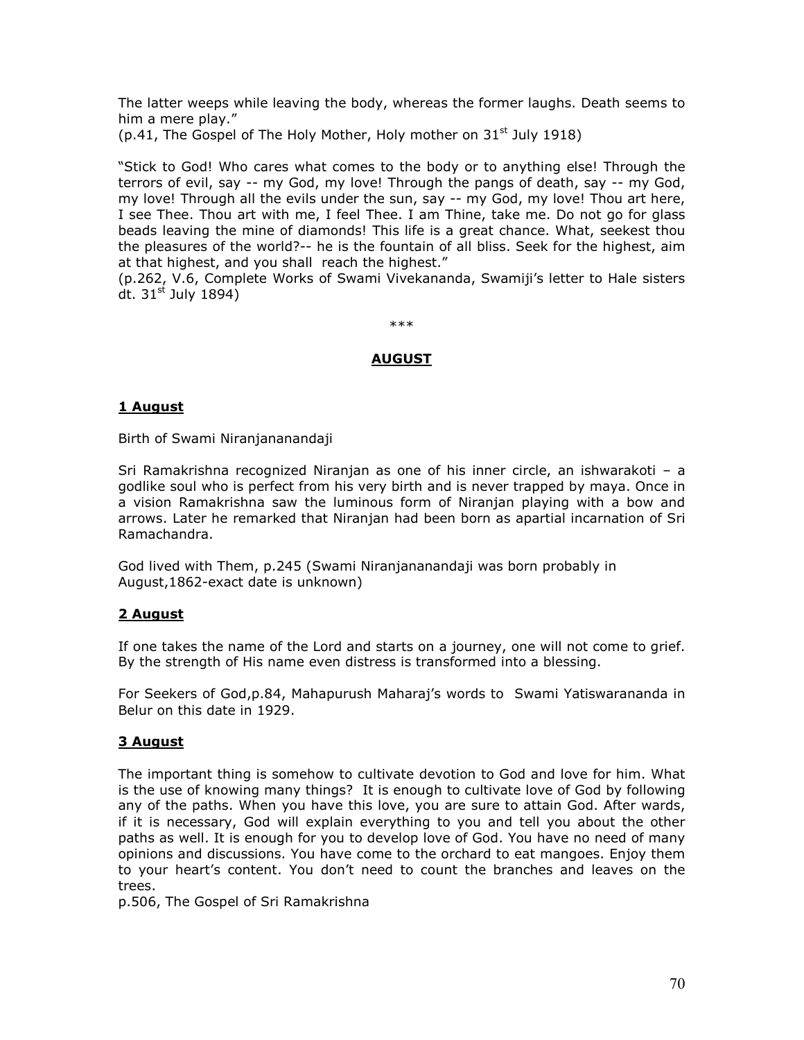The latter weeps while leaving the body, whereas the former laughs. Death seems to him a mere play."

(p.41, The Gospel of The Holy Mother, Holy mother on  $31<sup>st</sup>$  July 1918)

"Stick to God! Who cares what comes to the body or to anything else! Through the terrors of evil, say -- my God, my love! Through the pangs of death, say -- my God, my love! Through all the evils under the sun, say -- my God, my love! Thou art here, I see Thee. Thou art with me, I feel Thee. I am Thine, take me. Do not go for glass beads leaving the mine of diamonds! This life is a great chance. What, seekest thou the pleasures of the world?-- he is the fountain of all bliss. Seek for the highest, aim at that highest, and you shall reach the highest."

(p.262, V.6, Complete Works of Swami Vivekananda, Swamiji's letter to Hale sisters dt.  $31<sup>st</sup>$  July 1894)

\*\*\*

#### AUGUST

#### 1 August

Birth of Swami Niranjananandaji

Sri Ramakrishna recognized Niranjan as one of his inner circle, an ishwarakoti – a godlike soul who is perfect from his very birth and is never trapped by maya. Once in a vision Ramakrishna saw the luminous form of Niranjan playing with a bow and arrows. Later he remarked that Niranjan had been born as apartial incarnation of Sri Ramachandra.

God lived with Them, p.245 (Swami Niranjananandaji was born probably in August,1862-exact date is unknown)

#### 2 August

If one takes the name of the Lord and starts on a journey, one will not come to grief. By the strength of His name even distress is transformed into a blessing.

For Seekers of God,p.84, Mahapurush Maharaj's words to Swami Yatiswarananda in Belur on this date in 1929.

#### 3 August

The important thing is somehow to cultivate devotion to God and love for him. What is the use of knowing many things? It is enough to cultivate love of God by following any of the paths. When you have this love, you are sure to attain God. After wards, if it is necessary, God will explain everything to you and tell you about the other paths as well. It is enough for you to develop love of God. You have no need of many opinions and discussions. You have come to the orchard to eat mangoes. Enjoy them to your heart's content. You don't need to count the branches and leaves on the trees.

p.506, The Gospel of Sri Ramakrishna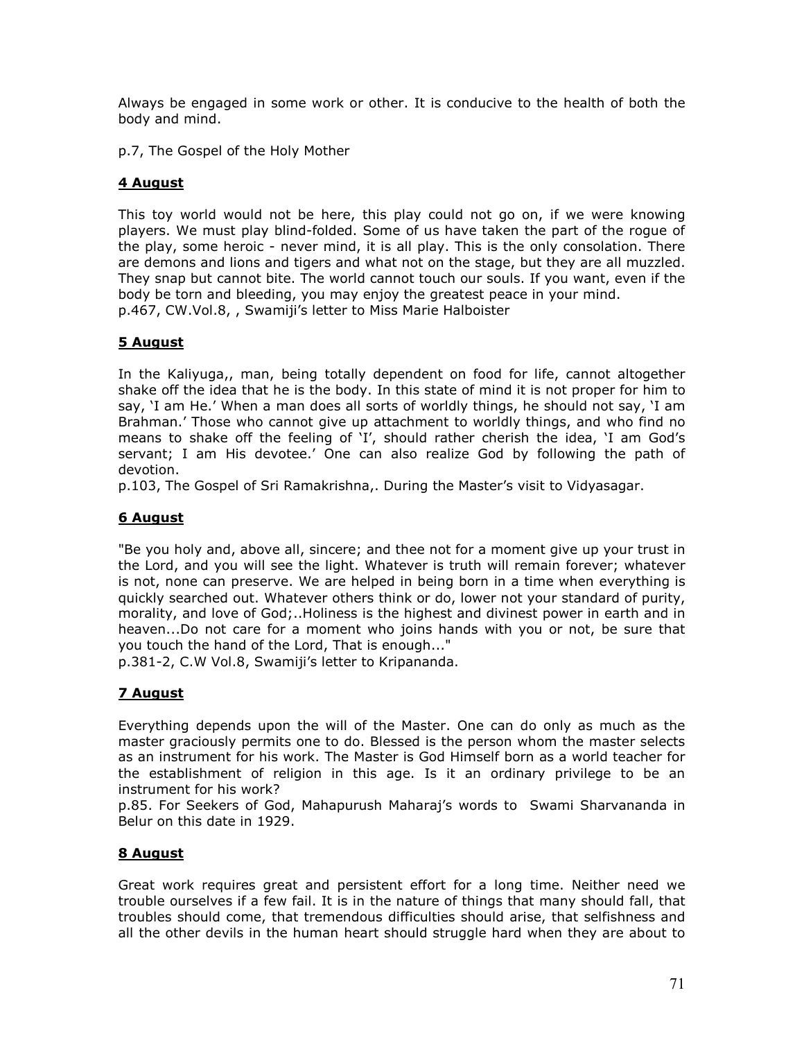Always be engaged in some work or other. It is conducive to the health of both the body and mind.

p.7, The Gospel of the Holy Mother

## 4 August

This toy world would not be here, this play could not go on, if we were knowing players. We must play blind-folded. Some of us have taken the part of the rogue of the play, some heroic - never mind, it is all play. This is the only consolation. There are demons and lions and tigers and what not on the stage, but they are all muzzled. They snap but cannot bite. The world cannot touch our souls. If you want, even if the body be torn and bleeding, you may enjoy the greatest peace in your mind. p.467, CW.Vol.8, , Swamiji's letter to Miss Marie Halboister

## 5 August

In the Kaliyuga,, man, being totally dependent on food for life, cannot altogether shake off the idea that he is the body. In this state of mind it is not proper for him to say, 'I am He.' When a man does all sorts of worldly things, he should not say, 'I am Brahman.' Those who cannot give up attachment to worldly things, and who find no means to shake off the feeling of 'I', should rather cherish the idea, 'I am God's servant; I am His devotee.' One can also realize God by following the path of devotion.

p.103, The Gospel of Sri Ramakrishna,. During the Master's visit to Vidyasagar.

# 6 August

"Be you holy and, above all, sincere; and thee not for a moment give up your trust in the Lord, and you will see the light. Whatever is truth will remain forever; whatever is not, none can preserve. We are helped in being born in a time when everything is quickly searched out. Whatever others think or do, lower not your standard of purity, morality, and love of God;..Holiness is the highest and divinest power in earth and in heaven...Do not care for a moment who joins hands with you or not, be sure that you touch the hand of the Lord, That is enough..."

p.381-2, C.W Vol.8, Swamiji's letter to Kripananda.

# 7 August

Everything depends upon the will of the Master. One can do only as much as the master graciously permits one to do. Blessed is the person whom the master selects as an instrument for his work. The Master is God Himself born as a world teacher for the establishment of religion in this age. Is it an ordinary privilege to be an instrument for his work?

p.85. For Seekers of God, Mahapurush Maharaj's words to Swami Sharvananda in Belur on this date in 1929.

## 8 August

Great work requires great and persistent effort for a long time. Neither need we trouble ourselves if a few fail. It is in the nature of things that many should fall, that troubles should come, that tremendous difficulties should arise, that selfishness and all the other devils in the human heart should struggle hard when they are about to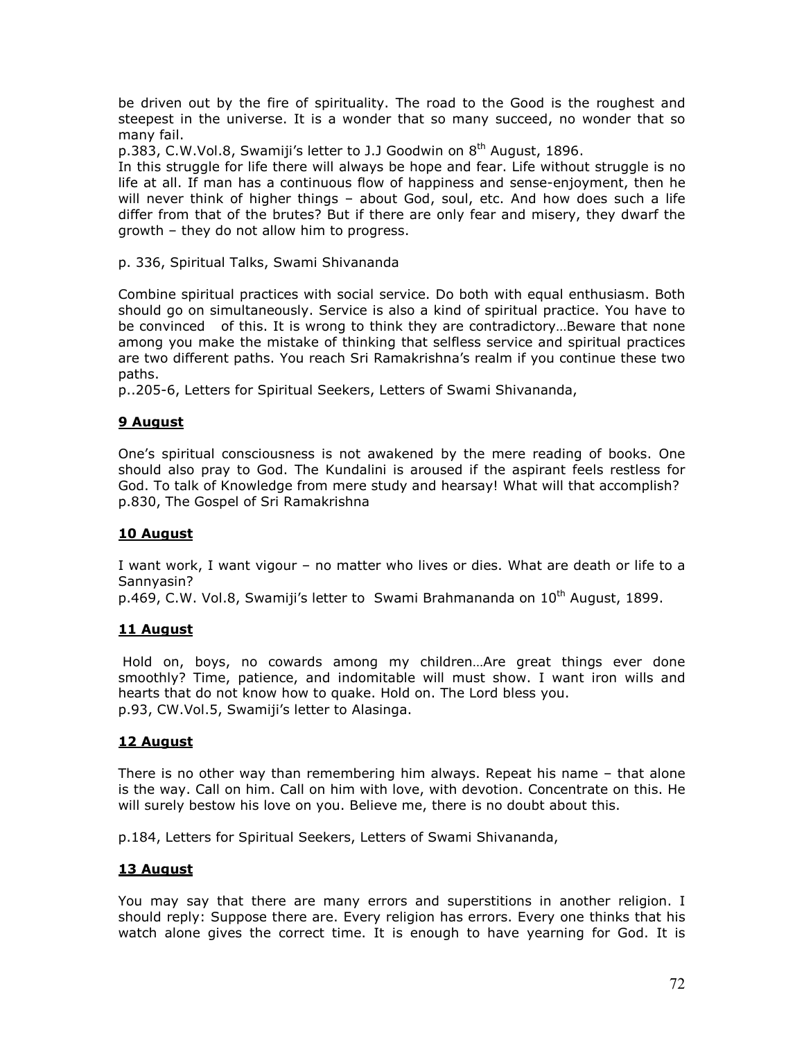be driven out by the fire of spirituality. The road to the Good is the roughest and steepest in the universe. It is a wonder that so many succeed, no wonder that so many fail.

p.383, C.W.Vol.8, Swamiji's letter to J.J Goodwin on  $8<sup>th</sup>$  August, 1896.

In this struggle for life there will always be hope and fear. Life without struggle is no life at all. If man has a continuous flow of happiness and sense-enjoyment, then he will never think of higher things – about God, soul, etc. And how does such a life differ from that of the brutes? But if there are only fear and misery, they dwarf the growth – they do not allow him to progress.

p. 336, Spiritual Talks, Swami Shivananda

Combine spiritual practices with social service. Do both with equal enthusiasm. Both should go on simultaneously. Service is also a kind of spiritual practice. You have to be convinced of this. It is wrong to think they are contradictory…Beware that none among you make the mistake of thinking that selfless service and spiritual practices are two different paths. You reach Sri Ramakrishna's realm if you continue these two paths.

p..205-6, Letters for Spiritual Seekers, Letters of Swami Shivananda,

## 9 August

One's spiritual consciousness is not awakened by the mere reading of books. One should also pray to God. The Kundalini is aroused if the aspirant feels restless for God. To talk of Knowledge from mere study and hearsay! What will that accomplish? p.830, The Gospel of Sri Ramakrishna

## 10 August

I want work, I want vigour – no matter who lives or dies. What are death or life to a Sannyasin?

p.469, C.W. Vol.8, Swamiji's letter to Swami Brahmananda on 10<sup>th</sup> August, 1899.

#### 11 August

Hold on, boys, no cowards among my children…Are great things ever done smoothly? Time, patience, and indomitable will must show. I want iron wills and hearts that do not know how to quake. Hold on. The Lord bless you. p.93, CW.Vol.5, Swamiji's letter to Alasinga.

#### 12 August

There is no other way than remembering him always. Repeat his name – that alone is the way. Call on him. Call on him with love, with devotion. Concentrate on this. He will surely bestow his love on you. Believe me, there is no doubt about this.

p.184, Letters for Spiritual Seekers, Letters of Swami Shivananda,

#### 13 August

You may say that there are many errors and superstitions in another religion. I should reply: Suppose there are. Every religion has errors. Every one thinks that his watch alone gives the correct time. It is enough to have yearning for God. It is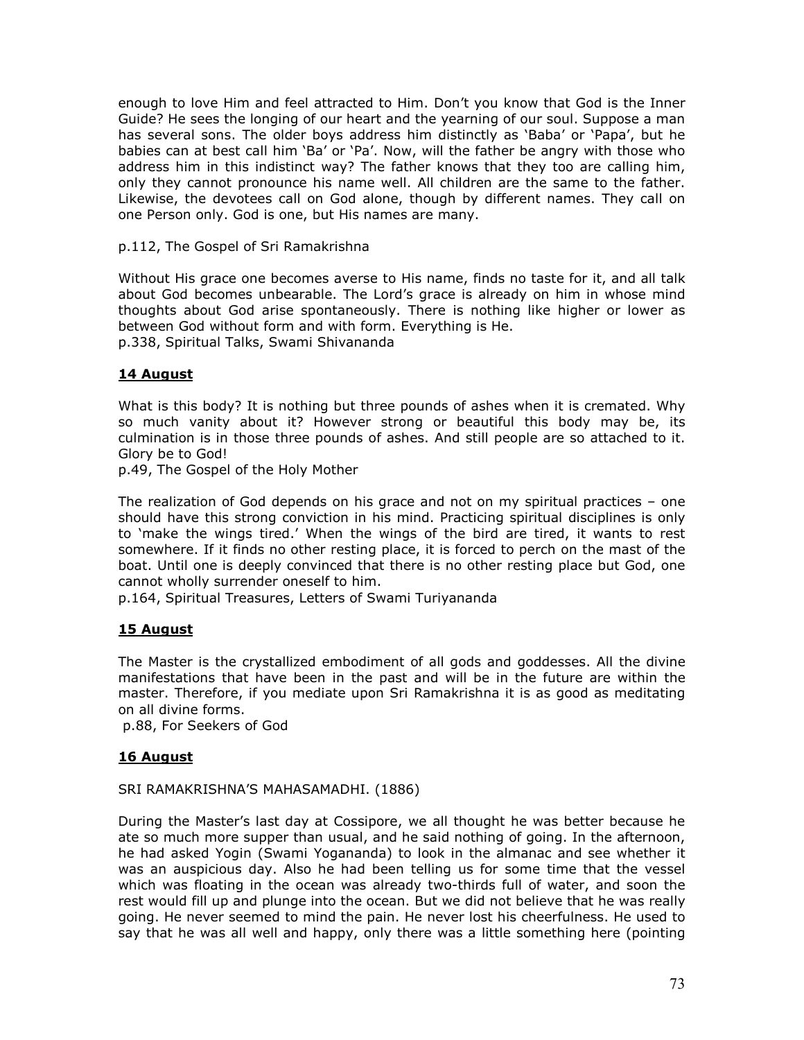enough to love Him and feel attracted to Him. Don't you know that God is the Inner Guide? He sees the longing of our heart and the yearning of our soul. Suppose a man has several sons. The older boys address him distinctly as 'Baba' or 'Papa', but he babies can at best call him 'Ba' or 'Pa'. Now, will the father be angry with those who address him in this indistinct way? The father knows that they too are calling him, only they cannot pronounce his name well. All children are the same to the father. Likewise, the devotees call on God alone, though by different names. They call on one Person only. God is one, but His names are many.

# p.112, The Gospel of Sri Ramakrishna

Without His grace one becomes averse to His name, finds no taste for it, and all talk about God becomes unbearable. The Lord's grace is already on him in whose mind thoughts about God arise spontaneously. There is nothing like higher or lower as between God without form and with form. Everything is He. p.338, Spiritual Talks, Swami Shivananda

# 14 August

What is this body? It is nothing but three pounds of ashes when it is cremated. Why so much vanity about it? However strong or beautiful this body may be, its culmination is in those three pounds of ashes. And still people are so attached to it. Glory be to God!

p.49, The Gospel of the Holy Mother

The realization of God depends on his grace and not on my spiritual practices – one should have this strong conviction in his mind. Practicing spiritual disciplines is only to 'make the wings tired.' When the wings of the bird are tired, it wants to rest somewhere. If it finds no other resting place, it is forced to perch on the mast of the boat. Until one is deeply convinced that there is no other resting place but God, one cannot wholly surrender oneself to him.

p.164, Spiritual Treasures, Letters of Swami Turiyananda

### 15 August

The Master is the crystallized embodiment of all gods and goddesses. All the divine manifestations that have been in the past and will be in the future are within the master. Therefore, if you mediate upon Sri Ramakrishna it is as good as meditating on all divine forms.

p.88, For Seekers of God

### 16 August

#### SRI RAMAKRISHNA'S MAHASAMADHI. (1886)

During the Master's last day at Cossipore, we all thought he was better because he ate so much more supper than usual, and he said nothing of going. In the afternoon, he had asked Yogin (Swami Yogananda) to look in the almanac and see whether it was an auspicious day. Also he had been telling us for some time that the vessel which was floating in the ocean was already two-thirds full of water, and soon the rest would fill up and plunge into the ocean. But we did not believe that he was really going. He never seemed to mind the pain. He never lost his cheerfulness. He used to say that he was all well and happy, only there was a little something here (pointing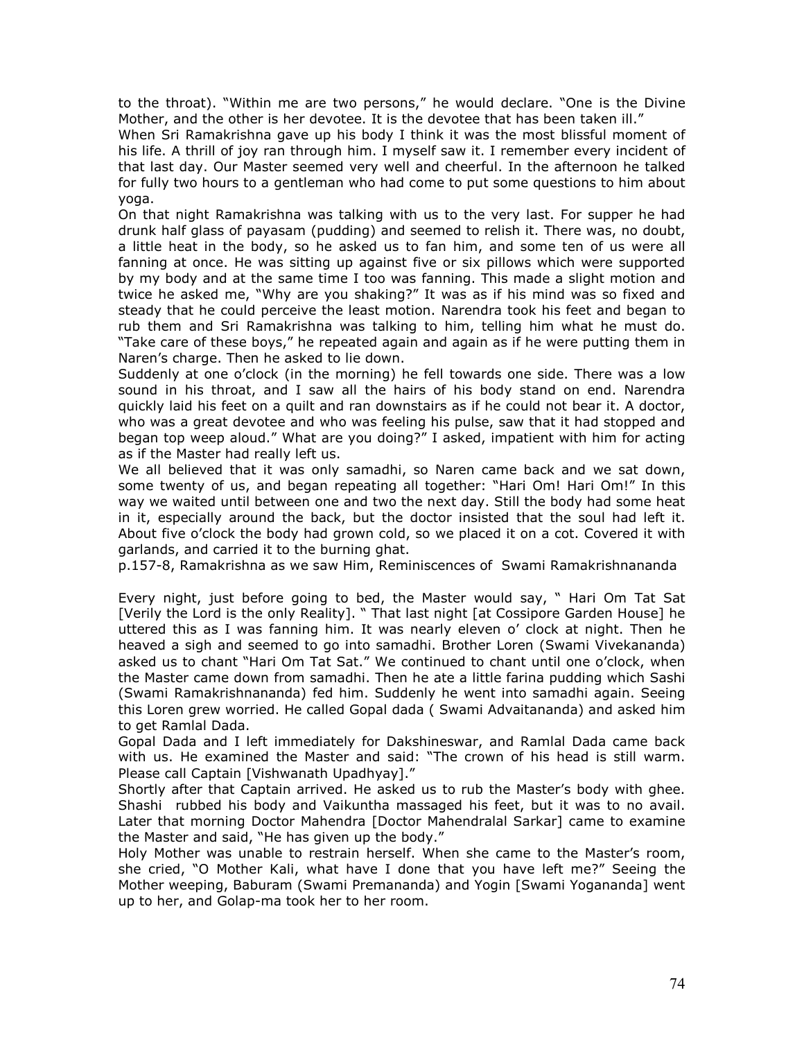to the throat). "Within me are two persons," he would declare. "One is the Divine Mother, and the other is her devotee. It is the devotee that has been taken ill."

When Sri Ramakrishna gave up his body I think it was the most blissful moment of his life. A thrill of joy ran through him. I myself saw it. I remember every incident of that last day. Our Master seemed very well and cheerful. In the afternoon he talked for fully two hours to a gentleman who had come to put some questions to him about yoga.

On that night Ramakrishna was talking with us to the very last. For supper he had drunk half glass of payasam (pudding) and seemed to relish it. There was, no doubt, a little heat in the body, so he asked us to fan him, and some ten of us were all fanning at once. He was sitting up against five or six pillows which were supported by my body and at the same time I too was fanning. This made a slight motion and twice he asked me, "Why are you shaking?" It was as if his mind was so fixed and steady that he could perceive the least motion. Narendra took his feet and began to rub them and Sri Ramakrishna was talking to him, telling him what he must do. "Take care of these boys," he repeated again and again as if he were putting them in Naren's charge. Then he asked to lie down.

Suddenly at one o'clock (in the morning) he fell towards one side. There was a low sound in his throat, and I saw all the hairs of his body stand on end. Narendra quickly laid his feet on a quilt and ran downstairs as if he could not bear it. A doctor, who was a great devotee and who was feeling his pulse, saw that it had stopped and began top weep aloud." What are you doing?" I asked, impatient with him for acting as if the Master had really left us.

We all believed that it was only samadhi, so Naren came back and we sat down, some twenty of us, and began repeating all together: "Hari Om! Hari Om!" In this way we waited until between one and two the next day. Still the body had some heat in it, especially around the back, but the doctor insisted that the soul had left it. About five o'clock the body had grown cold, so we placed it on a cot. Covered it with garlands, and carried it to the burning ghat.

p.157-8, Ramakrishna as we saw Him, Reminiscences of Swami Ramakrishnananda

Every night, just before going to bed, the Master would say, " Hari Om Tat Sat [Verily the Lord is the only Reality]. " That last night [at Cossipore Garden House] he uttered this as I was fanning him. It was nearly eleven o' clock at night. Then he heaved a sigh and seemed to go into samadhi. Brother Loren (Swami Vivekananda) asked us to chant "Hari Om Tat Sat." We continued to chant until one o'clock, when the Master came down from samadhi. Then he ate a little farina pudding which Sashi (Swami Ramakrishnananda) fed him. Suddenly he went into samadhi again. Seeing this Loren grew worried. He called Gopal dada ( Swami Advaitananda) and asked him to get Ramlal Dada.

Gopal Dada and I left immediately for Dakshineswar, and Ramlal Dada came back with us. He examined the Master and said: "The crown of his head is still warm. Please call Captain [Vishwanath Upadhyay]."

Shortly after that Captain arrived. He asked us to rub the Master's body with ghee. Shashi rubbed his body and Vaikuntha massaged his feet, but it was to no avail. Later that morning Doctor Mahendra [Doctor Mahendralal Sarkar] came to examine the Master and said, "He has given up the body."

Holy Mother was unable to restrain herself. When she came to the Master's room, she cried, "O Mother Kali, what have I done that you have left me?" Seeing the Mother weeping, Baburam (Swami Premananda) and Yogin [Swami Yogananda] went up to her, and Golap-ma took her to her room.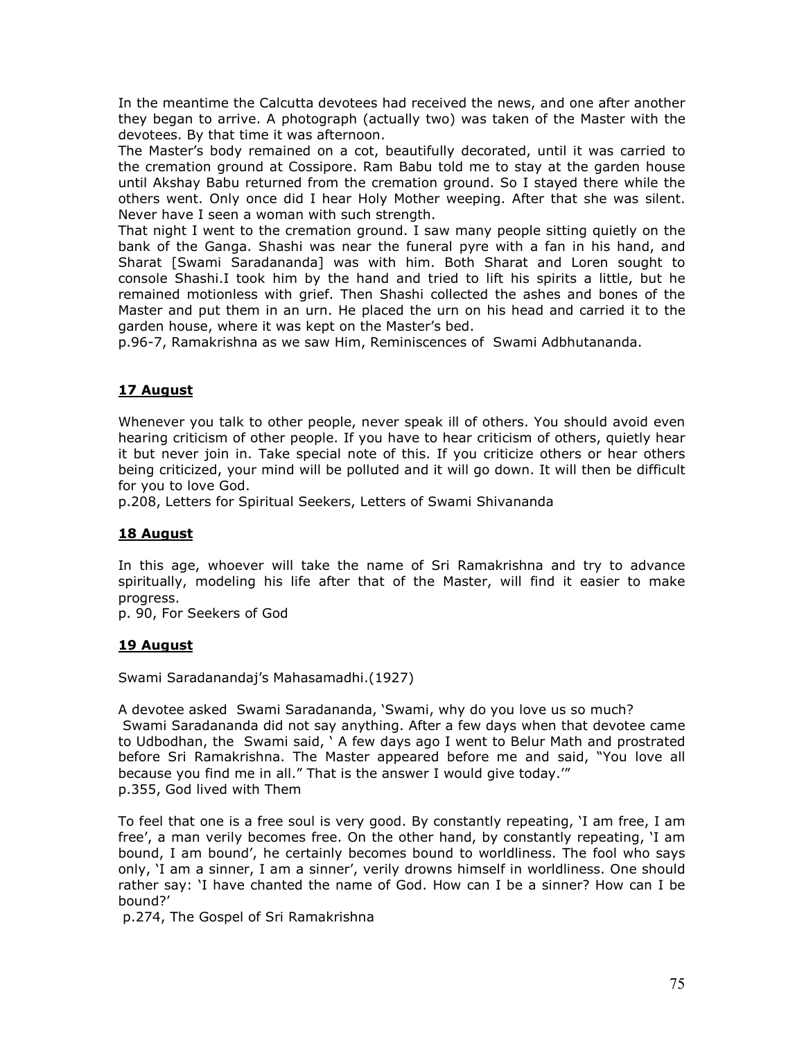In the meantime the Calcutta devotees had received the news, and one after another they began to arrive. A photograph (actually two) was taken of the Master with the devotees. By that time it was afternoon.

The Master's body remained on a cot, beautifully decorated, until it was carried to the cremation ground at Cossipore. Ram Babu told me to stay at the garden house until Akshay Babu returned from the cremation ground. So I stayed there while the others went. Only once did I hear Holy Mother weeping. After that she was silent. Never have I seen a woman with such strength.

That night I went to the cremation ground. I saw many people sitting quietly on the bank of the Ganga. Shashi was near the funeral pyre with a fan in his hand, and Sharat [Swami Saradananda] was with him. Both Sharat and Loren sought to console Shashi.I took him by the hand and tried to lift his spirits a little, but he remained motionless with grief. Then Shashi collected the ashes and bones of the Master and put them in an urn. He placed the urn on his head and carried it to the garden house, where it was kept on the Master's bed.

p.96-7, Ramakrishna as we saw Him, Reminiscences of Swami Adbhutananda.

# 17 August

Whenever you talk to other people, never speak ill of others. You should avoid even hearing criticism of other people. If you have to hear criticism of others, quietly hear it but never join in. Take special note of this. If you criticize others or hear others being criticized, your mind will be polluted and it will go down. It will then be difficult for you to love God.

p.208, Letters for Spiritual Seekers, Letters of Swami Shivananda

# 18 August

In this age, whoever will take the name of Sri Ramakrishna and try to advance spiritually, modeling his life after that of the Master, will find it easier to make progress.

p. 90, For Seekers of God

### 19 August

Swami Saradanandaj's Mahasamadhi.(1927)

A devotee asked Swami Saradananda, 'Swami, why do you love us so much? Swami Saradananda did not say anything. After a few days when that devotee came to Udbodhan, the Swami said, ' A few days ago I went to Belur Math and prostrated before Sri Ramakrishna. The Master appeared before me and said, "You love all because you find me in all." That is the answer I would give today.'" p.355, God lived with Them

To feel that one is a free soul is very good. By constantly repeating, 'I am free, I am free', a man verily becomes free. On the other hand, by constantly repeating, 'I am bound, I am bound', he certainly becomes bound to worldliness. The fool who says only, 'I am a sinner, I am a sinner', verily drowns himself in worldliness. One should rather say: 'I have chanted the name of God. How can I be a sinner? How can I be bound?'

p.274, The Gospel of Sri Ramakrishna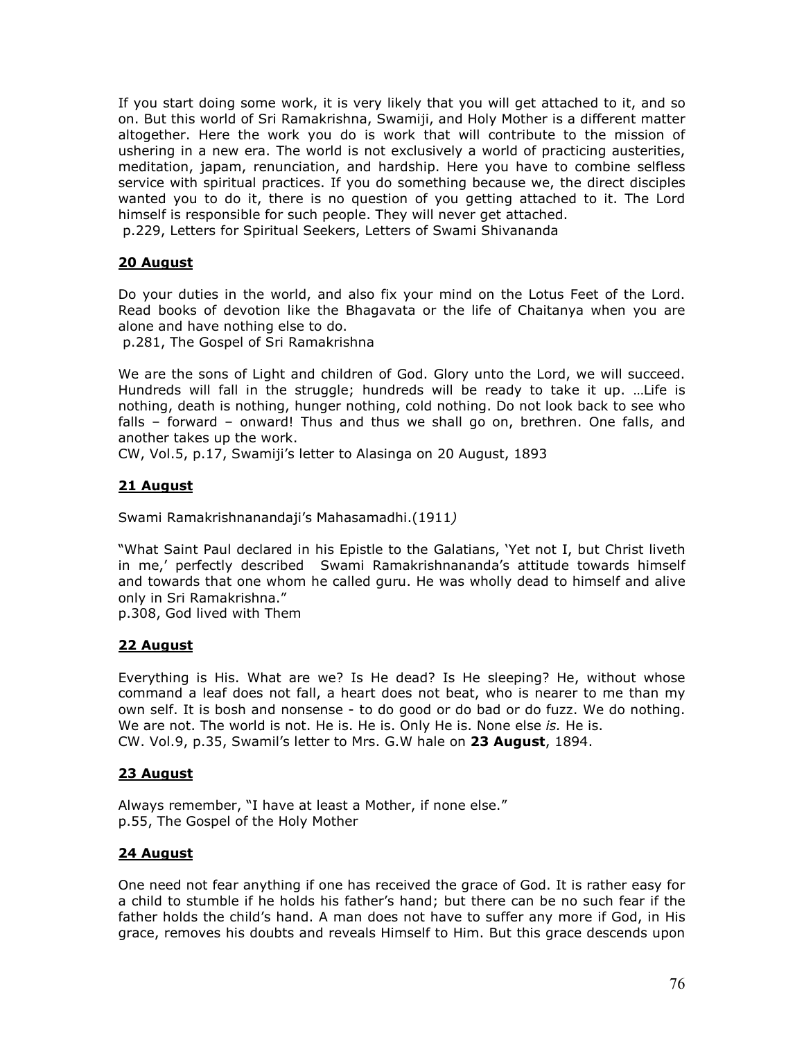If you start doing some work, it is very likely that you will get attached to it, and so on. But this world of Sri Ramakrishna, Swamiji, and Holy Mother is a different matter altogether. Here the work you do is work that will contribute to the mission of ushering in a new era. The world is not exclusively a world of practicing austerities, meditation, japam, renunciation, and hardship. Here you have to combine selfless service with spiritual practices. If you do something because we, the direct disciples wanted you to do it, there is no question of you getting attached to it. The Lord himself is responsible for such people. They will never get attached. p.229, Letters for Spiritual Seekers, Letters of Swami Shivananda

# 20 August

Do your duties in the world, and also fix your mind on the Lotus Feet of the Lord. Read books of devotion like the Bhagavata or the life of Chaitanya when you are alone and have nothing else to do.

p.281, The Gospel of Sri Ramakrishna

We are the sons of Light and children of God. Glory unto the Lord, we will succeed. Hundreds will fall in the struggle; hundreds will be ready to take it up. …Life is nothing, death is nothing, hunger nothing, cold nothing. Do not look back to see who falls – forward – onward! Thus and thus we shall go on, brethren. One falls, and another takes up the work.

CW, Vol.5, p.17, Swamiji's letter to Alasinga on 20 August, 1893

# 21 August

Swami Ramakrishnanandaji's Mahasamadhi.(1911)

"What Saint Paul declared in his Epistle to the Galatians, 'Yet not I, but Christ liveth in me,' perfectly described Swami Ramakrishnananda's attitude towards himself and towards that one whom he called guru. He was wholly dead to himself and alive only in Sri Ramakrishna."

p.308, God lived with Them

### 22 August

Everything is His. What are we? Is He dead? Is He sleeping? He, without whose command a leaf does not fall, a heart does not beat, who is nearer to me than my own self. It is bosh and nonsense - to do good or do bad or do fuzz. We do nothing. We are not. The world is not. He is. He is. Only He is. None else is. He is. CW. Vol.9, p.35, Swamil's letter to Mrs. G.W hale on  $23$  August, 1894.

### 23 August

Always remember, "I have at least a Mother, if none else." p.55, The Gospel of the Holy Mother

### 24 August

One need not fear anything if one has received the grace of God. It is rather easy for a child to stumble if he holds his father's hand; but there can be no such fear if the father holds the child's hand. A man does not have to suffer any more if God, in His grace, removes his doubts and reveals Himself to Him. But this grace descends upon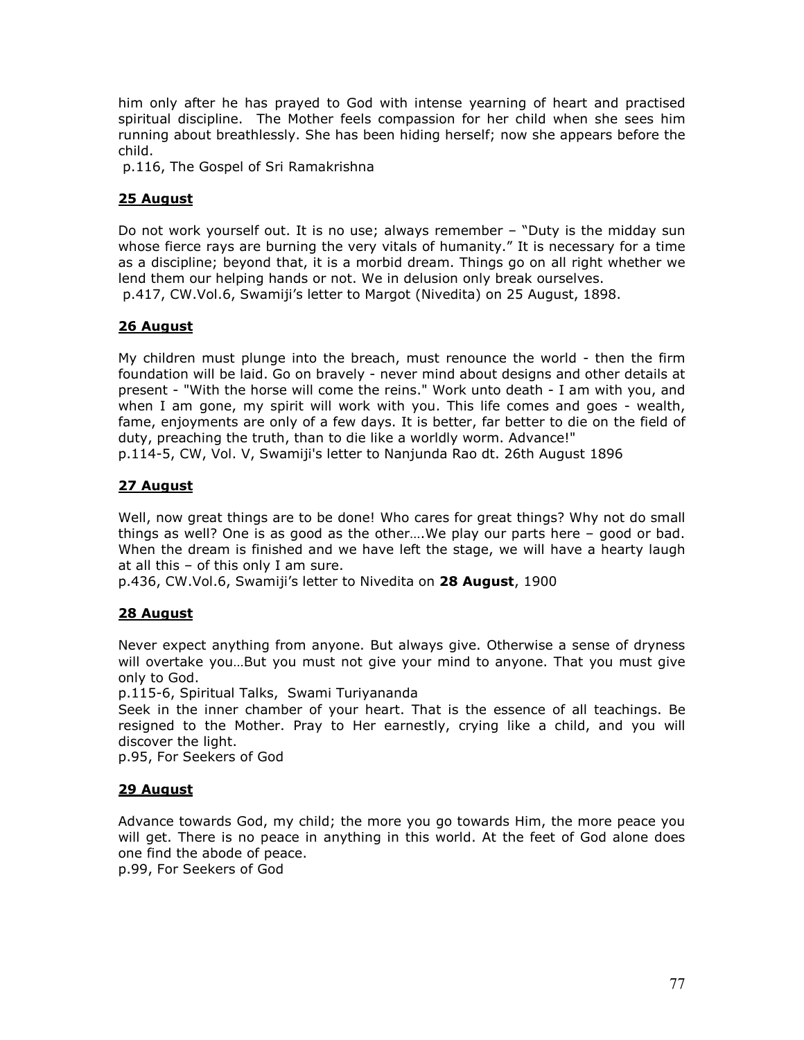him only after he has prayed to God with intense yearning of heart and practised spiritual discipline. The Mother feels compassion for her child when she sees him running about breathlessly. She has been hiding herself; now she appears before the child.

p.116, The Gospel of Sri Ramakrishna

# 25 August

Do not work yourself out. It is no use; always remember – "Duty is the midday sun whose fierce rays are burning the very vitals of humanity." It is necessary for a time as a discipline; beyond that, it is a morbid dream. Things go on all right whether we lend them our helping hands or not. We in delusion only break ourselves. p.417, CW.Vol.6, Swamiji's letter to Margot (Nivedita) on 25 August, 1898.

# 26 August

My children must plunge into the breach, must renounce the world - then the firm foundation will be laid. Go on bravely - never mind about designs and other details at present - "With the horse will come the reins." Work unto death - I am with you, and when I am gone, my spirit will work with you. This life comes and goes - wealth, fame, enjoyments are only of a few days. It is better, far better to die on the field of duty, preaching the truth, than to die like a worldly worm. Advance!" p.114-5, CW, Vol. V, Swamiji's letter to Nanjunda Rao dt. 26th August 1896

# 27 August

Well, now great things are to be done! Who cares for great things? Why not do small things as well? One is as good as the other….We play our parts here – good or bad. When the dream is finished and we have left the stage, we will have a hearty laugh at all this – of this only I am sure.

p.436, CW.Vol.6, Swamiji's letter to Nivedita on 28 August, 1900

# 28 August

Never expect anything from anyone. But always give. Otherwise a sense of dryness will overtake you…But you must not give your mind to anyone. That you must give only to God.

p.115-6, Spiritual Talks, Swami Turiyananda

Seek in the inner chamber of your heart. That is the essence of all teachings. Be resigned to the Mother. Pray to Her earnestly, crying like a child, and you will discover the light.

p.95, For Seekers of God

# 29 August

Advance towards God, my child; the more you go towards Him, the more peace you will get. There is no peace in anything in this world. At the feet of God alone does one find the abode of peace.

p.99, For Seekers of God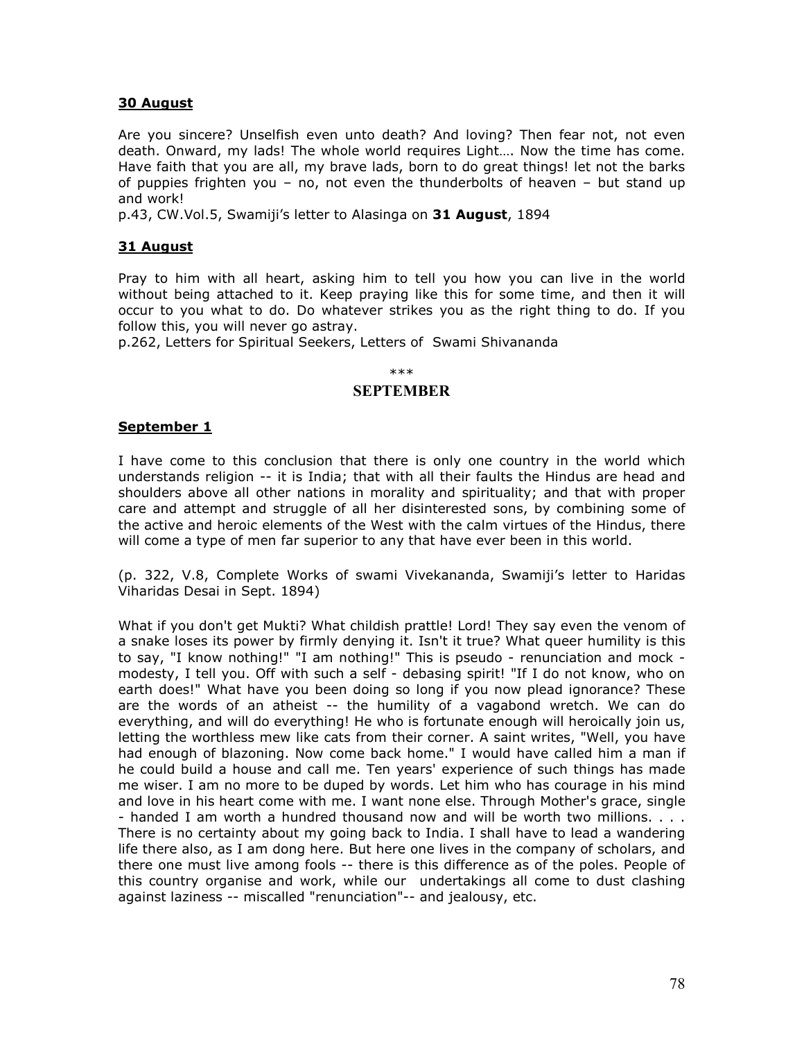### 30 August

Are you sincere? Unselfish even unto death? And loving? Then fear not, not even death. Onward, my lads! The whole world requires Light…. Now the time has come. Have faith that you are all, my brave lads, born to do great things! let not the barks of puppies frighten you – no, not even the thunderbolts of heaven – but stand up and work!

p.43, CW.Vol.5, Swamiji's letter to Alasinga on 31 August, 1894

# 31 August

Pray to him with all heart, asking him to tell you how you can live in the world without being attached to it. Keep praying like this for some time, and then it will occur to you what to do. Do whatever strikes you as the right thing to do. If you follow this, you will never go astray.

p.262, Letters for Spiritual Seekers, Letters of Swami Shivananda

#### \*\*\*

#### SEPTEMBER

### September 1

I have come to this conclusion that there is only one country in the world which understands religion -- it is India; that with all their faults the Hindus are head and shoulders above all other nations in morality and spirituality; and that with proper care and attempt and struggle of all her disinterested sons, by combining some of the active and heroic elements of the West with the calm virtues of the Hindus, there will come a type of men far superior to any that have ever been in this world.

(p. 322, V.8, Complete Works of swami Vivekananda, Swamiji's letter to Haridas Viharidas Desai in Sept. 1894)

What if you don't get Mukti? What childish prattle! Lord! They say even the venom of a snake loses its power by firmly denying it. Isn't it true? What queer humility is this to say, "I know nothing!" "I am nothing!" This is pseudo - renunciation and mock modesty, I tell you. Off with such a self - debasing spirit! "If I do not know, who on earth does!" What have you been doing so long if you now plead ignorance? These are the words of an atheist -- the humility of a vagabond wretch. We can do everything, and will do everything! He who is fortunate enough will heroically join us, letting the worthless mew like cats from their corner. A saint writes, "Well, you have had enough of blazoning. Now come back home." I would have called him a man if he could build a house and call me. Ten years' experience of such things has made me wiser. I am no more to be duped by words. Let him who has courage in his mind and love in his heart come with me. I want none else. Through Mother's grace, single - handed I am worth a hundred thousand now and will be worth two millions. . . . There is no certainty about my going back to India. I shall have to lead a wandering life there also, as I am dong here. But here one lives in the company of scholars, and there one must live among fools -- there is this difference as of the poles. People of this country organise and work, while our undertakings all come to dust clashing against laziness -- miscalled "renunciation"-- and jealousy, etc.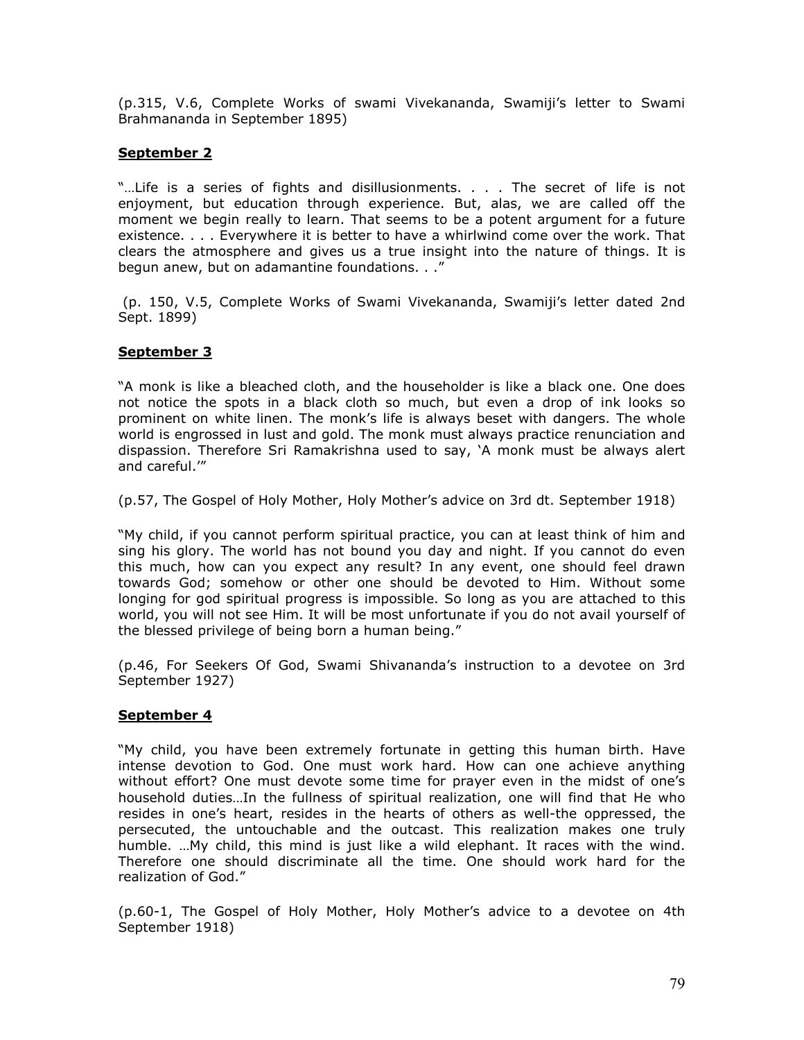(p.315, V.6, Complete Works of swami Vivekananda, Swamiji's letter to Swami Brahmananda in September 1895)

# September 2

"... Life is a series of fights and disillusionments. . . . The secret of life is not enjoyment, but education through experience. But, alas, we are called off the moment we begin really to learn. That seems to be a potent argument for a future existence. . . . Everywhere it is better to have a whirlwind come over the work. That clears the atmosphere and gives us a true insight into the nature of things. It is begun anew, but on adamantine foundations. . ."

 (p. 150, V.5, Complete Works of Swami Vivekananda, Swamiji's letter dated 2nd Sept. 1899)

# September 3

"A monk is like a bleached cloth, and the householder is like a black one. One does not notice the spots in a black cloth so much, but even a drop of ink looks so prominent on white linen. The monk's life is always beset with dangers. The whole world is engrossed in lust and gold. The monk must always practice renunciation and dispassion. Therefore Sri Ramakrishna used to say, 'A monk must be always alert and careful.'"

(p.57, The Gospel of Holy Mother, Holy Mother's advice on 3rd dt. September 1918)

"My child, if you cannot perform spiritual practice, you can at least think of him and sing his glory. The world has not bound you day and night. If you cannot do even this much, how can you expect any result? In any event, one should feel drawn towards God; somehow or other one should be devoted to Him. Without some longing for god spiritual progress is impossible. So long as you are attached to this world, you will not see Him. It will be most unfortunate if you do not avail yourself of the blessed privilege of being born a human being."

(p.46, For Seekers Of God, Swami Shivananda's instruction to a devotee on 3rd September 1927)

# September 4

"My child, you have been extremely fortunate in getting this human birth. Have intense devotion to God. One must work hard. How can one achieve anything without effort? One must devote some time for prayer even in the midst of one's household duties…In the fullness of spiritual realization, one will find that He who resides in one's heart, resides in the hearts of others as well-the oppressed, the persecuted, the untouchable and the outcast. This realization makes one truly humble. …My child, this mind is just like a wild elephant. It races with the wind. Therefore one should discriminate all the time. One should work hard for the realization of God."

(p.60-1, The Gospel of Holy Mother, Holy Mother's advice to a devotee on 4th September 1918)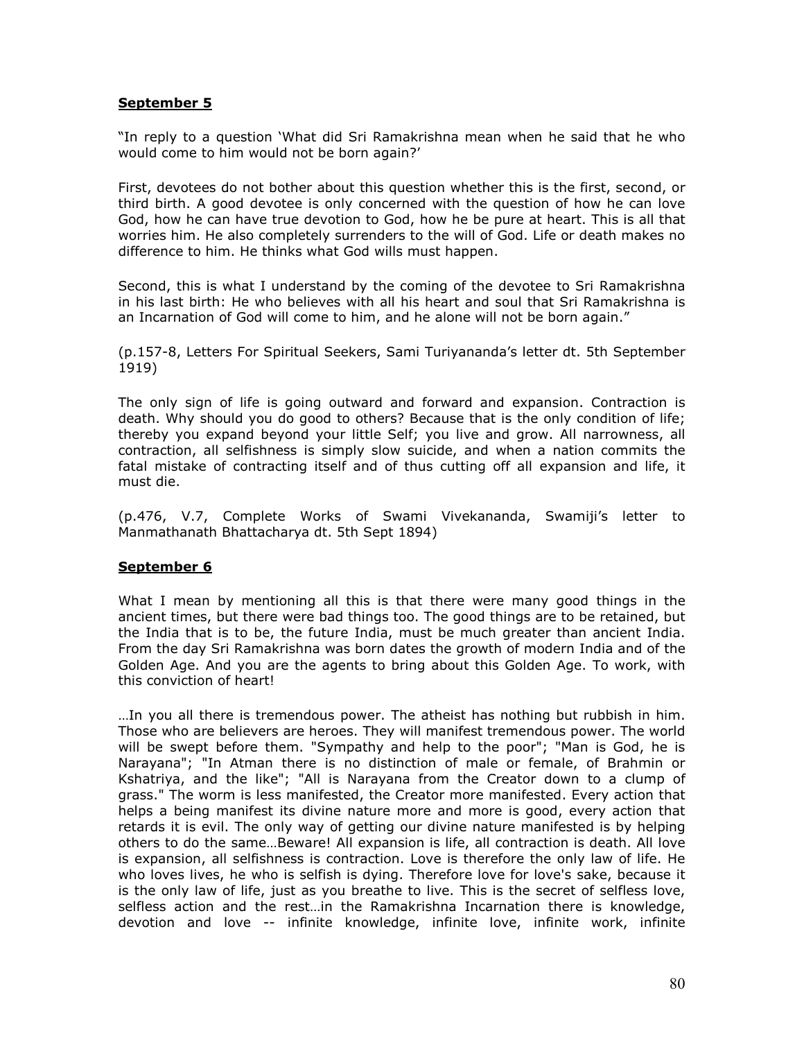### September 5

"In reply to a question 'What did Sri Ramakrishna mean when he said that he who would come to him would not be born again?'

First, devotees do not bother about this question whether this is the first, second, or third birth. A good devotee is only concerned with the question of how he can love God, how he can have true devotion to God, how he be pure at heart. This is all that worries him. He also completely surrenders to the will of God. Life or death makes no difference to him. He thinks what God wills must happen.

Second, this is what I understand by the coming of the devotee to Sri Ramakrishna in his last birth: He who believes with all his heart and soul that Sri Ramakrishna is an Incarnation of God will come to him, and he alone will not be born again."

(p.157-8, Letters For Spiritual Seekers, Sami Turiyananda's letter dt. 5th September 1919)

The only sign of life is going outward and forward and expansion. Contraction is death. Why should you do good to others? Because that is the only condition of life; thereby you expand beyond your little Self; you live and grow. All narrowness, all contraction, all selfishness is simply slow suicide, and when a nation commits the fatal mistake of contracting itself and of thus cutting off all expansion and life, it must die.

(p.476, V.7, Complete Works of Swami Vivekananda, Swamiji's letter to Manmathanath Bhattacharya dt. 5th Sept 1894)

# September 6

What I mean by mentioning all this is that there were many good things in the ancient times, but there were bad things too. The good things are to be retained, but the India that is to be, the future India, must be much greater than ancient India. From the day Sri Ramakrishna was born dates the growth of modern India and of the Golden Age. And you are the agents to bring about this Golden Age. To work, with this conviction of heart!

…In you all there is tremendous power. The atheist has nothing but rubbish in him. Those who are believers are heroes. They will manifest tremendous power. The world will be swept before them. "Sympathy and help to the poor"; "Man is God, he is Narayana"; "In Atman there is no distinction of male or female, of Brahmin or Kshatriya, and the like"; "All is Narayana from the Creator down to a clump of grass." The worm is less manifested, the Creator more manifested. Every action that helps a being manifest its divine nature more and more is good, every action that retards it is evil. The only way of getting our divine nature manifested is by helping others to do the same…Beware! All expansion is life, all contraction is death. All love is expansion, all selfishness is contraction. Love is therefore the only law of life. He who loves lives, he who is selfish is dying. Therefore love for love's sake, because it is the only law of life, just as you breathe to live. This is the secret of selfless love, selfless action and the rest…in the Ramakrishna Incarnation there is knowledge, devotion and love -- infinite knowledge, infinite love, infinite work, infinite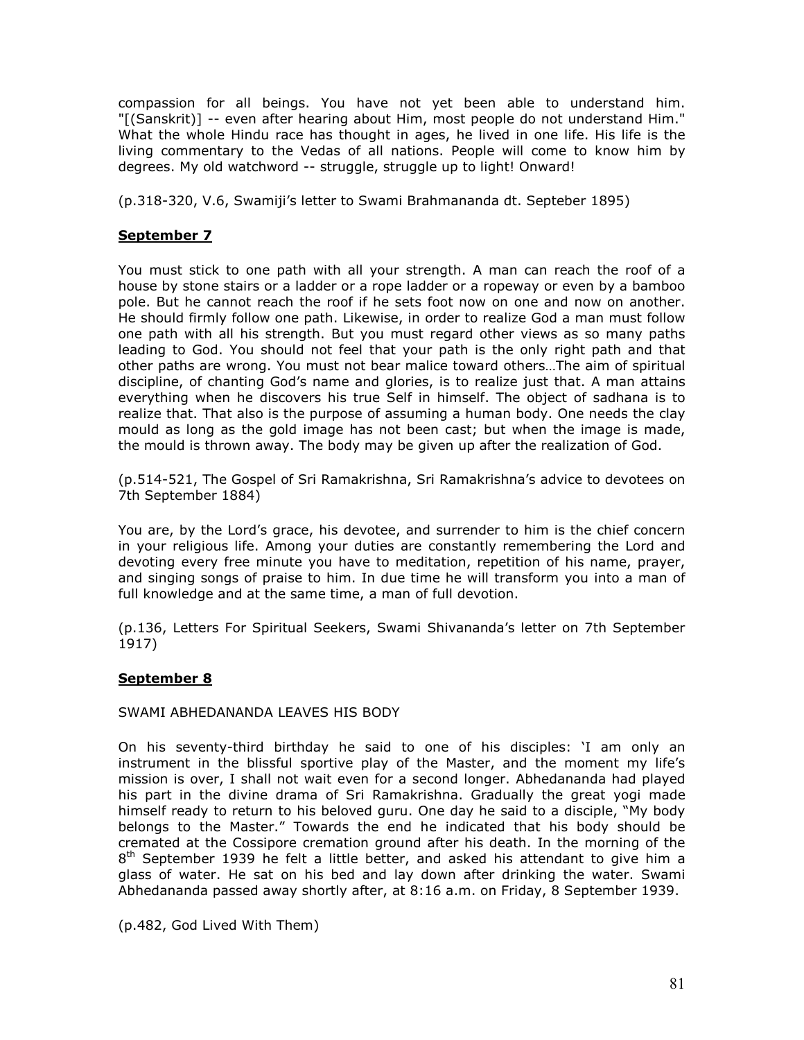compassion for all beings. You have not yet been able to understand him. "[(Sanskrit)] -- even after hearing about Him, most people do not understand Him." What the whole Hindu race has thought in ages, he lived in one life. His life is the living commentary to the Vedas of all nations. People will come to know him by degrees. My old watchword -- struggle, struggle up to light! Onward!

(p.318-320, V.6, Swamiji's letter to Swami Brahmananda dt. Septeber 1895)

# September 7

You must stick to one path with all your strength. A man can reach the roof of a house by stone stairs or a ladder or a rope ladder or a ropeway or even by a bamboo pole. But he cannot reach the roof if he sets foot now on one and now on another. He should firmly follow one path. Likewise, in order to realize God a man must follow one path with all his strength. But you must regard other views as so many paths leading to God. You should not feel that your path is the only right path and that other paths are wrong. You must not bear malice toward others…The aim of spiritual discipline, of chanting God's name and glories, is to realize just that. A man attains everything when he discovers his true Self in himself. The object of sadhana is to realize that. That also is the purpose of assuming a human body. One needs the clay mould as long as the gold image has not been cast; but when the image is made, the mould is thrown away. The body may be given up after the realization of God.

(p.514-521, The Gospel of Sri Ramakrishna, Sri Ramakrishna's advice to devotees on 7th September 1884)

You are, by the Lord's grace, his devotee, and surrender to him is the chief concern in your religious life. Among your duties are constantly remembering the Lord and devoting every free minute you have to meditation, repetition of his name, prayer, and singing songs of praise to him. In due time he will transform you into a man of full knowledge and at the same time, a man of full devotion.

(p.136, Letters For Spiritual Seekers, Swami Shivananda's letter on 7th September 1917)

# September 8

### SWAMI ABHEDANANDA LEAVES HIS BODY

On his seventy-third birthday he said to one of his disciples: 'I am only an instrument in the blissful sportive play of the Master, and the moment my life's mission is over, I shall not wait even for a second longer. Abhedananda had played his part in the divine drama of Sri Ramakrishna. Gradually the great yogi made himself ready to return to his beloved guru. One day he said to a disciple, "My body belongs to the Master." Towards the end he indicated that his body should be cremated at the Cossipore cremation ground after his death. In the morning of the  $8<sup>th</sup>$  September 1939 he felt a little better, and asked his attendant to give him a glass of water. He sat on his bed and lay down after drinking the water. Swami Abhedananda passed away shortly after, at 8:16 a.m. on Friday, 8 September 1939.

(p.482, God Lived With Them)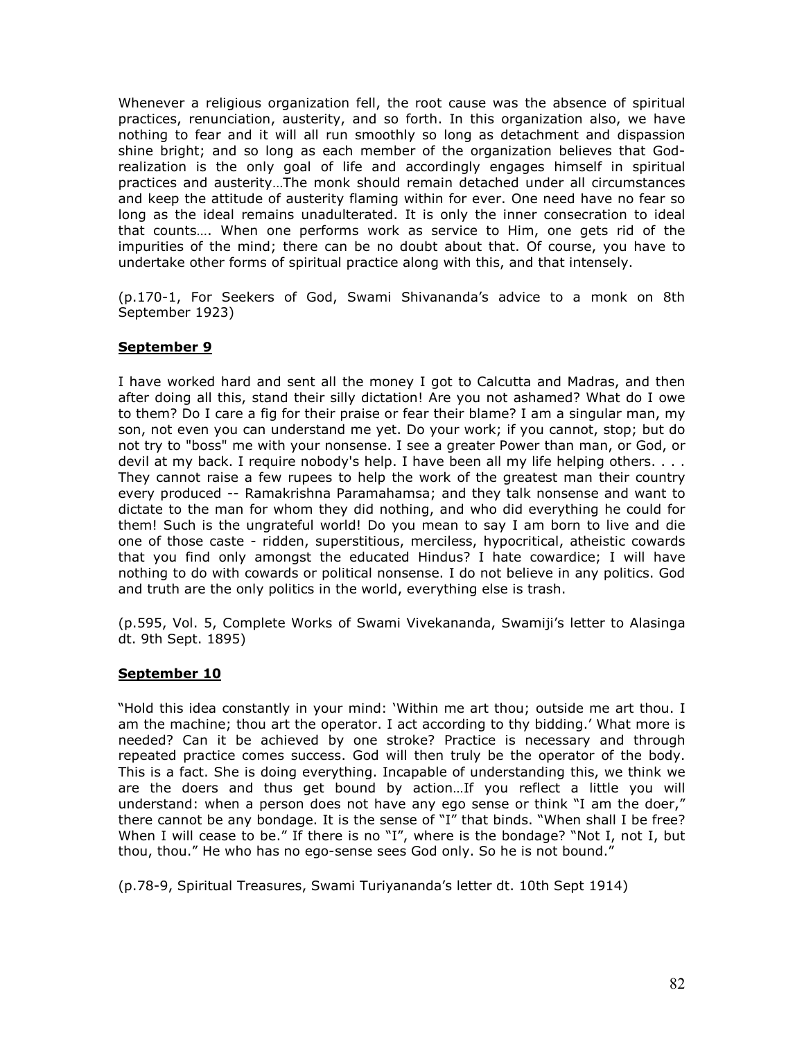Whenever a religious organization fell, the root cause was the absence of spiritual practices, renunciation, austerity, and so forth. In this organization also, we have nothing to fear and it will all run smoothly so long as detachment and dispassion shine bright; and so long as each member of the organization believes that Godrealization is the only goal of life and accordingly engages himself in spiritual practices and austerity…The monk should remain detached under all circumstances and keep the attitude of austerity flaming within for ever. One need have no fear so long as the ideal remains unadulterated. It is only the inner consecration to ideal that counts…. When one performs work as service to Him, one gets rid of the impurities of the mind; there can be no doubt about that. Of course, you have to undertake other forms of spiritual practice along with this, and that intensely.

(p.170-1, For Seekers of God, Swami Shivananda's advice to a monk on 8th September 1923)

# September 9

I have worked hard and sent all the money I got to Calcutta and Madras, and then after doing all this, stand their silly dictation! Are you not ashamed? What do I owe to them? Do I care a fig for their praise or fear their blame? I am a singular man, my son, not even you can understand me yet. Do your work; if you cannot, stop; but do not try to "boss" me with your nonsense. I see a greater Power than man, or God, or devil at my back. I require nobody's help. I have been all my life helping others. . . . They cannot raise a few rupees to help the work of the greatest man their country every produced -- Ramakrishna Paramahamsa; and they talk nonsense and want to dictate to the man for whom they did nothing, and who did everything he could for them! Such is the ungrateful world! Do you mean to say I am born to live and die one of those caste - ridden, superstitious, merciless, hypocritical, atheistic cowards that you find only amongst the educated Hindus? I hate cowardice; I will have nothing to do with cowards or political nonsense. I do not believe in any politics. God and truth are the only politics in the world, everything else is trash.

(p.595, Vol. 5, Complete Works of Swami Vivekananda, Swamiji's letter to Alasinga dt. 9th Sept. 1895)

### September 10

"Hold this idea constantly in your mind: 'Within me art thou; outside me art thou. I am the machine; thou art the operator. I act according to thy bidding.' What more is needed? Can it be achieved by one stroke? Practice is necessary and through repeated practice comes success. God will then truly be the operator of the body. This is a fact. She is doing everything. Incapable of understanding this, we think we are the doers and thus get bound by action…If you reflect a little you will understand: when a person does not have any ego sense or think "I am the doer," there cannot be any bondage. It is the sense of "I" that binds. "When shall I be free? When I will cease to be." If there is no "I", where is the bondage? "Not I, not I, but thou, thou." He who has no ego-sense sees God only. So he is not bound."

(p.78-9, Spiritual Treasures, Swami Turiyananda's letter dt. 10th Sept 1914)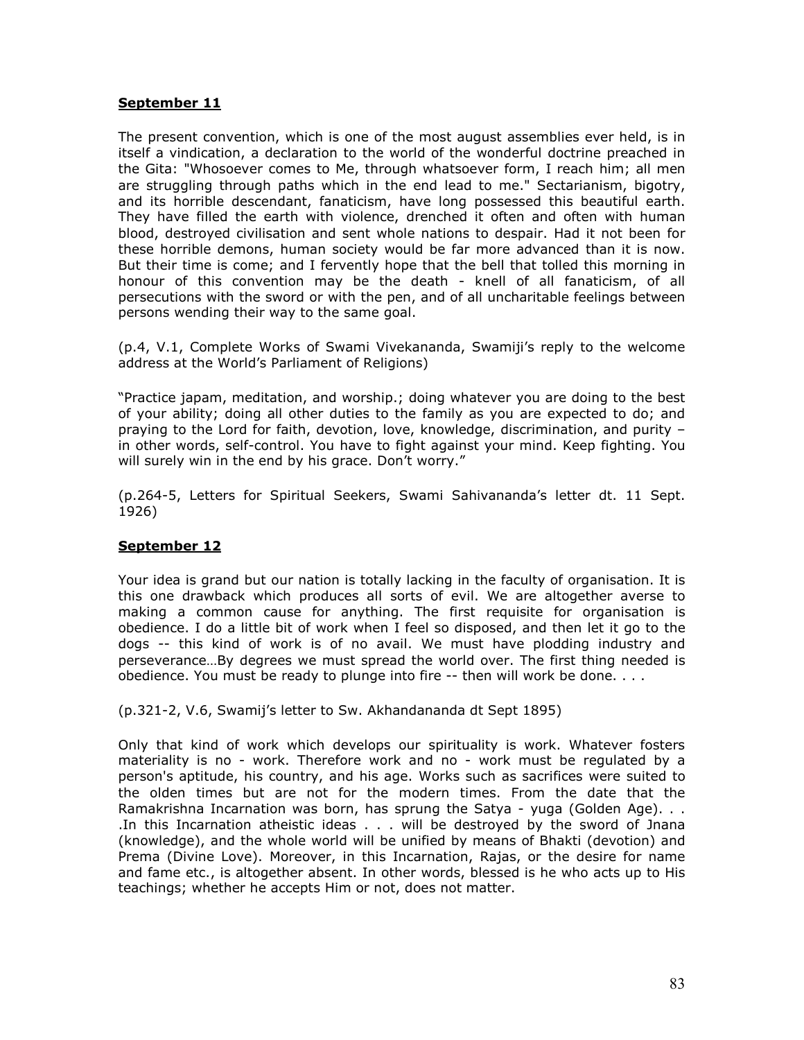### September 11

The present convention, which is one of the most august assemblies ever held, is in itself a vindication, a declaration to the world of the wonderful doctrine preached in the Gita: "Whosoever comes to Me, through whatsoever form, I reach him; all men are struggling through paths which in the end lead to me." Sectarianism, bigotry, and its horrible descendant, fanaticism, have long possessed this beautiful earth. They have filled the earth with violence, drenched it often and often with human blood, destroyed civilisation and sent whole nations to despair. Had it not been for these horrible demons, human society would be far more advanced than it is now. But their time is come; and I fervently hope that the bell that tolled this morning in honour of this convention may be the death - knell of all fanaticism, of all persecutions with the sword or with the pen, and of all uncharitable feelings between persons wending their way to the same goal.

(p.4, V.1, Complete Works of Swami Vivekananda, Swamiji's reply to the welcome address at the World's Parliament of Religions)

"Practice japam, meditation, and worship.; doing whatever you are doing to the best of your ability; doing all other duties to the family as you are expected to do; and praying to the Lord for faith, devotion, love, knowledge, discrimination, and purity – in other words, self-control. You have to fight against your mind. Keep fighting. You will surely win in the end by his grace. Don't worry."

(p.264-5, Letters for Spiritual Seekers, Swami Sahivananda's letter dt. 11 Sept. 1926)

# September 12

Your idea is grand but our nation is totally lacking in the faculty of organisation. It is this one drawback which produces all sorts of evil. We are altogether averse to making a common cause for anything. The first requisite for organisation is obedience. I do a little bit of work when I feel so disposed, and then let it go to the dogs -- this kind of work is of no avail. We must have plodding industry and perseverance…By degrees we must spread the world over. The first thing needed is obedience. You must be ready to plunge into fire -- then will work be done. . . .

(p.321-2, V.6, Swamij's letter to Sw. Akhandananda dt Sept 1895)

Only that kind of work which develops our spirituality is work. Whatever fosters materiality is no - work. Therefore work and no - work must be regulated by a person's aptitude, his country, and his age. Works such as sacrifices were suited to the olden times but are not for the modern times. From the date that the Ramakrishna Incarnation was born, has sprung the Satya - yuga (Golden Age). . . .In this Incarnation atheistic ideas . . . will be destroyed by the sword of Jnana (knowledge), and the whole world will be unified by means of Bhakti (devotion) and Prema (Divine Love). Moreover, in this Incarnation, Rajas, or the desire for name and fame etc., is altogether absent. In other words, blessed is he who acts up to His teachings; whether he accepts Him or not, does not matter.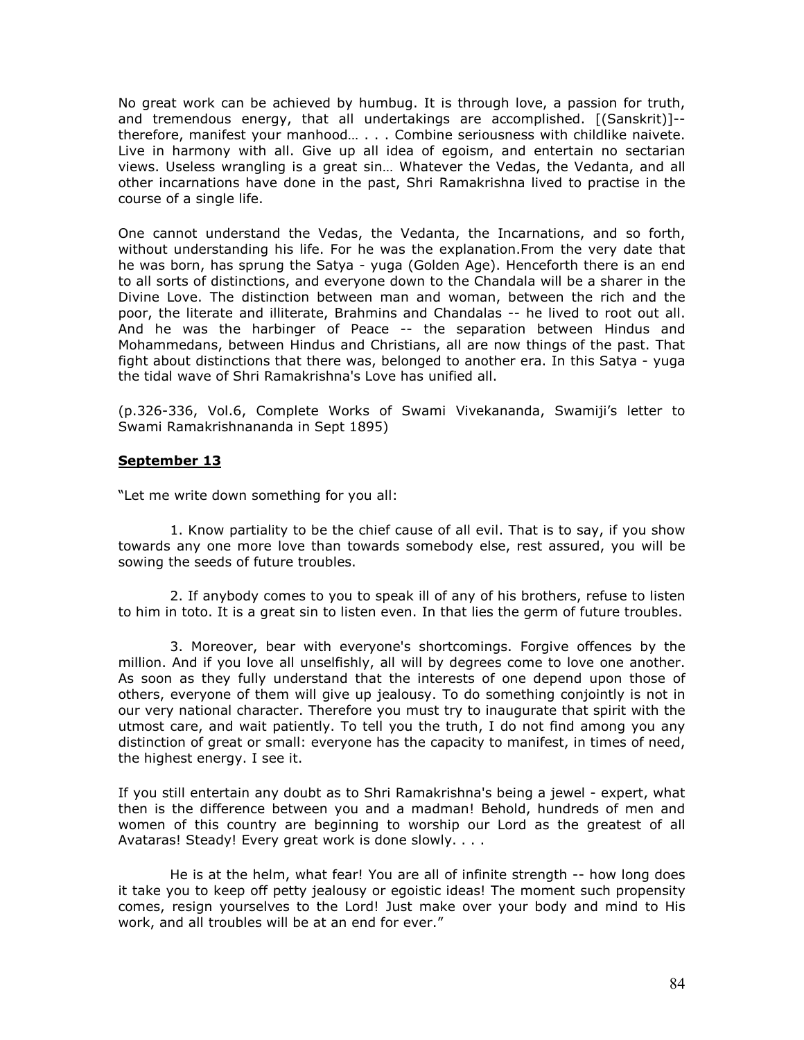No great work can be achieved by humbug. It is through love, a passion for truth, and tremendous energy, that all undertakings are accomplished. [(Sanskrit)]- therefore, manifest your manhood… . . . Combine seriousness with childlike naivete. Live in harmony with all. Give up all idea of egoism, and entertain no sectarian views. Useless wrangling is a great sin… Whatever the Vedas, the Vedanta, and all other incarnations have done in the past, Shri Ramakrishna lived to practise in the course of a single life.

One cannot understand the Vedas, the Vedanta, the Incarnations, and so forth, without understanding his life. For he was the explanation.From the very date that he was born, has sprung the Satya - yuga (Golden Age). Henceforth there is an end to all sorts of distinctions, and everyone down to the Chandala will be a sharer in the Divine Love. The distinction between man and woman, between the rich and the poor, the literate and illiterate, Brahmins and Chandalas -- he lived to root out all. And he was the harbinger of Peace -- the separation between Hindus and Mohammedans, between Hindus and Christians, all are now things of the past. That fight about distinctions that there was, belonged to another era. In this Satya - yuga the tidal wave of Shri Ramakrishna's Love has unified all.

(p.326-336, Vol.6, Complete Works of Swami Vivekananda, Swamiji's letter to Swami Ramakrishnananda in Sept 1895)

### September 13

"Let me write down something for you all:

 1. Know partiality to be the chief cause of all evil. That is to say, if you show towards any one more love than towards somebody else, rest assured, you will be sowing the seeds of future troubles.

 2. If anybody comes to you to speak ill of any of his brothers, refuse to listen to him in toto. It is a great sin to listen even. In that lies the germ of future troubles.

 3. Moreover, bear with everyone's shortcomings. Forgive offences by the million. And if you love all unselfishly, all will by degrees come to love one another. As soon as they fully understand that the interests of one depend upon those of others, everyone of them will give up jealousy. To do something conjointly is not in our very national character. Therefore you must try to inaugurate that spirit with the utmost care, and wait patiently. To tell you the truth, I do not find among you any distinction of great or small: everyone has the capacity to manifest, in times of need, the highest energy. I see it.

If you still entertain any doubt as to Shri Ramakrishna's being a jewel - expert, what then is the difference between you and a madman! Behold, hundreds of men and women of this country are beginning to worship our Lord as the greatest of all Avataras! Steady! Every great work is done slowly. . . .

 He is at the helm, what fear! You are all of infinite strength -- how long does it take you to keep off petty jealousy or egoistic ideas! The moment such propensity comes, resign yourselves to the Lord! Just make over your body and mind to His work, and all troubles will be at an end for ever."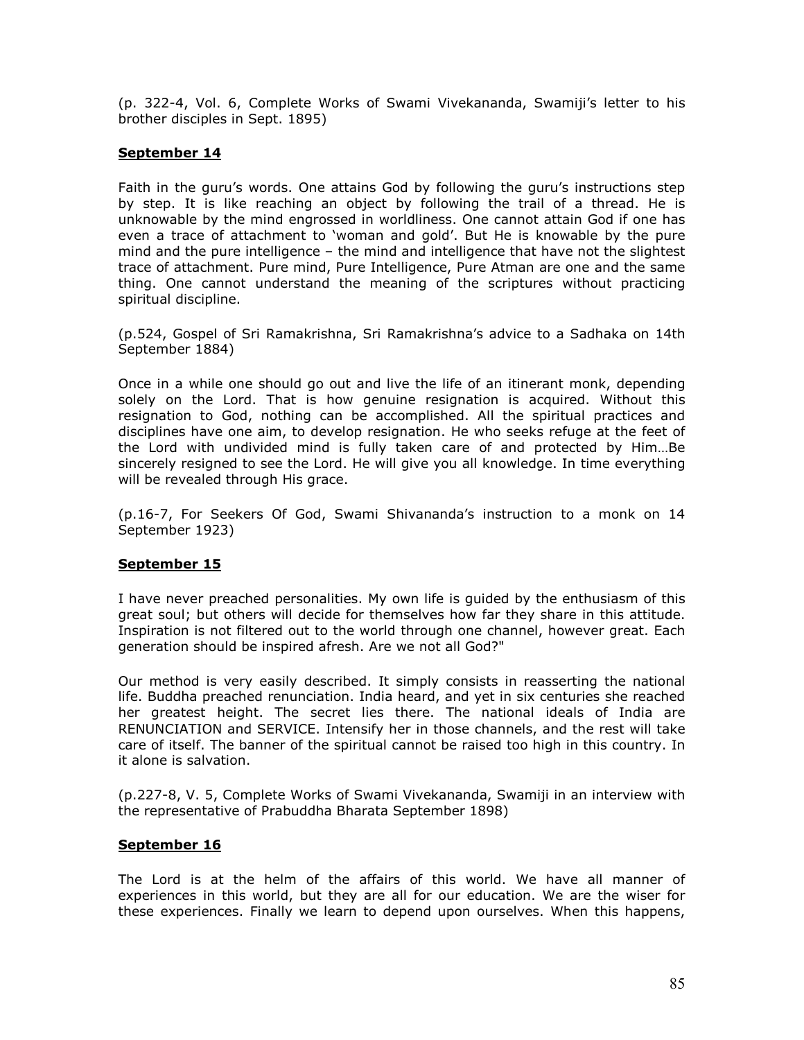(p. 322-4, Vol. 6, Complete Works of Swami Vivekananda, Swamiji's letter to his brother disciples in Sept. 1895)

# September 14

Faith in the guru's words. One attains God by following the guru's instructions step by step. It is like reaching an object by following the trail of a thread. He is unknowable by the mind engrossed in worldliness. One cannot attain God if one has even a trace of attachment to 'woman and gold'. But He is knowable by the pure mind and the pure intelligence – the mind and intelligence that have not the slightest trace of attachment. Pure mind, Pure Intelligence, Pure Atman are one and the same thing. One cannot understand the meaning of the scriptures without practicing spiritual discipline.

(p.524, Gospel of Sri Ramakrishna, Sri Ramakrishna's advice to a Sadhaka on 14th September 1884)

Once in a while one should go out and live the life of an itinerant monk, depending solely on the Lord. That is how genuine resignation is acquired. Without this resignation to God, nothing can be accomplished. All the spiritual practices and disciplines have one aim, to develop resignation. He who seeks refuge at the feet of the Lord with undivided mind is fully taken care of and protected by Him…Be sincerely resigned to see the Lord. He will give you all knowledge. In time everything will be revealed through His grace.

(p.16-7, For Seekers Of God, Swami Shivananda's instruction to a monk on 14 September 1923)

### September 15

I have never preached personalities. My own life is guided by the enthusiasm of this great soul; but others will decide for themselves how far they share in this attitude. Inspiration is not filtered out to the world through one channel, however great. Each generation should be inspired afresh. Are we not all God?"

Our method is very easily described. It simply consists in reasserting the national life. Buddha preached renunciation. India heard, and yet in six centuries she reached her greatest height. The secret lies there. The national ideals of India are RENUNCIATION and SERVICE. Intensify her in those channels, and the rest will take care of itself. The banner of the spiritual cannot be raised too high in this country. In it alone is salvation.

(p.227-8, V. 5, Complete Works of Swami Vivekananda, Swamiji in an interview with the representative of Prabuddha Bharata September 1898)

### September 16

The Lord is at the helm of the affairs of this world. We have all manner of experiences in this world, but they are all for our education. We are the wiser for these experiences. Finally we learn to depend upon ourselves. When this happens,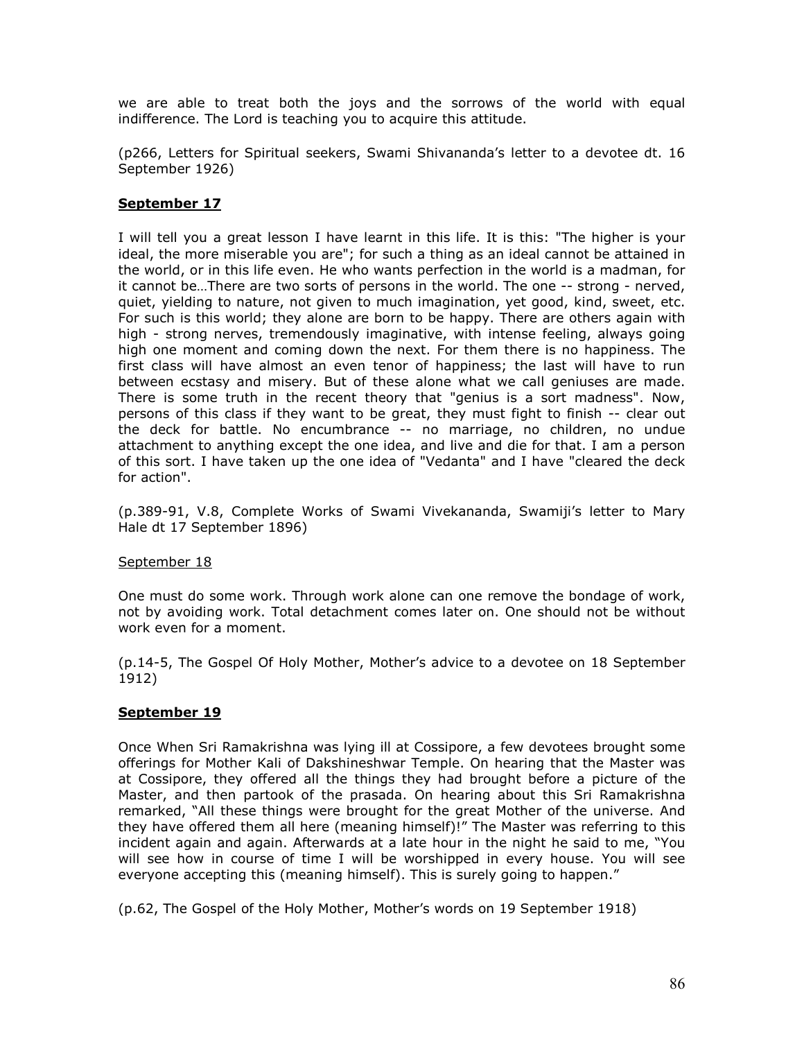we are able to treat both the joys and the sorrows of the world with equal indifference. The Lord is teaching you to acquire this attitude.

(p266, Letters for Spiritual seekers, Swami Shivananda's letter to a devotee dt. 16 September 1926)

# September 17

I will tell you a great lesson I have learnt in this life. It is this: "The higher is your ideal, the more miserable you are"; for such a thing as an ideal cannot be attained in the world, or in this life even. He who wants perfection in the world is a madman, for it cannot be…There are two sorts of persons in the world. The one -- strong - nerved, quiet, yielding to nature, not given to much imagination, yet good, kind, sweet, etc. For such is this world; they alone are born to be happy. There are others again with high - strong nerves, tremendously imaginative, with intense feeling, always going high one moment and coming down the next. For them there is no happiness. The first class will have almost an even tenor of happiness; the last will have to run between ecstasy and misery. But of these alone what we call geniuses are made. There is some truth in the recent theory that "genius is a sort madness". Now, persons of this class if they want to be great, they must fight to finish -- clear out the deck for battle. No encumbrance -- no marriage, no children, no undue attachment to anything except the one idea, and live and die for that. I am a person of this sort. I have taken up the one idea of "Vedanta" and I have "cleared the deck for action".

(p.389-91, V.8, Complete Works of Swami Vivekananda, Swamiji's letter to Mary Hale dt 17 September 1896)

### September 18

One must do some work. Through work alone can one remove the bondage of work, not by avoiding work. Total detachment comes later on. One should not be without work even for a moment.

(p.14-5, The Gospel Of Holy Mother, Mother's advice to a devotee on 18 September 1912)

### September 19

Once When Sri Ramakrishna was lying ill at Cossipore, a few devotees brought some offerings for Mother Kali of Dakshineshwar Temple. On hearing that the Master was at Cossipore, they offered all the things they had brought before a picture of the Master, and then partook of the prasada. On hearing about this Sri Ramakrishna remarked, "All these things were brought for the great Mother of the universe. And they have offered them all here (meaning himself)!" The Master was referring to this incident again and again. Afterwards at a late hour in the night he said to me, "You will see how in course of time I will be worshipped in every house. You will see everyone accepting this (meaning himself). This is surely going to happen."

(p.62, The Gospel of the Holy Mother, Mother's words on 19 September 1918)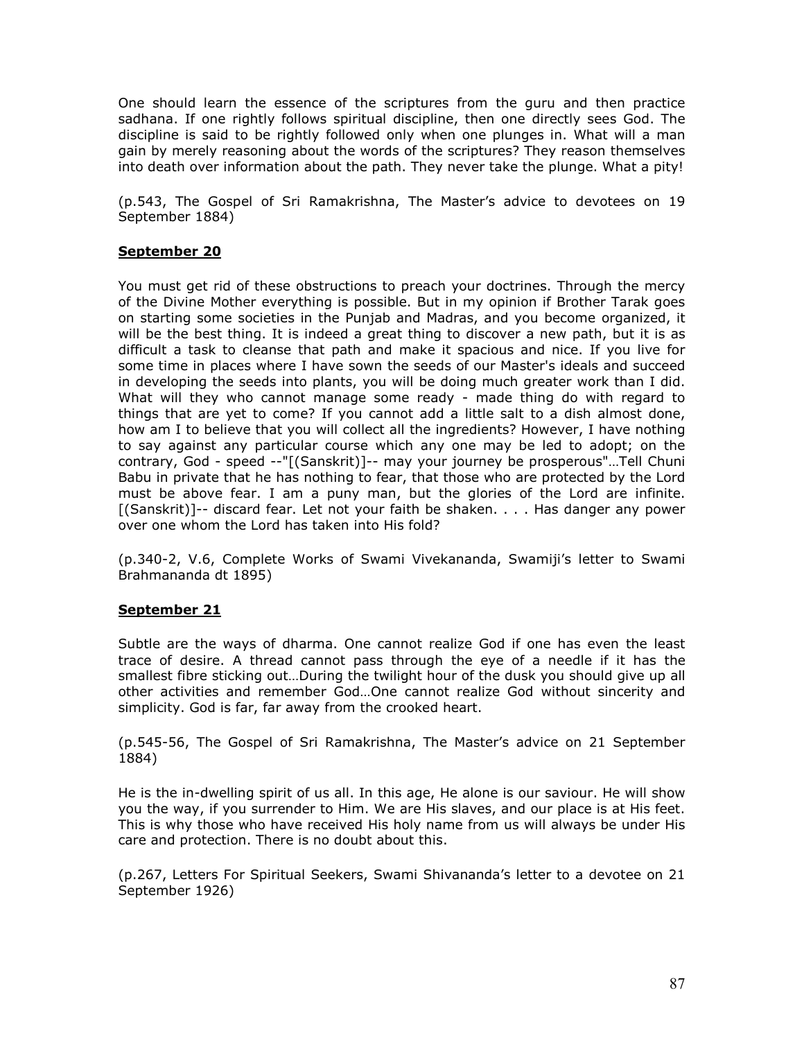One should learn the essence of the scriptures from the guru and then practice sadhana. If one rightly follows spiritual discipline, then one directly sees God. The discipline is said to be rightly followed only when one plunges in. What will a man gain by merely reasoning about the words of the scriptures? They reason themselves into death over information about the path. They never take the plunge. What a pity!

(p.543, The Gospel of Sri Ramakrishna, The Master's advice to devotees on 19 September 1884)

# September 20

You must get rid of these obstructions to preach your doctrines. Through the mercy of the Divine Mother everything is possible. But in my opinion if Brother Tarak goes on starting some societies in the Punjab and Madras, and you become organized, it will be the best thing. It is indeed a great thing to discover a new path, but it is as difficult a task to cleanse that path and make it spacious and nice. If you live for some time in places where I have sown the seeds of our Master's ideals and succeed in developing the seeds into plants, you will be doing much greater work than I did. What will they who cannot manage some ready - made thing do with regard to things that are yet to come? If you cannot add a little salt to a dish almost done, how am I to believe that you will collect all the ingredients? However, I have nothing to say against any particular course which any one may be led to adopt; on the contrary, God - speed --"[(Sanskrit)]-- may your journey be prosperous"…Tell Chuni Babu in private that he has nothing to fear, that those who are protected by the Lord must be above fear. I am a puny man, but the glories of the Lord are infinite. [(Sanskrit)]-- discard fear. Let not your faith be shaken. . . . Has danger any power over one whom the Lord has taken into His fold?

(p.340-2, V.6, Complete Works of Swami Vivekananda, Swamiji's letter to Swami Brahmananda dt 1895)

# September 21

Subtle are the ways of dharma. One cannot realize God if one has even the least trace of desire. A thread cannot pass through the eye of a needle if it has the smallest fibre sticking out…During the twilight hour of the dusk you should give up all other activities and remember God…One cannot realize God without sincerity and simplicity. God is far, far away from the crooked heart.

(p.545-56, The Gospel of Sri Ramakrishna, The Master's advice on 21 September 1884)

He is the in-dwelling spirit of us all. In this age, He alone is our saviour. He will show you the way, if you surrender to Him. We are His slaves, and our place is at His feet. This is why those who have received His holy name from us will always be under His care and protection. There is no doubt about this.

(p.267, Letters For Spiritual Seekers, Swami Shivananda's letter to a devotee on 21 September 1926)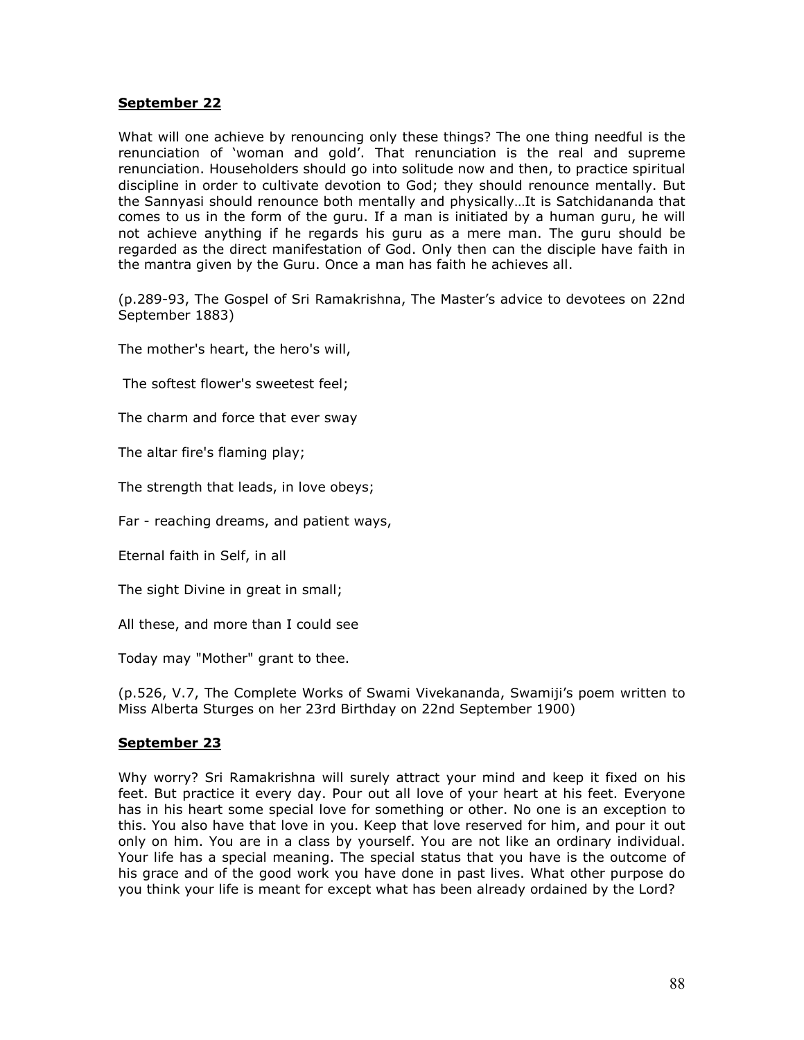### September 22

What will one achieve by renouncing only these things? The one thing needful is the renunciation of 'woman and gold'. That renunciation is the real and supreme renunciation. Householders should go into solitude now and then, to practice spiritual discipline in order to cultivate devotion to God; they should renounce mentally. But the Sannyasi should renounce both mentally and physically…It is Satchidananda that comes to us in the form of the guru. If a man is initiated by a human guru, he will not achieve anything if he regards his guru as a mere man. The guru should be regarded as the direct manifestation of God. Only then can the disciple have faith in the mantra given by the Guru. Once a man has faith he achieves all.

(p.289-93, The Gospel of Sri Ramakrishna, The Master's advice to devotees on 22nd September 1883)

The mother's heart, the hero's will,

The softest flower's sweetest feel;

The charm and force that ever sway

The altar fire's flaming play;

The strength that leads, in love obeys;

Far - reaching dreams, and patient ways,

Eternal faith in Self, in all

The sight Divine in great in small;

All these, and more than I could see

Today may "Mother" grant to thee.

(p.526, V.7, The Complete Works of Swami Vivekananda, Swamiji's poem written to Miss Alberta Sturges on her 23rd Birthday on 22nd September 1900)

### September 23

Why worry? Sri Ramakrishna will surely attract your mind and keep it fixed on his feet. But practice it every day. Pour out all love of your heart at his feet. Everyone has in his heart some special love for something or other. No one is an exception to this. You also have that love in you. Keep that love reserved for him, and pour it out only on him. You are in a class by yourself. You are not like an ordinary individual. Your life has a special meaning. The special status that you have is the outcome of his grace and of the good work you have done in past lives. What other purpose do you think your life is meant for except what has been already ordained by the Lord?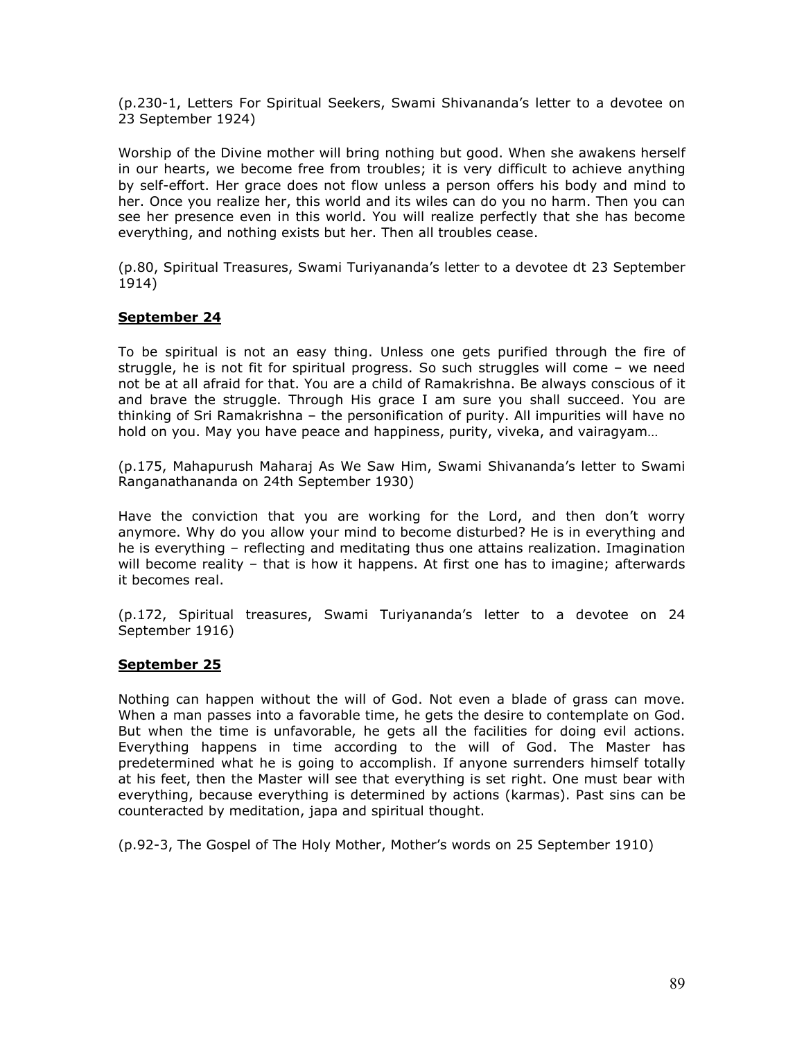(p.230-1, Letters For Spiritual Seekers, Swami Shivananda's letter to a devotee on 23 September 1924)

Worship of the Divine mother will bring nothing but good. When she awakens herself in our hearts, we become free from troubles; it is very difficult to achieve anything by self-effort. Her grace does not flow unless a person offers his body and mind to her. Once you realize her, this world and its wiles can do you no harm. Then you can see her presence even in this world. You will realize perfectly that she has become everything, and nothing exists but her. Then all troubles cease.

(p.80, Spiritual Treasures, Swami Turiyananda's letter to a devotee dt 23 September 1914)

# September 24

To be spiritual is not an easy thing. Unless one gets purified through the fire of struggle, he is not fit for spiritual progress. So such struggles will come – we need not be at all afraid for that. You are a child of Ramakrishna. Be always conscious of it and brave the struggle. Through His grace I am sure you shall succeed. You are thinking of Sri Ramakrishna – the personification of purity. All impurities will have no hold on you. May you have peace and happiness, purity, viveka, and vairagyam…

(p.175, Mahapurush Maharaj As We Saw Him, Swami Shivananda's letter to Swami Ranganathananda on 24th September 1930)

Have the conviction that you are working for the Lord, and then don't worry anymore. Why do you allow your mind to become disturbed? He is in everything and he is everything – reflecting and meditating thus one attains realization. Imagination will become reality – that is how it happens. At first one has to imagine; afterwards it becomes real.

(p.172, Spiritual treasures, Swami Turiyananda's letter to a devotee on 24 September 1916)

### September 25

Nothing can happen without the will of God. Not even a blade of grass can move. When a man passes into a favorable time, he gets the desire to contemplate on God. But when the time is unfavorable, he gets all the facilities for doing evil actions. Everything happens in time according to the will of God. The Master has predetermined what he is going to accomplish. If anyone surrenders himself totally at his feet, then the Master will see that everything is set right. One must bear with everything, because everything is determined by actions (karmas). Past sins can be counteracted by meditation, japa and spiritual thought.

(p.92-3, The Gospel of The Holy Mother, Mother's words on 25 September 1910)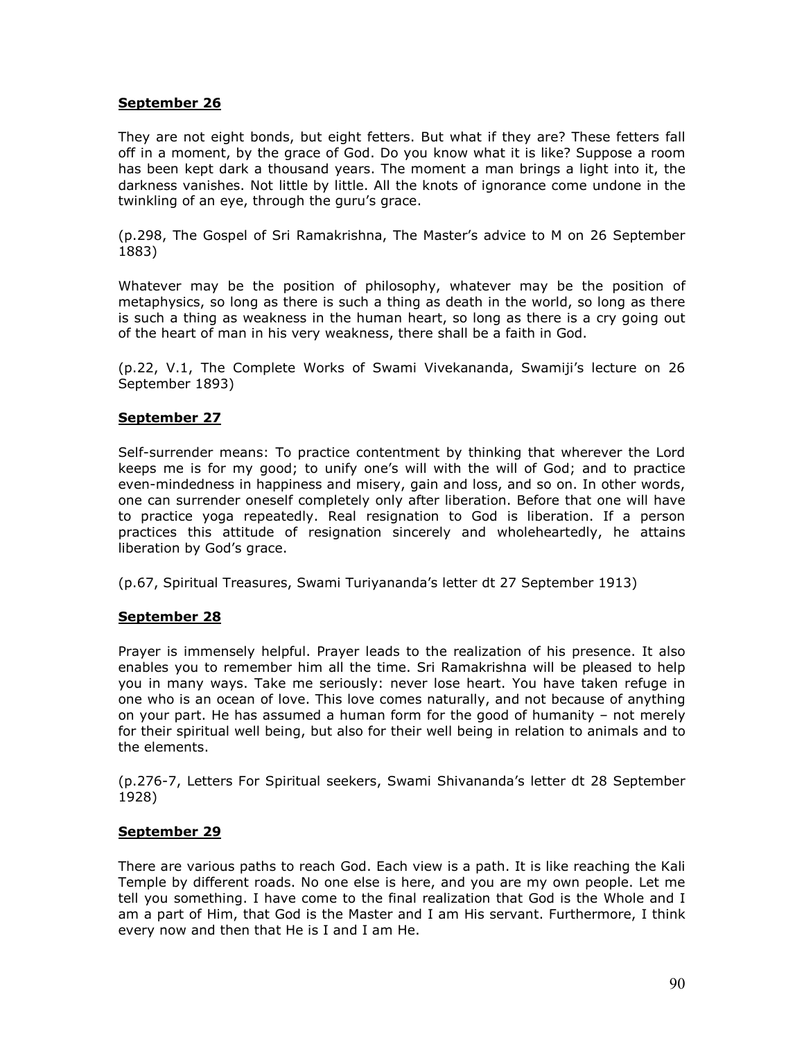### September 26

They are not eight bonds, but eight fetters. But what if they are? These fetters fall off in a moment, by the grace of God. Do you know what it is like? Suppose a room has been kept dark a thousand years. The moment a man brings a light into it, the darkness vanishes. Not little by little. All the knots of ignorance come undone in the twinkling of an eye, through the guru's grace.

(p.298, The Gospel of Sri Ramakrishna, The Master's advice to M on 26 September 1883)

Whatever may be the position of philosophy, whatever may be the position of metaphysics, so long as there is such a thing as death in the world, so long as there is such a thing as weakness in the human heart, so long as there is a cry going out of the heart of man in his very weakness, there shall be a faith in God.

(p.22, V.1, The Complete Works of Swami Vivekananda, Swamiji's lecture on 26 September 1893)

# September 27

Self-surrender means: To practice contentment by thinking that wherever the Lord keeps me is for my good; to unify one's will with the will of God; and to practice even-mindedness in happiness and misery, gain and loss, and so on. In other words, one can surrender oneself completely only after liberation. Before that one will have to practice yoga repeatedly. Real resignation to God is liberation. If a person practices this attitude of resignation sincerely and wholeheartedly, he attains liberation by God's grace.

(p.67, Spiritual Treasures, Swami Turiyananda's letter dt 27 September 1913)

# September 28

Prayer is immensely helpful. Prayer leads to the realization of his presence. It also enables you to remember him all the time. Sri Ramakrishna will be pleased to help you in many ways. Take me seriously: never lose heart. You have taken refuge in one who is an ocean of love. This love comes naturally, and not because of anything on your part. He has assumed a human form for the good of humanity – not merely for their spiritual well being, but also for their well being in relation to animals and to the elements.

(p.276-7, Letters For Spiritual seekers, Swami Shivananda's letter dt 28 September 1928)

### September 29

There are various paths to reach God. Each view is a path. It is like reaching the Kali Temple by different roads. No one else is here, and you are my own people. Let me tell you something. I have come to the final realization that God is the Whole and I am a part of Him, that God is the Master and I am His servant. Furthermore, I think every now and then that He is I and I am He.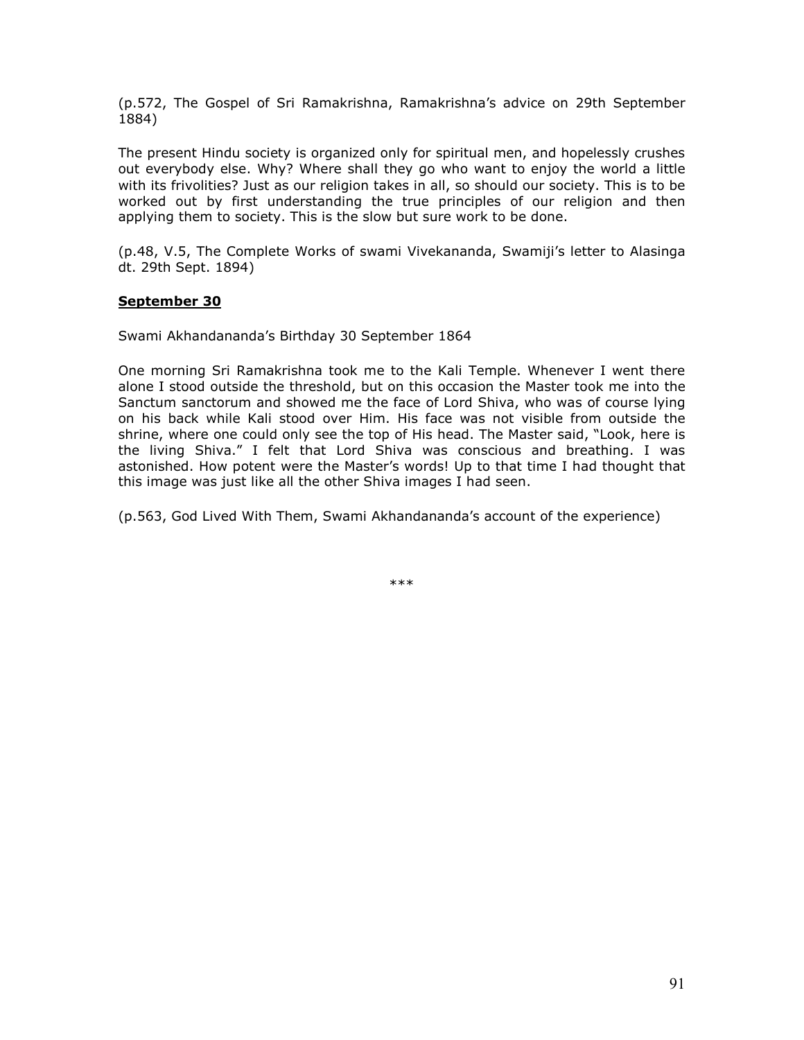(p.572, The Gospel of Sri Ramakrishna, Ramakrishna's advice on 29th September 1884)

The present Hindu society is organized only for spiritual men, and hopelessly crushes out everybody else. Why? Where shall they go who want to enjoy the world a little with its frivolities? Just as our religion takes in all, so should our society. This is to be worked out by first understanding the true principles of our religion and then applying them to society. This is the slow but sure work to be done.

(p.48, V.5, The Complete Works of swami Vivekananda, Swamiji's letter to Alasinga dt. 29th Sept. 1894)

### September 30

Swami Akhandananda's Birthday 30 September 1864

One morning Sri Ramakrishna took me to the Kali Temple. Whenever I went there alone I stood outside the threshold, but on this occasion the Master took me into the Sanctum sanctorum and showed me the face of Lord Shiva, who was of course lying on his back while Kali stood over Him. His face was not visible from outside the shrine, where one could only see the top of His head. The Master said, "Look, here is the living Shiva." I felt that Lord Shiva was conscious and breathing. I was astonished. How potent were the Master's words! Up to that time I had thought that this image was just like all the other Shiva images I had seen.

(p.563, God Lived With Them, Swami Akhandananda's account of the experience)

\*\*\*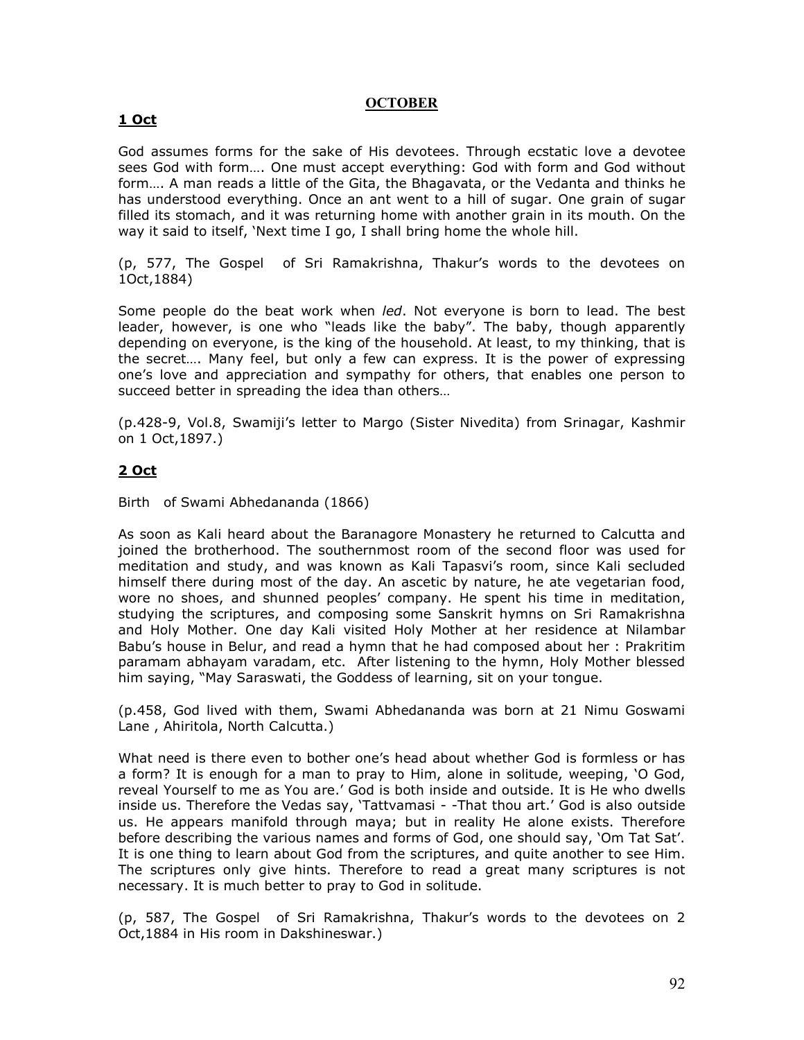#### **OCTOBER**

# 1 Oct

God assumes forms for the sake of His devotees. Through ecstatic love a devotee sees God with form…. One must accept everything: God with form and God without form…. A man reads a little of the Gita, the Bhagavata, or the Vedanta and thinks he has understood everything. Once an ant went to a hill of sugar. One grain of sugar filled its stomach, and it was returning home with another grain in its mouth. On the way it said to itself, 'Next time I go, I shall bring home the whole hill.

(p, 577, The Gospel of Sri Ramakrishna, Thakur's words to the devotees on 1Oct,1884)

Some people do the beat work when *led*. Not everyone is born to lead. The best leader, however, is one who "leads like the baby". The baby, though apparently depending on everyone, is the king of the household. At least, to my thinking, that is the secret…. Many feel, but only a few can express. It is the power of expressing one's love and appreciation and sympathy for others, that enables one person to succeed better in spreading the idea than others…

(p.428-9, Vol.8, Swamiji's letter to Margo (Sister Nivedita) from Srinagar, Kashmir on 1 Oct,1897.)

# 2 Oct

Birth of Swami Abhedananda (1866)

As soon as Kali heard about the Baranagore Monastery he returned to Calcutta and joined the brotherhood. The southernmost room of the second floor was used for meditation and study, and was known as Kali Tapasvi's room, since Kali secluded himself there during most of the day. An ascetic by nature, he ate vegetarian food, wore no shoes, and shunned peoples' company. He spent his time in meditation, studying the scriptures, and composing some Sanskrit hymns on Sri Ramakrishna and Holy Mother. One day Kali visited Holy Mother at her residence at Nilambar Babu's house in Belur, and read a hymn that he had composed about her : Prakritim paramam abhayam varadam, etc. After listening to the hymn, Holy Mother blessed him saying, "May Saraswati, the Goddess of learning, sit on your tongue.

(p.458, God lived with them, Swami Abhedananda was born at 21 Nimu Goswami Lane , Ahiritola, North Calcutta.)

What need is there even to bother one's head about whether God is formless or has a form? It is enough for a man to pray to Him, alone in solitude, weeping, 'O God, reveal Yourself to me as You are.' God is both inside and outside. It is He who dwells inside us. Therefore the Vedas say, 'Tattvamasi - -That thou art.' God is also outside us. He appears manifold through maya; but in reality He alone exists. Therefore before describing the various names and forms of God, one should say, 'Om Tat Sat'. It is one thing to learn about God from the scriptures, and quite another to see Him. The scriptures only give hints. Therefore to read a great many scriptures is not necessary. It is much better to pray to God in solitude.

(p, 587, The Gospel of Sri Ramakrishna, Thakur's words to the devotees on 2 Oct,1884 in His room in Dakshineswar.)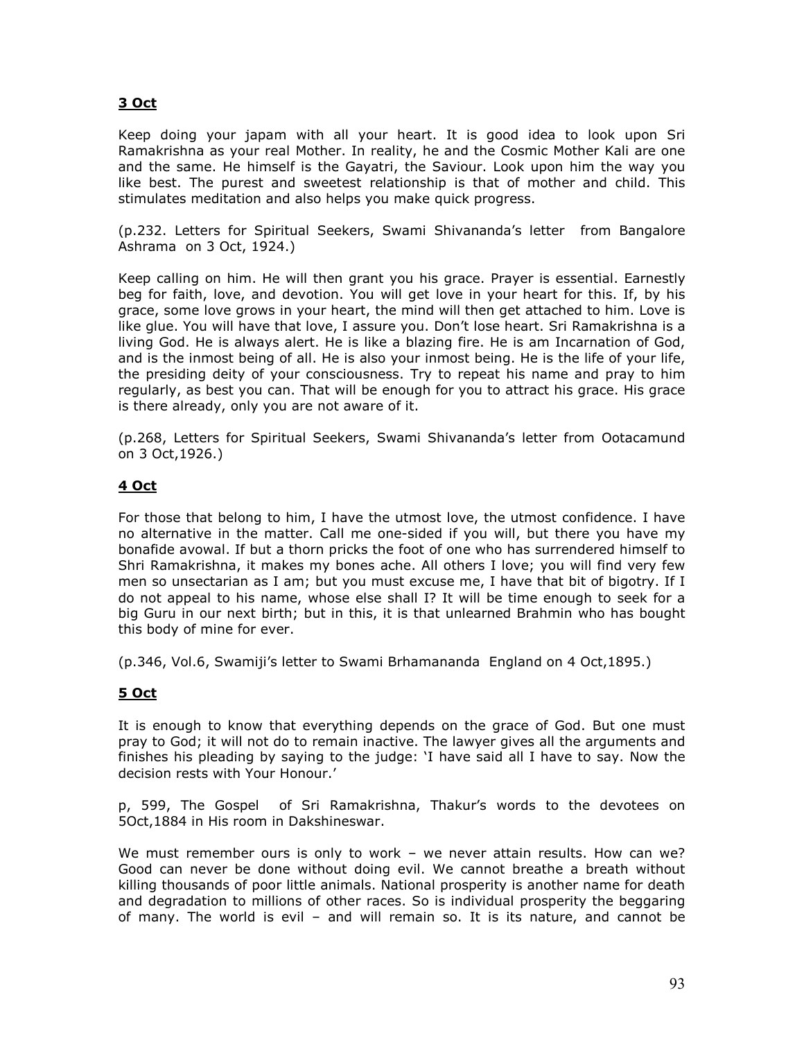Keep doing your japam with all your heart. It is good idea to look upon Sri Ramakrishna as your real Mother. In reality, he and the Cosmic Mother Kali are one and the same. He himself is the Gayatri, the Saviour. Look upon him the way you like best. The purest and sweetest relationship is that of mother and child. This stimulates meditation and also helps you make quick progress.

(p.232. Letters for Spiritual Seekers, Swami Shivananda's letter from Bangalore Ashrama on 3 Oct, 1924.)

Keep calling on him. He will then grant you his grace. Prayer is essential. Earnestly beg for faith, love, and devotion. You will get love in your heart for this. If, by his grace, some love grows in your heart, the mind will then get attached to him. Love is like glue. You will have that love, I assure you. Don't lose heart. Sri Ramakrishna is a living God. He is always alert. He is like a blazing fire. He is am Incarnation of God, and is the inmost being of all. He is also your inmost being. He is the life of your life, the presiding deity of your consciousness. Try to repeat his name and pray to him regularly, as best you can. That will be enough for you to attract his grace. His grace is there already, only you are not aware of it.

(p.268, Letters for Spiritual Seekers, Swami Shivananda's letter from Ootacamund on 3 Oct,1926.)

# 4 Oct

For those that belong to him, I have the utmost love, the utmost confidence. I have no alternative in the matter. Call me one-sided if you will, but there you have my bonafide avowal. If but a thorn pricks the foot of one who has surrendered himself to Shri Ramakrishna, it makes my bones ache. All others I love; you will find very few men so unsectarian as I am; but you must excuse me, I have that bit of bigotry. If I do not appeal to his name, whose else shall I? It will be time enough to seek for a big Guru in our next birth; but in this, it is that unlearned Brahmin who has bought this body of mine for ever.

(p.346, Vol.6, Swamiji's letter to Swami Brhamananda England on 4 Oct,1895.)

# 5 Oct

It is enough to know that everything depends on the grace of God. But one must pray to God; it will not do to remain inactive. The lawyer gives all the arguments and finishes his pleading by saying to the judge: 'I have said all I have to say. Now the decision rests with Your Honour.'

p, 599, The Gospel of Sri Ramakrishna, Thakur's words to the devotees on 5Oct,1884 in His room in Dakshineswar.

We must remember ours is only to work – we never attain results. How can we? Good can never be done without doing evil. We cannot breathe a breath without killing thousands of poor little animals. National prosperity is another name for death and degradation to millions of other races. So is individual prosperity the beggaring of many. The world is evil – and will remain so. It is its nature, and cannot be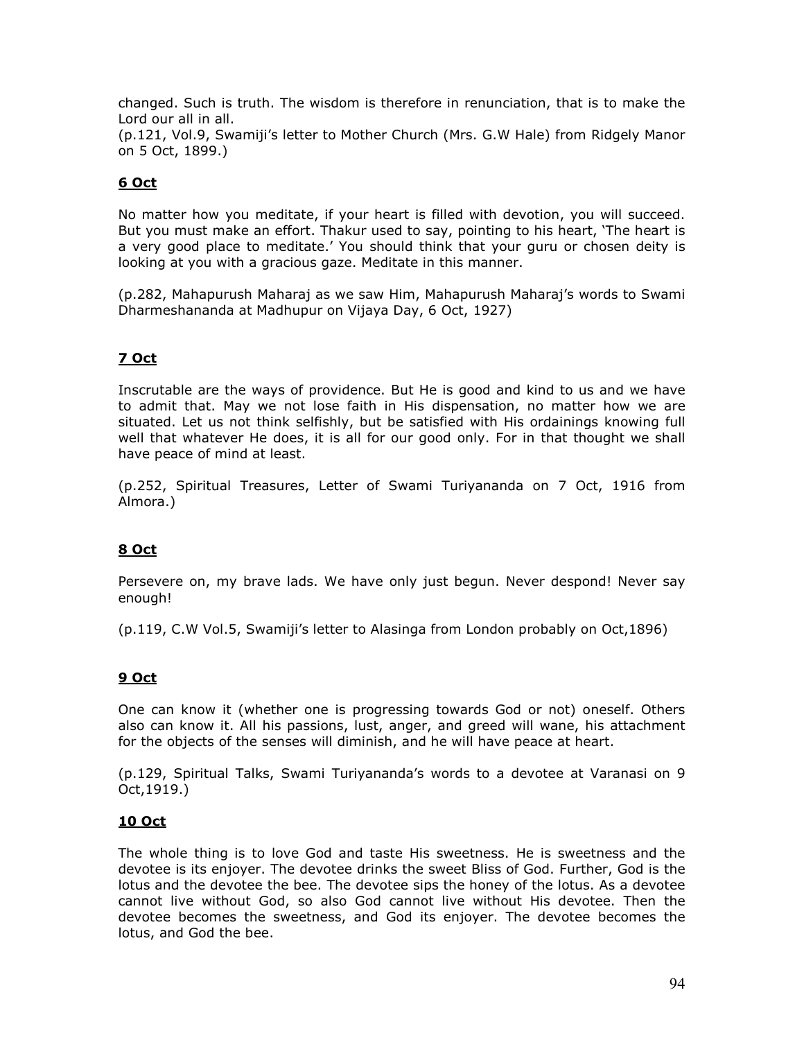changed. Such is truth. The wisdom is therefore in renunciation, that is to make the Lord our all in all.

(p.121, Vol.9, Swamiji's letter to Mother Church (Mrs. G.W Hale) from Ridgely Manor on 5 Oct, 1899.)

# 6 Oct

No matter how you meditate, if your heart is filled with devotion, you will succeed. But you must make an effort. Thakur used to say, pointing to his heart, 'The heart is a very good place to meditate.' You should think that your guru or chosen deity is looking at you with a gracious gaze. Meditate in this manner.

(p.282, Mahapurush Maharaj as we saw Him, Mahapurush Maharaj's words to Swami Dharmeshananda at Madhupur on Vijaya Day, 6 Oct, 1927)

# 7 Oct

Inscrutable are the ways of providence. But He is good and kind to us and we have to admit that. May we not lose faith in His dispensation, no matter how we are situated. Let us not think selfishly, but be satisfied with His ordainings knowing full well that whatever He does, it is all for our good only. For in that thought we shall have peace of mind at least.

(p.252, Spiritual Treasures, Letter of Swami Turiyananda on 7 Oct, 1916 from Almora.)

# 8 Oct

Persevere on, my brave lads. We have only just begun. Never despond! Never say enough!

(p.119, C.W Vol.5, Swamiji's letter to Alasinga from London probably on Oct,1896)

### 9 Oct

One can know it (whether one is progressing towards God or not) oneself. Others also can know it. All his passions, lust, anger, and greed will wane, his attachment for the objects of the senses will diminish, and he will have peace at heart.

(p.129, Spiritual Talks, Swami Turiyananda's words to a devotee at Varanasi on 9 Oct,1919.)

### 10 Oct

The whole thing is to love God and taste His sweetness. He is sweetness and the devotee is its enjoyer. The devotee drinks the sweet Bliss of God. Further, God is the lotus and the devotee the bee. The devotee sips the honey of the lotus. As a devotee cannot live without God, so also God cannot live without His devotee. Then the devotee becomes the sweetness, and God its enjoyer. The devotee becomes the lotus, and God the bee.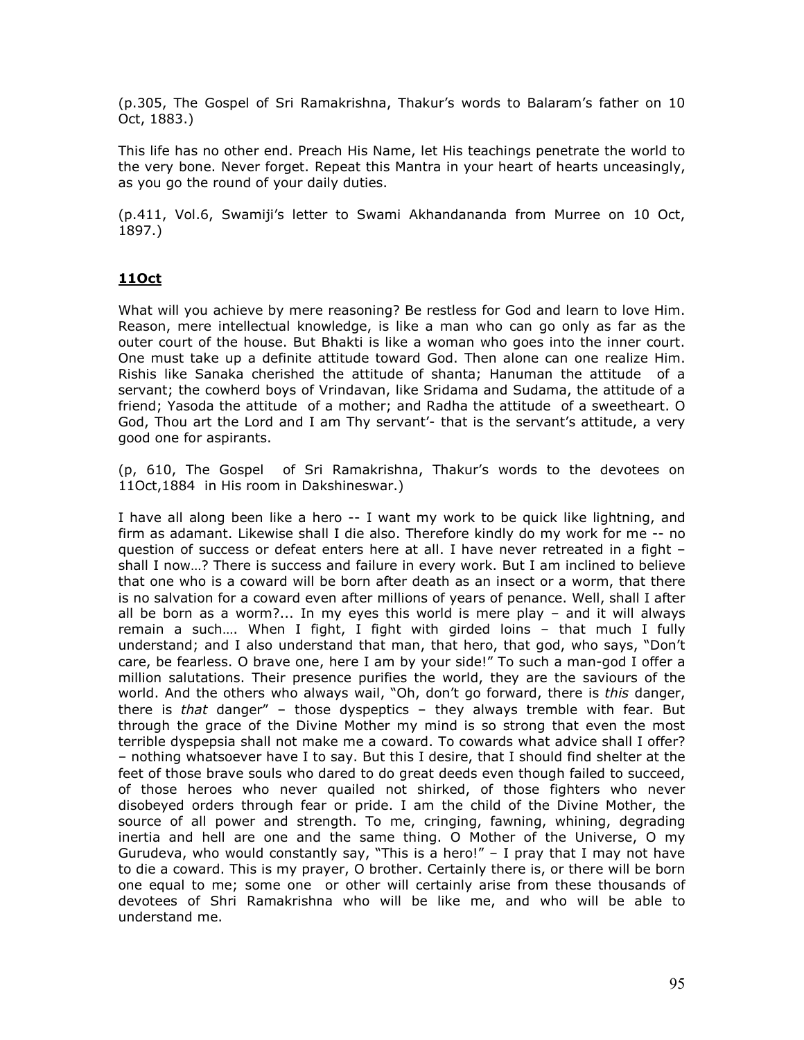(p.305, The Gospel of Sri Ramakrishna, Thakur's words to Balaram's father on 10 Oct, 1883.)

This life has no other end. Preach His Name, let His teachings penetrate the world to the very bone. Never forget. Repeat this Mantra in your heart of hearts unceasingly, as you go the round of your daily duties.

(p.411, Vol.6, Swamiji's letter to Swami Akhandananda from Murree on 10 Oct, 1897.)

# 11Oct

What will you achieve by mere reasoning? Be restless for God and learn to love Him. Reason, mere intellectual knowledge, is like a man who can go only as far as the outer court of the house. But Bhakti is like a woman who goes into the inner court. One must take up a definite attitude toward God. Then alone can one realize Him. Rishis like Sanaka cherished the attitude of shanta; Hanuman the attitude of a servant; the cowherd boys of Vrindavan, like Sridama and Sudama, the attitude of a friend; Yasoda the attitude of a mother; and Radha the attitude of a sweetheart. O God, Thou art the Lord and I am Thy servant'- that is the servant's attitude, a very good one for aspirants.

(p, 610, The Gospel of Sri Ramakrishna, Thakur's words to the devotees on 11Oct,1884 in His room in Dakshineswar.)

I have all along been like a hero -- I want my work to be quick like lightning, and firm as adamant. Likewise shall I die also. Therefore kindly do my work for me -- no question of success or defeat enters here at all. I have never retreated in a fight – shall I now…? There is success and failure in every work. But I am inclined to believe that one who is a coward will be born after death as an insect or a worm, that there is no salvation for a coward even after millions of years of penance. Well, shall I after all be born as a worm?... In my eyes this world is mere play – and it will always remain a such…. When I fight, I fight with girded loins – that much I fully understand; and I also understand that man, that hero, that god, who says, "Don't care, be fearless. O brave one, here I am by your side!" To such a man-god I offer a million salutations. Their presence purifies the world, they are the saviours of the world. And the others who always wail, "Oh, don't go forward, there is this danger, there is that danger" – those dyspeptics – they always tremble with fear. But through the grace of the Divine Mother my mind is so strong that even the most terrible dyspepsia shall not make me a coward. To cowards what advice shall I offer? – nothing whatsoever have I to say. But this I desire, that I should find shelter at the feet of those brave souls who dared to do great deeds even though failed to succeed, of those heroes who never quailed not shirked, of those fighters who never disobeyed orders through fear or pride. I am the child of the Divine Mother, the source of all power and strength. To me, cringing, fawning, whining, degrading inertia and hell are one and the same thing. O Mother of the Universe, O my Gurudeva, who would constantly say, "This is a hero!" – I pray that I may not have to die a coward. This is my prayer, O brother. Certainly there is, or there will be born one equal to me; some one or other will certainly arise from these thousands of devotees of Shri Ramakrishna who will be like me, and who will be able to understand me.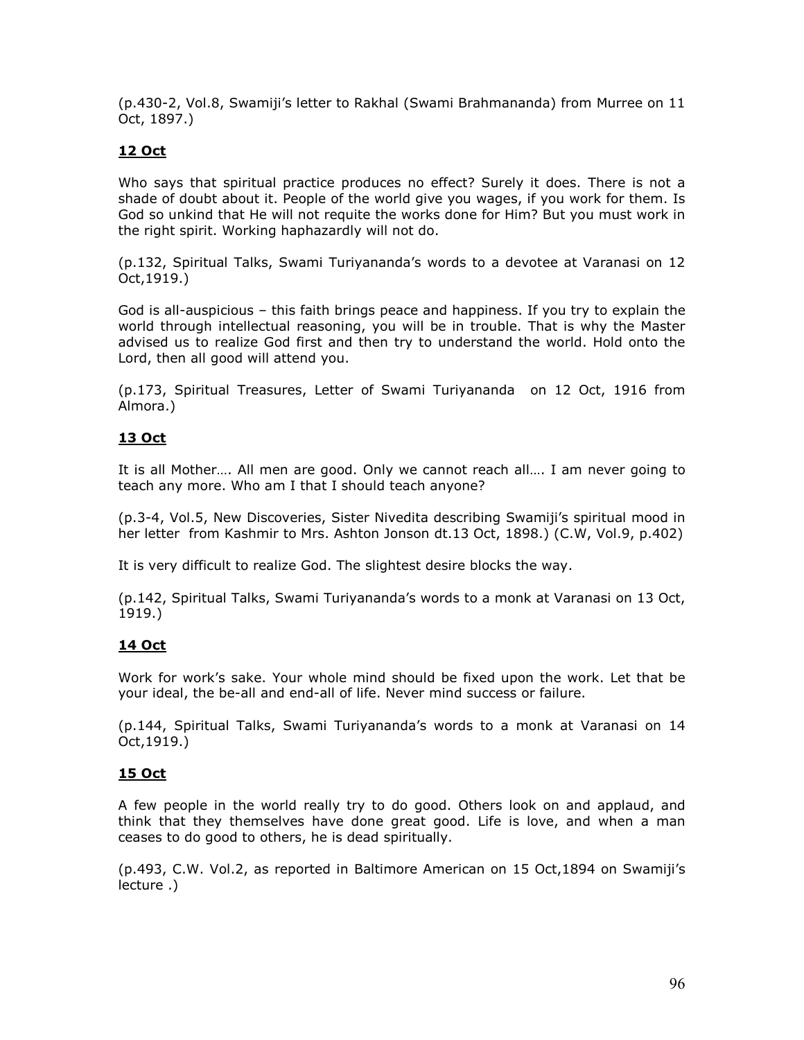(p.430-2, Vol.8, Swamiji's letter to Rakhal (Swami Brahmananda) from Murree on 11 Oct, 1897.)

# 12 Oct

Who says that spiritual practice produces no effect? Surely it does. There is not a shade of doubt about it. People of the world give you wages, if you work for them. Is God so unkind that He will not requite the works done for Him? But you must work in the right spirit. Working haphazardly will not do.

(p.132, Spiritual Talks, Swami Turiyananda's words to a devotee at Varanasi on 12 Oct,1919.)

God is all-auspicious – this faith brings peace and happiness. If you try to explain the world through intellectual reasoning, you will be in trouble. That is why the Master advised us to realize God first and then try to understand the world. Hold onto the Lord, then all good will attend you.

(p.173, Spiritual Treasures, Letter of Swami Turiyananda on 12 Oct, 1916 from Almora.)

# 13 Oct

It is all Mother…. All men are good. Only we cannot reach all…. I am never going to teach any more. Who am I that I should teach anyone?

(p.3-4, Vol.5, New Discoveries, Sister Nivedita describing Swamiji's spiritual mood in her letter from Kashmir to Mrs. Ashton Jonson dt.13 Oct, 1898.) (C.W, Vol.9, p.402)

It is very difficult to realize God. The slightest desire blocks the way.

(p.142, Spiritual Talks, Swami Turiyananda's words to a monk at Varanasi on 13 Oct, 1919.)

### 14 Oct

Work for work's sake. Your whole mind should be fixed upon the work. Let that be your ideal, the be-all and end-all of life. Never mind success or failure.

(p.144, Spiritual Talks, Swami Turiyananda's words to a monk at Varanasi on 14 Oct,1919.)

### 15 Oct

A few people in the world really try to do good. Others look on and applaud, and think that they themselves have done great good. Life is love, and when a man ceases to do good to others, he is dead spiritually.

(p.493, C.W. Vol.2, as reported in Baltimore American on 15 Oct,1894 on Swamiji's lecture .)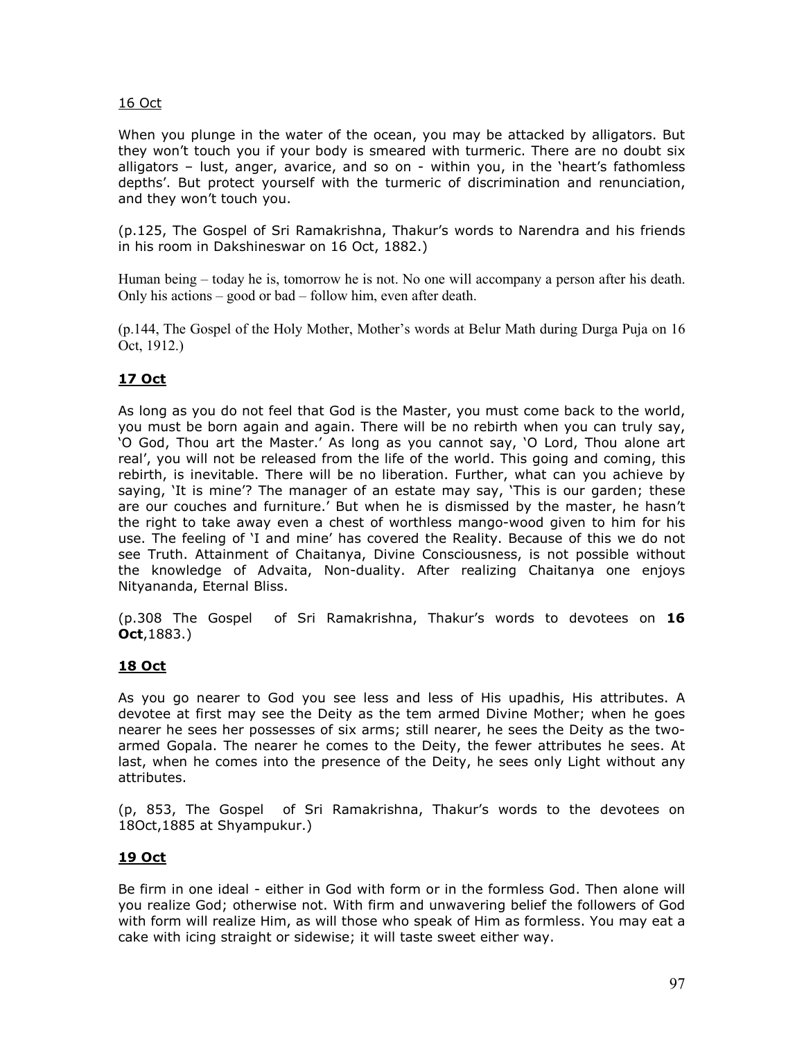When you plunge in the water of the ocean, you may be attacked by alligators. But they won't touch you if your body is smeared with turmeric. There are no doubt six alligators – lust, anger, avarice, and so on - within you, in the 'heart's fathomless depths'. But protect yourself with the turmeric of discrimination and renunciation, and they won't touch you.

(p.125, The Gospel of Sri Ramakrishna, Thakur's words to Narendra and his friends in his room in Dakshineswar on 16 Oct, 1882.)

Human being – today he is, tomorrow he is not. No one will accompany a person after his death. Only his actions – good or bad – follow him, even after death.

(p.144, The Gospel of the Holy Mother, Mother's words at Belur Math during Durga Puja on 16 Oct, 1912.)

# 17 Oct

As long as you do not feel that God is the Master, you must come back to the world, you must be born again and again. There will be no rebirth when you can truly say, 'O God, Thou art the Master.' As long as you cannot say, 'O Lord, Thou alone art real', you will not be released from the life of the world. This going and coming, this rebirth, is inevitable. There will be no liberation. Further, what can you achieve by saying, 'It is mine'? The manager of an estate may say, 'This is our garden; these are our couches and furniture.' But when he is dismissed by the master, he hasn't the right to take away even a chest of worthless mango-wood given to him for his use. The feeling of 'I and mine' has covered the Reality. Because of this we do not see Truth. Attainment of Chaitanya, Divine Consciousness, is not possible without the knowledge of Advaita, Non-duality. After realizing Chaitanya one enjoys Nityananda, Eternal Bliss.

(p.308 The Gospel of Sri Ramakrishna, Thakur's words to devotees on 16 Oct,1883.)

### 18 Oct

As you go nearer to God you see less and less of His upadhis, His attributes. A devotee at first may see the Deity as the tem armed Divine Mother; when he goes nearer he sees her possesses of six arms; still nearer, he sees the Deity as the twoarmed Gopala. The nearer he comes to the Deity, the fewer attributes he sees. At last, when he comes into the presence of the Deity, he sees only Light without any attributes.

(p, 853, The Gospel of Sri Ramakrishna, Thakur's words to the devotees on 18Oct,1885 at Shyampukur.)

### 19 Oct

Be firm in one ideal - either in God with form or in the formless God. Then alone will you realize God; otherwise not. With firm and unwavering belief the followers of God with form will realize Him, as will those who speak of Him as formless. You may eat a cake with icing straight or sidewise; it will taste sweet either way.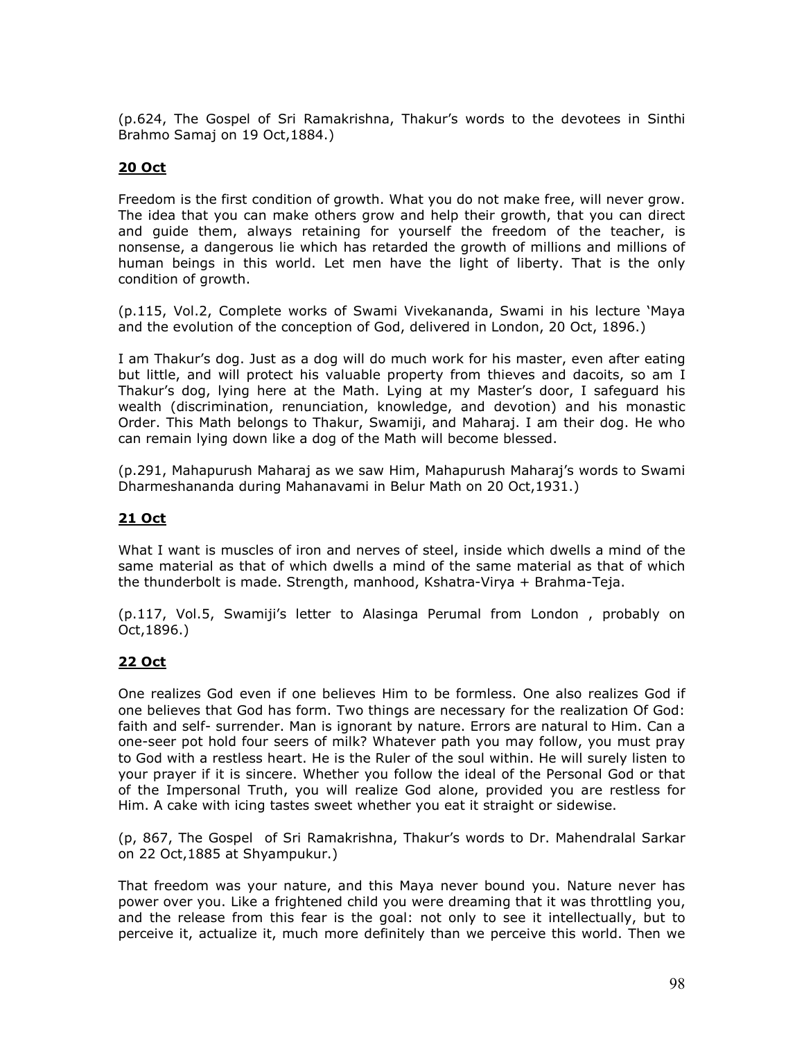(p.624, The Gospel of Sri Ramakrishna, Thakur's words to the devotees in Sinthi Brahmo Samaj on 19 Oct,1884.)

# 20 Oct

Freedom is the first condition of growth. What you do not make free, will never grow. The idea that you can make others grow and help their growth, that you can direct and guide them, always retaining for yourself the freedom of the teacher, is nonsense, a dangerous lie which has retarded the growth of millions and millions of human beings in this world. Let men have the light of liberty. That is the only condition of growth.

(p.115, Vol.2, Complete works of Swami Vivekananda, Swami in his lecture 'Maya and the evolution of the conception of God, delivered in London, 20 Oct, 1896.)

I am Thakur's dog. Just as a dog will do much work for his master, even after eating but little, and will protect his valuable property from thieves and dacoits, so am I Thakur's dog, lying here at the Math. Lying at my Master's door, I safeguard his wealth (discrimination, renunciation, knowledge, and devotion) and his monastic Order. This Math belongs to Thakur, Swamiji, and Maharaj. I am their dog. He who can remain lying down like a dog of the Math will become blessed.

(p.291, Mahapurush Maharaj as we saw Him, Mahapurush Maharaj's words to Swami Dharmeshananda during Mahanavami in Belur Math on 20 Oct,1931.)

# 21 Oct

What I want is muscles of iron and nerves of steel, inside which dwells a mind of the same material as that of which dwells a mind of the same material as that of which the thunderbolt is made. Strength, manhood, Kshatra-Virya + Brahma-Teja.

(p.117, Vol.5, Swamiji's letter to Alasinga Perumal from London , probably on Oct,1896.)

# 22 Oct

One realizes God even if one believes Him to be formless. One also realizes God if one believes that God has form. Two things are necessary for the realization Of God: faith and self- surrender. Man is ignorant by nature. Errors are natural to Him. Can a one-seer pot hold four seers of milk? Whatever path you may follow, you must pray to God with a restless heart. He is the Ruler of the soul within. He will surely listen to your prayer if it is sincere. Whether you follow the ideal of the Personal God or that of the Impersonal Truth, you will realize God alone, provided you are restless for Him. A cake with icing tastes sweet whether you eat it straight or sidewise.

(p, 867, The Gospel of Sri Ramakrishna, Thakur's words to Dr. Mahendralal Sarkar on 22 Oct,1885 at Shyampukur.)

That freedom was your nature, and this Maya never bound you. Nature never has power over you. Like a frightened child you were dreaming that it was throttling you, and the release from this fear is the goal: not only to see it intellectually, but to perceive it, actualize it, much more definitely than we perceive this world. Then we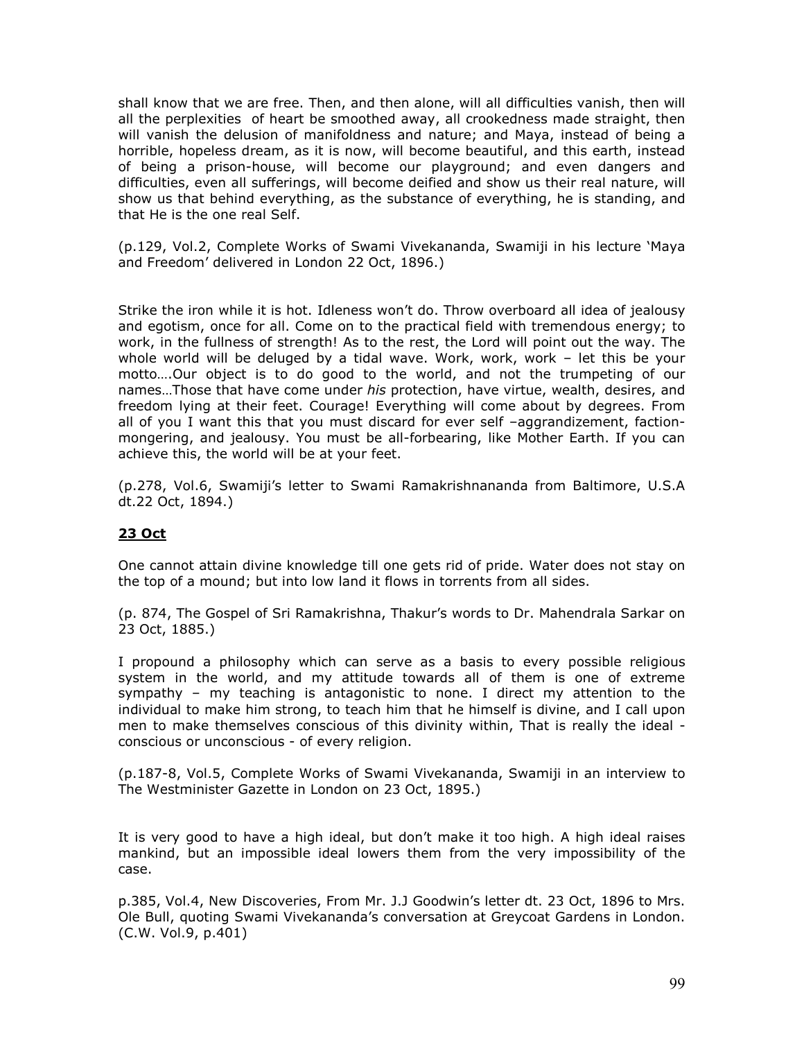shall know that we are free. Then, and then alone, will all difficulties vanish, then will all the perplexities of heart be smoothed away, all crookedness made straight, then will vanish the delusion of manifoldness and nature; and Maya, instead of being a horrible, hopeless dream, as it is now, will become beautiful, and this earth, instead of being a prison-house, will become our playground; and even dangers and difficulties, even all sufferings, will become deified and show us their real nature, will show us that behind everything, as the substance of everything, he is standing, and that He is the one real Self.

(p.129, Vol.2, Complete Works of Swami Vivekananda, Swamiji in his lecture 'Maya and Freedom' delivered in London 22 Oct, 1896.)

Strike the iron while it is hot. Idleness won't do. Throw overboard all idea of jealousy and egotism, once for all. Come on to the practical field with tremendous energy; to work, in the fullness of strength! As to the rest, the Lord will point out the way. The whole world will be deluged by a tidal wave. Work, work, work - let this be your motto….Our object is to do good to the world, and not the trumpeting of our names...Those that have come under his protection, have virtue, wealth, desires, and freedom lying at their feet. Courage! Everything will come about by degrees. From all of you I want this that you must discard for ever self –aggrandizement, factionmongering, and jealousy. You must be all-forbearing, like Mother Earth. If you can achieve this, the world will be at your feet.

(p.278, Vol.6, Swamiji's letter to Swami Ramakrishnananda from Baltimore, U.S.A dt.22 Oct, 1894.)

# 23 Oct

One cannot attain divine knowledge till one gets rid of pride. Water does not stay on the top of a mound; but into low land it flows in torrents from all sides.

(p. 874, The Gospel of Sri Ramakrishna, Thakur's words to Dr. Mahendrala Sarkar on 23 Oct, 1885.)

I propound a philosophy which can serve as a basis to every possible religious system in the world, and my attitude towards all of them is one of extreme sympathy – my teaching is antagonistic to none. I direct my attention to the individual to make him strong, to teach him that he himself is divine, and I call upon men to make themselves conscious of this divinity within, That is really the ideal conscious or unconscious - of every religion.

(p.187-8, Vol.5, Complete Works of Swami Vivekananda, Swamiji in an interview to The Westminister Gazette in London on 23 Oct, 1895.)

It is very good to have a high ideal, but don't make it too high. A high ideal raises mankind, but an impossible ideal lowers them from the very impossibility of the case.

p.385, Vol.4, New Discoveries, From Mr. J.J Goodwin's letter dt. 23 Oct, 1896 to Mrs. Ole Bull, quoting Swami Vivekananda's conversation at Greycoat Gardens in London. (C.W. Vol.9, p.401)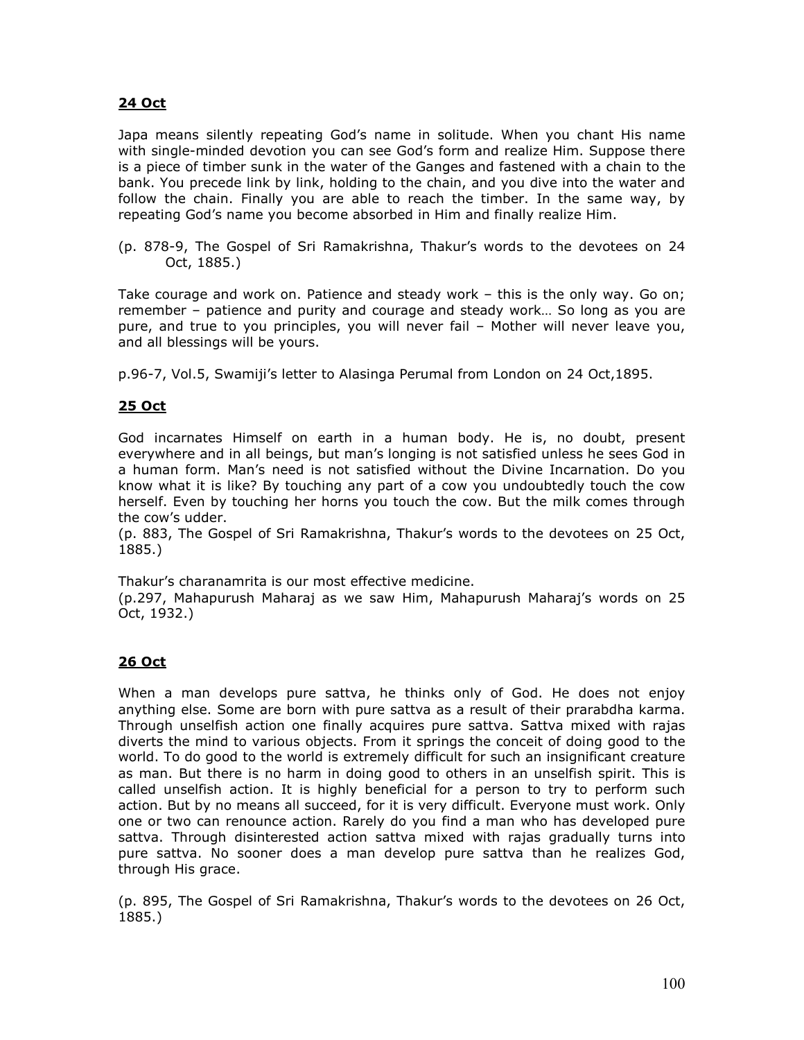Japa means silently repeating God's name in solitude. When you chant His name with single-minded devotion you can see God's form and realize Him. Suppose there is a piece of timber sunk in the water of the Ganges and fastened with a chain to the bank. You precede link by link, holding to the chain, and you dive into the water and follow the chain. Finally you are able to reach the timber. In the same way, by repeating God's name you become absorbed in Him and finally realize Him.

(p. 878-9, The Gospel of Sri Ramakrishna, Thakur's words to the devotees on 24 Oct, 1885.)

Take courage and work on. Patience and steady work – this is the only way. Go on; remember – patience and purity and courage and steady work… So long as you are pure, and true to you principles, you will never fail – Mother will never leave you, and all blessings will be yours.

p.96-7, Vol.5, Swamiji's letter to Alasinga Perumal from London on 24 Oct,1895.

# 25 Oct

God incarnates Himself on earth in a human body. He is, no doubt, present everywhere and in all beings, but man's longing is not satisfied unless he sees God in a human form. Man's need is not satisfied without the Divine Incarnation. Do you know what it is like? By touching any part of a cow you undoubtedly touch the cow herself. Even by touching her horns you touch the cow. But the milk comes through the cow's udder.

(p. 883, The Gospel of Sri Ramakrishna, Thakur's words to the devotees on 25 Oct, 1885.)

Thakur's charanamrita is our most effective medicine.

(p.297, Mahapurush Maharaj as we saw Him, Mahapurush Maharaj's words on 25 Oct, 1932.)

# 26 Oct

When a man develops pure sattva, he thinks only of God. He does not enjoy anything else. Some are born with pure sattva as a result of their prarabdha karma. Through unselfish action one finally acquires pure sattva. Sattva mixed with rajas diverts the mind to various objects. From it springs the conceit of doing good to the world. To do good to the world is extremely difficult for such an insignificant creature as man. But there is no harm in doing good to others in an unselfish spirit. This is called unselfish action. It is highly beneficial for a person to try to perform such action. But by no means all succeed, for it is very difficult. Everyone must work. Only one or two can renounce action. Rarely do you find a man who has developed pure sattva. Through disinterested action sattva mixed with rajas gradually turns into pure sattva. No sooner does a man develop pure sattva than he realizes God, through His grace.

(p. 895, The Gospel of Sri Ramakrishna, Thakur's words to the devotees on 26 Oct, 1885.)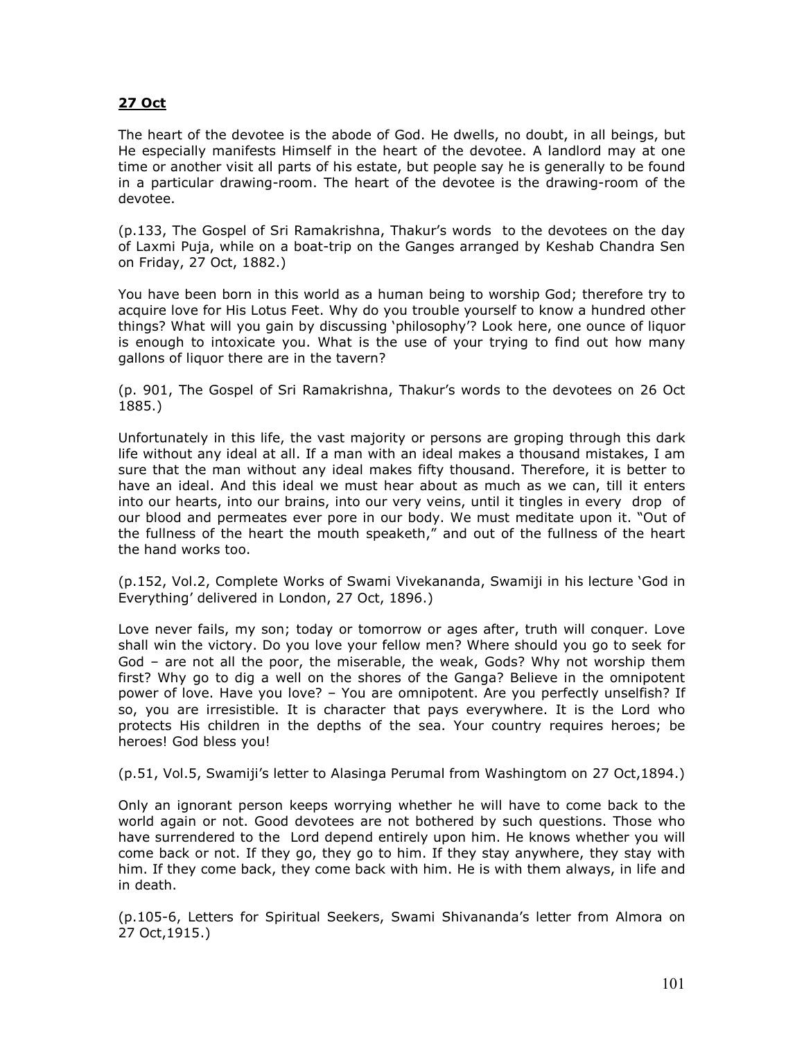The heart of the devotee is the abode of God. He dwells, no doubt, in all beings, but He especially manifests Himself in the heart of the devotee. A landlord may at one time or another visit all parts of his estate, but people say he is generally to be found in a particular drawing-room. The heart of the devotee is the drawing-room of the devotee.

(p.133, The Gospel of Sri Ramakrishna, Thakur's words to the devotees on the day of Laxmi Puja, while on a boat-trip on the Ganges arranged by Keshab Chandra Sen on Friday, 27 Oct, 1882.)

You have been born in this world as a human being to worship God; therefore try to acquire love for His Lotus Feet. Why do you trouble yourself to know a hundred other things? What will you gain by discussing 'philosophy'? Look here, one ounce of liquor is enough to intoxicate you. What is the use of your trying to find out how many gallons of liquor there are in the tavern?

(p. 901, The Gospel of Sri Ramakrishna, Thakur's words to the devotees on 26 Oct 1885.)

Unfortunately in this life, the vast majority or persons are groping through this dark life without any ideal at all. If a man with an ideal makes a thousand mistakes, I am sure that the man without any ideal makes fifty thousand. Therefore, it is better to have an ideal. And this ideal we must hear about as much as we can, till it enters into our hearts, into our brains, into our very veins, until it tingles in every drop of our blood and permeates ever pore in our body. We must meditate upon it. "Out of the fullness of the heart the mouth speaketh," and out of the fullness of the heart the hand works too.

(p.152, Vol.2, Complete Works of Swami Vivekananda, Swamiji in his lecture 'God in Everything' delivered in London, 27 Oct, 1896.)

Love never fails, my son; today or tomorrow or ages after, truth will conquer. Love shall win the victory. Do you love your fellow men? Where should you go to seek for God – are not all the poor, the miserable, the weak, Gods? Why not worship them first? Why go to dig a well on the shores of the Ganga? Believe in the omnipotent power of love. Have you love? – You are omnipotent. Are you perfectly unselfish? If so, you are irresistible. It is character that pays everywhere. It is the Lord who protects His children in the depths of the sea. Your country requires heroes; be heroes! God bless you!

(p.51, Vol.5, Swamiji's letter to Alasinga Perumal from Washingtom on 27 Oct,1894.)

Only an ignorant person keeps worrying whether he will have to come back to the world again or not. Good devotees are not bothered by such questions. Those who have surrendered to the Lord depend entirely upon him. He knows whether you will come back or not. If they go, they go to him. If they stay anywhere, they stay with him. If they come back, they come back with him. He is with them always, in life and in death.

(p.105-6, Letters for Spiritual Seekers, Swami Shivananda's letter from Almora on 27 Oct,1915.)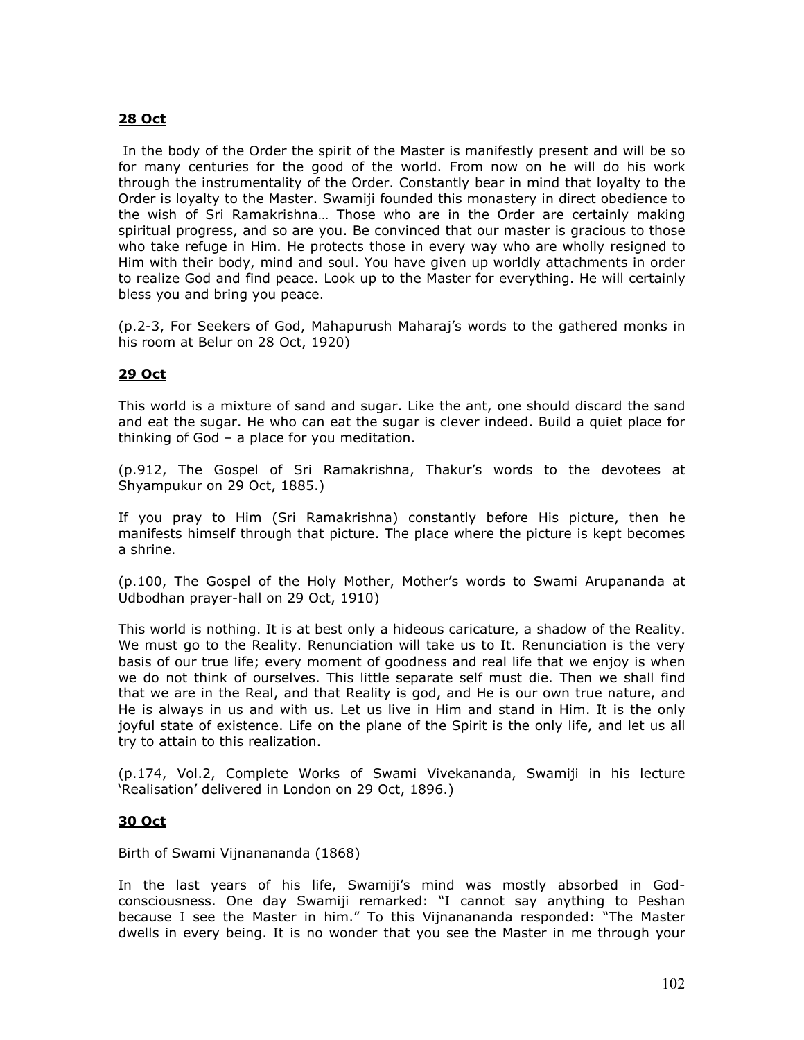In the body of the Order the spirit of the Master is manifestly present and will be so for many centuries for the good of the world. From now on he will do his work through the instrumentality of the Order. Constantly bear in mind that loyalty to the Order is loyalty to the Master. Swamiji founded this monastery in direct obedience to the wish of Sri Ramakrishna… Those who are in the Order are certainly making spiritual progress, and so are you. Be convinced that our master is gracious to those who take refuge in Him. He protects those in every way who are wholly resigned to Him with their body, mind and soul. You have given up worldly attachments in order to realize God and find peace. Look up to the Master for everything. He will certainly bless you and bring you peace.

(p.2-3, For Seekers of God, Mahapurush Maharaj's words to the gathered monks in his room at Belur on 28 Oct, 1920)

# 29 Oct

This world is a mixture of sand and sugar. Like the ant, one should discard the sand and eat the sugar. He who can eat the sugar is clever indeed. Build a quiet place for thinking of God – a place for you meditation.

(p.912, The Gospel of Sri Ramakrishna, Thakur's words to the devotees at Shyampukur on 29 Oct, 1885.)

If you pray to Him (Sri Ramakrishna) constantly before His picture, then he manifests himself through that picture. The place where the picture is kept becomes a shrine.

(p.100, The Gospel of the Holy Mother, Mother's words to Swami Arupananda at Udbodhan prayer-hall on 29 Oct, 1910)

This world is nothing. It is at best only a hideous caricature, a shadow of the Reality. We must go to the Reality. Renunciation will take us to It. Renunciation is the very basis of our true life; every moment of goodness and real life that we enjoy is when we do not think of ourselves. This little separate self must die. Then we shall find that we are in the Real, and that Reality is god, and He is our own true nature, and He is always in us and with us. Let us live in Him and stand in Him. It is the only joyful state of existence. Life on the plane of the Spirit is the only life, and let us all try to attain to this realization.

(p.174, Vol.2, Complete Works of Swami Vivekananda, Swamiji in his lecture 'Realisation' delivered in London on 29 Oct, 1896.)

### 30 Oct

Birth of Swami Vijnanananda (1868)

In the last years of his life, Swamiji's mind was mostly absorbed in Godconsciousness. One day Swamiji remarked: "I cannot say anything to Peshan because I see the Master in him." To this Vijnanananda responded: "The Master dwells in every being. It is no wonder that you see the Master in me through your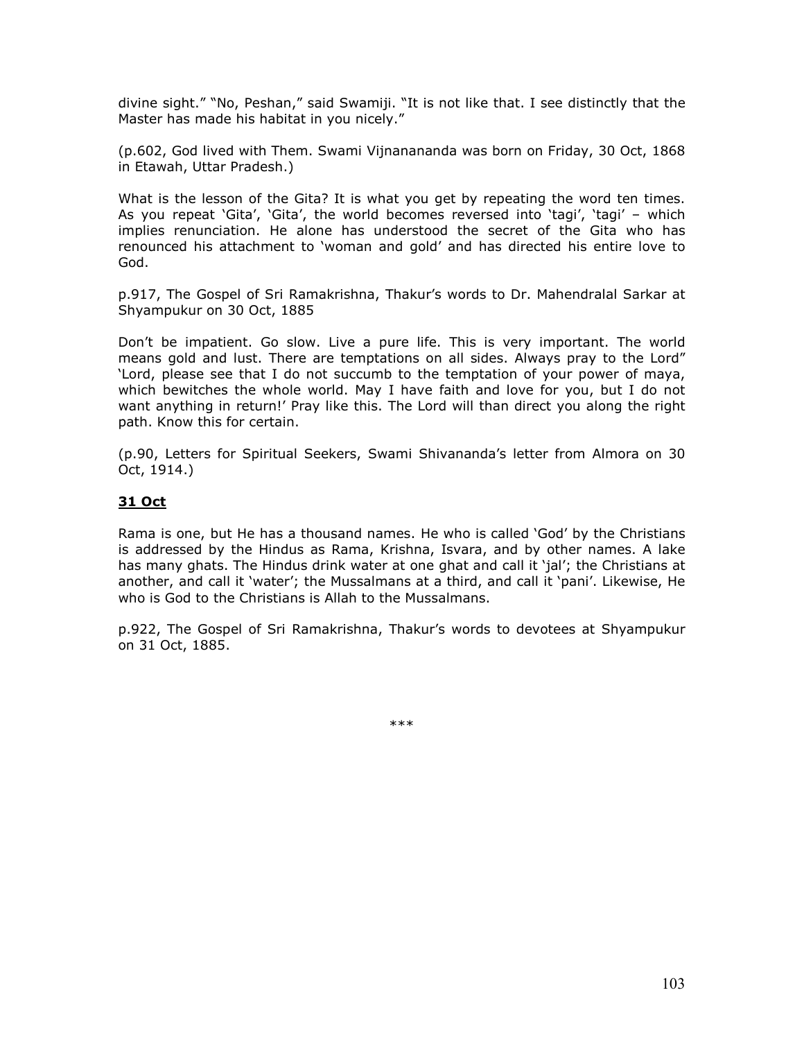divine sight." "No, Peshan," said Swamiji. "It is not like that. I see distinctly that the Master has made his habitat in you nicely."

(p.602, God lived with Them. Swami Vijnanananda was born on Friday, 30 Oct, 1868 in Etawah, Uttar Pradesh.)

What is the lesson of the Gita? It is what you get by repeating the word ten times. As you repeat 'Gita', 'Gita', the world becomes reversed into 'tagi', 'tagi' – which implies renunciation. He alone has understood the secret of the Gita who has renounced his attachment to 'woman and gold' and has directed his entire love to God.

p.917, The Gospel of Sri Ramakrishna, Thakur's words to Dr. Mahendralal Sarkar at Shyampukur on 30 Oct, 1885

Don't be impatient. Go slow. Live a pure life. This is very important. The world means gold and lust. There are temptations on all sides. Always pray to the Lord" 'Lord, please see that I do not succumb to the temptation of your power of maya, which bewitches the whole world. May I have faith and love for you, but I do not want anything in return!' Pray like this. The Lord will than direct you along the right path. Know this for certain.

(p.90, Letters for Spiritual Seekers, Swami Shivananda's letter from Almora on 30 Oct, 1914.)

# 31 Oct

Rama is one, but He has a thousand names. He who is called 'God' by the Christians is addressed by the Hindus as Rama, Krishna, Isvara, and by other names. A lake has many ghats. The Hindus drink water at one ghat and call it 'jal'; the Christians at another, and call it 'water'; the Mussalmans at a third, and call it 'pani'. Likewise, He who is God to the Christians is Allah to the Mussalmans.

p.922, The Gospel of Sri Ramakrishna, Thakur's words to devotees at Shyampukur on 31 Oct, 1885.

\*\*\*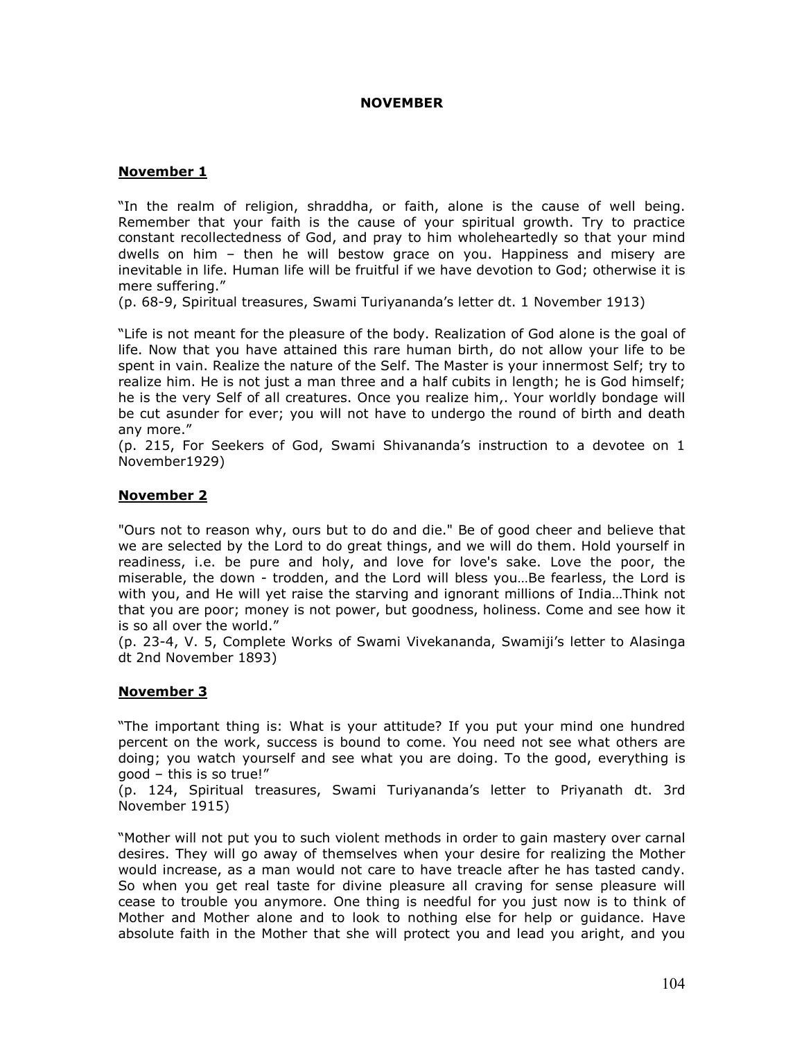#### NOVEMBER

### November 1

"In the realm of religion, shraddha, or faith, alone is the cause of well being. Remember that your faith is the cause of your spiritual growth. Try to practice constant recollectedness of God, and pray to him wholeheartedly so that your mind dwells on him – then he will bestow grace on you. Happiness and misery are inevitable in life. Human life will be fruitful if we have devotion to God; otherwise it is mere suffering."

(p. 68-9, Spiritual treasures, Swami Turiyananda's letter dt. 1 November 1913)

"Life is not meant for the pleasure of the body. Realization of God alone is the goal of life. Now that you have attained this rare human birth, do not allow your life to be spent in vain. Realize the nature of the Self. The Master is your innermost Self; try to realize him. He is not just a man three and a half cubits in length; he is God himself; he is the very Self of all creatures. Once you realize him,. Your worldly bondage will be cut asunder for ever; you will not have to undergo the round of birth and death any more."

(p. 215, For Seekers of God, Swami Shivananda's instruction to a devotee on 1 November1929)

### November 2

"Ours not to reason why, ours but to do and die." Be of good cheer and believe that we are selected by the Lord to do great things, and we will do them. Hold yourself in readiness, i.e. be pure and holy, and love for love's sake. Love the poor, the miserable, the down - trodden, and the Lord will bless you…Be fearless, the Lord is with you, and He will yet raise the starving and ignorant millions of India…Think not that you are poor; money is not power, but goodness, holiness. Come and see how it is so all over the world."

(p. 23-4, V. 5, Complete Works of Swami Vivekananda, Swamiji's letter to Alasinga dt 2nd November 1893)

#### November 3

"The important thing is: What is your attitude? If you put your mind one hundred percent on the work, success is bound to come. You need not see what others are doing; you watch yourself and see what you are doing. To the good, everything is good – this is so true!"

(p. 124, Spiritual treasures, Swami Turiyananda's letter to Priyanath dt. 3rd November 1915)

"Mother will not put you to such violent methods in order to gain mastery over carnal desires. They will go away of themselves when your desire for realizing the Mother would increase, as a man would not care to have treacle after he has tasted candy. So when you get real taste for divine pleasure all craving for sense pleasure will cease to trouble you anymore. One thing is needful for you just now is to think of Mother and Mother alone and to look to nothing else for help or guidance. Have absolute faith in the Mother that she will protect you and lead you aright, and you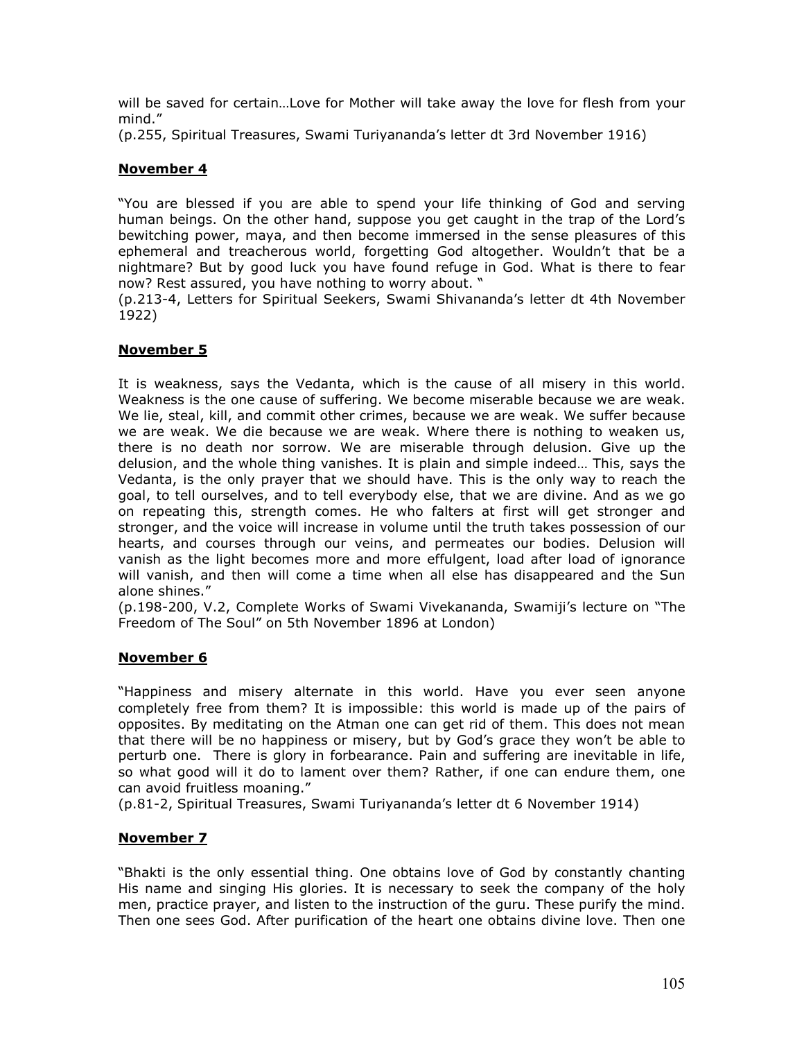will be saved for certain…Love for Mother will take away the love for flesh from your mind."

(p.255, Spiritual Treasures, Swami Turiyananda's letter dt 3rd November 1916)

# November 4

"You are blessed if you are able to spend your life thinking of God and serving human beings. On the other hand, suppose you get caught in the trap of the Lord's bewitching power, maya, and then become immersed in the sense pleasures of this ephemeral and treacherous world, forgetting God altogether. Wouldn't that be a nightmare? But by good luck you have found refuge in God. What is there to fear now? Rest assured, you have nothing to worry about. "

(p.213-4, Letters for Spiritual Seekers, Swami Shivananda's letter dt 4th November 1922)

### November 5

It is weakness, says the Vedanta, which is the cause of all misery in this world. Weakness is the one cause of suffering. We become miserable because we are weak. We lie, steal, kill, and commit other crimes, because we are weak. We suffer because we are weak. We die because we are weak. Where there is nothing to weaken us, there is no death nor sorrow. We are miserable through delusion. Give up the delusion, and the whole thing vanishes. It is plain and simple indeed… This, says the Vedanta, is the only prayer that we should have. This is the only way to reach the goal, to tell ourselves, and to tell everybody else, that we are divine. And as we go on repeating this, strength comes. He who falters at first will get stronger and stronger, and the voice will increase in volume until the truth takes possession of our hearts, and courses through our veins, and permeates our bodies. Delusion will vanish as the light becomes more and more effulgent, load after load of ignorance will vanish, and then will come a time when all else has disappeared and the Sun alone shines."

(p.198-200, V.2, Complete Works of Swami Vivekananda, Swamiji's lecture on "The Freedom of The Soul" on 5th November 1896 at London)

### November 6

"Happiness and misery alternate in this world. Have you ever seen anyone completely free from them? It is impossible: this world is made up of the pairs of opposites. By meditating on the Atman one can get rid of them. This does not mean that there will be no happiness or misery, but by God's grace they won't be able to perturb one. There is glory in forbearance. Pain and suffering are inevitable in life, so what good will it do to lament over them? Rather, if one can endure them, one can avoid fruitless moaning."

(p.81-2, Spiritual Treasures, Swami Turiyananda's letter dt 6 November 1914)

### November 7

"Bhakti is the only essential thing. One obtains love of God by constantly chanting His name and singing His glories. It is necessary to seek the company of the holy men, practice prayer, and listen to the instruction of the guru. These purify the mind. Then one sees God. After purification of the heart one obtains divine love. Then one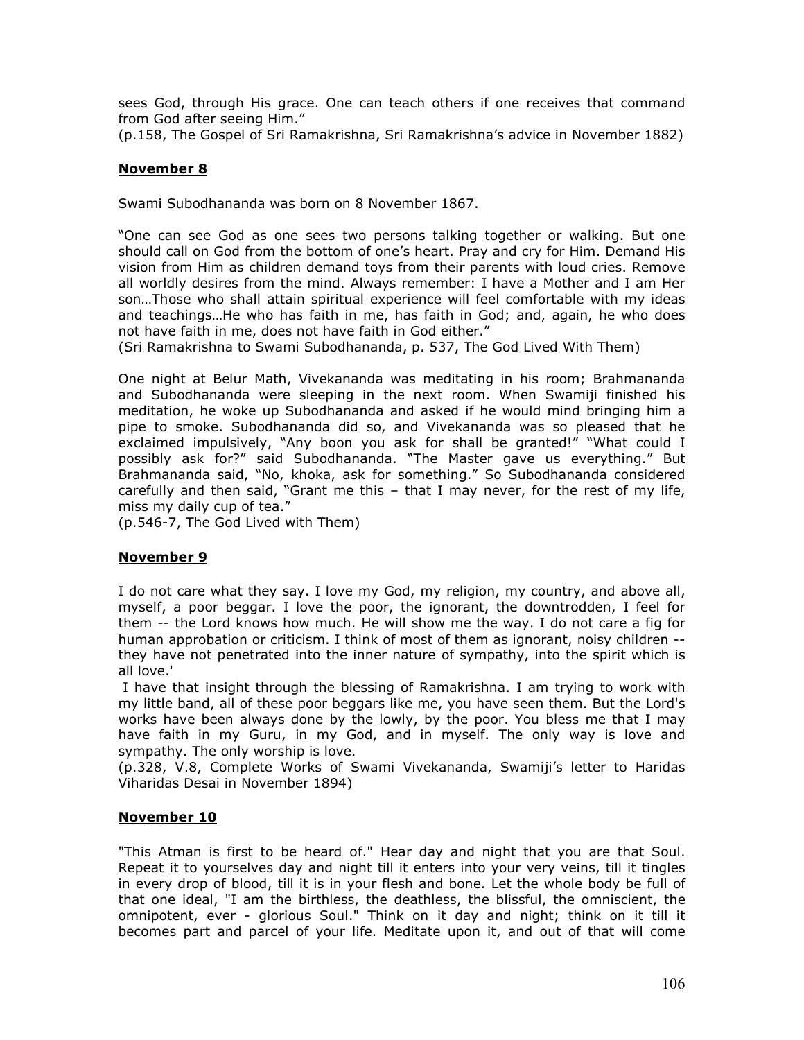sees God, through His grace. One can teach others if one receives that command from God after seeing Him."

(p.158, The Gospel of Sri Ramakrishna, Sri Ramakrishna's advice in November 1882)

# November 8

Swami Subodhananda was born on 8 November 1867.

"One can see God as one sees two persons talking together or walking. But one should call on God from the bottom of one's heart. Pray and cry for Him. Demand His vision from Him as children demand toys from their parents with loud cries. Remove all worldly desires from the mind. Always remember: I have a Mother and I am Her son…Those who shall attain spiritual experience will feel comfortable with my ideas and teachings…He who has faith in me, has faith in God; and, again, he who does not have faith in me, does not have faith in God either."

(Sri Ramakrishna to Swami Subodhananda, p. 537, The God Lived With Them)

One night at Belur Math, Vivekananda was meditating in his room; Brahmananda and Subodhananda were sleeping in the next room. When Swamiji finished his meditation, he woke up Subodhananda and asked if he would mind bringing him a pipe to smoke. Subodhananda did so, and Vivekananda was so pleased that he exclaimed impulsively, "Any boon you ask for shall be granted!" "What could I possibly ask for?" said Subodhananda. "The Master gave us everything." But Brahmananda said, "No, khoka, ask for something." So Subodhananda considered carefully and then said, "Grant me this – that I may never, for the rest of my life, miss my daily cup of tea."

(p.546-7, The God Lived with Them)

# November 9

I do not care what they say. I love my God, my religion, my country, and above all, myself, a poor beggar. I love the poor, the ignorant, the downtrodden, I feel for them -- the Lord knows how much. He will show me the way. I do not care a fig for human approbation or criticism. I think of most of them as ignorant, noisy children - they have not penetrated into the inner nature of sympathy, into the spirit which is all love.'

 I have that insight through the blessing of Ramakrishna. I am trying to work with my little band, all of these poor beggars like me, you have seen them. But the Lord's works have been always done by the lowly, by the poor. You bless me that I may have faith in my Guru, in my God, and in myself. The only way is love and sympathy. The only worship is love.

(p.328, V.8, Complete Works of Swami Vivekananda, Swamiji's letter to Haridas Viharidas Desai in November 1894)

# November 10

"This Atman is first to be heard of." Hear day and night that you are that Soul. Repeat it to yourselves day and night till it enters into your very veins, till it tingles in every drop of blood, till it is in your flesh and bone. Let the whole body be full of that one ideal, "I am the birthless, the deathless, the blissful, the omniscient, the omnipotent, ever - glorious Soul." Think on it day and night; think on it till it becomes part and parcel of your life. Meditate upon it, and out of that will come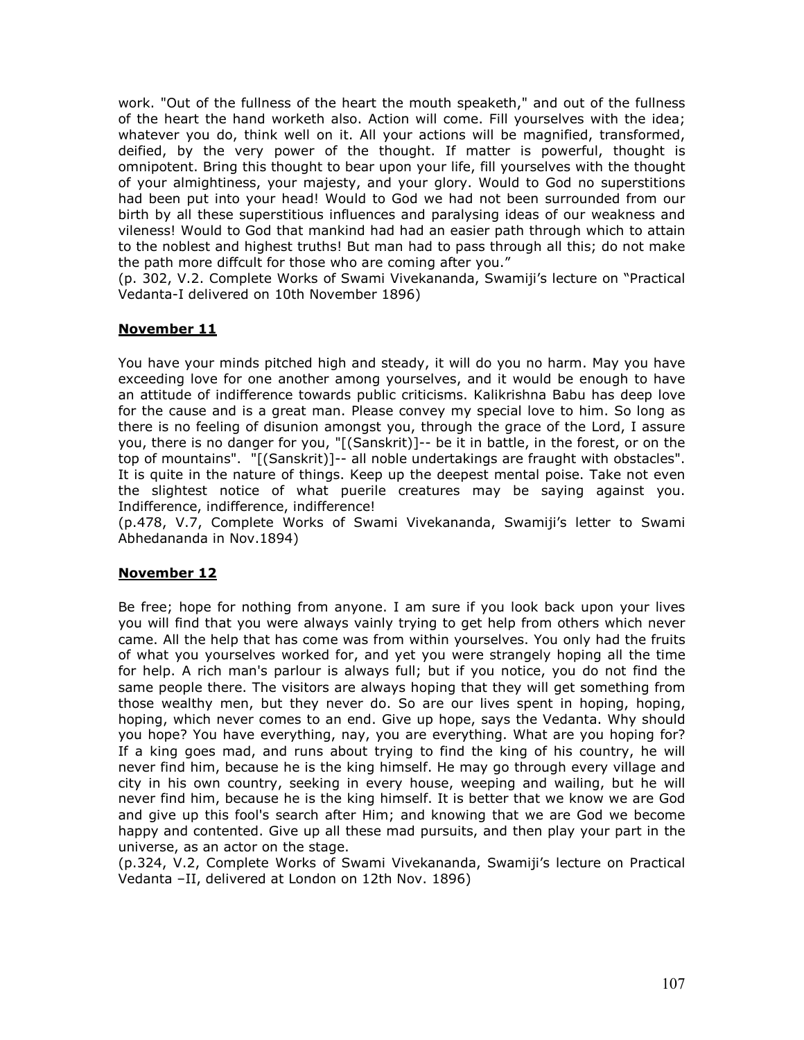work. "Out of the fullness of the heart the mouth speaketh," and out of the fullness of the heart the hand worketh also. Action will come. Fill yourselves with the idea; whatever you do, think well on it. All your actions will be magnified, transformed, deified, by the very power of the thought. If matter is powerful, thought is omnipotent. Bring this thought to bear upon your life, fill yourselves with the thought of your almightiness, your majesty, and your glory. Would to God no superstitions had been put into your head! Would to God we had not been surrounded from our birth by all these superstitious influences and paralysing ideas of our weakness and vileness! Would to God that mankind had had an easier path through which to attain to the noblest and highest truths! But man had to pass through all this; do not make the path more diffcult for those who are coming after you."

(p. 302, V.2. Complete Works of Swami Vivekananda, Swamiji's lecture on "Practical Vedanta-I delivered on 10th November 1896)

# November 11

You have your minds pitched high and steady, it will do you no harm. May you have exceeding love for one another among yourselves, and it would be enough to have an attitude of indifference towards public criticisms. Kalikrishna Babu has deep love for the cause and is a great man. Please convey my special love to him. So long as there is no feeling of disunion amongst you, through the grace of the Lord, I assure you, there is no danger for you, "[(Sanskrit)]-- be it in battle, in the forest, or on the top of mountains". "[(Sanskrit)]-- all noble undertakings are fraught with obstacles". It is quite in the nature of things. Keep up the deepest mental poise. Take not even the slightest notice of what puerile creatures may be saying against you. Indifference, indifference, indifference!

(p.478, V.7, Complete Works of Swami Vivekananda, Swamiji's letter to Swami Abhedananda in Nov.1894)

### November 12

Be free; hope for nothing from anyone. I am sure if you look back upon your lives you will find that you were always vainly trying to get help from others which never came. All the help that has come was from within yourselves. You only had the fruits of what you yourselves worked for, and yet you were strangely hoping all the time for help. A rich man's parlour is always full; but if you notice, you do not find the same people there. The visitors are always hoping that they will get something from those wealthy men, but they never do. So are our lives spent in hoping, hoping, hoping, which never comes to an end. Give up hope, says the Vedanta. Why should you hope? You have everything, nay, you are everything. What are you hoping for? If a king goes mad, and runs about trying to find the king of his country, he will never find him, because he is the king himself. He may go through every village and city in his own country, seeking in every house, weeping and wailing, but he will never find him, because he is the king himself. It is better that we know we are God and give up this fool's search after Him; and knowing that we are God we become happy and contented. Give up all these mad pursuits, and then play your part in the universe, as an actor on the stage.

(p.324, V.2, Complete Works of Swami Vivekananda, Swamiji's lecture on Practical Vedanta –II, delivered at London on 12th Nov. 1896)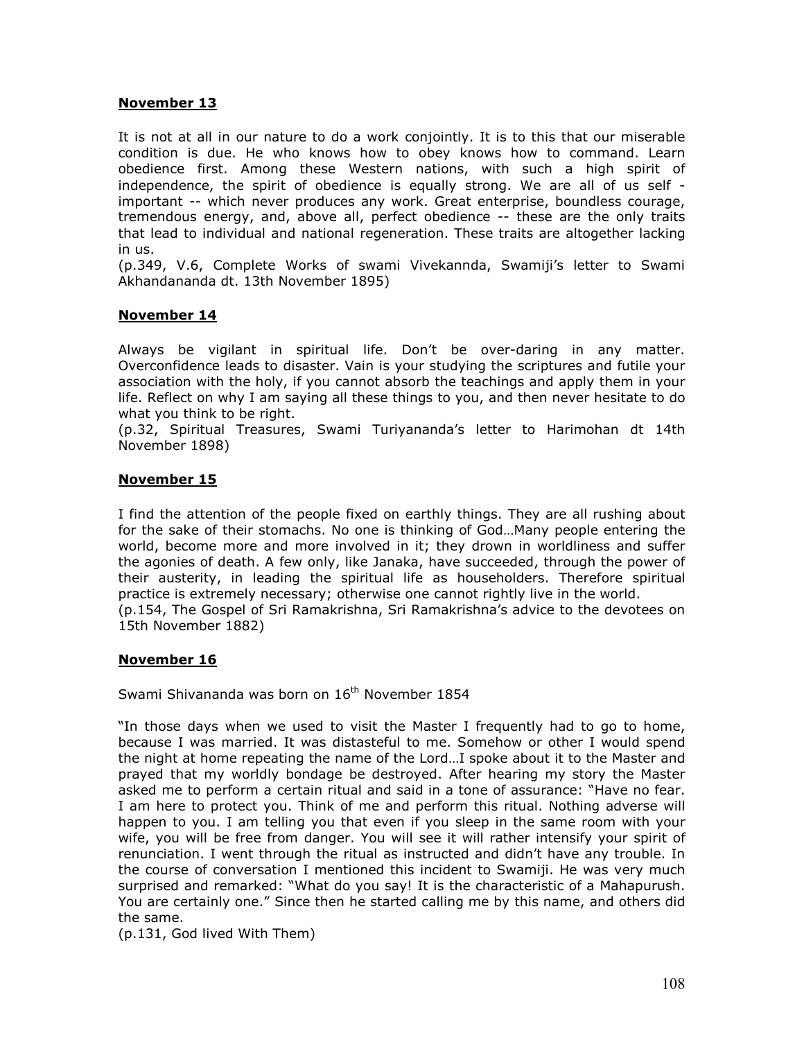### November 13

It is not at all in our nature to do a work conjointly. It is to this that our miserable condition is due. He who knows how to obey knows how to command. Learn obedience first. Among these Western nations, with such a high spirit of independence, the spirit of obedience is equally strong. We are all of us self important -- which never produces any work. Great enterprise, boundless courage, tremendous energy, and, above all, perfect obedience -- these are the only traits that lead to individual and national regeneration. These traits are altogether lacking in us.

(p.349, V.6, Complete Works of swami Vivekannda, Swamiji's letter to Swami Akhandananda dt. 13th November 1895)

# November 14

Always be vigilant in spiritual life. Don't be over-daring in any matter. Overconfidence leads to disaster. Vain is your studying the scriptures and futile your association with the holy, if you cannot absorb the teachings and apply them in your life. Reflect on why I am saying all these things to you, and then never hesitate to do what you think to be right.

(p.32, Spiritual Treasures, Swami Turiyananda's letter to Harimohan dt 14th November 1898)

# November 15

I find the attention of the people fixed on earthly things. They are all rushing about for the sake of their stomachs. No one is thinking of God…Many people entering the world, become more and more involved in it; they drown in worldliness and suffer the agonies of death. A few only, like Janaka, have succeeded, through the power of their austerity, in leading the spiritual life as householders. Therefore spiritual practice is extremely necessary; otherwise one cannot rightly live in the world. (p.154, The Gospel of Sri Ramakrishna, Sri Ramakrishna's advice to the devotees on 15th November 1882)

### November 16

Swami Shivananda was born on  $16<sup>th</sup>$  November 1854

"In those days when we used to visit the Master I frequently had to go to home, because I was married. It was distasteful to me. Somehow or other I would spend the night at home repeating the name of the Lord…I spoke about it to the Master and prayed that my worldly bondage be destroyed. After hearing my story the Master asked me to perform a certain ritual and said in a tone of assurance: "Have no fear. I am here to protect you. Think of me and perform this ritual. Nothing adverse will happen to you. I am telling you that even if you sleep in the same room with your wife, you will be free from danger. You will see it will rather intensify your spirit of renunciation. I went through the ritual as instructed and didn't have any trouble. In the course of conversation I mentioned this incident to Swamiji. He was very much surprised and remarked: "What do you say! It is the characteristic of a Mahapurush. You are certainly one." Since then he started calling me by this name, and others did the same.

(p.131, God lived With Them)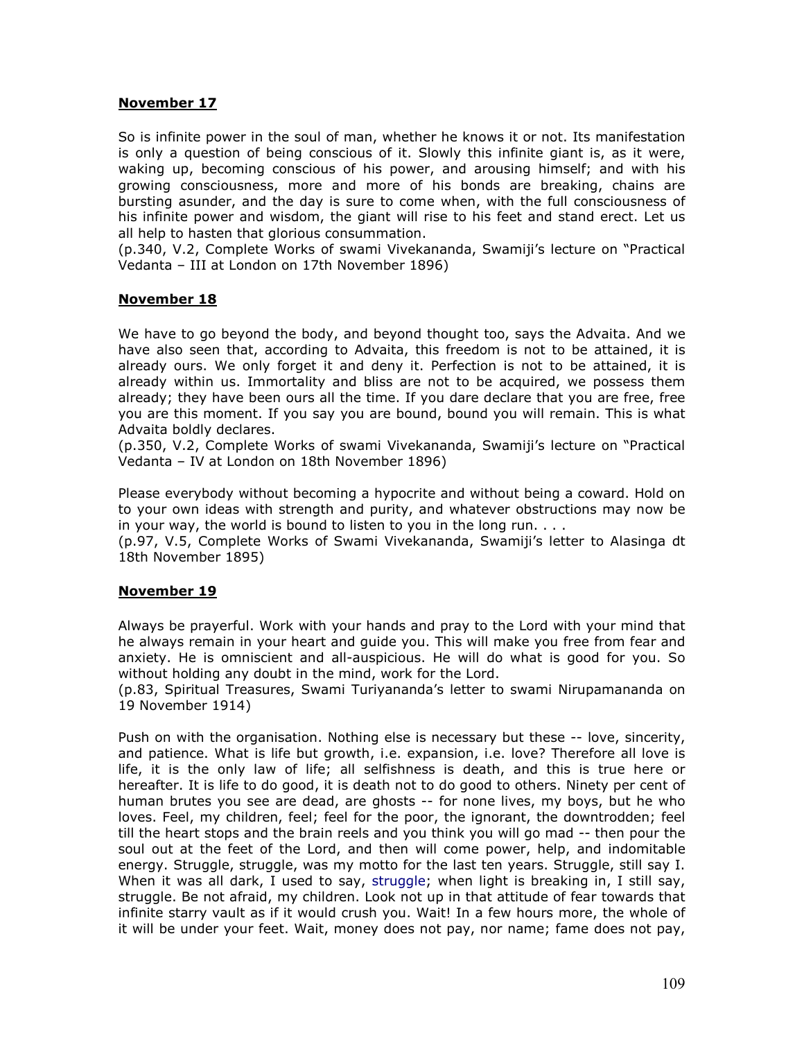### November 17

So is infinite power in the soul of man, whether he knows it or not. Its manifestation is only a question of being conscious of it. Slowly this infinite giant is, as it were, waking up, becoming conscious of his power, and arousing himself; and with his growing consciousness, more and more of his bonds are breaking, chains are bursting asunder, and the day is sure to come when, with the full consciousness of his infinite power and wisdom, the giant will rise to his feet and stand erect. Let us all help to hasten that glorious consummation.

(p.340, V.2, Complete Works of swami Vivekananda, Swamiji's lecture on "Practical Vedanta – III at London on 17th November 1896)

### November 18

We have to go beyond the body, and beyond thought too, says the Advaita. And we have also seen that, according to Advaita, this freedom is not to be attained, it is already ours. We only forget it and deny it. Perfection is not to be attained, it is already within us. Immortality and bliss are not to be acquired, we possess them already; they have been ours all the time. If you dare declare that you are free, free you are this moment. If you say you are bound, bound you will remain. This is what Advaita boldly declares.

(p.350, V.2, Complete Works of swami Vivekananda, Swamiji's lecture on "Practical Vedanta – IV at London on 18th November 1896)

Please everybody without becoming a hypocrite and without being a coward. Hold on to your own ideas with strength and purity, and whatever obstructions may now be in your way, the world is bound to listen to you in the long run. . . .

(p.97, V.5, Complete Works of Swami Vivekananda, Swamiji's letter to Alasinga dt 18th November 1895)

#### November 19

Always be prayerful. Work with your hands and pray to the Lord with your mind that he always remain in your heart and guide you. This will make you free from fear and anxiety. He is omniscient and all-auspicious. He will do what is good for you. So without holding any doubt in the mind, work for the Lord.

(p.83, Spiritual Treasures, Swami Turiyananda's letter to swami Nirupamananda on 19 November 1914)

Push on with the organisation. Nothing else is necessary but these -- love, sincerity, and patience. What is life but growth, i.e. expansion, i.e. love? Therefore all love is life, it is the only law of life; all selfishness is death, and this is true here or hereafter. It is life to do good, it is death not to do good to others. Ninety per cent of human brutes you see are dead, are ghosts -- for none lives, my boys, but he who loves. Feel, my children, feel; feel for the poor, the ignorant, the downtrodden; feel till the heart stops and the brain reels and you think you will go mad -- then pour the soul out at the feet of the Lord, and then will come power, help, and indomitable energy. Struggle, struggle, was my motto for the last ten years. Struggle, still say I. When it was all dark, I used to say, struggle; when light is breaking in, I still say, struggle. Be not afraid, my children. Look not up in that attitude of fear towards that infinite starry vault as if it would crush you. Wait! In a few hours more, the whole of it will be under your feet. Wait, money does not pay, nor name; fame does not pay,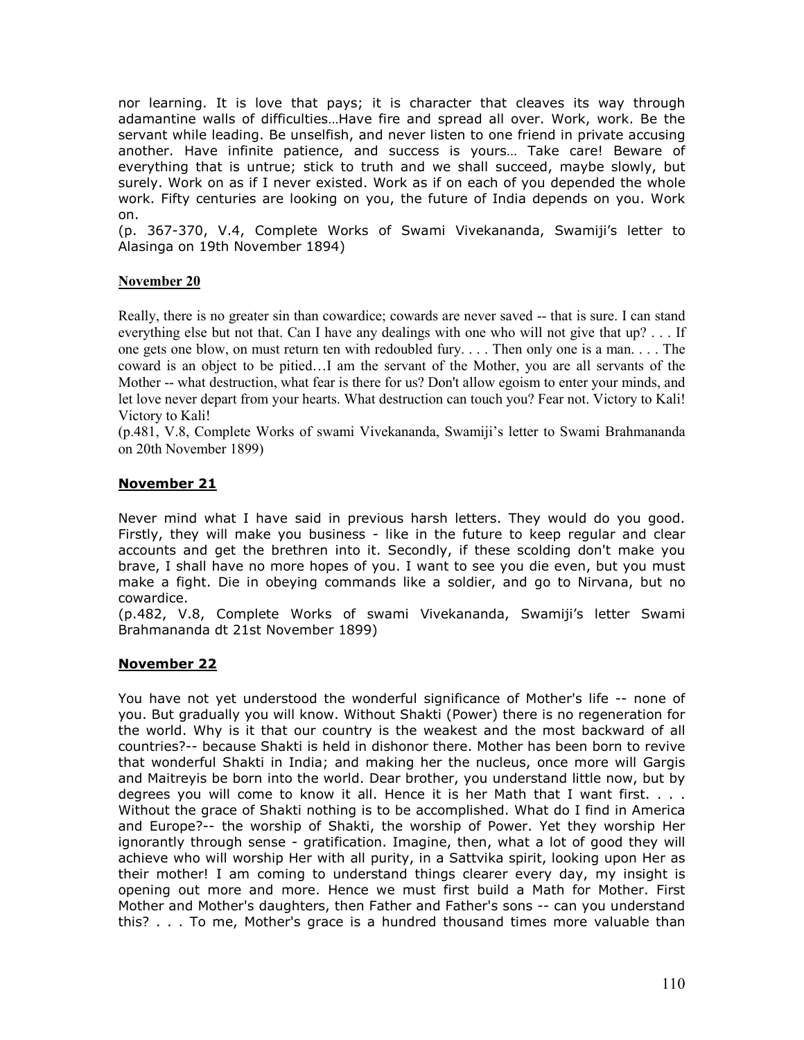nor learning. It is love that pays; it is character that cleaves its way through adamantine walls of difficulties…Have fire and spread all over. Work, work. Be the servant while leading. Be unselfish, and never listen to one friend in private accusing another. Have infinite patience, and success is yours… Take care! Beware of everything that is untrue; stick to truth and we shall succeed, maybe slowly, but surely. Work on as if I never existed. Work as if on each of you depended the whole work. Fifty centuries are looking on you, the future of India depends on you. Work on.

(p. 367-370, V.4, Complete Works of Swami Vivekananda, Swamiji's letter to Alasinga on 19th November 1894)

### November 20

Really, there is no greater sin than cowardice; cowards are never saved -- that is sure. I can stand everything else but not that. Can I have any dealings with one who will not give that up? . . . If one gets one blow, on must return ten with redoubled fury. . . . Then only one is a man. . . . The coward is an object to be pitied…I am the servant of the Mother, you are all servants of the Mother -- what destruction, what fear is there for us? Don't allow egoism to enter your minds, and let love never depart from your hearts. What destruction can touch you? Fear not. Victory to Kali! Victory to Kali!

(p.481, V.8, Complete Works of swami Vivekananda, Swamiji's letter to Swami Brahmananda on 20th November 1899)

# November 21

Never mind what I have said in previous harsh letters. They would do you good. Firstly, they will make you business - like in the future to keep regular and clear accounts and get the brethren into it. Secondly, if these scolding don't make you brave, I shall have no more hopes of you. I want to see you die even, but you must make a fight. Die in obeying commands like a soldier, and go to Nirvana, but no cowardice.

(p.482, V.8, Complete Works of swami Vivekananda, Swamiji's letter Swami Brahmananda dt 21st November 1899)

### November 22

You have not yet understood the wonderful significance of Mother's life -- none of you. But gradually you will know. Without Shakti (Power) there is no regeneration for the world. Why is it that our country is the weakest and the most backward of all countries?-- because Shakti is held in dishonor there. Mother has been born to revive that wonderful Shakti in India; and making her the nucleus, once more will Gargis and Maitreyis be born into the world. Dear brother, you understand little now, but by degrees you will come to know it all. Hence it is her Math that I want first. . . . Without the grace of Shakti nothing is to be accomplished. What do I find in America and Europe?-- the worship of Shakti, the worship of Power. Yet they worship Her ignorantly through sense - gratification. Imagine, then, what a lot of good they will achieve who will worship Her with all purity, in a Sattvika spirit, looking upon Her as their mother! I am coming to understand things clearer every day, my insight is opening out more and more. Hence we must first build a Math for Mother. First Mother and Mother's daughters, then Father and Father's sons -- can you understand this? . . . To me, Mother's grace is a hundred thousand times more valuable than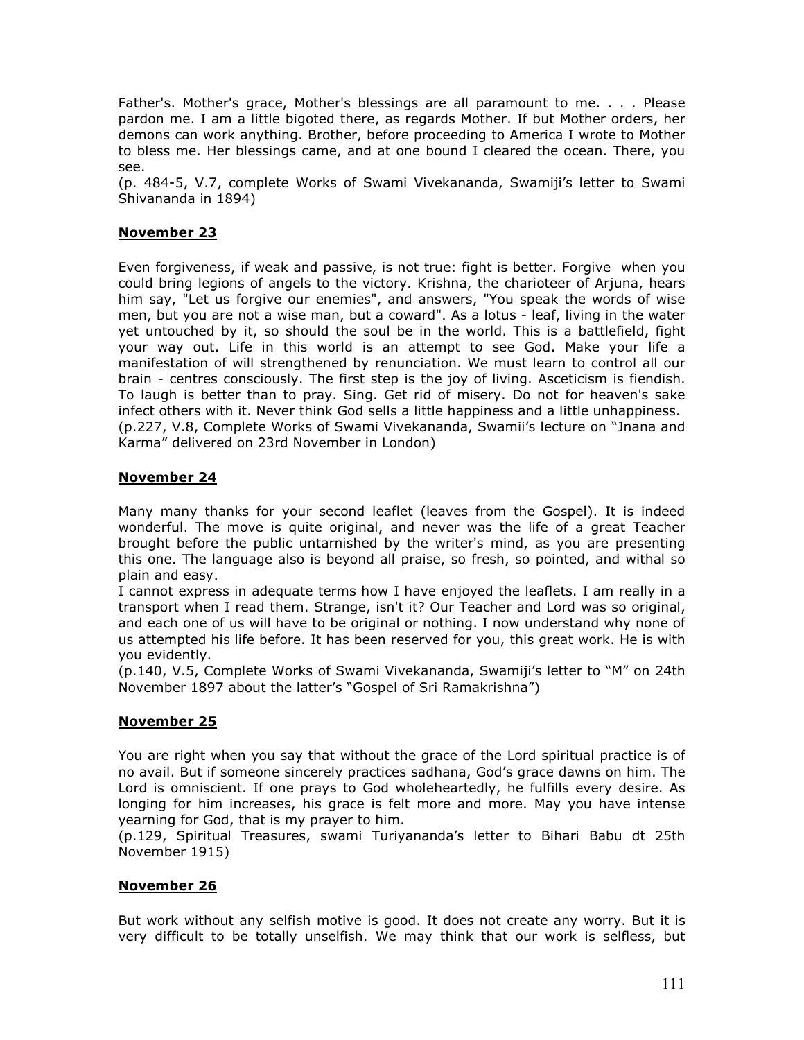Father's. Mother's grace, Mother's blessings are all paramount to me. . . . Please pardon me. I am a little bigoted there, as regards Mother. If but Mother orders, her demons can work anything. Brother, before proceeding to America I wrote to Mother to bless me. Her blessings came, and at one bound I cleared the ocean. There, you see.

(p. 484-5, V.7, complete Works of Swami Vivekananda, Swamiji's letter to Swami Shivananda in 1894)

# November 23

Even forgiveness, if weak and passive, is not true: fight is better. Forgive when you could bring legions of angels to the victory. Krishna, the charioteer of Arjuna, hears him say, "Let us forgive our enemies", and answers, "You speak the words of wise men, but you are not a wise man, but a coward". As a lotus - leaf, living in the water yet untouched by it, so should the soul be in the world. This is a battlefield, fight your way out. Life in this world is an attempt to see God. Make your life a manifestation of will strengthened by renunciation. We must learn to control all our brain - centres consciously. The first step is the joy of living. Asceticism is fiendish. To laugh is better than to pray. Sing. Get rid of misery. Do not for heaven's sake infect others with it. Never think God sells a little happiness and a little unhappiness. (p.227, V.8, Complete Works of Swami Vivekananda, Swamii's lecture on "Jnana and Karma" delivered on 23rd November in London)

# November 24

Many many thanks for your second leaflet (leaves from the Gospel). It is indeed wonderful. The move is quite original, and never was the life of a great Teacher brought before the public untarnished by the writer's mind, as you are presenting this one. The language also is beyond all praise, so fresh, so pointed, and withal so plain and easy.

I cannot express in adequate terms how I have enjoyed the leaflets. I am really in a transport when I read them. Strange, isn't it? Our Teacher and Lord was so original, and each one of us will have to be original or nothing. I now understand why none of us attempted his life before. It has been reserved for you, this great work. He is with you evidently.

(p.140, V.5, Complete Works of Swami Vivekananda, Swamiji's letter to "M" on 24th November 1897 about the latter's "Gospel of Sri Ramakrishna")

### November 25

You are right when you say that without the grace of the Lord spiritual practice is of no avail. But if someone sincerely practices sadhana, God's grace dawns on him. The Lord is omniscient. If one prays to God wholeheartedly, he fulfills every desire. As longing for him increases, his grace is felt more and more. May you have intense yearning for God, that is my prayer to him.

(p.129, Spiritual Treasures, swami Turiyananda's letter to Bihari Babu dt 25th November 1915)

### November 26

But work without any selfish motive is good. It does not create any worry. But it is very difficult to be totally unselfish. We may think that our work is selfless, but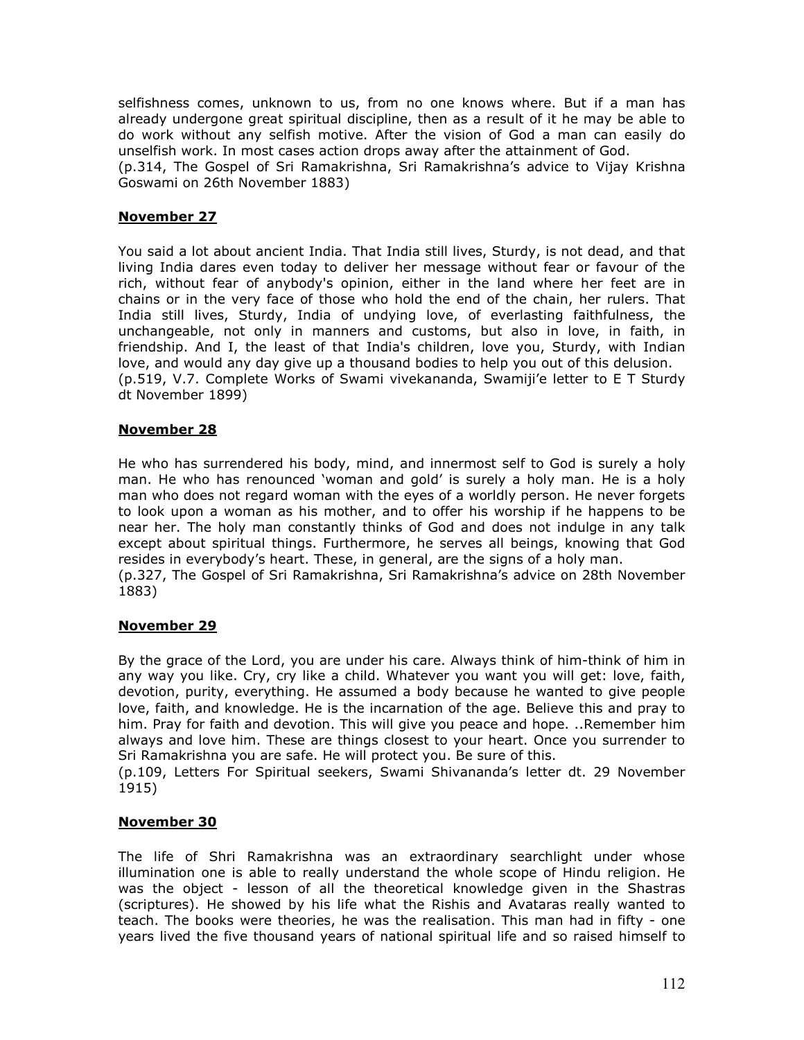selfishness comes, unknown to us, from no one knows where. But if a man has already undergone great spiritual discipline, then as a result of it he may be able to do work without any selfish motive. After the vision of God a man can easily do unselfish work. In most cases action drops away after the attainment of God. (p.314, The Gospel of Sri Ramakrishna, Sri Ramakrishna's advice to Vijay Krishna Goswami on 26th November 1883)

# November 27

You said a lot about ancient India. That India still lives, Sturdy, is not dead, and that living India dares even today to deliver her message without fear or favour of the rich, without fear of anybody's opinion, either in the land where her feet are in chains or in the very face of those who hold the end of the chain, her rulers. That India still lives, Sturdy, India of undying love, of everlasting faithfulness, the unchangeable, not only in manners and customs, but also in love, in faith, in friendship. And I, the least of that India's children, love you, Sturdy, with Indian love, and would any day give up a thousand bodies to help you out of this delusion. (p.519, V.7. Complete Works of Swami vivekananda, Swamiji'e letter to E T Sturdy dt November 1899)

### November 28

He who has surrendered his body, mind, and innermost self to God is surely a holy man. He who has renounced 'woman and gold' is surely a holy man. He is a holy man who does not regard woman with the eyes of a worldly person. He never forgets to look upon a woman as his mother, and to offer his worship if he happens to be near her. The holy man constantly thinks of God and does not indulge in any talk except about spiritual things. Furthermore, he serves all beings, knowing that God resides in everybody's heart. These, in general, are the signs of a holy man. (p.327, The Gospel of Sri Ramakrishna, Sri Ramakrishna's advice on 28th November 1883)

### November 29

By the grace of the Lord, you are under his care. Always think of him-think of him in any way you like. Cry, cry like a child. Whatever you want you will get: love, faith, devotion, purity, everything. He assumed a body because he wanted to give people love, faith, and knowledge. He is the incarnation of the age. Believe this and pray to him. Pray for faith and devotion. This will give you peace and hope. ..Remember him always and love him. These are things closest to your heart. Once you surrender to Sri Ramakrishna you are safe. He will protect you. Be sure of this.

(p.109, Letters For Spiritual seekers, Swami Shivananda's letter dt. 29 November 1915)

#### November 30

The life of Shri Ramakrishna was an extraordinary searchlight under whose illumination one is able to really understand the whole scope of Hindu religion. He was the object - lesson of all the theoretical knowledge given in the Shastras (scriptures). He showed by his life what the Rishis and Avataras really wanted to teach. The books were theories, he was the realisation. This man had in fifty - one years lived the five thousand years of national spiritual life and so raised himself to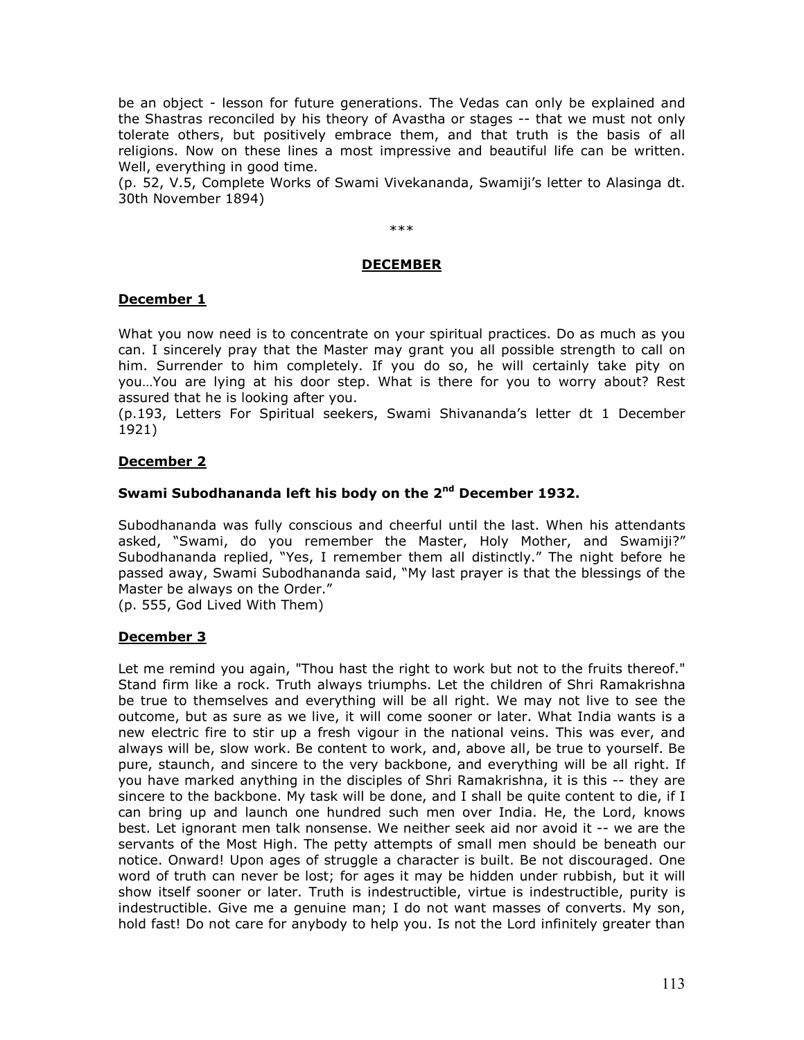be an object - lesson for future generations. The Vedas can only be explained and the Shastras reconciled by his theory of Avastha or stages -- that we must not only tolerate others, but positively embrace them, and that truth is the basis of all religions. Now on these lines a most impressive and beautiful life can be written. Well, everything in good time.

(p. 52, V.5, Complete Works of Swami Vivekananda, Swamiji's letter to Alasinga dt. 30th November 1894)

\*\*\*

### **DECEMBER**

### December 1

What you now need is to concentrate on your spiritual practices. Do as much as you can. I sincerely pray that the Master may grant you all possible strength to call on him. Surrender to him completely. If you do so, he will certainly take pity on you…You are lying at his door step. What is there for you to worry about? Rest assured that he is looking after you.

(p.193, Letters For Spiritual seekers, Swami Shivananda's letter dt 1 December 1921)

### December 2

### Swami Subodhananda left his body on the 2<sup>nd</sup> December 1932.

Subodhananda was fully conscious and cheerful until the last. When his attendants asked, "Swami, do you remember the Master, Holy Mother, and Swamiji?" Subodhananda replied, "Yes, I remember them all distinctly." The night before he passed away, Swami Subodhananda said, "My last prayer is that the blessings of the Master be always on the Order."

(p. 555, God Lived With Them)

### December 3

Let me remind you again, "Thou hast the right to work but not to the fruits thereof." Stand firm like a rock. Truth always triumphs. Let the children of Shri Ramakrishna be true to themselves and everything will be all right. We may not live to see the outcome, but as sure as we live, it will come sooner or later. What India wants is a new electric fire to stir up a fresh vigour in the national veins. This was ever, and always will be, slow work. Be content to work, and, above all, be true to yourself. Be pure, staunch, and sincere to the very backbone, and everything will be all right. If you have marked anything in the disciples of Shri Ramakrishna, it is this -- they are sincere to the backbone. My task will be done, and I shall be quite content to die, if I can bring up and launch one hundred such men over India. He, the Lord, knows best. Let ignorant men talk nonsense. We neither seek aid nor avoid it -- we are the servants of the Most High. The petty attempts of small men should be beneath our notice. Onward! Upon ages of struggle a character is built. Be not discouraged. One word of truth can never be lost; for ages it may be hidden under rubbish, but it will show itself sooner or later. Truth is indestructible, virtue is indestructible, purity is indestructible. Give me a genuine man; I do not want masses of converts. My son, hold fast! Do not care for anybody to help you. Is not the Lord infinitely greater than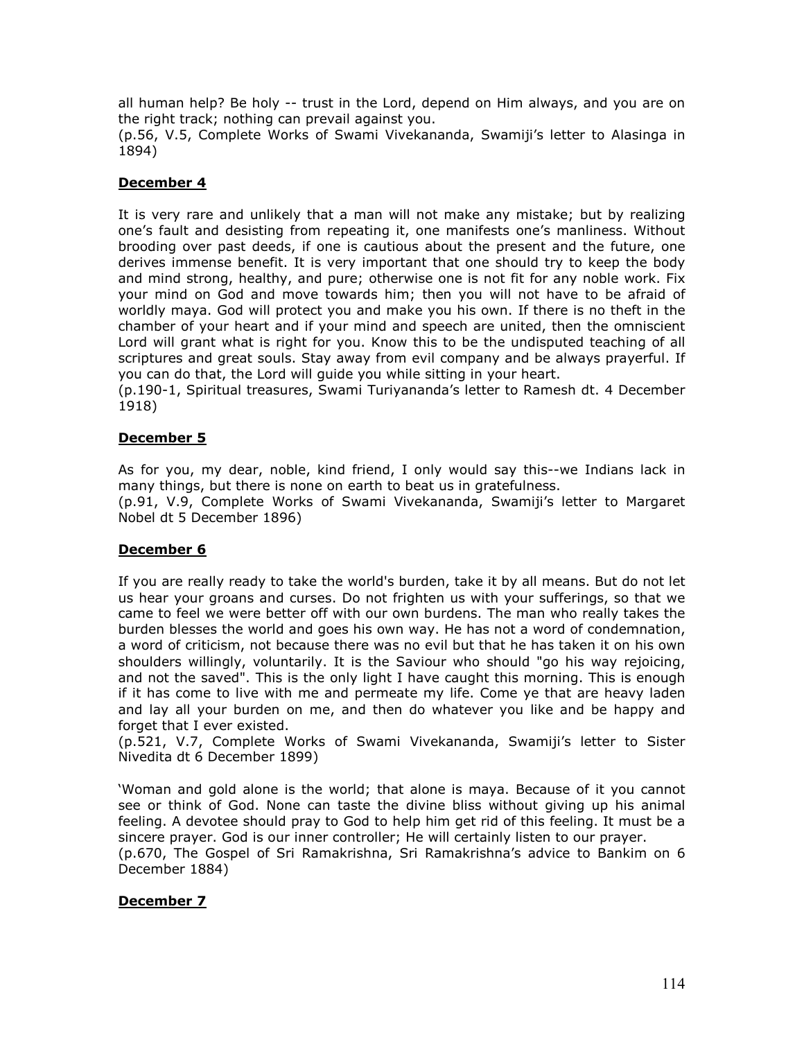all human help? Be holy -- trust in the Lord, depend on Him always, and you are on the right track; nothing can prevail against you.

(p.56, V.5, Complete Works of Swami Vivekananda, Swamiji's letter to Alasinga in 1894)

### December 4

It is very rare and unlikely that a man will not make any mistake; but by realizing one's fault and desisting from repeating it, one manifests one's manliness. Without brooding over past deeds, if one is cautious about the present and the future, one derives immense benefit. It is very important that one should try to keep the body and mind strong, healthy, and pure; otherwise one is not fit for any noble work. Fix your mind on God and move towards him; then you will not have to be afraid of worldly maya. God will protect you and make you his own. If there is no theft in the chamber of your heart and if your mind and speech are united, then the omniscient Lord will grant what is right for you. Know this to be the undisputed teaching of all scriptures and great souls. Stay away from evil company and be always prayerful. If you can do that, the Lord will guide you while sitting in your heart.

(p.190-1, Spiritual treasures, Swami Turiyananda's letter to Ramesh dt. 4 December 1918)

# December 5

As for you, my dear, noble, kind friend, I only would say this--we Indians lack in many things, but there is none on earth to beat us in gratefulness.

(p.91, V.9, Complete Works of Swami Vivekananda, Swamiji's letter to Margaret Nobel dt 5 December 1896)

### December 6

If you are really ready to take the world's burden, take it by all means. But do not let us hear your groans and curses. Do not frighten us with your sufferings, so that we came to feel we were better off with our own burdens. The man who really takes the burden blesses the world and goes his own way. He has not a word of condemnation, a word of criticism, not because there was no evil but that he has taken it on his own shoulders willingly, voluntarily. It is the Saviour who should "go his way rejoicing, and not the saved". This is the only light I have caught this morning. This is enough if it has come to live with me and permeate my life. Come ye that are heavy laden and lay all your burden on me, and then do whatever you like and be happy and forget that I ever existed.

(p.521, V.7, Complete Works of Swami Vivekananda, Swamiji's letter to Sister Nivedita dt 6 December 1899)

'Woman and gold alone is the world; that alone is maya. Because of it you cannot see or think of God. None can taste the divine bliss without giving up his animal feeling. A devotee should pray to God to help him get rid of this feeling. It must be a sincere prayer. God is our inner controller; He will certainly listen to our prayer.

(p.670, The Gospel of Sri Ramakrishna, Sri Ramakrishna's advice to Bankim on 6 December 1884)

### December 7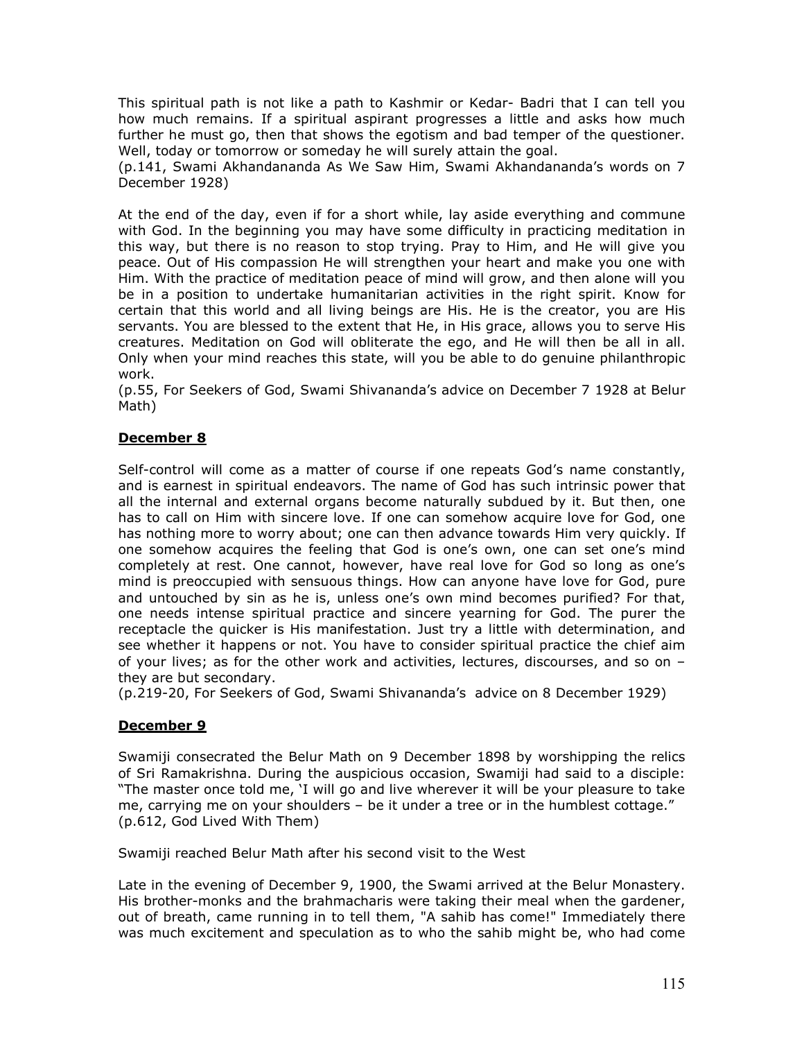This spiritual path is not like a path to Kashmir or Kedar- Badri that I can tell you how much remains. If a spiritual aspirant progresses a little and asks how much further he must go, then that shows the egotism and bad temper of the questioner. Well, today or tomorrow or someday he will surely attain the goal.

(p.141, Swami Akhandananda As We Saw Him, Swami Akhandananda's words on 7 December 1928)

At the end of the day, even if for a short while, lay aside everything and commune with God. In the beginning you may have some difficulty in practicing meditation in this way, but there is no reason to stop trying. Pray to Him, and He will give you peace. Out of His compassion He will strengthen your heart and make you one with Him. With the practice of meditation peace of mind will grow, and then alone will you be in a position to undertake humanitarian activities in the right spirit. Know for certain that this world and all living beings are His. He is the creator, you are His servants. You are blessed to the extent that He, in His grace, allows you to serve His creatures. Meditation on God will obliterate the ego, and He will then be all in all. Only when your mind reaches this state, will you be able to do genuine philanthropic work.

(p.55, For Seekers of God, Swami Shivananda's advice on December 7 1928 at Belur Math)

# December 8

Self-control will come as a matter of course if one repeats God's name constantly, and is earnest in spiritual endeavors. The name of God has such intrinsic power that all the internal and external organs become naturally subdued by it. But then, one has to call on Him with sincere love. If one can somehow acquire love for God, one has nothing more to worry about; one can then advance towards Him very quickly. If one somehow acquires the feeling that God is one's own, one can set one's mind completely at rest. One cannot, however, have real love for God so long as one's mind is preoccupied with sensuous things. How can anyone have love for God, pure and untouched by sin as he is, unless one's own mind becomes purified? For that, one needs intense spiritual practice and sincere yearning for God. The purer the receptacle the quicker is His manifestation. Just try a little with determination, and see whether it happens or not. You have to consider spiritual practice the chief aim of your lives; as for the other work and activities, lectures, discourses, and so on – they are but secondary.

(p.219-20, For Seekers of God, Swami Shivananda's advice on 8 December 1929)

### December 9

Swamiji consecrated the Belur Math on 9 December 1898 by worshipping the relics of Sri Ramakrishna. During the auspicious occasion, Swamiji had said to a disciple: "The master once told me, 'I will go and live wherever it will be your pleasure to take me, carrying me on your shoulders – be it under a tree or in the humblest cottage." (p.612, God Lived With Them)

Swamiji reached Belur Math after his second visit to the West

Late in the evening of December 9, 1900, the Swami arrived at the Belur Monastery. His brother-monks and the brahmacharis were taking their meal when the gardener, out of breath, came running in to tell them, "A sahib has come!" Immediately there was much excitement and speculation as to who the sahib might be, who had come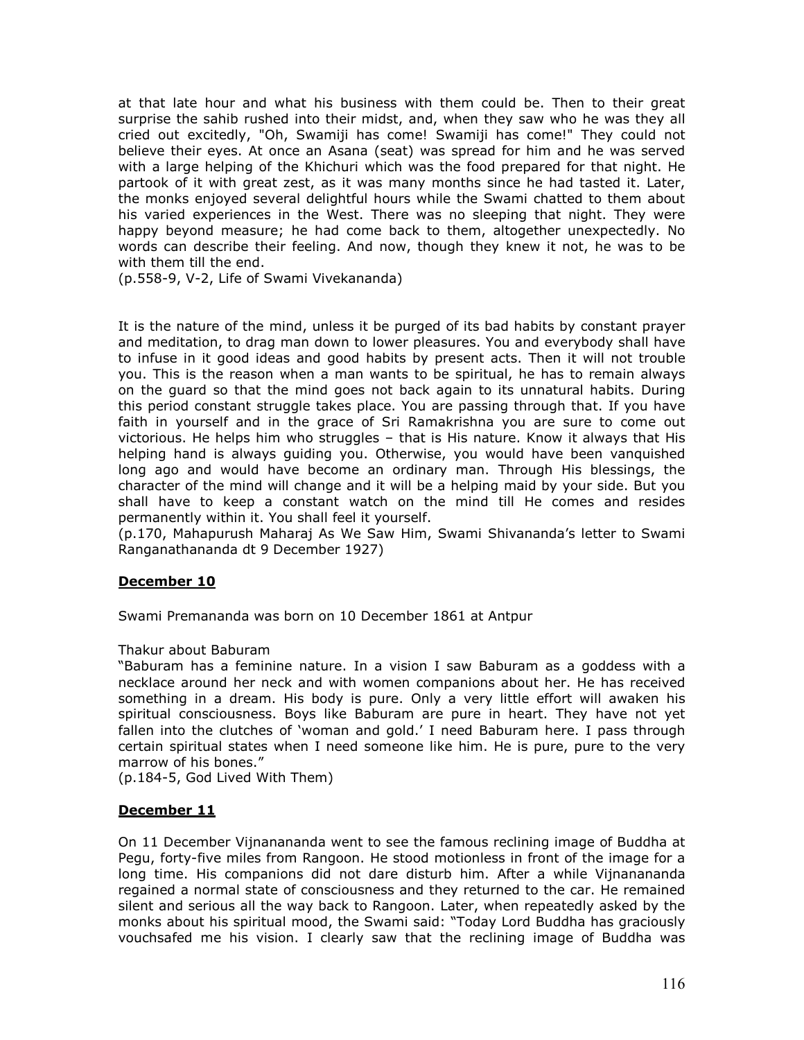at that late hour and what his business with them could be. Then to their great surprise the sahib rushed into their midst, and, when they saw who he was they all cried out excitedly, "Oh, Swamiji has come! Swamiji has come!" They could not believe their eyes. At once an Asana (seat) was spread for him and he was served with a large helping of the Khichuri which was the food prepared for that night. He partook of it with great zest, as it was many months since he had tasted it. Later, the monks enjoyed several delightful hours while the Swami chatted to them about his varied experiences in the West. There was no sleeping that night. They were happy beyond measure; he had come back to them, altogether unexpectedly. No words can describe their feeling. And now, though they knew it not, he was to be with them till the end.

(p.558-9, V-2, Life of Swami Vivekananda)

It is the nature of the mind, unless it be purged of its bad habits by constant prayer and meditation, to drag man down to lower pleasures. You and everybody shall have to infuse in it good ideas and good habits by present acts. Then it will not trouble you. This is the reason when a man wants to be spiritual, he has to remain always on the guard so that the mind goes not back again to its unnatural habits. During this period constant struggle takes place. You are passing through that. If you have faith in yourself and in the grace of Sri Ramakrishna you are sure to come out victorious. He helps him who struggles – that is His nature. Know it always that His helping hand is always guiding you. Otherwise, you would have been vanquished long ago and would have become an ordinary man. Through His blessings, the character of the mind will change and it will be a helping maid by your side. But you shall have to keep a constant watch on the mind till He comes and resides permanently within it. You shall feel it yourself.

(p.170, Mahapurush Maharaj As We Saw Him, Swami Shivananda's letter to Swami Ranganathananda dt 9 December 1927)

### December 10

Swami Premananda was born on 10 December 1861 at Antpur

#### Thakur about Baburam

"Baburam has a feminine nature. In a vision I saw Baburam as a goddess with a necklace around her neck and with women companions about her. He has received something in a dream. His body is pure. Only a very little effort will awaken his spiritual consciousness. Boys like Baburam are pure in heart. They have not yet fallen into the clutches of 'woman and gold.' I need Baburam here. I pass through certain spiritual states when I need someone like him. He is pure, pure to the very marrow of his bones."

(p.184-5, God Lived With Them)

### December 11

On 11 December Vijnanananda went to see the famous reclining image of Buddha at Pegu, forty-five miles from Rangoon. He stood motionless in front of the image for a long time. His companions did not dare disturb him. After a while Vijnanananda regained a normal state of consciousness and they returned to the car. He remained silent and serious all the way back to Rangoon. Later, when repeatedly asked by the monks about his spiritual mood, the Swami said: "Today Lord Buddha has graciously vouchsafed me his vision. I clearly saw that the reclining image of Buddha was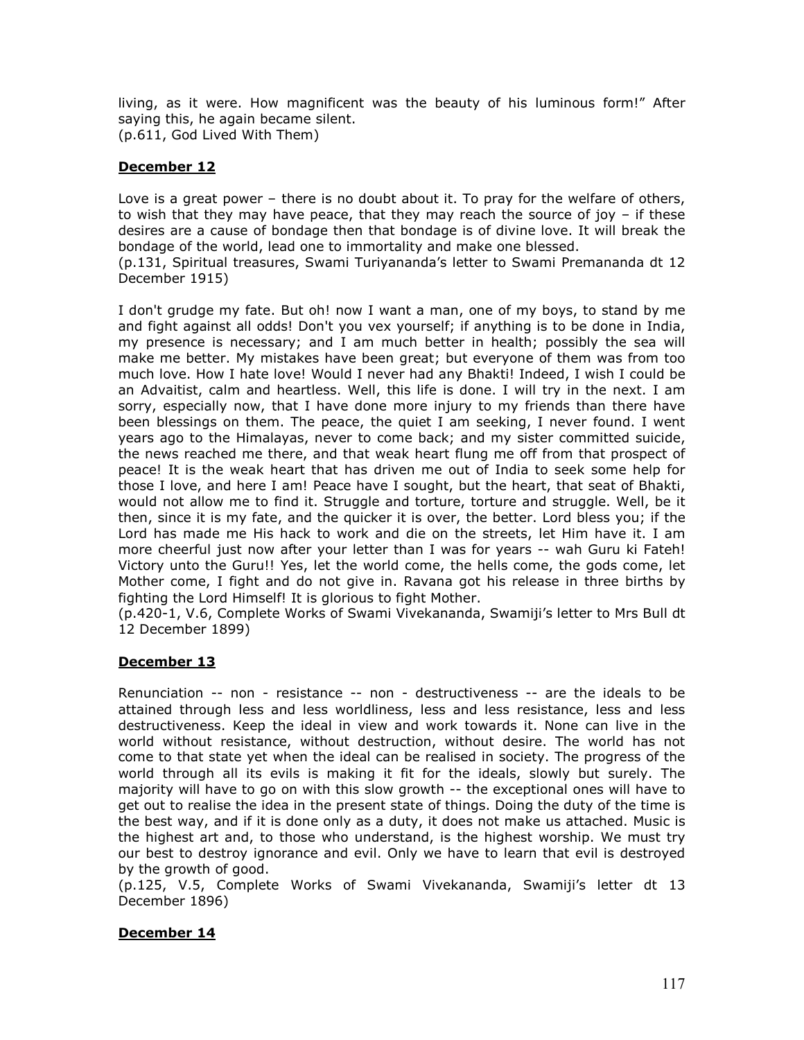living, as it were. How magnificent was the beauty of his luminous form!" After saying this, he again became silent. (p.611, God Lived With Them)

# December 12

Love is a great power – there is no doubt about it. To pray for the welfare of others, to wish that they may have peace, that they may reach the source of joy – if these desires are a cause of bondage then that bondage is of divine love. It will break the bondage of the world, lead one to immortality and make one blessed.

(p.131, Spiritual treasures, Swami Turiyananda's letter to Swami Premananda dt 12 December 1915)

I don't grudge my fate. But oh! now I want a man, one of my boys, to stand by me and fight against all odds! Don't you vex yourself; if anything is to be done in India, my presence is necessary; and I am much better in health; possibly the sea will make me better. My mistakes have been great; but everyone of them was from too much love. How I hate love! Would I never had any Bhakti! Indeed, I wish I could be an Advaitist, calm and heartless. Well, this life is done. I will try in the next. I am sorry, especially now, that I have done more injury to my friends than there have been blessings on them. The peace, the quiet I am seeking, I never found. I went years ago to the Himalayas, never to come back; and my sister committed suicide, the news reached me there, and that weak heart flung me off from that prospect of peace! It is the weak heart that has driven me out of India to seek some help for those I love, and here I am! Peace have I sought, but the heart, that seat of Bhakti, would not allow me to find it. Struggle and torture, torture and struggle. Well, be it then, since it is my fate, and the quicker it is over, the better. Lord bless you; if the Lord has made me His hack to work and die on the streets, let Him have it. I am more cheerful just now after your letter than I was for years -- wah Guru ki Fateh! Victory unto the Guru!! Yes, let the world come, the hells come, the gods come, let Mother come, I fight and do not give in. Ravana got his release in three births by fighting the Lord Himself! It is glorious to fight Mother.

(p.420-1, V.6, Complete Works of Swami Vivekananda, Swamiji's letter to Mrs Bull dt 12 December 1899)

### December 13

Renunciation -- non - resistance -- non - destructiveness -- are the ideals to be attained through less and less worldliness, less and less resistance, less and less destructiveness. Keep the ideal in view and work towards it. None can live in the world without resistance, without destruction, without desire. The world has not come to that state yet when the ideal can be realised in society. The progress of the world through all its evils is making it fit for the ideals, slowly but surely. The majority will have to go on with this slow growth -- the exceptional ones will have to get out to realise the idea in the present state of things. Doing the duty of the time is the best way, and if it is done only as a duty, it does not make us attached. Music is the highest art and, to those who understand, is the highest worship. We must try our best to destroy ignorance and evil. Only we have to learn that evil is destroyed by the growth of good.

(p.125, V.5, Complete Works of Swami Vivekananda, Swamiji's letter dt 13 December 1896)

#### December 14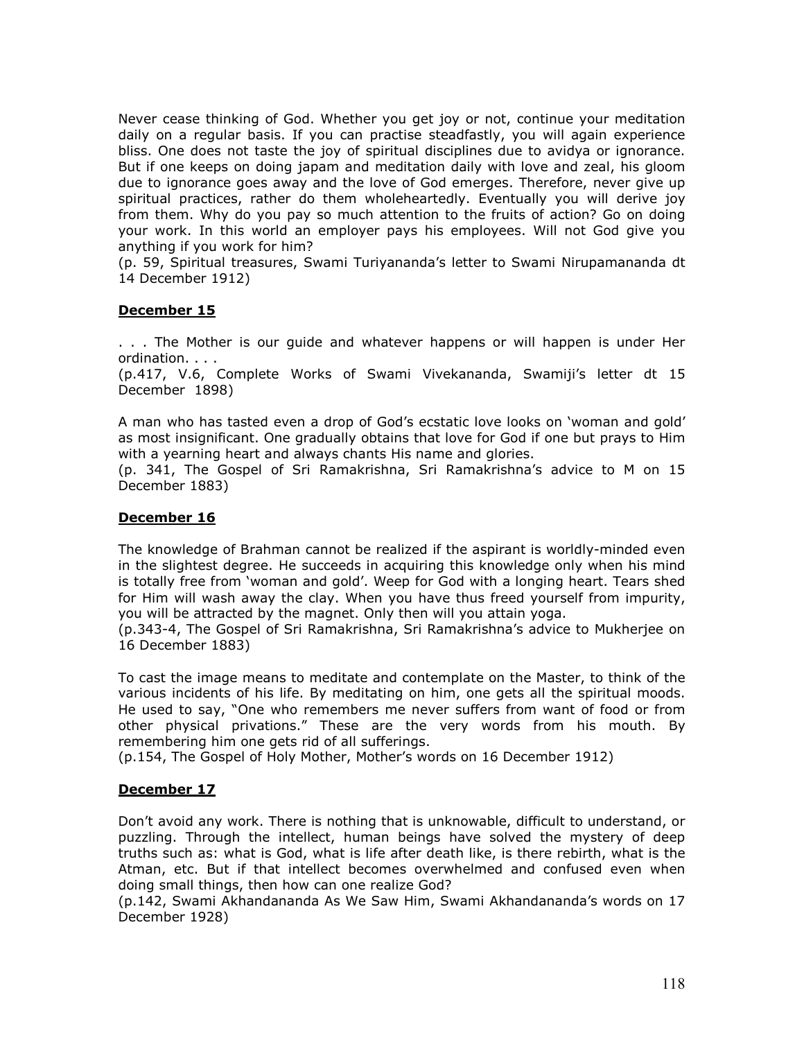Never cease thinking of God. Whether you get joy or not, continue your meditation daily on a regular basis. If you can practise steadfastly, you will again experience bliss. One does not taste the joy of spiritual disciplines due to avidya or ignorance. But if one keeps on doing japam and meditation daily with love and zeal, his gloom due to ignorance goes away and the love of God emerges. Therefore, never give up spiritual practices, rather do them wholeheartedly. Eventually you will derive joy from them. Why do you pay so much attention to the fruits of action? Go on doing your work. In this world an employer pays his employees. Will not God give you anything if you work for him?

(p. 59, Spiritual treasures, Swami Turiyananda's letter to Swami Nirupamananda dt 14 December 1912)

# December 15

. . . The Mother is our guide and whatever happens or will happen is under Her ordination. . . .

(p.417, V.6, Complete Works of Swami Vivekananda, Swamiji's letter dt 15 December 1898)

A man who has tasted even a drop of God's ecstatic love looks on 'woman and gold' as most insignificant. One gradually obtains that love for God if one but prays to Him with a yearning heart and always chants His name and glories.

(p. 341, The Gospel of Sri Ramakrishna, Sri Ramakrishna's advice to M on 15 December 1883)

### December 16

The knowledge of Brahman cannot be realized if the aspirant is worldly-minded even in the slightest degree. He succeeds in acquiring this knowledge only when his mind is totally free from 'woman and gold'. Weep for God with a longing heart. Tears shed for Him will wash away the clay. When you have thus freed yourself from impurity, you will be attracted by the magnet. Only then will you attain yoga.

(p.343-4, The Gospel of Sri Ramakrishna, Sri Ramakrishna's advice to Mukherjee on 16 December 1883)

To cast the image means to meditate and contemplate on the Master, to think of the various incidents of his life. By meditating on him, one gets all the spiritual moods. He used to say, "One who remembers me never suffers from want of food or from other physical privations." These are the very words from his mouth. By remembering him one gets rid of all sufferings.

(p.154, The Gospel of Holy Mother, Mother's words on 16 December 1912)

### December 17

Don't avoid any work. There is nothing that is unknowable, difficult to understand, or puzzling. Through the intellect, human beings have solved the mystery of deep truths such as: what is God, what is life after death like, is there rebirth, what is the Atman, etc. But if that intellect becomes overwhelmed and confused even when doing small things, then how can one realize God?

(p.142, Swami Akhandananda As We Saw Him, Swami Akhandananda's words on 17 December 1928)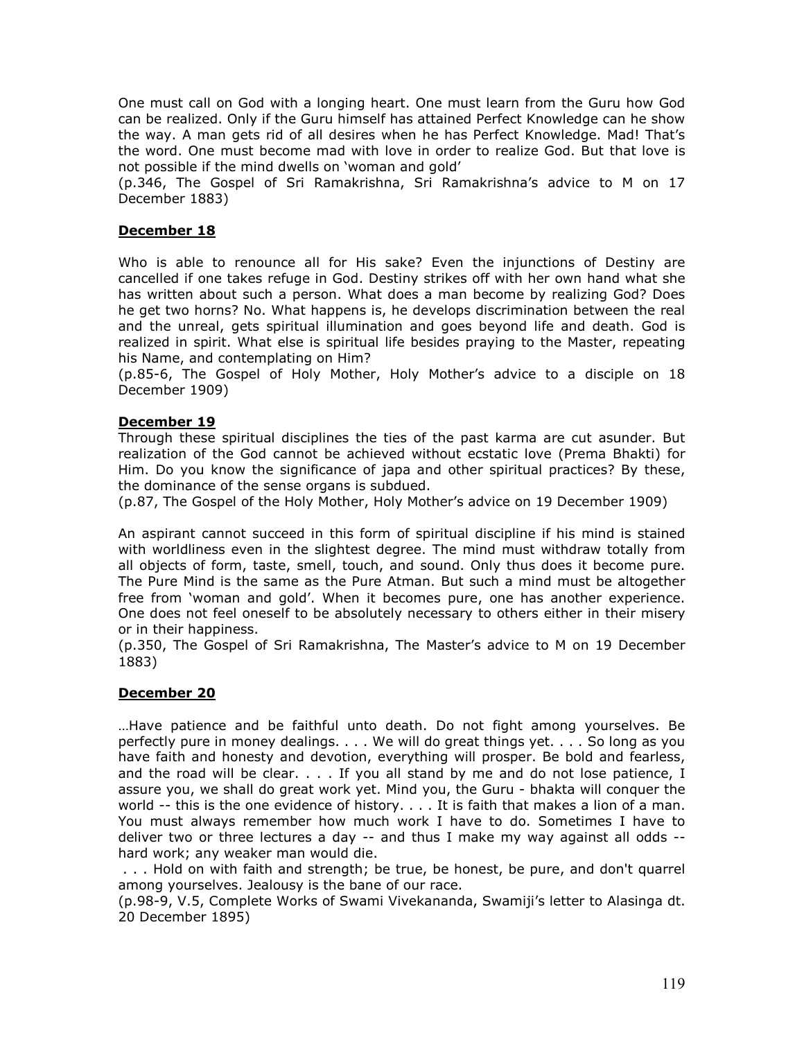One must call on God with a longing heart. One must learn from the Guru how God can be realized. Only if the Guru himself has attained Perfect Knowledge can he show the way. A man gets rid of all desires when he has Perfect Knowledge. Mad! That's the word. One must become mad with love in order to realize God. But that love is not possible if the mind dwells on 'woman and gold'

(p.346, The Gospel of Sri Ramakrishna, Sri Ramakrishna's advice to M on 17 December 1883)

# December 18

Who is able to renounce all for His sake? Even the injunctions of Destiny are cancelled if one takes refuge in God. Destiny strikes off with her own hand what she has written about such a person. What does a man become by realizing God? Does he get two horns? No. What happens is, he develops discrimination between the real and the unreal, gets spiritual illumination and goes beyond life and death. God is realized in spirit. What else is spiritual life besides praying to the Master, repeating his Name, and contemplating on Him?

(p.85-6, The Gospel of Holy Mother, Holy Mother's advice to a disciple on 18 December 1909)

### December 19

Through these spiritual disciplines the ties of the past karma are cut asunder. But realization of the God cannot be achieved without ecstatic love (Prema Bhakti) for Him. Do you know the significance of japa and other spiritual practices? By these, the dominance of the sense organs is subdued.

(p.87, The Gospel of the Holy Mother, Holy Mother's advice on 19 December 1909)

An aspirant cannot succeed in this form of spiritual discipline if his mind is stained with worldliness even in the slightest degree. The mind must withdraw totally from all objects of form, taste, smell, touch, and sound. Only thus does it become pure. The Pure Mind is the same as the Pure Atman. But such a mind must be altogether free from 'woman and gold'. When it becomes pure, one has another experience. One does not feel oneself to be absolutely necessary to others either in their misery or in their happiness.

(p.350, The Gospel of Sri Ramakrishna, The Master's advice to M on 19 December 1883)

### December 20

…Have patience and be faithful unto death. Do not fight among yourselves. Be perfectly pure in money dealings. . . . We will do great things yet. . . . So long as you have faith and honesty and devotion, everything will prosper. Be bold and fearless, and the road will be clear. . . . If you all stand by me and do not lose patience, I assure you, we shall do great work yet. Mind you, the Guru - bhakta will conquer the world -- this is the one evidence of history. . . . It is faith that makes a lion of a man. You must always remember how much work I have to do. Sometimes I have to deliver two or three lectures a day -- and thus I make my way against all odds - hard work; any weaker man would die.

 . . . Hold on with faith and strength; be true, be honest, be pure, and don't quarrel among yourselves. Jealousy is the bane of our race.

(p.98-9, V.5, Complete Works of Swami Vivekananda, Swamiji's letter to Alasinga dt. 20 December 1895)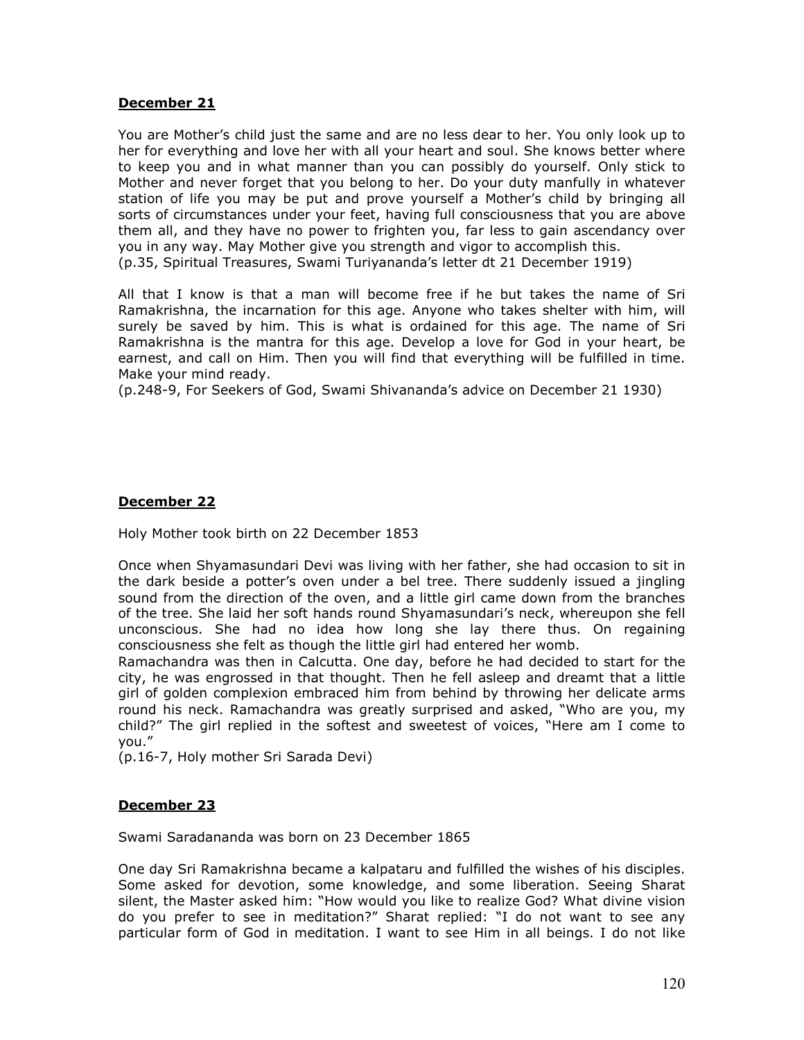### December 21

You are Mother's child just the same and are no less dear to her. You only look up to her for everything and love her with all your heart and soul. She knows better where to keep you and in what manner than you can possibly do yourself. Only stick to Mother and never forget that you belong to her. Do your duty manfully in whatever station of life you may be put and prove yourself a Mother's child by bringing all sorts of circumstances under your feet, having full consciousness that you are above them all, and they have no power to frighten you, far less to gain ascendancy over you in any way. May Mother give you strength and vigor to accomplish this. (p.35, Spiritual Treasures, Swami Turiyananda's letter dt 21 December 1919)

All that I know is that a man will become free if he but takes the name of Sri Ramakrishna, the incarnation for this age. Anyone who takes shelter with him, will surely be saved by him. This is what is ordained for this age. The name of Sri Ramakrishna is the mantra for this age. Develop a love for God in your heart, be earnest, and call on Him. Then you will find that everything will be fulfilled in time. Make your mind ready.

(p.248-9, For Seekers of God, Swami Shivananda's advice on December 21 1930)

# December 22

Holy Mother took birth on 22 December 1853

Once when Shyamasundari Devi was living with her father, she had occasion to sit in the dark beside a potter's oven under a bel tree. There suddenly issued a jingling sound from the direction of the oven, and a little girl came down from the branches of the tree. She laid her soft hands round Shyamasundari's neck, whereupon she fell unconscious. She had no idea how long she lay there thus. On regaining consciousness she felt as though the little girl had entered her womb.

Ramachandra was then in Calcutta. One day, before he had decided to start for the city, he was engrossed in that thought. Then he fell asleep and dreamt that a little girl of golden complexion embraced him from behind by throwing her delicate arms round his neck. Ramachandra was greatly surprised and asked, "Who are you, my child?" The girl replied in the softest and sweetest of voices, "Here am I come to you."

(p.16-7, Holy mother Sri Sarada Devi)

### December 23

Swami Saradananda was born on 23 December 1865

One day Sri Ramakrishna became a kalpataru and fulfilled the wishes of his disciples. Some asked for devotion, some knowledge, and some liberation. Seeing Sharat silent, the Master asked him: "How would you like to realize God? What divine vision do you prefer to see in meditation?" Sharat replied: "I do not want to see any particular form of God in meditation. I want to see Him in all beings. I do not like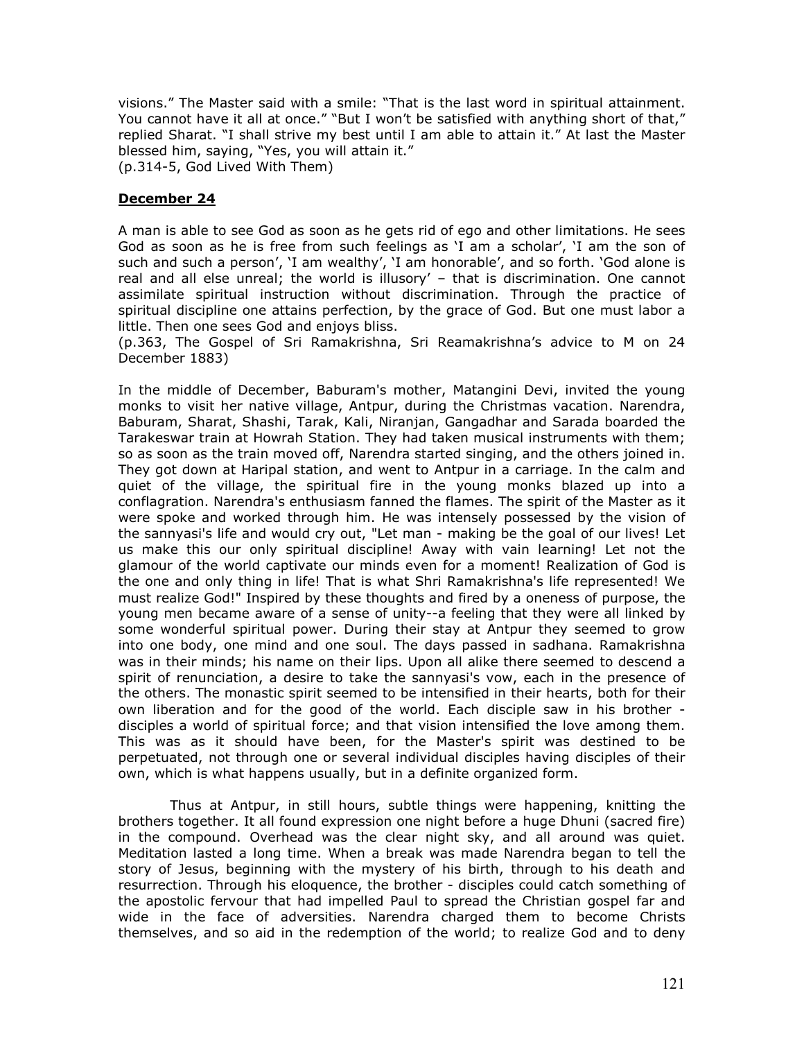visions." The Master said with a smile: "That is the last word in spiritual attainment. You cannot have it all at once." "But I won't be satisfied with anything short of that," replied Sharat. "I shall strive my best until I am able to attain it." At last the Master blessed him, saying, "Yes, you will attain it." (p.314-5, God Lived With Them)

# December 24

A man is able to see God as soon as he gets rid of ego and other limitations. He sees God as soon as he is free from such feelings as 'I am a scholar', 'I am the son of such and such a person', 'I am wealthy', 'I am honorable', and so forth. 'God alone is real and all else unreal; the world is illusory' – that is discrimination. One cannot assimilate spiritual instruction without discrimination. Through the practice of spiritual discipline one attains perfection, by the grace of God. But one must labor a little. Then one sees God and enjoys bliss.

(p.363, The Gospel of Sri Ramakrishna, Sri Reamakrishna's advice to M on 24 December 1883)

In the middle of December, Baburam's mother, Matangini Devi, invited the young monks to visit her native village, Antpur, during the Christmas vacation. Narendra, Baburam, Sharat, Shashi, Tarak, Kali, Niranjan, Gangadhar and Sarada boarded the Tarakeswar train at Howrah Station. They had taken musical instruments with them; so as soon as the train moved off, Narendra started singing, and the others joined in. They got down at Haripal station, and went to Antpur in a carriage. In the calm and quiet of the village, the spiritual fire in the young monks blazed up into a conflagration. Narendra's enthusiasm fanned the flames. The spirit of the Master as it were spoke and worked through him. He was intensely possessed by the vision of the sannyasi's life and would cry out, "Let man - making be the goal of our lives! Let us make this our only spiritual discipline! Away with vain learning! Let not the glamour of the world captivate our minds even for a moment! Realization of God is the one and only thing in life! That is what Shri Ramakrishna's life represented! We must realize God!" Inspired by these thoughts and fired by a oneness of purpose, the young men became aware of a sense of unity--a feeling that they were all linked by some wonderful spiritual power. During their stay at Antpur they seemed to grow into one body, one mind and one soul. The days passed in sadhana. Ramakrishna was in their minds; his name on their lips. Upon all alike there seemed to descend a spirit of renunciation, a desire to take the sannyasi's vow, each in the presence of the others. The monastic spirit seemed to be intensified in their hearts, both for their own liberation and for the good of the world. Each disciple saw in his brother disciples a world of spiritual force; and that vision intensified the love among them. This was as it should have been, for the Master's spirit was destined to be perpetuated, not through one or several individual disciples having disciples of their own, which is what happens usually, but in a definite organized form.

 Thus at Antpur, in still hours, subtle things were happening, knitting the brothers together. It all found expression one night before a huge Dhuni (sacred fire) in the compound. Overhead was the clear night sky, and all around was quiet. Meditation lasted a long time. When a break was made Narendra began to tell the story of Jesus, beginning with the mystery of his birth, through to his death and resurrection. Through his eloquence, the brother - disciples could catch something of the apostolic fervour that had impelled Paul to spread the Christian gospel far and wide in the face of adversities. Narendra charged them to become Christs themselves, and so aid in the redemption of the world; to realize God and to deny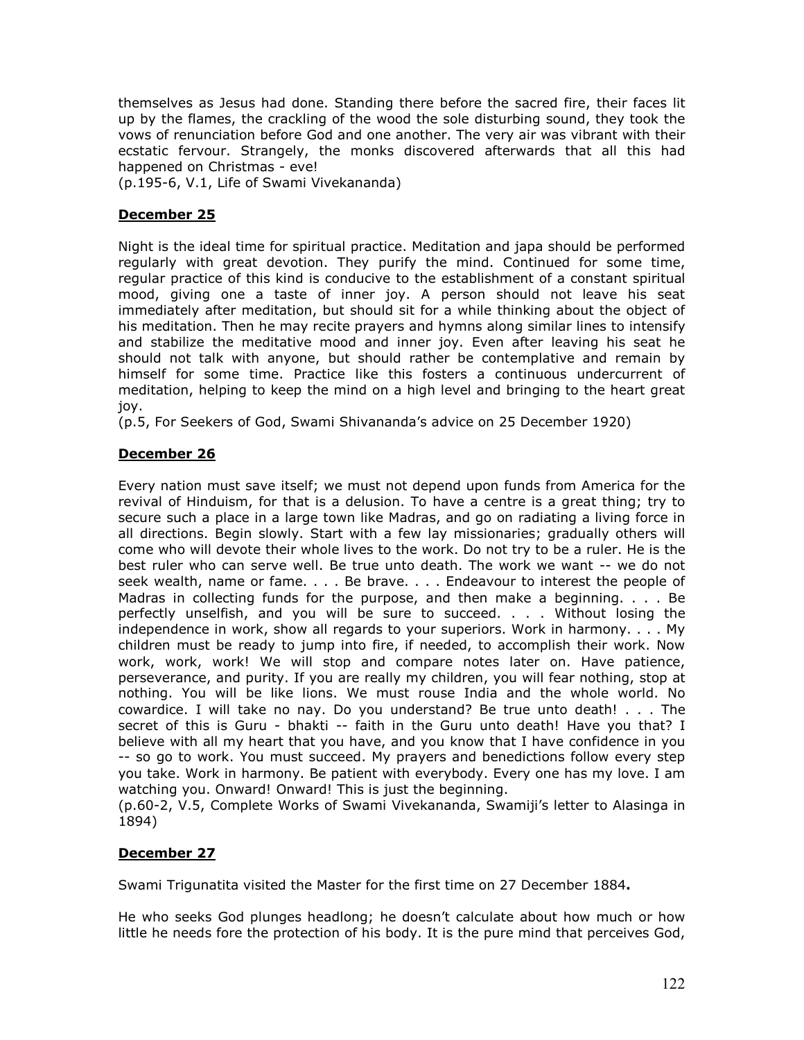themselves as Jesus had done. Standing there before the sacred fire, their faces lit up by the flames, the crackling of the wood the sole disturbing sound, they took the vows of renunciation before God and one another. The very air was vibrant with their ecstatic fervour. Strangely, the monks discovered afterwards that all this had happened on Christmas - eve!

(p.195-6, V.1, Life of Swami Vivekananda)

# December 25

Night is the ideal time for spiritual practice. Meditation and japa should be performed regularly with great devotion. They purify the mind. Continued for some time, regular practice of this kind is conducive to the establishment of a constant spiritual mood, giving one a taste of inner joy. A person should not leave his seat immediately after meditation, but should sit for a while thinking about the object of his meditation. Then he may recite prayers and hymns along similar lines to intensify and stabilize the meditative mood and inner joy. Even after leaving his seat he should not talk with anyone, but should rather be contemplative and remain by himself for some time. Practice like this fosters a continuous undercurrent of meditation, helping to keep the mind on a high level and bringing to the heart great joy.

(p.5, For Seekers of God, Swami Shivananda's advice on 25 December 1920)

# December 26

Every nation must save itself; we must not depend upon funds from America for the revival of Hinduism, for that is a delusion. To have a centre is a great thing; try to secure such a place in a large town like Madras, and go on radiating a living force in all directions. Begin slowly. Start with a few lay missionaries; gradually others will come who will devote their whole lives to the work. Do not try to be a ruler. He is the best ruler who can serve well. Be true unto death. The work we want -- we do not seek wealth, name or fame. . . . Be brave. . . . Endeavour to interest the people of Madras in collecting funds for the purpose, and then make a beginning. . . . Be perfectly unselfish, and you will be sure to succeed. . . . Without losing the independence in work, show all regards to your superiors. Work in harmony. . . . My children must be ready to jump into fire, if needed, to accomplish their work. Now work, work, work! We will stop and compare notes later on. Have patience, perseverance, and purity. If you are really my children, you will fear nothing, stop at nothing. You will be like lions. We must rouse India and the whole world. No cowardice. I will take no nay. Do you understand? Be true unto death! . . . The secret of this is Guru - bhakti -- faith in the Guru unto death! Have you that? I believe with all my heart that you have, and you know that I have confidence in you -- so go to work. You must succeed. My prayers and benedictions follow every step you take. Work in harmony. Be patient with everybody. Every one has my love. I am watching you. Onward! Onward! This is just the beginning.

(p.60-2, V.5, Complete Works of Swami Vivekananda, Swamiji's letter to Alasinga in 1894)

# December 27

Swami Trigunatita visited the Master for the first time on 27 December 1884.

He who seeks God plunges headlong; he doesn't calculate about how much or how little he needs fore the protection of his body. It is the pure mind that perceives God,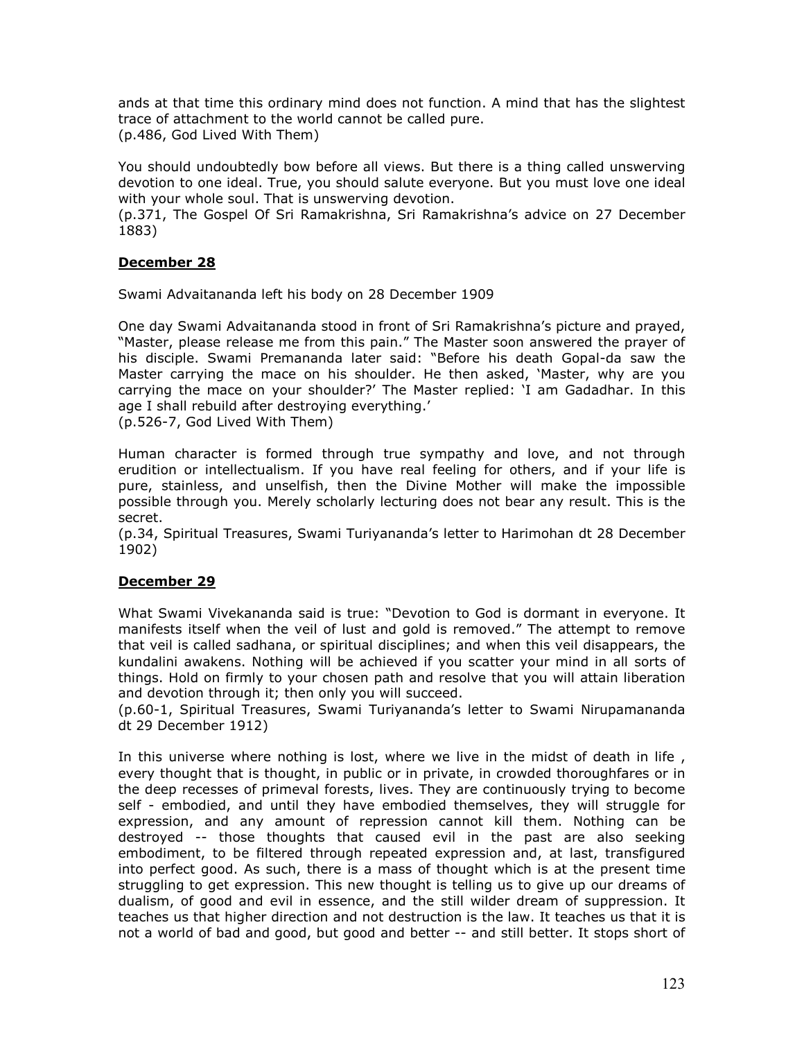ands at that time this ordinary mind does not function. A mind that has the slightest trace of attachment to the world cannot be called pure. (p.486, God Lived With Them)

You should undoubtedly bow before all views. But there is a thing called unswerving devotion to one ideal. True, you should salute everyone. But you must love one ideal with your whole soul. That is unswerving devotion.

(p.371, The Gospel Of Sri Ramakrishna, Sri Ramakrishna's advice on 27 December 1883)

# December 28

Swami Advaitananda left his body on 28 December 1909

One day Swami Advaitananda stood in front of Sri Ramakrishna's picture and prayed, "Master, please release me from this pain." The Master soon answered the prayer of his disciple. Swami Premananda later said: "Before his death Gopal-da saw the Master carrying the mace on his shoulder. He then asked, 'Master, why are you carrying the mace on your shoulder?' The Master replied: 'I am Gadadhar. In this age I shall rebuild after destroying everything.'

(p.526-7, God Lived With Them)

Human character is formed through true sympathy and love, and not through erudition or intellectualism. If you have real feeling for others, and if your life is pure, stainless, and unselfish, then the Divine Mother will make the impossible possible through you. Merely scholarly lecturing does not bear any result. This is the secret.

(p.34, Spiritual Treasures, Swami Turiyananda's letter to Harimohan dt 28 December 1902)

# December 29

What Swami Vivekananda said is true: "Devotion to God is dormant in everyone. It manifests itself when the veil of lust and gold is removed." The attempt to remove that veil is called sadhana, or spiritual disciplines; and when this veil disappears, the kundalini awakens. Nothing will be achieved if you scatter your mind in all sorts of things. Hold on firmly to your chosen path and resolve that you will attain liberation and devotion through it; then only you will succeed.

(p.60-1, Spiritual Treasures, Swami Turiyananda's letter to Swami Nirupamananda dt 29 December 1912)

In this universe where nothing is lost, where we live in the midst of death in life , every thought that is thought, in public or in private, in crowded thoroughfares or in the deep recesses of primeval forests, lives. They are continuously trying to become self - embodied, and until they have embodied themselves, they will struggle for expression, and any amount of repression cannot kill them. Nothing can be destroyed -- those thoughts that caused evil in the past are also seeking embodiment, to be filtered through repeated expression and, at last, transfigured into perfect good. As such, there is a mass of thought which is at the present time struggling to get expression. This new thought is telling us to give up our dreams of dualism, of good and evil in essence, and the still wilder dream of suppression. It teaches us that higher direction and not destruction is the law. It teaches us that it is not a world of bad and good, but good and better -- and still better. It stops short of